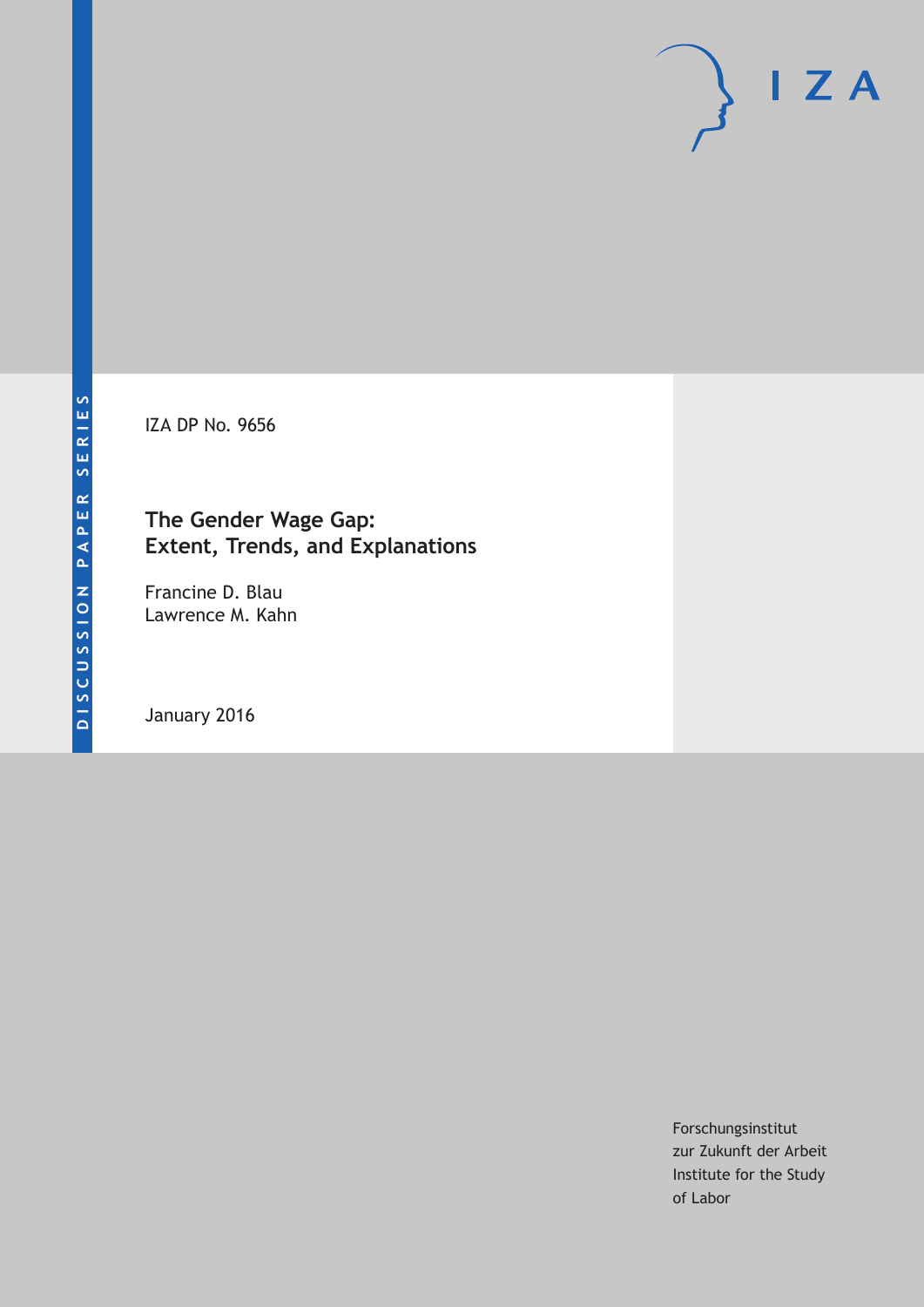IZA DP No. 9656

## **The Gender Wage Gap: Extent, Trends, and Explanations**

Francine D. Blau Lawrence M. Kahn

January 2016

Forschungsinstitut zur Zukunft der Arbeit Institute for the Study of Labor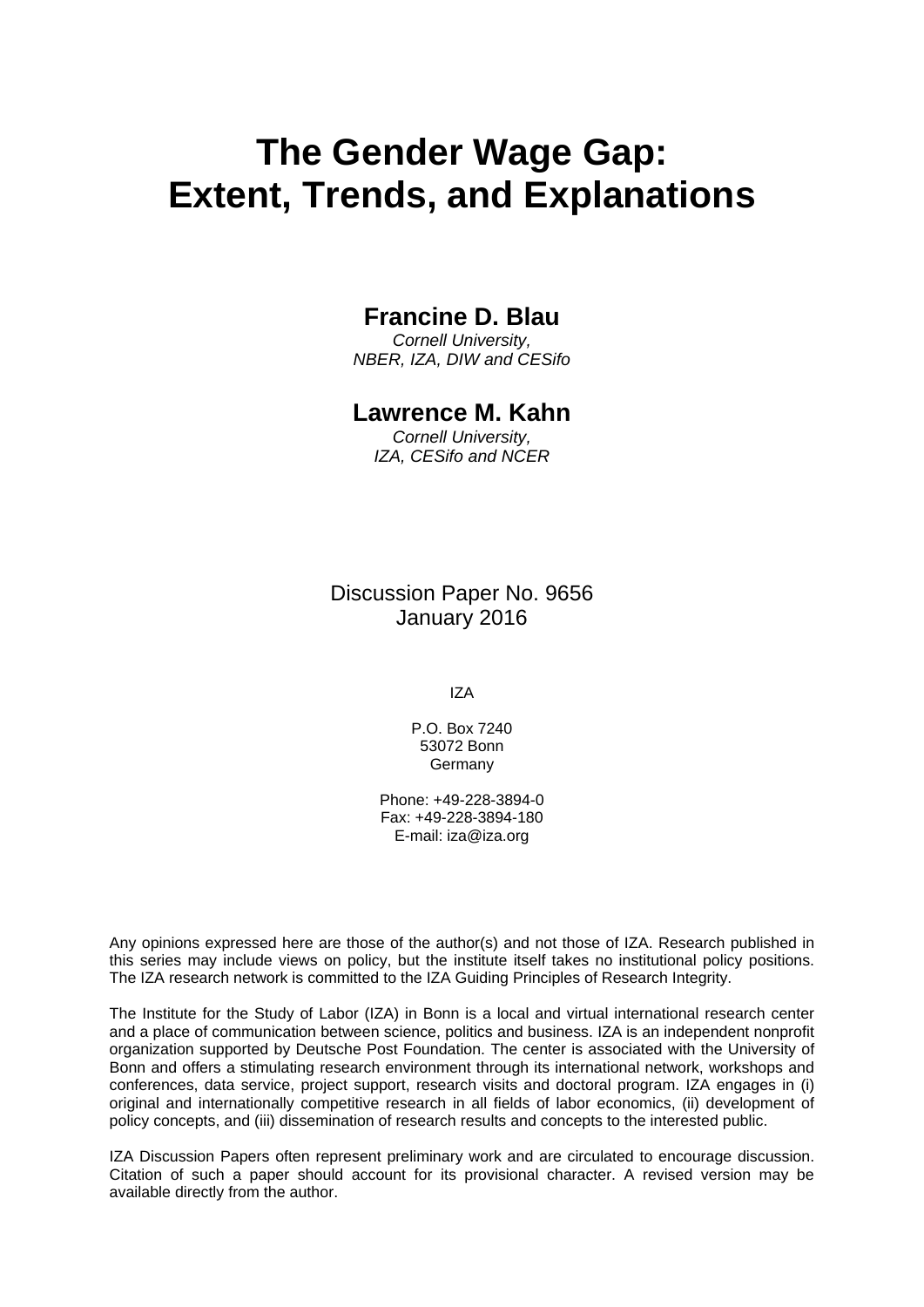# **The Gender Wage Gap: Extent, Trends, and Explanations**

## **Francine D. Blau**

*Cornell University, NBER, IZA, DIW and CESifo* 

### **Lawrence M. Kahn**

*Cornell University, IZA, CESifo and NCER* 

Discussion Paper No. 9656 January 2016

IZA

P.O. Box 7240 53072 Bonn Germany

Phone: +49-228-3894-0 Fax: +49-228-3894-180 E-mail: iza@iza.org

Any opinions expressed here are those of the author(s) and not those of IZA. Research published in this series may include views on policy, but the institute itself takes no institutional policy positions. The IZA research network is committed to the IZA Guiding Principles of Research Integrity.

The Institute for the Study of Labor (IZA) in Bonn is a local and virtual international research center and a place of communication between science, politics and business. IZA is an independent nonprofit organization supported by Deutsche Post Foundation. The center is associated with the University of Bonn and offers a stimulating research environment through its international network, workshops and conferences, data service, project support, research visits and doctoral program. IZA engages in (i) original and internationally competitive research in all fields of labor economics, (ii) development of policy concepts, and (iii) dissemination of research results and concepts to the interested public.

IZA Discussion Papers often represent preliminary work and are circulated to encourage discussion. Citation of such a paper should account for its provisional character. A revised version may be available directly from the author.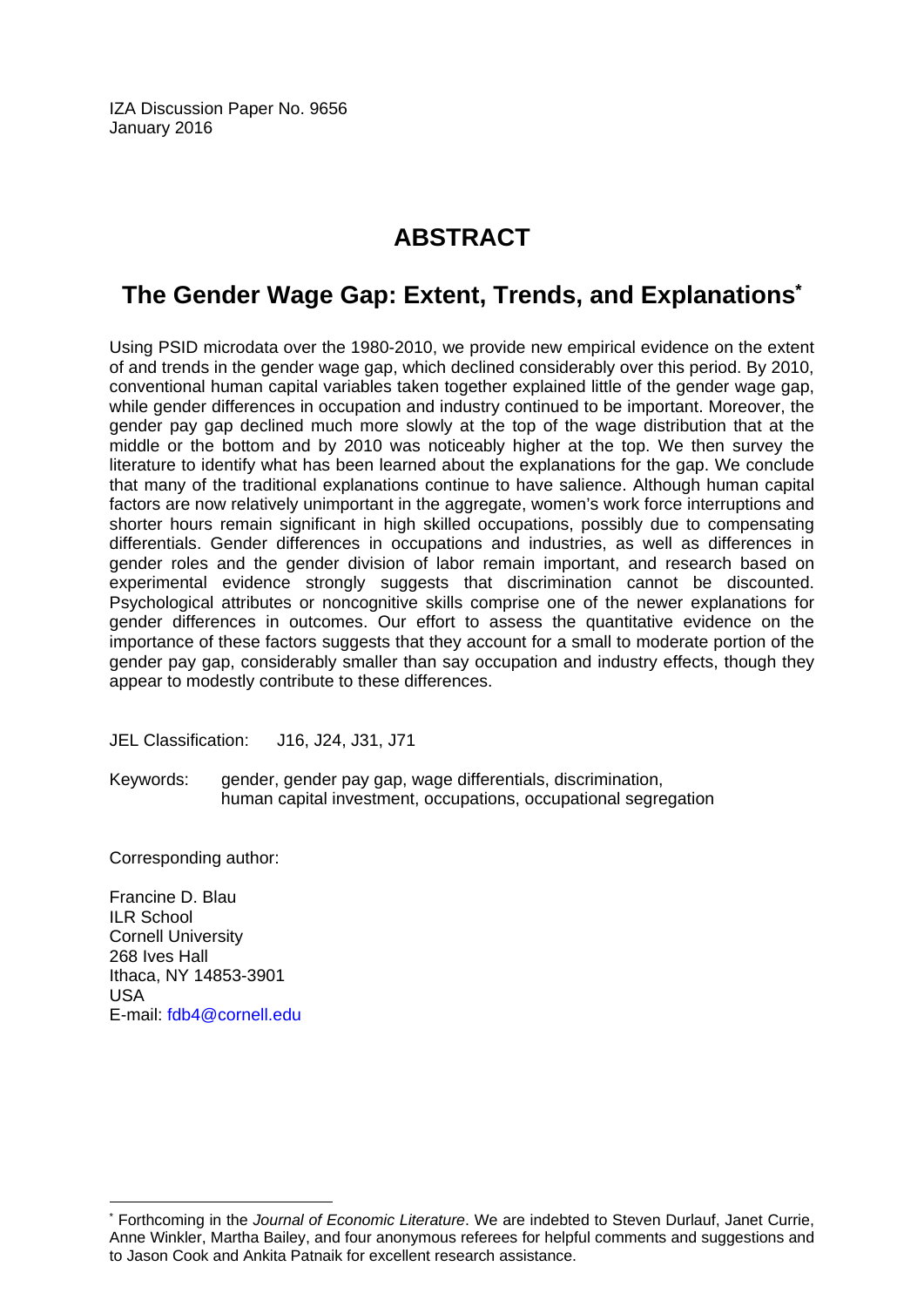IZA Discussion Paper No. 9656 January 2016

## **ABSTRACT**

# **The Gender Wage Gap: Extent, Trends, and Explanations\***

Using PSID microdata over the 1980-2010, we provide new empirical evidence on the extent of and trends in the gender wage gap, which declined considerably over this period. By 2010, conventional human capital variables taken together explained little of the gender wage gap, while gender differences in occupation and industry continued to be important. Moreover, the gender pay gap declined much more slowly at the top of the wage distribution that at the middle or the bottom and by 2010 was noticeably higher at the top. We then survey the literature to identify what has been learned about the explanations for the gap. We conclude that many of the traditional explanations continue to have salience. Although human capital factors are now relatively unimportant in the aggregate, women's work force interruptions and shorter hours remain significant in high skilled occupations, possibly due to compensating differentials. Gender differences in occupations and industries, as well as differences in gender roles and the gender division of labor remain important, and research based on experimental evidence strongly suggests that discrimination cannot be discounted. Psychological attributes or noncognitive skills comprise one of the newer explanations for gender differences in outcomes. Our effort to assess the quantitative evidence on the importance of these factors suggests that they account for a small to moderate portion of the gender pay gap, considerably smaller than say occupation and industry effects, though they appear to modestly contribute to these differences.

JEL Classification: J16, J24, J31, J71

Keywords: gender, gender pay gap, wage differentials, discrimination, human capital investment, occupations, occupational segregation

Corresponding author:

Francine D. Blau ILR School Cornell University 268 Ives Hall Ithaca, NY 14853-3901 USA E-mail: fdb4@cornell.edu

 $\overline{a}$ 

<sup>\*</sup> Forthcoming in the *Journal of Economic Literature*. We are indebted to Steven Durlauf, Janet Currie, Anne Winkler, Martha Bailey, and four anonymous referees for helpful comments and suggestions and to Jason Cook and Ankita Patnaik for excellent research assistance.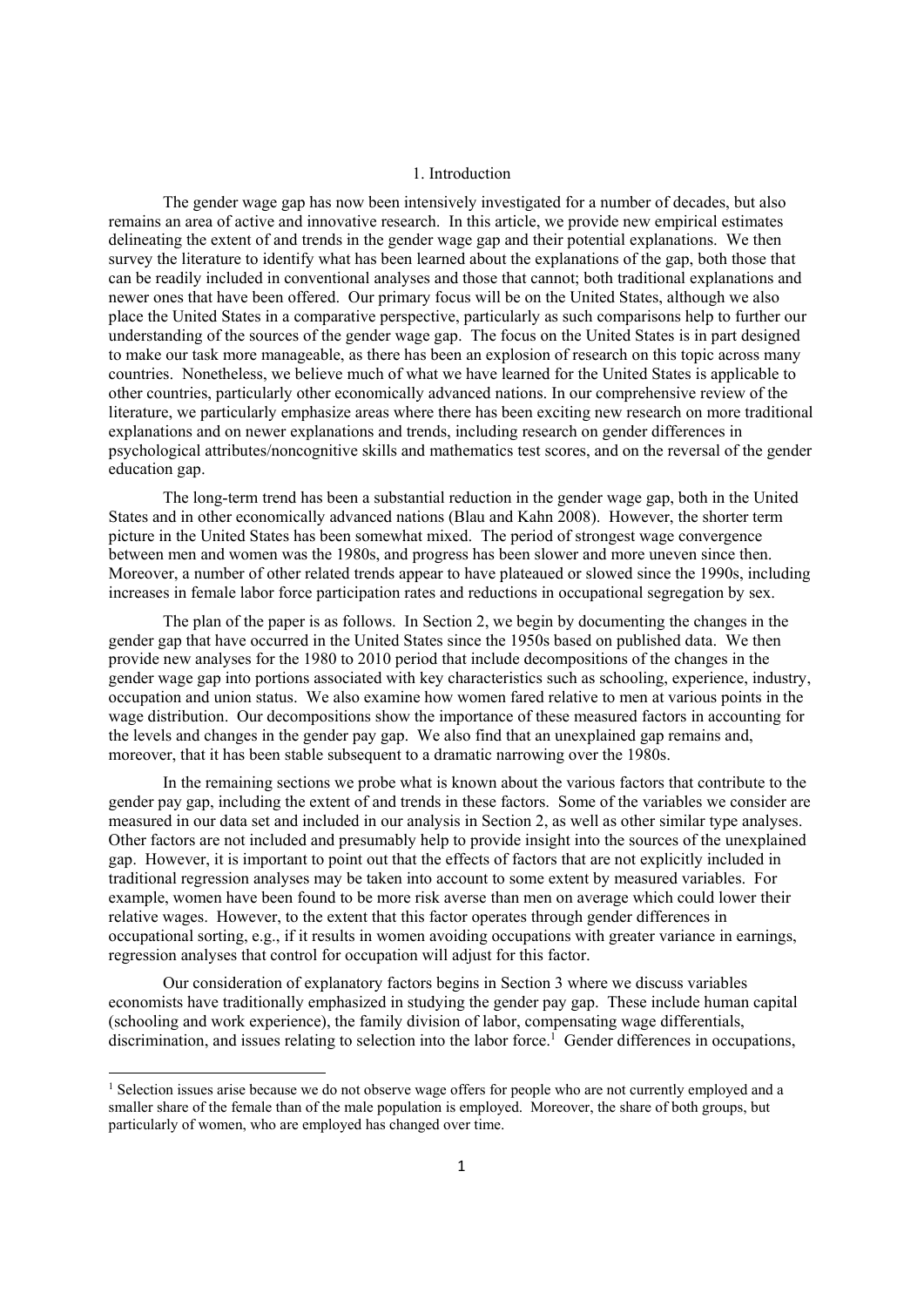#### 1. Introduction

The gender wage gap has now been intensively investigated for a number of decades, but also remains an area of active and innovative research. In this article, we provide new empirical estimates delineating the extent of and trends in the gender wage gap and their potential explanations. We then survey the literature to identify what has been learned about the explanations of the gap, both those that can be readily included in conventional analyses and those that cannot; both traditional explanations and newer ones that have been offered. Our primary focus will be on the United States, although we also place the United States in a comparative perspective, particularly as such comparisons help to further our understanding of the sources of the gender wage gap. The focus on the United States is in part designed to make our task more manageable, as there has been an explosion of research on this topic across many countries. Nonetheless, we believe much of what we have learned for the United States is applicable to other countries, particularly other economically advanced nations. In our comprehensive review of the literature, we particularly emphasize areas where there has been exciting new research on more traditional explanations and on newer explanations and trends, including research on gender differences in psychological attributes/noncognitive skills and mathematics test scores, and on the reversal of the gender education gap.

The long-term trend has been a substantial reduction in the gender wage gap, both in the United States and in other economically advanced nations (Blau and Kahn 2008). However, the shorter term picture in the United States has been somewhat mixed. The period of strongest wage convergence between men and women was the 1980s, and progress has been slower and more uneven since then. Moreover, a number of other related trends appear to have plateaued or slowed since the 1990s, including increases in female labor force participation rates and reductions in occupational segregation by sex.

 The plan of the paper is as follows. In Section 2, we begin by documenting the changes in the gender gap that have occurred in the United States since the 1950s based on published data. We then provide new analyses for the 1980 to 2010 period that include decompositions of the changes in the gender wage gap into portions associated with key characteristics such as schooling, experience, industry, occupation and union status. We also examine how women fared relative to men at various points in the wage distribution. Our decompositions show the importance of these measured factors in accounting for the levels and changes in the gender pay gap. We also find that an unexplained gap remains and, moreover, that it has been stable subsequent to a dramatic narrowing over the 1980s.

In the remaining sections we probe what is known about the various factors that contribute to the gender pay gap, including the extent of and trends in these factors. Some of the variables we consider are measured in our data set and included in our analysis in Section 2, as well as other similar type analyses. Other factors are not included and presumably help to provide insight into the sources of the unexplained gap. However, it is important to point out that the effects of factors that are not explicitly included in traditional regression analyses may be taken into account to some extent by measured variables. For example, women have been found to be more risk averse than men on average which could lower their relative wages. However, to the extent that this factor operates through gender differences in occupational sorting, e.g., if it results in women avoiding occupations with greater variance in earnings, regression analyses that control for occupation will adjust for this factor.

Our consideration of explanatory factors begins in Section 3 where we discuss variables economists have traditionally emphasized in studying the gender pay gap. These include human capital (schooling and work experience), the family division of labor, compensating wage differentials, discrimination, and issues relating to selection into the labor force.<sup>1</sup> Gender differences in occupations,

<sup>&</sup>lt;sup>1</sup> Selection issues arise because we do not observe wage offers for people who are not currently employed and a smaller share of the female than of the male population is employed. Moreover, the share of both groups, but particularly of women, who are employed has changed over time.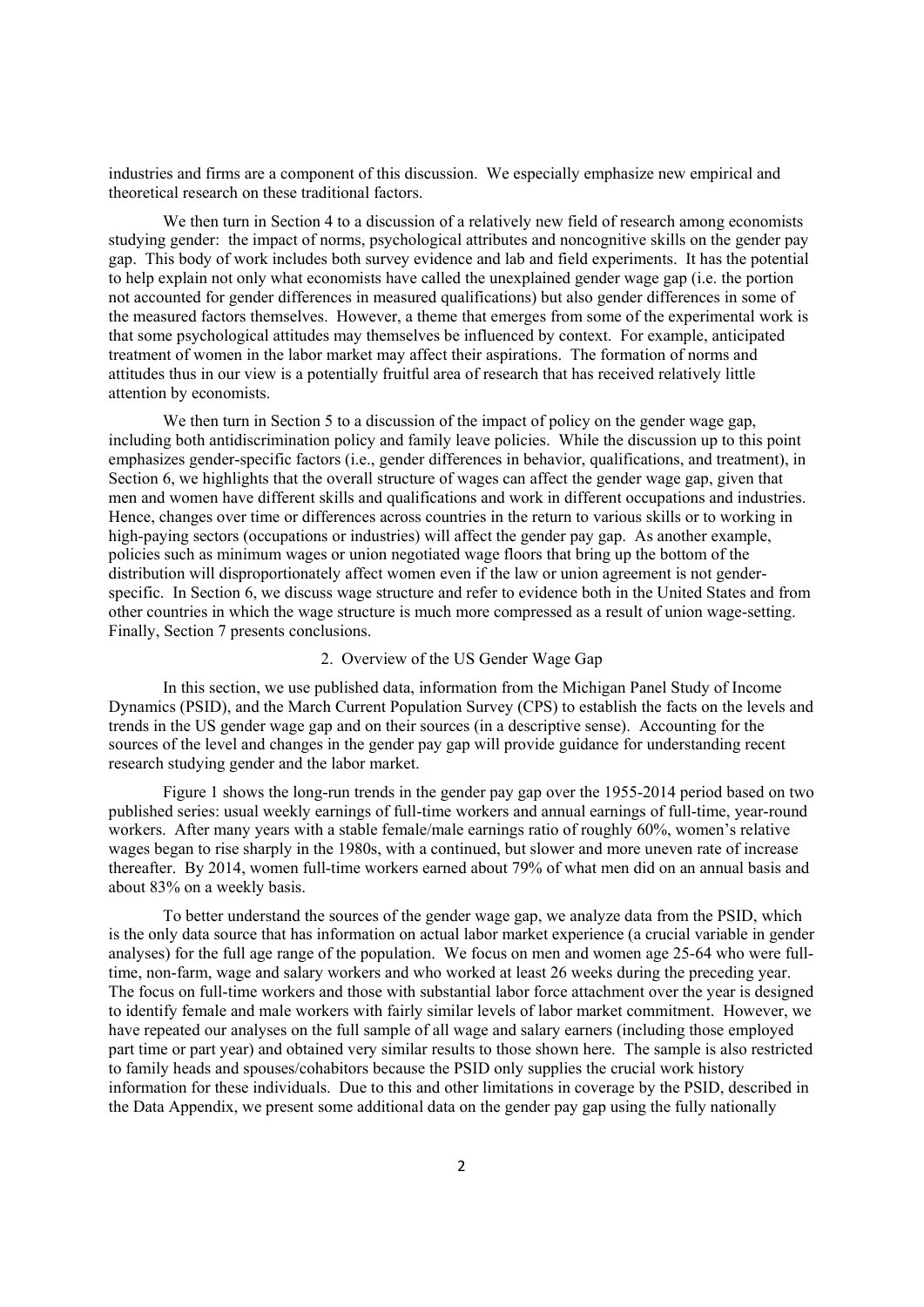industries and firms are a component of this discussion. We especially emphasize new empirical and theoretical research on these traditional factors.

We then turn in Section 4 to a discussion of a relatively new field of research among economists studying gender: the impact of norms, psychological attributes and noncognitive skills on the gender pay gap. This body of work includes both survey evidence and lab and field experiments. It has the potential to help explain not only what economists have called the unexplained gender wage gap (i.e. the portion not accounted for gender differences in measured qualifications) but also gender differences in some of the measured factors themselves. However, a theme that emerges from some of the experimental work is that some psychological attitudes may themselves be influenced by context. For example, anticipated treatment of women in the labor market may affect their aspirations. The formation of norms and attitudes thus in our view is a potentially fruitful area of research that has received relatively little attention by economists.

We then turn in Section 5 to a discussion of the impact of policy on the gender wage gap, including both antidiscrimination policy and family leave policies. While the discussion up to this point emphasizes gender-specific factors (i.e., gender differences in behavior, qualifications, and treatment), in Section 6, we highlights that the overall structure of wages can affect the gender wage gap, given that men and women have different skills and qualifications and work in different occupations and industries. Hence, changes over time or differences across countries in the return to various skills or to working in high-paying sectors (occupations or industries) will affect the gender pay gap. As another example, policies such as minimum wages or union negotiated wage floors that bring up the bottom of the distribution will disproportionately affect women even if the law or union agreement is not genderspecific. In Section 6, we discuss wage structure and refer to evidence both in the United States and from other countries in which the wage structure is much more compressed as a result of union wage-setting. Finally, Section 7 presents conclusions.

#### 2. Overview of the US Gender Wage Gap

In this section, we use published data, information from the Michigan Panel Study of Income Dynamics (PSID), and the March Current Population Survey (CPS) to establish the facts on the levels and trends in the US gender wage gap and on their sources (in a descriptive sense). Accounting for the sources of the level and changes in the gender pay gap will provide guidance for understanding recent research studying gender and the labor market.

Figure 1 shows the long-run trends in the gender pay gap over the 1955-2014 period based on two published series: usual weekly earnings of full-time workers and annual earnings of full-time, year-round workers. After many years with a stable female/male earnings ratio of roughly 60%, women's relative wages began to rise sharply in the 1980s, with a continued, but slower and more uneven rate of increase thereafter. By 2014, women full-time workers earned about 79% of what men did on an annual basis and about 83% on a weekly basis.

To better understand the sources of the gender wage gap, we analyze data from the PSID, which is the only data source that has information on actual labor market experience (a crucial variable in gender analyses) for the full age range of the population. We focus on men and women age 25-64 who were fulltime, non-farm, wage and salary workers and who worked at least 26 weeks during the preceding year. The focus on full-time workers and those with substantial labor force attachment over the year is designed to identify female and male workers with fairly similar levels of labor market commitment. However, we have repeated our analyses on the full sample of all wage and salary earners (including those employed part time or part year) and obtained very similar results to those shown here. The sample is also restricted to family heads and spouses/cohabitors because the PSID only supplies the crucial work history information for these individuals. Due to this and other limitations in coverage by the PSID, described in the Data Appendix, we present some additional data on the gender pay gap using the fully nationally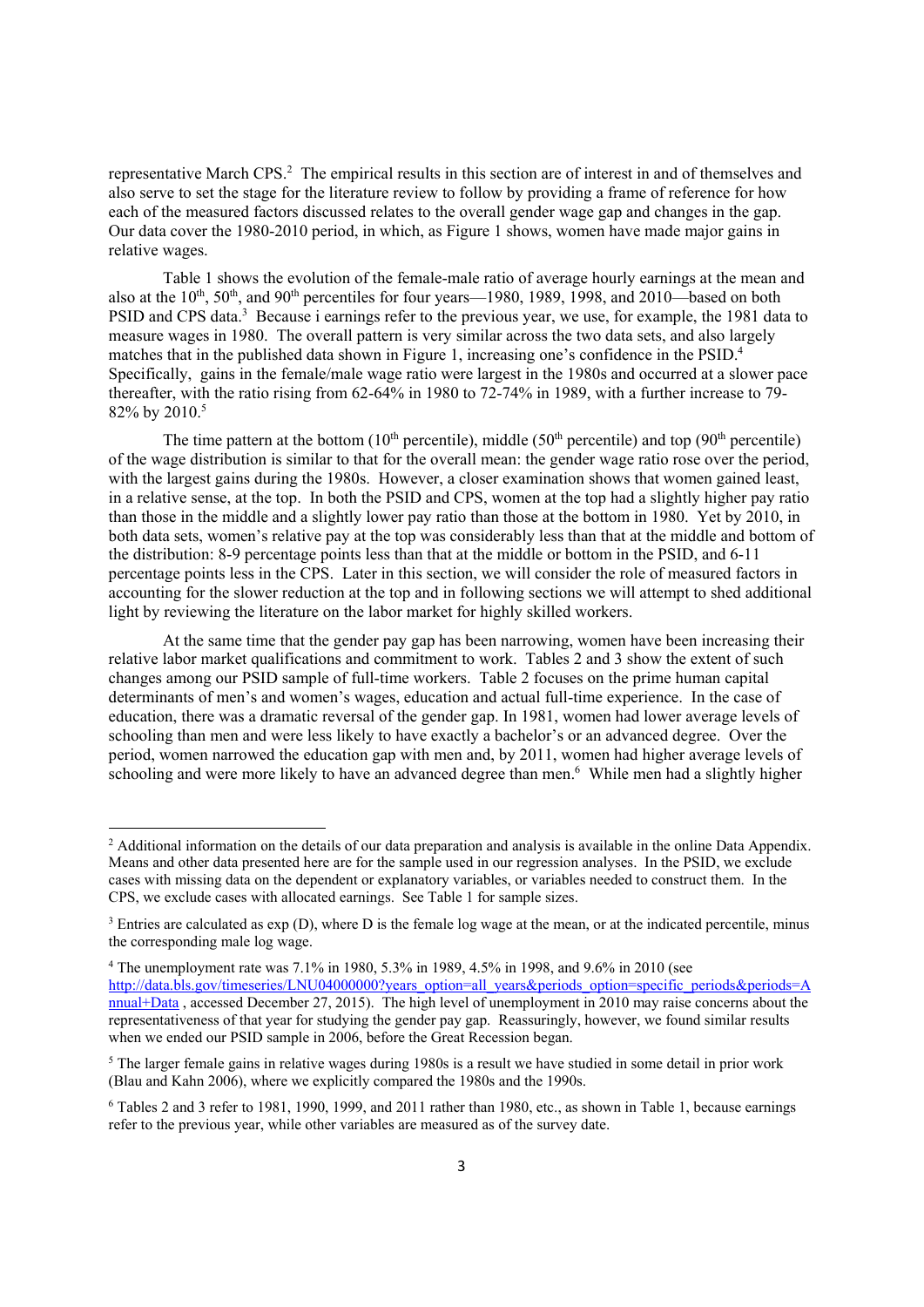representative March CPS.<sup>2</sup> The empirical results in this section are of interest in and of themselves and also serve to set the stage for the literature review to follow by providing a frame of reference for how each of the measured factors discussed relates to the overall gender wage gap and changes in the gap. Our data cover the 1980-2010 period, in which, as Figure 1 shows, women have made major gains in relative wages.

Table 1 shows the evolution of the female-male ratio of average hourly earnings at the mean and also at the  $10^{th}$ ,  $50^{th}$ , and  $90^{th}$  percentiles for four years—1980, 1989, 1998, and 2010—based on both PSID and CPS data.<sup>3</sup> Because i earnings refer to the previous year, we use, for example, the 1981 data to measure wages in 1980. The overall pattern is very similar across the two data sets, and also largely matches that in the published data shown in Figure 1, increasing one's confidence in the PSID.<sup>4</sup> Specifically, gains in the female/male wage ratio were largest in the 1980s and occurred at a slower pace thereafter, with the ratio rising from 62-64% in 1980 to 72-74% in 1989, with a further increase to 79- 82% by 2010.5

The time pattern at the bottom  $(10<sup>th</sup>$  percentile), middle  $(50<sup>th</sup>$  percentile) and top  $(90<sup>th</sup>$  percentile) of the wage distribution is similar to that for the overall mean: the gender wage ratio rose over the period, with the largest gains during the 1980s. However, a closer examination shows that women gained least, in a relative sense, at the top. In both the PSID and CPS, women at the top had a slightly higher pay ratio than those in the middle and a slightly lower pay ratio than those at the bottom in 1980. Yet by 2010, in both data sets, women's relative pay at the top was considerably less than that at the middle and bottom of the distribution: 8-9 percentage points less than that at the middle or bottom in the PSID, and 6-11 percentage points less in the CPS. Later in this section, we will consider the role of measured factors in accounting for the slower reduction at the top and in following sections we will attempt to shed additional light by reviewing the literature on the labor market for highly skilled workers.

At the same time that the gender pay gap has been narrowing, women have been increasing their relative labor market qualifications and commitment to work. Tables 2 and 3 show the extent of such changes among our PSID sample of full-time workers. Table 2 focuses on the prime human capital determinants of men's and women's wages, education and actual full-time experience. In the case of education, there was a dramatic reversal of the gender gap. In 1981, women had lower average levels of schooling than men and were less likely to have exactly a bachelor's or an advanced degree. Over the period, women narrowed the education gap with men and, by 2011, women had higher average levels of schooling and were more likely to have an advanced degree than men.<sup>6</sup> While men had a slightly higher

<sup>&</sup>lt;sup>2</sup> Additional information on the details of our data preparation and analysis is available in the online Data Appendix. Means and other data presented here are for the sample used in our regression analyses. In the PSID, we exclude cases with missing data on the dependent or explanatory variables, or variables needed to construct them. In the CPS, we exclude cases with allocated earnings. See Table 1 for sample sizes.

<sup>&</sup>lt;sup>3</sup> Entries are calculated as  $\exp(D)$ , where D is the female log wage at the mean, or at the indicated percentile, minus the corresponding male log wage.

<sup>4</sup> The unemployment rate was 7.1% in 1980, 5.3% in 1989, 4.5% in 1998, and 9.6% in 2010 (see http://data.bls.gov/timeseries/LNU04000000?years\_option=all\_years&periods\_option=specific\_periods&periods=A nnual+Data , accessed December 27, 2015). The high level of unemployment in 2010 may raise concerns about the representativeness of that year for studying the gender pay gap. Reassuringly, however, we found similar results when we ended our PSID sample in 2006, before the Great Recession began.

<sup>&</sup>lt;sup>5</sup> The larger female gains in relative wages during 1980s is a result we have studied in some detail in prior work (Blau and Kahn 2006), where we explicitly compared the 1980s and the 1990s.

<sup>6</sup> Tables 2 and 3 refer to 1981, 1990, 1999, and 2011 rather than 1980, etc., as shown in Table 1, because earnings refer to the previous year, while other variables are measured as of the survey date.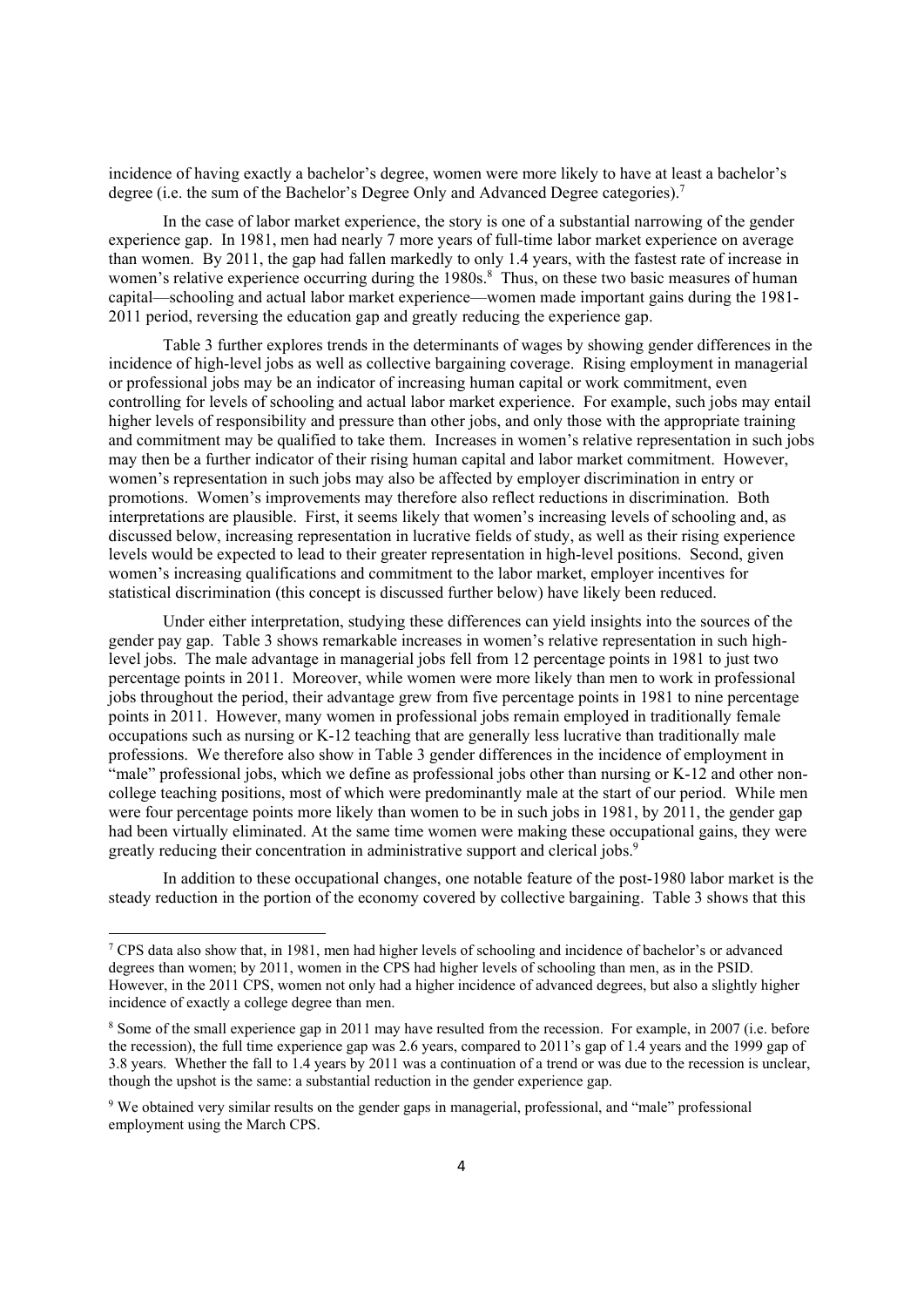incidence of having exactly a bachelor's degree, women were more likely to have at least a bachelor's degree (i.e. the sum of the Bachelor's Degree Only and Advanced Degree categories).<sup>7</sup>

In the case of labor market experience, the story is one of a substantial narrowing of the gender experience gap. In 1981, men had nearly 7 more years of full-time labor market experience on average than women. By 2011, the gap had fallen markedly to only 1.4 years, with the fastest rate of increase in women's relative experience occurring during the 1980s.<sup>8</sup> Thus, on these two basic measures of human capital—schooling and actual labor market experience—women made important gains during the 1981- 2011 period, reversing the education gap and greatly reducing the experience gap.

Table 3 further explores trends in the determinants of wages by showing gender differences in the incidence of high-level jobs as well as collective bargaining coverage. Rising employment in managerial or professional jobs may be an indicator of increasing human capital or work commitment, even controlling for levels of schooling and actual labor market experience. For example, such jobs may entail higher levels of responsibility and pressure than other jobs, and only those with the appropriate training and commitment may be qualified to take them. Increases in women's relative representation in such jobs may then be a further indicator of their rising human capital and labor market commitment. However, women's representation in such jobs may also be affected by employer discrimination in entry or promotions. Women's improvements may therefore also reflect reductions in discrimination. Both interpretations are plausible. First, it seems likely that women's increasing levels of schooling and, as discussed below, increasing representation in lucrative fields of study, as well as their rising experience levels would be expected to lead to their greater representation in high-level positions. Second, given women's increasing qualifications and commitment to the labor market, employer incentives for statistical discrimination (this concept is discussed further below) have likely been reduced.

Under either interpretation, studying these differences can yield insights into the sources of the gender pay gap. Table 3 shows remarkable increases in women's relative representation in such highlevel jobs. The male advantage in managerial jobs fell from 12 percentage points in 1981 to just two percentage points in 2011. Moreover, while women were more likely than men to work in professional jobs throughout the period, their advantage grew from five percentage points in 1981 to nine percentage points in 2011. However, many women in professional jobs remain employed in traditionally female occupations such as nursing or K-12 teaching that are generally less lucrative than traditionally male professions. We therefore also show in Table 3 gender differences in the incidence of employment in "male" professional jobs, which we define as professional jobs other than nursing or K-12 and other noncollege teaching positions, most of which were predominantly male at the start of our period. While men were four percentage points more likely than women to be in such jobs in 1981, by 2011, the gender gap had been virtually eliminated. At the same time women were making these occupational gains, they were greatly reducing their concentration in administrative support and clerical jobs.<sup>9</sup>

In addition to these occupational changes, one notable feature of the post-1980 labor market is the steady reduction in the portion of the economy covered by collective bargaining. Table 3 shows that this

<sup>&</sup>lt;sup>7</sup> CPS data also show that, in 1981, men had higher levels of schooling and incidence of bachelor's or advanced degrees than women; by 2011, women in the CPS had higher levels of schooling than men, as in the PSID. However, in the 2011 CPS, women not only had a higher incidence of advanced degrees, but also a slightly higher incidence of exactly a college degree than men.

<sup>&</sup>lt;sup>8</sup> Some of the small experience gap in 2011 may have resulted from the recession. For example, in 2007 (i.e. before the recession), the full time experience gap was 2.6 years, compared to 2011's gap of 1.4 years and the 1999 gap of 3.8 years. Whether the fall to 1.4 years by 2011 was a continuation of a trend or was due to the recession is unclear, though the upshot is the same: a substantial reduction in the gender experience gap.

<sup>9</sup> We obtained very similar results on the gender gaps in managerial, professional, and "male" professional employment using the March CPS.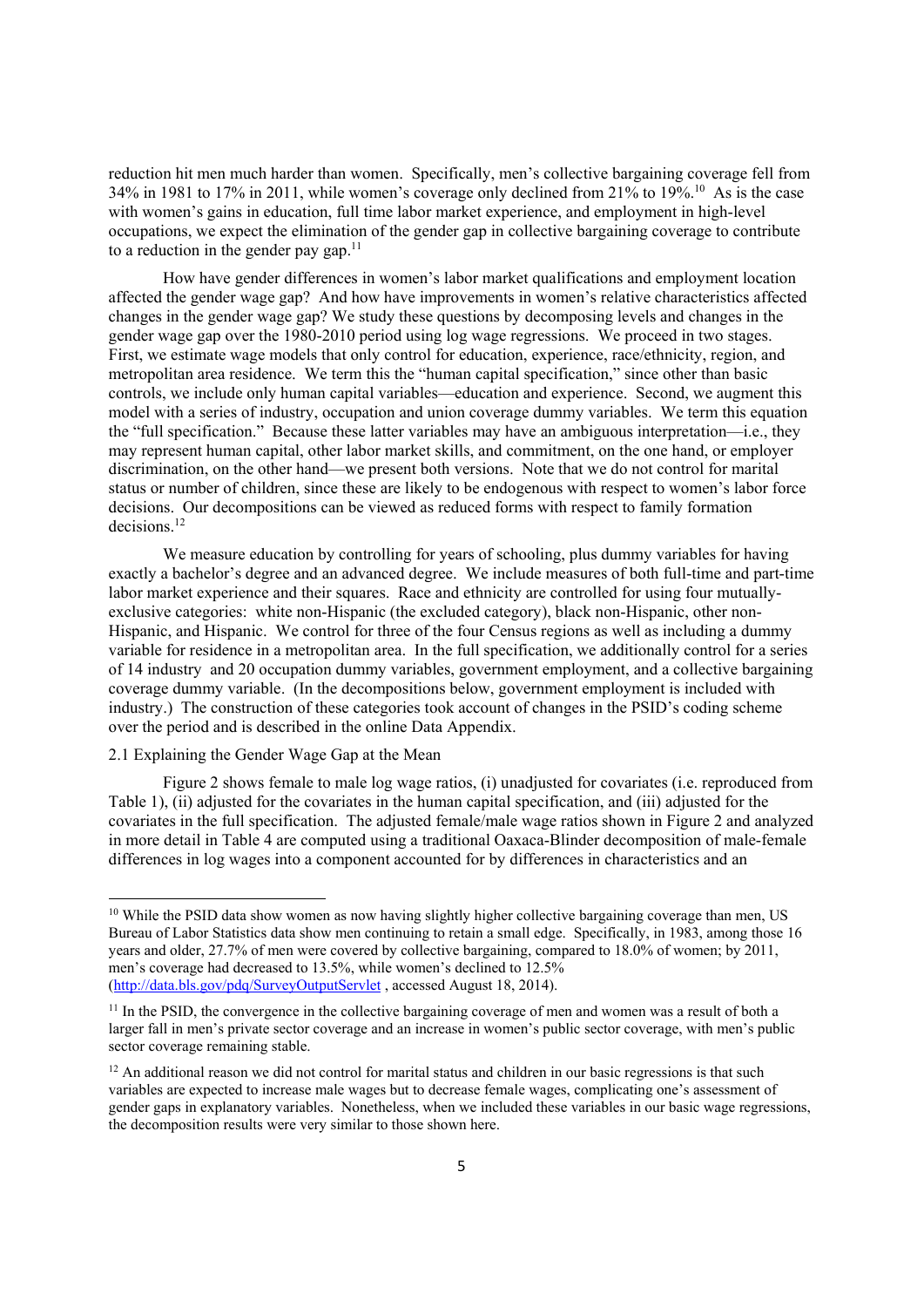reduction hit men much harder than women. Specifically, men's collective bargaining coverage fell from 34% in 1981 to 17% in 2011, while women's coverage only declined from 21% to 19%.10 As is the case with women's gains in education, full time labor market experience, and employment in high-level occupations, we expect the elimination of the gender gap in collective bargaining coverage to contribute to a reduction in the gender pay gap. $11$ 

How have gender differences in women's labor market qualifications and employment location affected the gender wage gap? And how have improvements in women's relative characteristics affected changes in the gender wage gap? We study these questions by decomposing levels and changes in the gender wage gap over the 1980-2010 period using log wage regressions. We proceed in two stages. First, we estimate wage models that only control for education, experience, race/ethnicity, region, and metropolitan area residence. We term this the "human capital specification," since other than basic controls, we include only human capital variables—education and experience. Second, we augment this model with a series of industry, occupation and union coverage dummy variables. We term this equation the "full specification." Because these latter variables may have an ambiguous interpretation—i.e., they may represent human capital, other labor market skills, and commitment, on the one hand, or employer discrimination, on the other hand—we present both versions. Note that we do not control for marital status or number of children, since these are likely to be endogenous with respect to women's labor force decisions. Our decompositions can be viewed as reduced forms with respect to family formation decisions.12

We measure education by controlling for years of schooling, plus dummy variables for having exactly a bachelor's degree and an advanced degree. We include measures of both full-time and part-time labor market experience and their squares. Race and ethnicity are controlled for using four mutuallyexclusive categories: white non-Hispanic (the excluded category), black non-Hispanic, other non-Hispanic, and Hispanic. We control for three of the four Census regions as well as including a dummy variable for residence in a metropolitan area. In the full specification, we additionally control for a series of 14 industry and 20 occupation dummy variables, government employment, and a collective bargaining coverage dummy variable. (In the decompositions below, government employment is included with industry.) The construction of these categories took account of changes in the PSID's coding scheme over the period and is described in the online Data Appendix.

#### 2.1 Explaining the Gender Wage Gap at the Mean

Figure 2 shows female to male log wage ratios, (i) unadjusted for covariates (i.e. reproduced from Table 1), (ii) adjusted for the covariates in the human capital specification, and (iii) adjusted for the covariates in the full specification. The adjusted female/male wage ratios shown in Figure 2 and analyzed in more detail in Table 4 are computed using a traditional Oaxaca-Blinder decomposition of male-female differences in log wages into a component accounted for by differences in characteristics and an

<sup>&</sup>lt;sup>10</sup> While the PSID data show women as now having slightly higher collective bargaining coverage than men, US Bureau of Labor Statistics data show men continuing to retain a small edge. Specifically, in 1983, among those 16 years and older, 27.7% of men were covered by collective bargaining, compared to 18.0% of women; by 2011, men's coverage had decreased to 13.5%, while women's declined to 12.5% (http://data.bls.gov/pdq/SurveyOutputServlet , accessed August 18, 2014).

<sup>&</sup>lt;sup>11</sup> In the PSID, the convergence in the collective bargaining coverage of men and women was a result of both a larger fall in men's private sector coverage and an increase in women's public sector coverage, with men's public sector coverage remaining stable.

 $12$  An additional reason we did not control for marital status and children in our basic regressions is that such variables are expected to increase male wages but to decrease female wages, complicating one's assessment of gender gaps in explanatory variables. Nonetheless, when we included these variables in our basic wage regressions, the decomposition results were very similar to those shown here.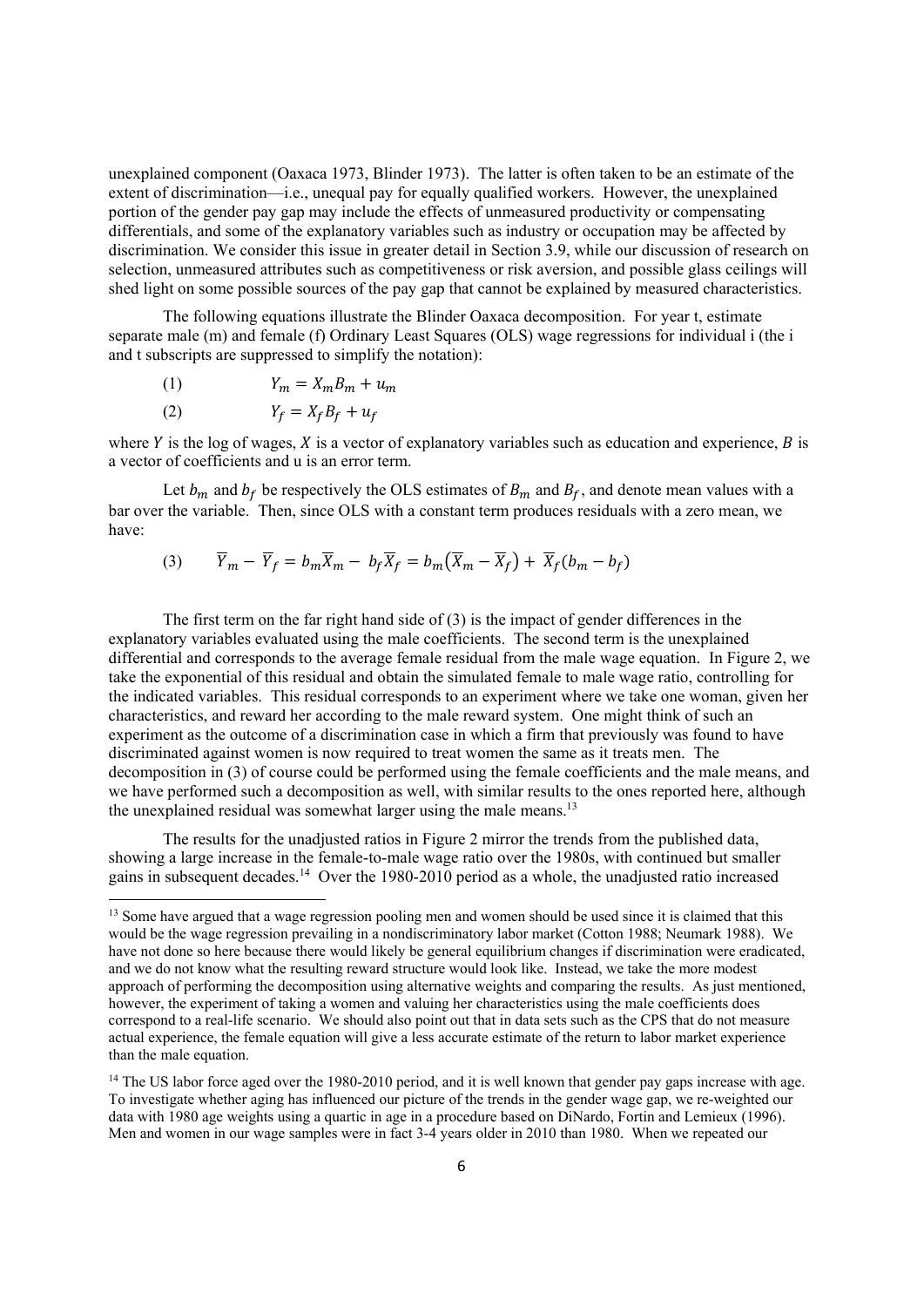unexplained component (Oaxaca 1973, Blinder 1973). The latter is often taken to be an estimate of the extent of discrimination—i.e., unequal pay for equally qualified workers. However, the unexplained portion of the gender pay gap may include the effects of unmeasured productivity or compensating differentials, and some of the explanatory variables such as industry or occupation may be affected by discrimination. We consider this issue in greater detail in Section 3.9, while our discussion of research on selection, unmeasured attributes such as competitiveness or risk aversion, and possible glass ceilings will shed light on some possible sources of the pay gap that cannot be explained by measured characteristics.

The following equations illustrate the Blinder Oaxaca decomposition. For year t, estimate separate male (m) and female (f) Ordinary Least Squares (OLS) wage regressions for individual i (the i and t subscripts are suppressed to simplify the notation):

$$
(1) \tY_m = X_m B_m + u_m
$$

$$
(2) \t Y_f = X_f B_f + u_f
$$

where  $Y$  is the log of wages,  $X$  is a vector of explanatory variables such as education and experience,  $B$  is a vector of coefficients and u is an error term.

Let  $b_m$  and  $b_f$  be respectively the OLS estimates of  $B_m$  and  $B_f$ , and denote mean values with a bar over the variable. Then, since OLS with a constant term produces residuals with a zero mean, we have:

$$
(3) \qquad \overline{Y}_m - \overline{Y}_f = b_m \overline{X}_m - b_f \overline{X}_f = b_m (\overline{X}_m - \overline{X}_f) + \overline{X}_f (b_m - b_f)
$$

The first term on the far right hand side of (3) is the impact of gender differences in the explanatory variables evaluated using the male coefficients. The second term is the unexplained differential and corresponds to the average female residual from the male wage equation. In Figure 2, we take the exponential of this residual and obtain the simulated female to male wage ratio, controlling for the indicated variables. This residual corresponds to an experiment where we take one woman, given her characteristics, and reward her according to the male reward system. One might think of such an experiment as the outcome of a discrimination case in which a firm that previously was found to have discriminated against women is now required to treat women the same as it treats men. The decomposition in (3) of course could be performed using the female coefficients and the male means, and we have performed such a decomposition as well, with similar results to the ones reported here, although the unexplained residual was somewhat larger using the male means.<sup>13</sup>

The results for the unadjusted ratios in Figure 2 mirror the trends from the published data, showing a large increase in the female-to-male wage ratio over the 1980s, with continued but smaller gains in subsequent decades.<sup>14</sup> Over the 1980-2010 period as a whole, the unadjusted ratio increased

<sup>&</sup>lt;sup>13</sup> Some have argued that a wage regression pooling men and women should be used since it is claimed that this would be the wage regression prevailing in a nondiscriminatory labor market (Cotton 1988; Neumark 1988). We have not done so here because there would likely be general equilibrium changes if discrimination were eradicated, and we do not know what the resulting reward structure would look like. Instead, we take the more modest approach of performing the decomposition using alternative weights and comparing the results. As just mentioned, however, the experiment of taking a women and valuing her characteristics using the male coefficients does correspond to a real-life scenario. We should also point out that in data sets such as the CPS that do not measure actual experience, the female equation will give a less accurate estimate of the return to labor market experience than the male equation.

<sup>&</sup>lt;sup>14</sup> The US labor force aged over the 1980-2010 period, and it is well known that gender pay gaps increase with age. To investigate whether aging has influenced our picture of the trends in the gender wage gap, we re-weighted our data with 1980 age weights using a quartic in age in a procedure based on DiNardo, Fortin and Lemieux (1996). Men and women in our wage samples were in fact 3-4 years older in 2010 than 1980. When we repeated our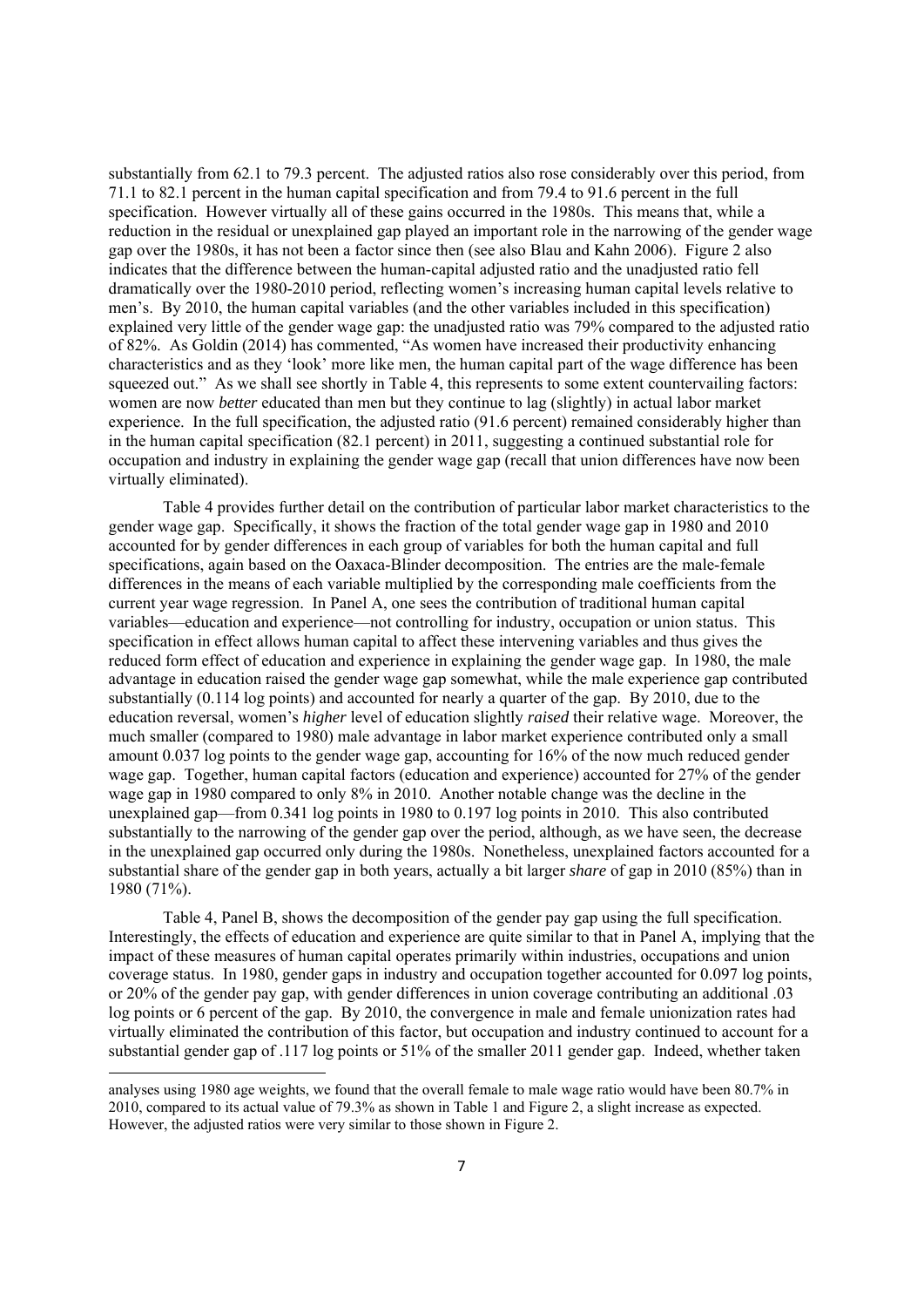substantially from 62.1 to 79.3 percent. The adjusted ratios also rose considerably over this period, from 71.1 to 82.1 percent in the human capital specification and from 79.4 to 91.6 percent in the full specification. However virtually all of these gains occurred in the 1980s. This means that, while a reduction in the residual or unexplained gap played an important role in the narrowing of the gender wage gap over the 1980s, it has not been a factor since then (see also Blau and Kahn 2006). Figure 2 also indicates that the difference between the human-capital adjusted ratio and the unadjusted ratio fell dramatically over the 1980-2010 period, reflecting women's increasing human capital levels relative to men's. By 2010, the human capital variables (and the other variables included in this specification) explained very little of the gender wage gap: the unadjusted ratio was 79% compared to the adjusted ratio of 82%. As Goldin (2014) has commented, "As women have increased their productivity enhancing characteristics and as they 'look' more like men, the human capital part of the wage difference has been squeezed out." As we shall see shortly in Table 4, this represents to some extent countervailing factors: women are now *better* educated than men but they continue to lag (slightly) in actual labor market experience. In the full specification, the adjusted ratio (91.6 percent) remained considerably higher than in the human capital specification (82.1 percent) in 2011, suggesting a continued substantial role for occupation and industry in explaining the gender wage gap (recall that union differences have now been virtually eliminated).

Table 4 provides further detail on the contribution of particular labor market characteristics to the gender wage gap. Specifically, it shows the fraction of the total gender wage gap in 1980 and 2010 accounted for by gender differences in each group of variables for both the human capital and full specifications, again based on the Oaxaca-Blinder decomposition. The entries are the male-female differences in the means of each variable multiplied by the corresponding male coefficients from the current year wage regression. In Panel A, one sees the contribution of traditional human capital variables—education and experience—not controlling for industry, occupation or union status. This specification in effect allows human capital to affect these intervening variables and thus gives the reduced form effect of education and experience in explaining the gender wage gap. In 1980, the male advantage in education raised the gender wage gap somewhat, while the male experience gap contributed substantially (0.114 log points) and accounted for nearly a quarter of the gap. By 2010, due to the education reversal, women's *higher* level of education slightly *raised* their relative wage. Moreover, the much smaller (compared to 1980) male advantage in labor market experience contributed only a small amount 0.037 log points to the gender wage gap, accounting for 16% of the now much reduced gender wage gap. Together, human capital factors (education and experience) accounted for 27% of the gender wage gap in 1980 compared to only 8% in 2010. Another notable change was the decline in the unexplained gap—from 0.341 log points in 1980 to 0.197 log points in 2010. This also contributed substantially to the narrowing of the gender gap over the period, although, as we have seen, the decrease in the unexplained gap occurred only during the 1980s. Nonetheless, unexplained factors accounted for a substantial share of the gender gap in both years, actually a bit larger *share* of gap in 2010 (85%) than in 1980 (71%).

Table 4, Panel B, shows the decomposition of the gender pay gap using the full specification. Interestingly, the effects of education and experience are quite similar to that in Panel A, implying that the impact of these measures of human capital operates primarily within industries, occupations and union coverage status. In 1980, gender gaps in industry and occupation together accounted for 0.097 log points, or 20% of the gender pay gap, with gender differences in union coverage contributing an additional .03 log points or 6 percent of the gap. By 2010, the convergence in male and female unionization rates had virtually eliminated the contribution of this factor, but occupation and industry continued to account for a substantial gender gap of .117 log points or 51% of the smaller 2011 gender gap. Indeed, whether taken

analyses using 1980 age weights, we found that the overall female to male wage ratio would have been 80.7% in 2010, compared to its actual value of 79.3% as shown in Table 1 and Figure 2, a slight increase as expected. However, the adjusted ratios were very similar to those shown in Figure 2.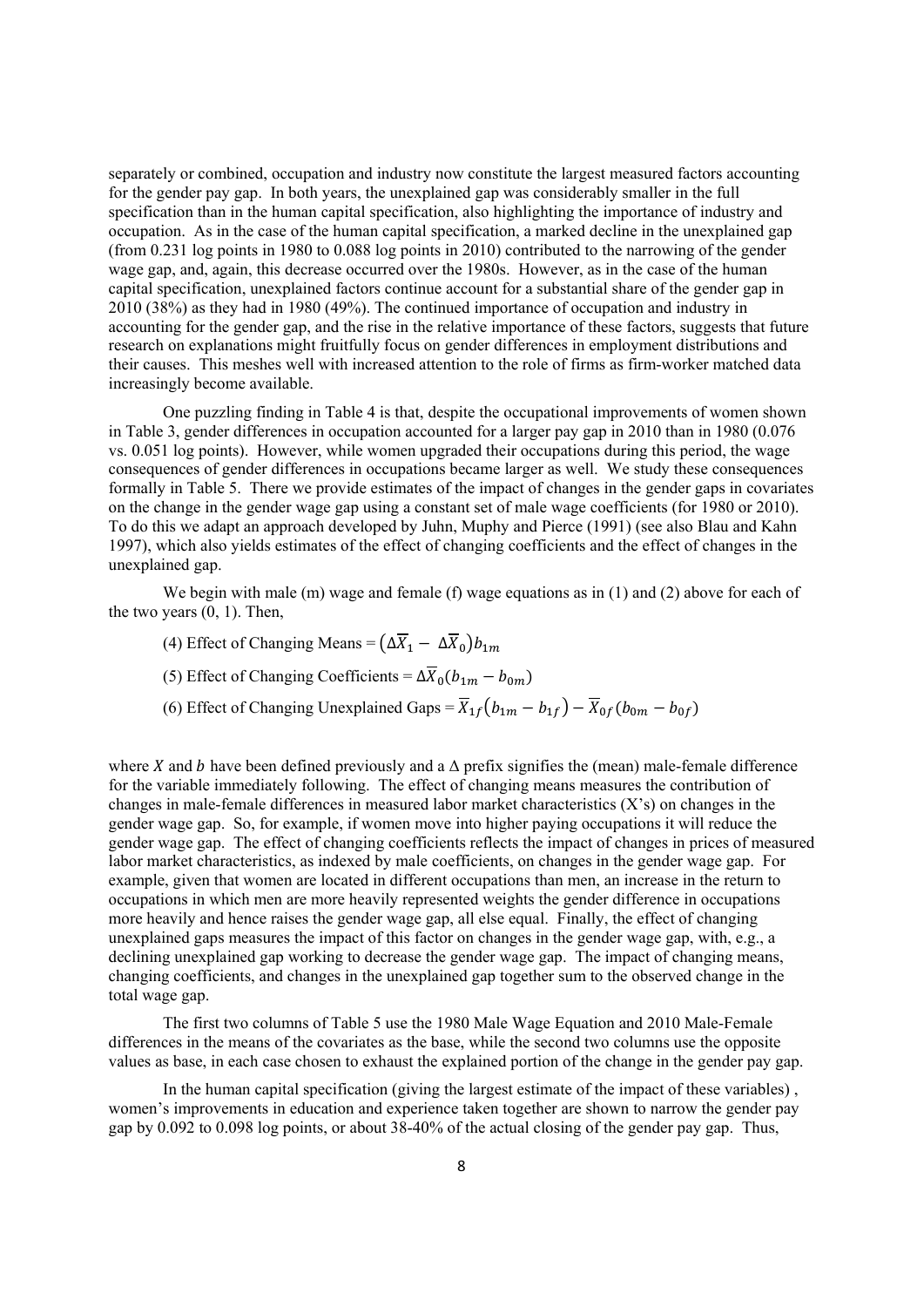separately or combined, occupation and industry now constitute the largest measured factors accounting for the gender pay gap. In both years, the unexplained gap was considerably smaller in the full specification than in the human capital specification, also highlighting the importance of industry and occupation. As in the case of the human capital specification, a marked decline in the unexplained gap (from 0.231 log points in 1980 to 0.088 log points in 2010) contributed to the narrowing of the gender wage gap, and, again, this decrease occurred over the 1980s. However, as in the case of the human capital specification, unexplained factors continue account for a substantial share of the gender gap in 2010 (38%) as they had in 1980 (49%). The continued importance of occupation and industry in accounting for the gender gap, and the rise in the relative importance of these factors, suggests that future research on explanations might fruitfully focus on gender differences in employment distributions and their causes. This meshes well with increased attention to the role of firms as firm-worker matched data increasingly become available.

One puzzling finding in Table 4 is that, despite the occupational improvements of women shown in Table 3, gender differences in occupation accounted for a larger pay gap in 2010 than in 1980 (0.076 vs. 0.051 log points). However, while women upgraded their occupations during this period, the wage consequences of gender differences in occupations became larger as well. We study these consequences formally in Table 5. There we provide estimates of the impact of changes in the gender gaps in covariates on the change in the gender wage gap using a constant set of male wage coefficients (for 1980 or 2010). To do this we adapt an approach developed by Juhn, Muphy and Pierce (1991) (see also Blau and Kahn 1997), which also yields estimates of the effect of changing coefficients and the effect of changes in the unexplained gap.

We begin with male (m) wage and female (f) wage equations as in  $(1)$  and  $(2)$  above for each of the two years  $(0, 1)$ . Then,

- (4) Effect of Changing Means =  $(\Delta \overline{X}_1 \Delta \overline{X}_0) b_{1m}$
- (5) Effect of Changing Coefficients =  $\Delta \overline{X}_0(b_{1m} b_{0m})$
- (6) Effect of Changing Unexplained Gaps =  $\overline{X}_{1f}(b_{1m} b_{1f}) \overline{X}_{0f}(b_{0m} b_{0f})$

where X and b have been defined previously and a  $\Delta$  prefix signifies the (mean) male-female difference for the variable immediately following. The effect of changing means measures the contribution of changes in male-female differences in measured labor market characteristics (X's) on changes in the gender wage gap. So, for example, if women move into higher paying occupations it will reduce the gender wage gap. The effect of changing coefficients reflects the impact of changes in prices of measured labor market characteristics, as indexed by male coefficients, on changes in the gender wage gap. For example, given that women are located in different occupations than men, an increase in the return to occupations in which men are more heavily represented weights the gender difference in occupations more heavily and hence raises the gender wage gap, all else equal. Finally, the effect of changing unexplained gaps measures the impact of this factor on changes in the gender wage gap, with, e.g., a declining unexplained gap working to decrease the gender wage gap. The impact of changing means, changing coefficients, and changes in the unexplained gap together sum to the observed change in the total wage gap.

The first two columns of Table 5 use the 1980 Male Wage Equation and 2010 Male-Female differences in the means of the covariates as the base, while the second two columns use the opposite values as base, in each case chosen to exhaust the explained portion of the change in the gender pay gap.

In the human capital specification (giving the largest estimate of the impact of these variables) , women's improvements in education and experience taken together are shown to narrow the gender pay gap by 0.092 to 0.098 log points, or about 38-40% of the actual closing of the gender pay gap. Thus,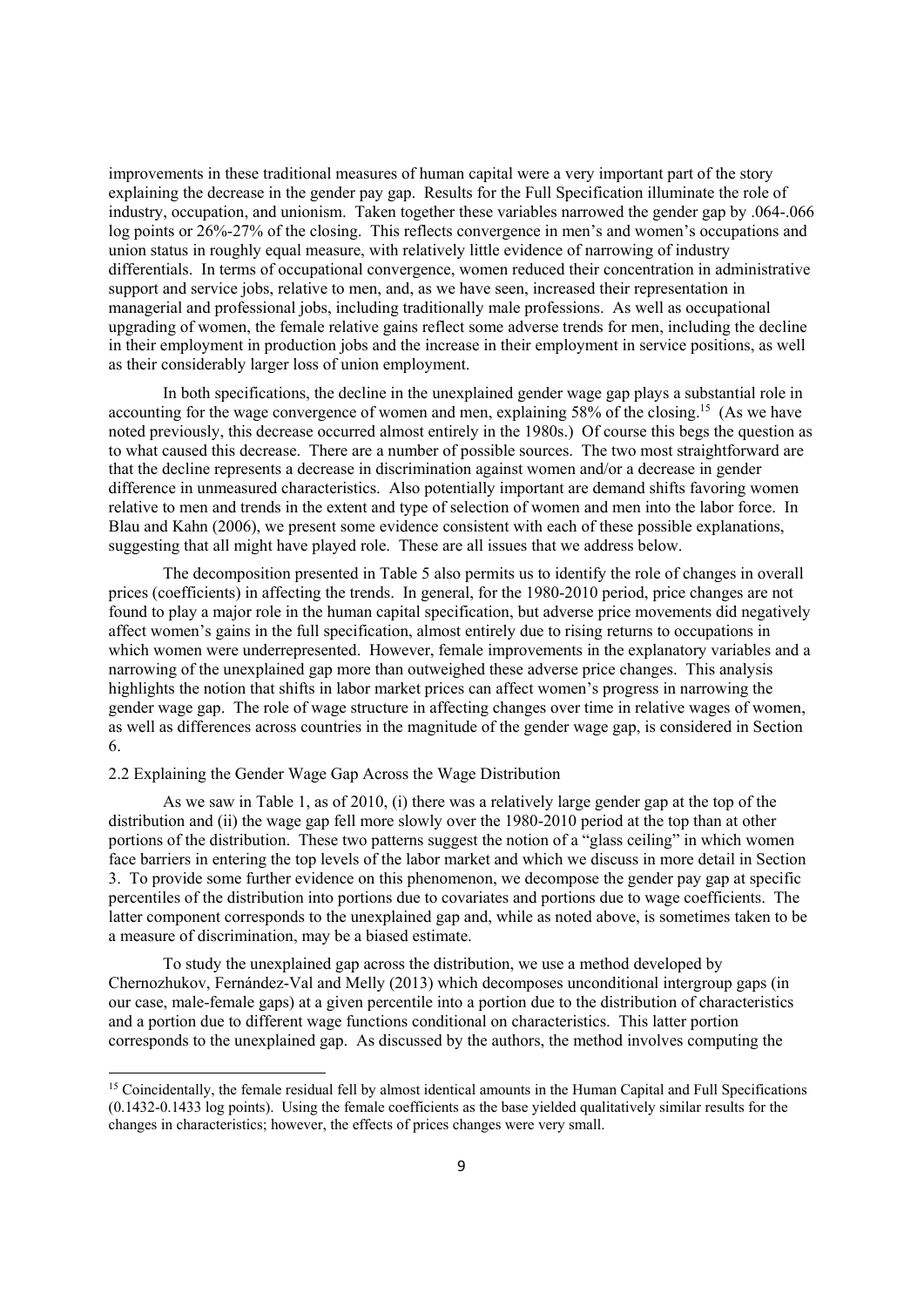improvements in these traditional measures of human capital were a very important part of the story explaining the decrease in the gender pay gap. Results for the Full Specification illuminate the role of industry, occupation, and unionism. Taken together these variables narrowed the gender gap by .064-.066 log points or 26%-27% of the closing. This reflects convergence in men's and women's occupations and union status in roughly equal measure, with relatively little evidence of narrowing of industry differentials. In terms of occupational convergence, women reduced their concentration in administrative support and service jobs, relative to men, and, as we have seen, increased their representation in managerial and professional jobs, including traditionally male professions. As well as occupational upgrading of women, the female relative gains reflect some adverse trends for men, including the decline in their employment in production jobs and the increase in their employment in service positions, as well as their considerably larger loss of union employment.

In both specifications, the decline in the unexplained gender wage gap plays a substantial role in accounting for the wage convergence of women and men, explaining 58% of the closing.<sup>15</sup> (As we have noted previously, this decrease occurred almost entirely in the 1980s.) Of course this begs the question as to what caused this decrease. There are a number of possible sources. The two most straightforward are that the decline represents a decrease in discrimination against women and/or a decrease in gender difference in unmeasured characteristics. Also potentially important are demand shifts favoring women relative to men and trends in the extent and type of selection of women and men into the labor force. In Blau and Kahn (2006), we present some evidence consistent with each of these possible explanations, suggesting that all might have played role. These are all issues that we address below.

The decomposition presented in Table 5 also permits us to identify the role of changes in overall prices (coefficients) in affecting the trends. In general, for the 1980-2010 period, price changes are not found to play a major role in the human capital specification, but adverse price movements did negatively affect women's gains in the full specification, almost entirely due to rising returns to occupations in which women were underrepresented. However, female improvements in the explanatory variables and a narrowing of the unexplained gap more than outweighed these adverse price changes. This analysis highlights the notion that shifts in labor market prices can affect women's progress in narrowing the gender wage gap. The role of wage structure in affecting changes over time in relative wages of women, as well as differences across countries in the magnitude of the gender wage gap, is considered in Section 6.

#### 2.2 Explaining the Gender Wage Gap Across the Wage Distribution

As we saw in Table 1, as of 2010, (i) there was a relatively large gender gap at the top of the distribution and (ii) the wage gap fell more slowly over the 1980-2010 period at the top than at other portions of the distribution. These two patterns suggest the notion of a "glass ceiling" in which women face barriers in entering the top levels of the labor market and which we discuss in more detail in Section 3. To provide some further evidence on this phenomenon, we decompose the gender pay gap at specific percentiles of the distribution into portions due to covariates and portions due to wage coefficients. The latter component corresponds to the unexplained gap and, while as noted above, is sometimes taken to be a measure of discrimination, may be a biased estimate.

To study the unexplained gap across the distribution, we use a method developed by Chernozhukov, Fernández-Val and Melly (2013) which decomposes unconditional intergroup gaps (in our case, male-female gaps) at a given percentile into a portion due to the distribution of characteristics and a portion due to different wage functions conditional on characteristics. This latter portion corresponds to the unexplained gap. As discussed by the authors, the method involves computing the

<sup>&</sup>lt;sup>15</sup> Coincidentally, the female residual fell by almost identical amounts in the Human Capital and Full Specifications (0.1432-0.1433 log points). Using the female coefficients as the base yielded qualitatively similar results for the changes in characteristics; however, the effects of prices changes were very small.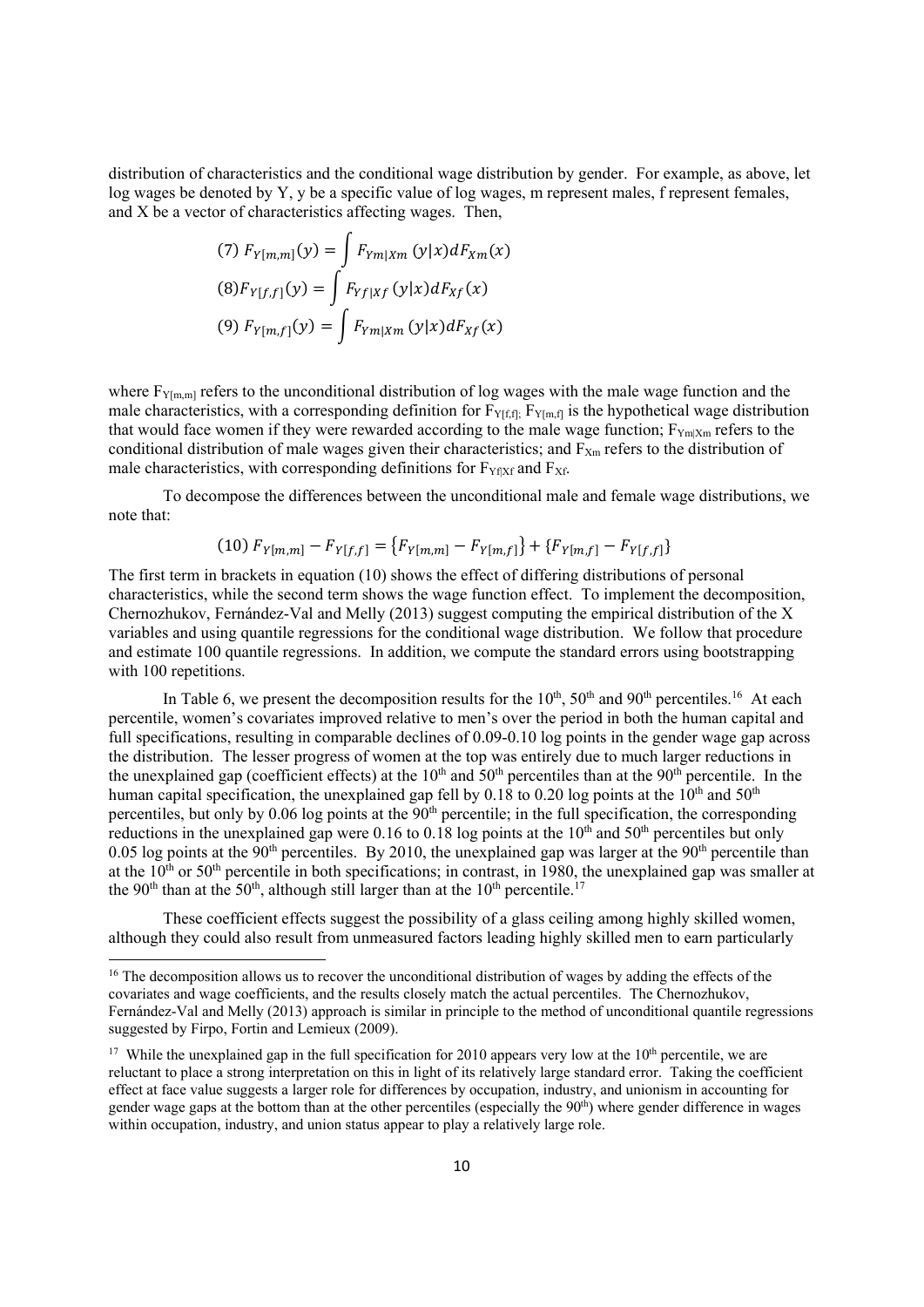distribution of characteristics and the conditional wage distribution by gender. For example, as above, let log wages be denoted by Y, y be a specific value of log wages, m represent males, f represent females, and X be a vector of characteristics affecting wages. Then,

(7) 
$$
F_{Y[m,m]}(y) = \int F_{Ym|Xm}(y|x) dF_{Xm}(x)
$$
  
\n(8)  $F_{Y[f,f]}(y) = \int F_{Yf|Xf}(y|x) dF_{Xf}(x)$   
\n(9)  $F_{Y[m,f]}(y) = \int F_{Ym|Xm}(y|x) dF_{Xf}(x)$ 

where  $F_{Y[m,m]}$  refers to the unconditional distribution of log wages with the male wage function and the male characteristics, with a corresponding definition for  $F_{Y[f,f]}$ ;  $F_{Y[m,f]}$  is the hypothetical wage distribution that would face women if they were rewarded according to the male wage function;  $F_{Ym|Xm}$  refers to the conditional distribution of male wages given their characteristics; and  $F<sub>Xm</sub>$  refers to the distribution of male characteristics, with corresponding definitions for  $F_{Yf|Xf}$  and  $F_{Xf}$ .

 To decompose the differences between the unconditional male and female wage distributions, we note that:

$$
(10) F_{Y[m,m]} - F_{Y[f,f]} = \{ F_{Y[m,m]} - F_{Y[m,f]} \} + \{ F_{Y[m,f]} - F_{Y[f,f]} \}
$$

The first term in brackets in equation (10) shows the effect of differing distributions of personal characteristics, while the second term shows the wage function effect. To implement the decomposition, Chernozhukov, Fernández-Val and Melly (2013) suggest computing the empirical distribution of the X variables and using quantile regressions for the conditional wage distribution. We follow that procedure and estimate 100 quantile regressions. In addition, we compute the standard errors using bootstrapping with 100 repetitions.

In Table 6, we present the decomposition results for the  $10<sup>th</sup>$ ,  $50<sup>th</sup>$  and  $90<sup>th</sup>$  percentiles.<sup>16</sup> At each percentile, women's covariates improved relative to men's over the period in both the human capital and full specifications, resulting in comparable declines of 0.09-0.10 log points in the gender wage gap across the distribution. The lesser progress of women at the top was entirely due to much larger reductions in the unexplained gap (coefficient effects) at the 10<sup>th</sup> and 50<sup>th</sup> percentiles than at the 90<sup>th</sup> percentile. In the human capital specification, the unexplained gap fell by  $0.18$  to  $0.20$  log points at the  $10<sup>th</sup>$  and  $50<sup>th</sup>$ percentiles, but only by  $0.06$  log points at the  $90<sup>th</sup>$  percentile; in the full specification, the corresponding reductions in the unexplained gap were  $0.16$  to  $0.18$  log points at the  $10<sup>th</sup>$  and  $50<sup>th</sup>$  percentiles but only 0.05 log points at the  $90<sup>th</sup>$  percentiles. By 2010, the unexplained gap was larger at the  $90<sup>th</sup>$  percentile than at the  $10^{th}$  or  $50^{th}$  percentile in both specifications; in contrast, in  $1980$ , the unexplained gap was smaller at the 90<sup>th</sup> than at the 50<sup>th</sup>, although still larger than at the 10<sup>th</sup> percentile.<sup>17</sup>

 These coefficient effects suggest the possibility of a glass ceiling among highly skilled women, although they could also result from unmeasured factors leading highly skilled men to earn particularly

<sup>&</sup>lt;sup>16</sup> The decomposition allows us to recover the unconditional distribution of wages by adding the effects of the covariates and wage coefficients, and the results closely match the actual percentiles. The Chernozhukov, Fernández-Val and Melly (2013) approach is similar in principle to the method of unconditional quantile regressions suggested by Firpo, Fortin and Lemieux (2009).

<sup>&</sup>lt;sup>17</sup> While the unexplained gap in the full specification for 2010 appears very low at the  $10<sup>th</sup>$  percentile, we are reluctant to place a strong interpretation on this in light of its relatively large standard error. Taking the coefficient effect at face value suggests a larger role for differences by occupation, industry, and unionism in accounting for gender wage gaps at the bottom than at the other percentiles (especially the 90th) where gender difference in wages within occupation, industry, and union status appear to play a relatively large role.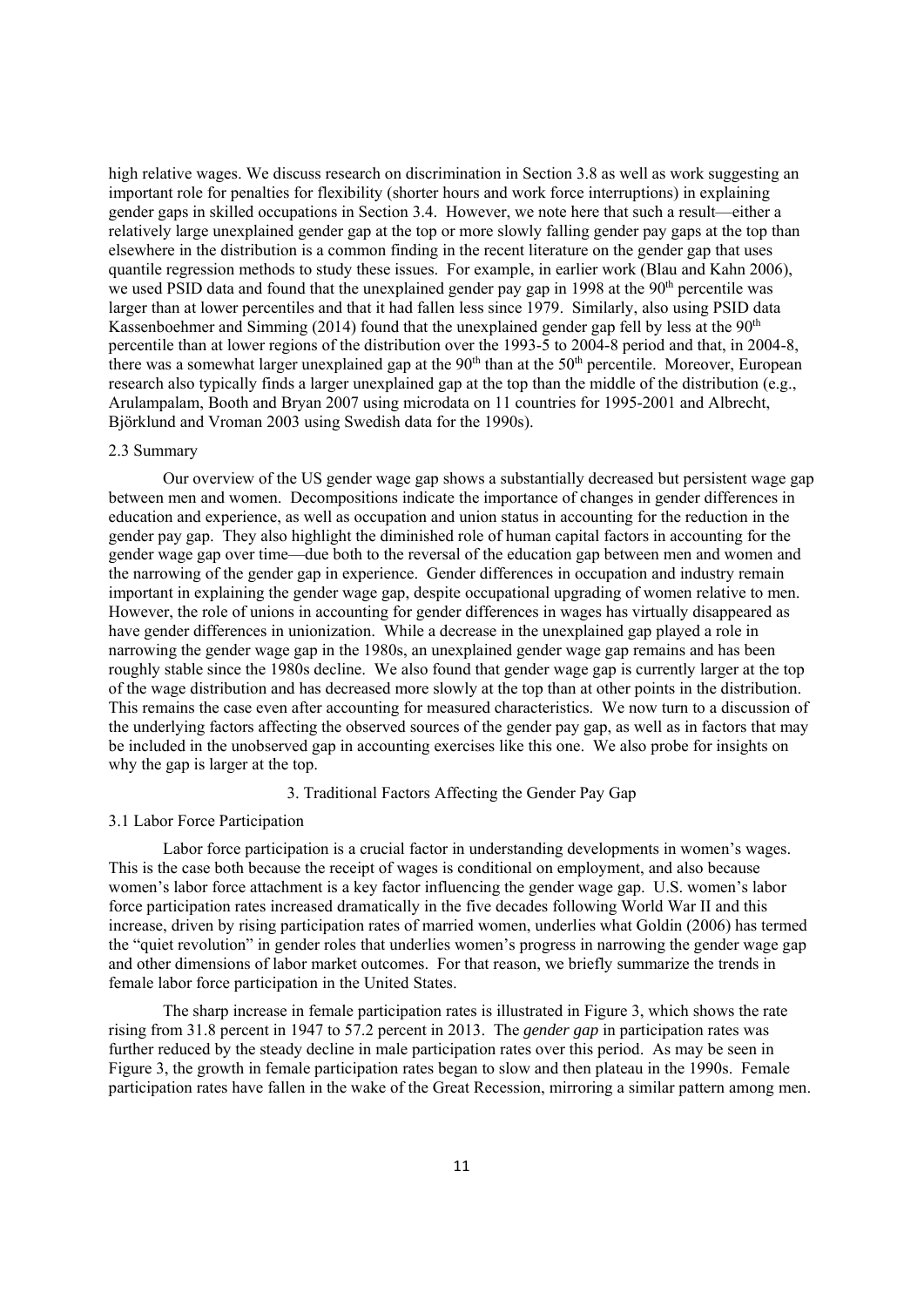high relative wages. We discuss research on discrimination in Section 3.8 as well as work suggesting an important role for penalties for flexibility (shorter hours and work force interruptions) in explaining gender gaps in skilled occupations in Section 3.4. However, we note here that such a result—either a relatively large unexplained gender gap at the top or more slowly falling gender pay gaps at the top than elsewhere in the distribution is a common finding in the recent literature on the gender gap that uses quantile regression methods to study these issues. For example, in earlier work (Blau and Kahn 2006), we used PSID data and found that the unexplained gender pay gap in 1998 at the 90<sup>th</sup> percentile was larger than at lower percentiles and that it had fallen less since 1979. Similarly, also using PSID data Kassenboehmer and Simming (2014) found that the unexplained gender gap fell by less at the  $90<sup>th</sup>$ percentile than at lower regions of the distribution over the 1993-5 to 2004-8 period and that, in 2004-8, there was a somewhat larger unexplained gap at the  $90<sup>th</sup>$  than at the  $50<sup>th</sup>$  percentile. Moreover, European research also typically finds a larger unexplained gap at the top than the middle of the distribution (e.g., Arulampalam, Booth and Bryan 2007 using microdata on 11 countries for 1995-2001 and Albrecht, Björklund and Vroman 2003 using Swedish data for the 1990s).

#### 2.3 Summary

Our overview of the US gender wage gap shows a substantially decreased but persistent wage gap between men and women. Decompositions indicate the importance of changes in gender differences in education and experience, as well as occupation and union status in accounting for the reduction in the gender pay gap. They also highlight the diminished role of human capital factors in accounting for the gender wage gap over time—due both to the reversal of the education gap between men and women and the narrowing of the gender gap in experience. Gender differences in occupation and industry remain important in explaining the gender wage gap, despite occupational upgrading of women relative to men. However, the role of unions in accounting for gender differences in wages has virtually disappeared as have gender differences in unionization. While a decrease in the unexplained gap played a role in narrowing the gender wage gap in the 1980s, an unexplained gender wage gap remains and has been roughly stable since the 1980s decline. We also found that gender wage gap is currently larger at the top of the wage distribution and has decreased more slowly at the top than at other points in the distribution. This remains the case even after accounting for measured characteristics. We now turn to a discussion of the underlying factors affecting the observed sources of the gender pay gap, as well as in factors that may be included in the unobserved gap in accounting exercises like this one. We also probe for insights on why the gap is larger at the top.

#### 3. Traditional Factors Affecting the Gender Pay Gap

#### 3.1 Labor Force Participation

Labor force participation is a crucial factor in understanding developments in women's wages. This is the case both because the receipt of wages is conditional on employment, and also because women's labor force attachment is a key factor influencing the gender wage gap. U.S. women's labor force participation rates increased dramatically in the five decades following World War II and this increase, driven by rising participation rates of married women, underlies what Goldin (2006) has termed the "quiet revolution" in gender roles that underlies women's progress in narrowing the gender wage gap and other dimensions of labor market outcomes. For that reason, we briefly summarize the trends in female labor force participation in the United States.

 The sharp increase in female participation rates is illustrated in Figure 3, which shows the rate rising from 31.8 percent in 1947 to 57.2 percent in 2013. The *gender gap* in participation rates was further reduced by the steady decline in male participation rates over this period. As may be seen in Figure 3, the growth in female participation rates began to slow and then plateau in the 1990s. Female participation rates have fallen in the wake of the Great Recession, mirroring a similar pattern among men.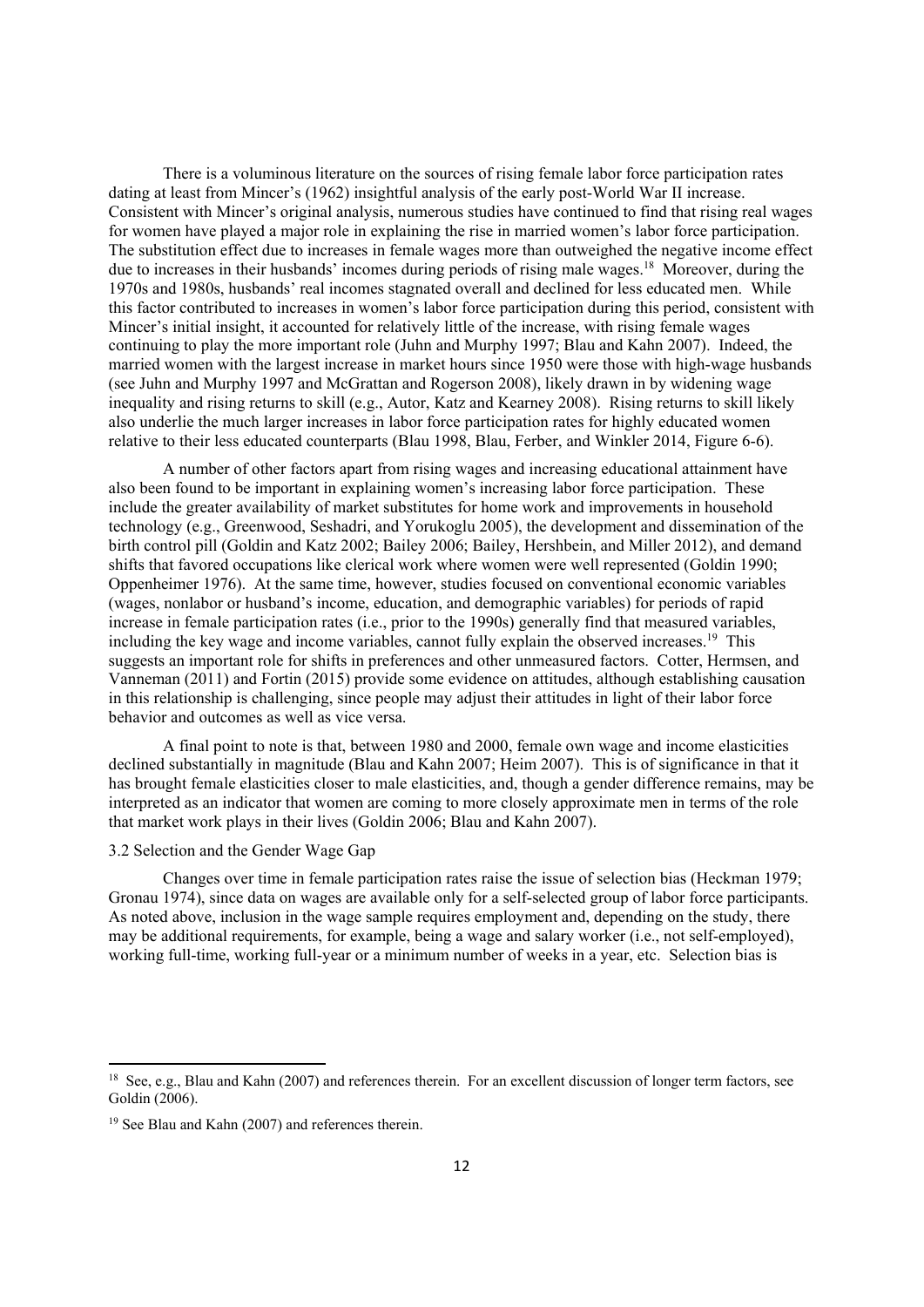There is a voluminous literature on the sources of rising female labor force participation rates dating at least from Mincer's (1962) insightful analysis of the early post-World War II increase. Consistent with Mincer's original analysis, numerous studies have continued to find that rising real wages for women have played a major role in explaining the rise in married women's labor force participation. The substitution effect due to increases in female wages more than outweighed the negative income effect due to increases in their husbands' incomes during periods of rising male wages.18 Moreover, during the 1970s and 1980s, husbands' real incomes stagnated overall and declined for less educated men. While this factor contributed to increases in women's labor force participation during this period, consistent with Mincer's initial insight, it accounted for relatively little of the increase, with rising female wages continuing to play the more important role (Juhn and Murphy 1997; Blau and Kahn 2007). Indeed, the married women with the largest increase in market hours since 1950 were those with high-wage husbands (see Juhn and Murphy 1997 and McGrattan and Rogerson 2008), likely drawn in by widening wage inequality and rising returns to skill (e.g., Autor, Katz and Kearney 2008). Rising returns to skill likely also underlie the much larger increases in labor force participation rates for highly educated women relative to their less educated counterparts (Blau 1998, Blau, Ferber, and Winkler 2014, Figure 6-6).

A number of other factors apart from rising wages and increasing educational attainment have also been found to be important in explaining women's increasing labor force participation. These include the greater availability of market substitutes for home work and improvements in household technology (e.g., Greenwood, Seshadri, and Yorukoglu 2005), the development and dissemination of the birth control pill (Goldin and Katz 2002; Bailey 2006; Bailey, Hershbein, and Miller 2012), and demand shifts that favored occupations like clerical work where women were well represented (Goldin 1990; Oppenheimer 1976). At the same time, however, studies focused on conventional economic variables (wages, nonlabor or husband's income, education, and demographic variables) for periods of rapid increase in female participation rates (i.e., prior to the 1990s) generally find that measured variables, including the key wage and income variables, cannot fully explain the observed increases.19 This suggests an important role for shifts in preferences and other unmeasured factors. Cotter, Hermsen, and Vanneman (2011) and Fortin (2015) provide some evidence on attitudes, although establishing causation in this relationship is challenging, since people may adjust their attitudes in light of their labor force behavior and outcomes as well as vice versa.

A final point to note is that, between 1980 and 2000, female own wage and income elasticities declined substantially in magnitude (Blau and Kahn 2007; Heim 2007). This is of significance in that it has brought female elasticities closer to male elasticities, and, though a gender difference remains, may be interpreted as an indicator that women are coming to more closely approximate men in terms of the role that market work plays in their lives (Goldin 2006; Blau and Kahn 2007).

#### 3.2 Selection and the Gender Wage Gap

Changes over time in female participation rates raise the issue of selection bias (Heckman 1979; Gronau 1974), since data on wages are available only for a self-selected group of labor force participants. As noted above, inclusion in the wage sample requires employment and, depending on the study, there may be additional requirements, for example, being a wage and salary worker (i.e., not self-employed), working full-time, working full-year or a minimum number of weeks in a year, etc. Selection bias is

<sup>&</sup>lt;sup>18</sup> See, e.g., Blau and Kahn (2007) and references therein. For an excellent discussion of longer term factors, see Goldin (2006).

<sup>19</sup> See Blau and Kahn (2007) and references therein.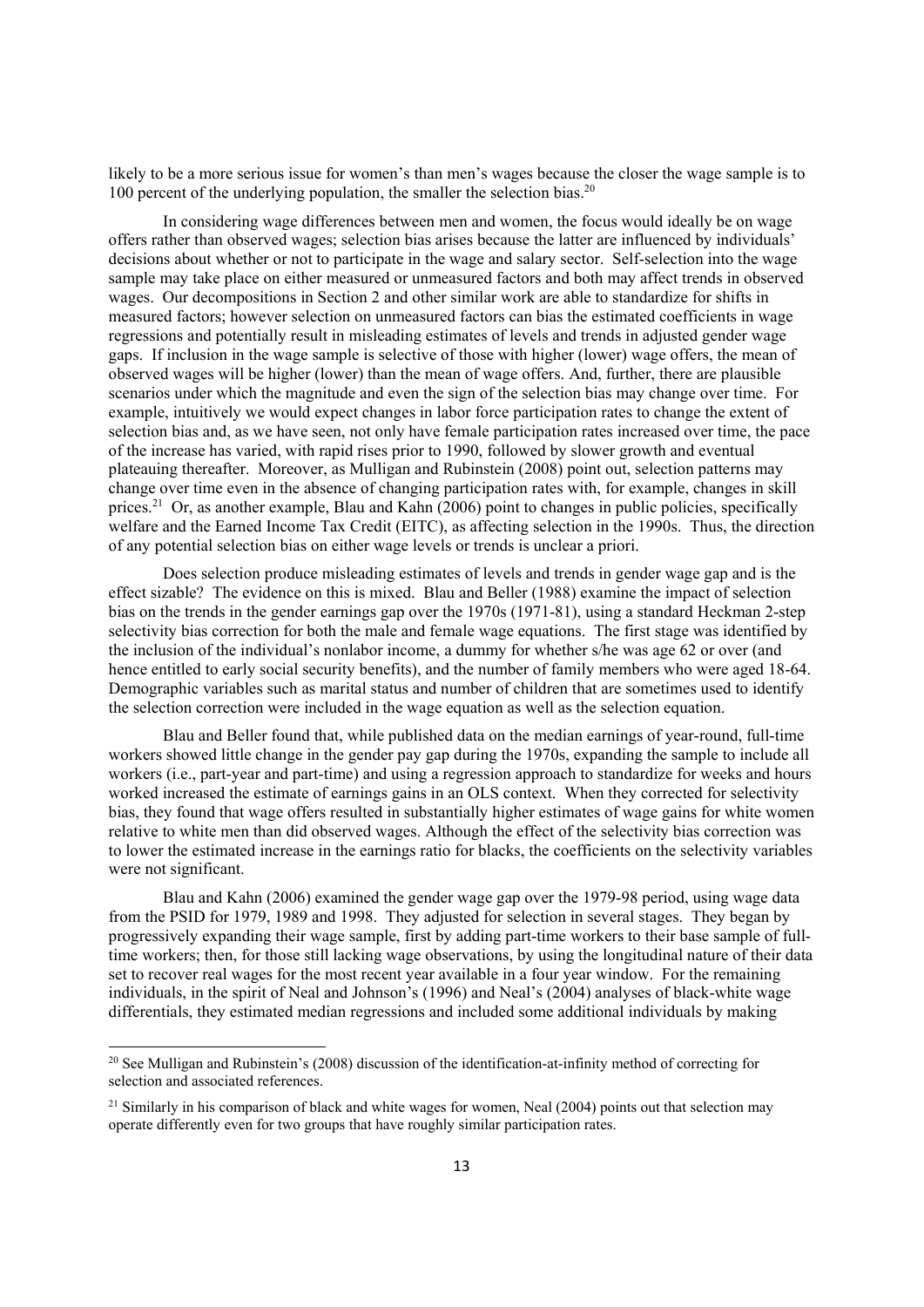likely to be a more serious issue for women's than men's wages because the closer the wage sample is to 100 percent of the underlying population, the smaller the selection bias.<sup>20</sup>

In considering wage differences between men and women, the focus would ideally be on wage offers rather than observed wages; selection bias arises because the latter are influenced by individuals' decisions about whether or not to participate in the wage and salary sector. Self-selection into the wage sample may take place on either measured or unmeasured factors and both may affect trends in observed wages. Our decompositions in Section 2 and other similar work are able to standardize for shifts in measured factors; however selection on unmeasured factors can bias the estimated coefficients in wage regressions and potentially result in misleading estimates of levels and trends in adjusted gender wage gaps. If inclusion in the wage sample is selective of those with higher (lower) wage offers, the mean of observed wages will be higher (lower) than the mean of wage offers. And, further, there are plausible scenarios under which the magnitude and even the sign of the selection bias may change over time. For example, intuitively we would expect changes in labor force participation rates to change the extent of selection bias and, as we have seen, not only have female participation rates increased over time, the pace of the increase has varied, with rapid rises prior to 1990, followed by slower growth and eventual plateauing thereafter. Moreover, as Mulligan and Rubinstein (2008) point out, selection patterns may change over time even in the absence of changing participation rates with, for example, changes in skill prices.<sup>21</sup> Or, as another example, Blau and Kahn (2006) point to changes in public policies, specifically welfare and the Earned Income Tax Credit (EITC), as affecting selection in the 1990s. Thus, the direction of any potential selection bias on either wage levels or trends is unclear a priori.

Does selection produce misleading estimates of levels and trends in gender wage gap and is the effect sizable? The evidence on this is mixed. Blau and Beller (1988) examine the impact of selection bias on the trends in the gender earnings gap over the 1970s (1971-81), using a standard Heckman 2-step selectivity bias correction for both the male and female wage equations. The first stage was identified by the inclusion of the individual's nonlabor income, a dummy for whether s/he was age 62 or over (and hence entitled to early social security benefits), and the number of family members who were aged 18-64. Demographic variables such as marital status and number of children that are sometimes used to identify the selection correction were included in the wage equation as well as the selection equation.

Blau and Beller found that, while published data on the median earnings of year-round, full-time workers showed little change in the gender pay gap during the 1970s, expanding the sample to include all workers (i.e., part-year and part-time) and using a regression approach to standardize for weeks and hours worked increased the estimate of earnings gains in an OLS context. When they corrected for selectivity bias, they found that wage offers resulted in substantially higher estimates of wage gains for white women relative to white men than did observed wages. Although the effect of the selectivity bias correction was to lower the estimated increase in the earnings ratio for blacks, the coefficients on the selectivity variables were not significant.

Blau and Kahn (2006) examined the gender wage gap over the 1979-98 period, using wage data from the PSID for 1979, 1989 and 1998. They adjusted for selection in several stages. They began by progressively expanding their wage sample, first by adding part-time workers to their base sample of fulltime workers; then, for those still lacking wage observations, by using the longitudinal nature of their data set to recover real wages for the most recent year available in a four year window. For the remaining individuals, in the spirit of Neal and Johnson's (1996) and Neal's (2004) analyses of black-white wage differentials, they estimated median regressions and included some additional individuals by making

<sup>&</sup>lt;sup>20</sup> See Mulligan and Rubinstein's (2008) discussion of the identification-at-infinity method of correcting for selection and associated references.

<sup>&</sup>lt;sup>21</sup> Similarly in his comparison of black and white wages for women, Neal (2004) points out that selection may operate differently even for two groups that have roughly similar participation rates.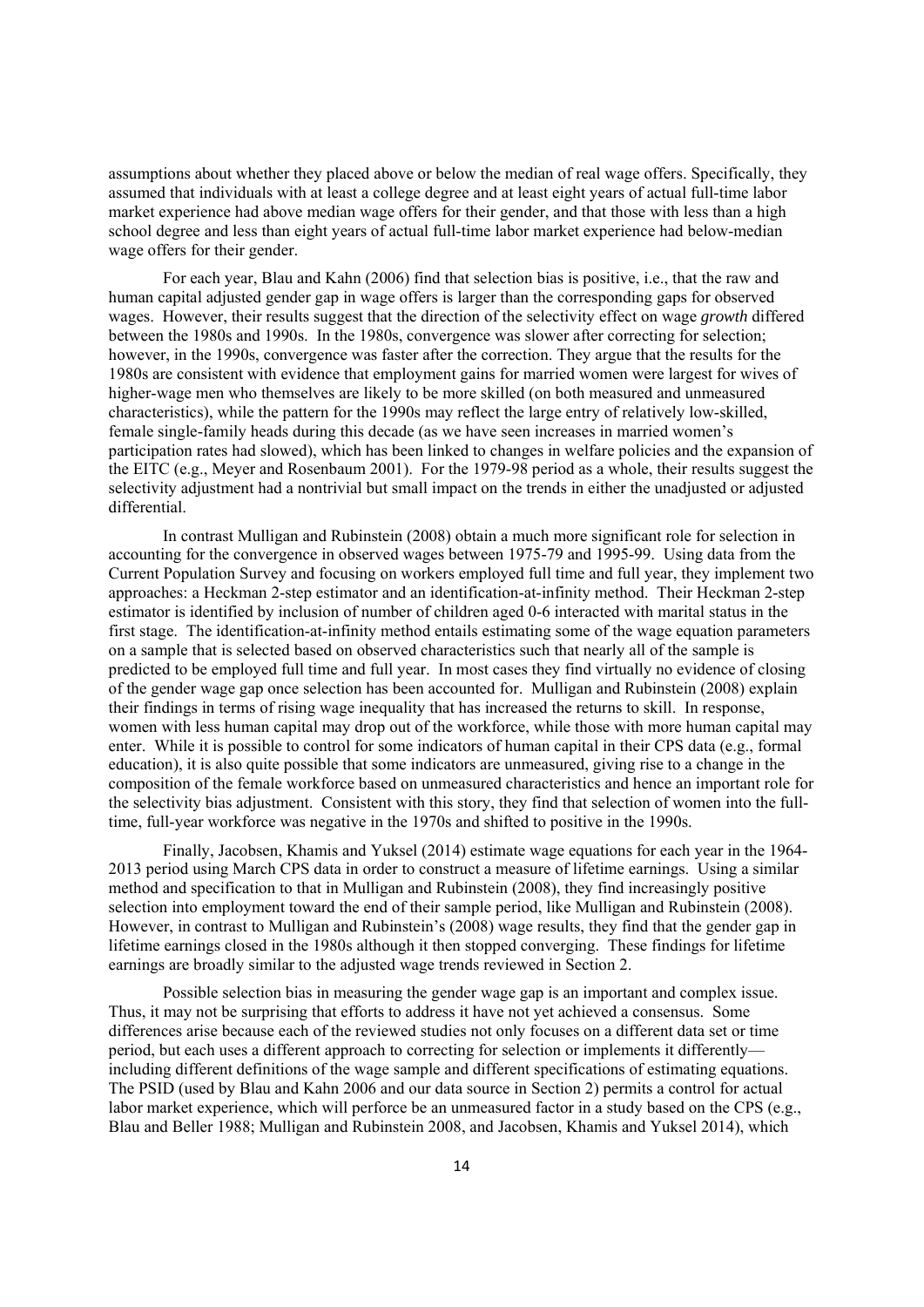assumptions about whether they placed above or below the median of real wage offers. Specifically, they assumed that individuals with at least a college degree and at least eight years of actual full-time labor market experience had above median wage offers for their gender, and that those with less than a high school degree and less than eight years of actual full-time labor market experience had below-median wage offers for their gender.

For each year, Blau and Kahn (2006) find that selection bias is positive, i.e., that the raw and human capital adjusted gender gap in wage offers is larger than the corresponding gaps for observed wages. However, their results suggest that the direction of the selectivity effect on wage *growth* differed between the 1980s and 1990s. In the 1980s, convergence was slower after correcting for selection; however, in the 1990s, convergence was faster after the correction. They argue that the results for the 1980s are consistent with evidence that employment gains for married women were largest for wives of higher-wage men who themselves are likely to be more skilled (on both measured and unmeasured characteristics), while the pattern for the 1990s may reflect the large entry of relatively low-skilled, female single-family heads during this decade (as we have seen increases in married women's participation rates had slowed), which has been linked to changes in welfare policies and the expansion of the EITC (e.g., Meyer and Rosenbaum 2001). For the 1979-98 period as a whole, their results suggest the selectivity adjustment had a nontrivial but small impact on the trends in either the unadjusted or adjusted differential.

In contrast Mulligan and Rubinstein (2008) obtain a much more significant role for selection in accounting for the convergence in observed wages between 1975-79 and 1995-99. Using data from the Current Population Survey and focusing on workers employed full time and full year, they implement two approaches: a Heckman 2-step estimator and an identification-at-infinity method. Their Heckman 2-step estimator is identified by inclusion of number of children aged 0-6 interacted with marital status in the first stage. The identification-at-infinity method entails estimating some of the wage equation parameters on a sample that is selected based on observed characteristics such that nearly all of the sample is predicted to be employed full time and full year. In most cases they find virtually no evidence of closing of the gender wage gap once selection has been accounted for. Mulligan and Rubinstein (2008) explain their findings in terms of rising wage inequality that has increased the returns to skill. In response, women with less human capital may drop out of the workforce, while those with more human capital may enter. While it is possible to control for some indicators of human capital in their CPS data (e.g., formal education), it is also quite possible that some indicators are unmeasured, giving rise to a change in the composition of the female workforce based on unmeasured characteristics and hence an important role for the selectivity bias adjustment. Consistent with this story, they find that selection of women into the fulltime, full-year workforce was negative in the 1970s and shifted to positive in the 1990s.

Finally, Jacobsen, Khamis and Yuksel (2014) estimate wage equations for each year in the 1964- 2013 period using March CPS data in order to construct a measure of lifetime earnings. Using a similar method and specification to that in Mulligan and Rubinstein (2008), they find increasingly positive selection into employment toward the end of their sample period, like Mulligan and Rubinstein (2008). However, in contrast to Mulligan and Rubinstein's (2008) wage results, they find that the gender gap in lifetime earnings closed in the 1980s although it then stopped converging. These findings for lifetime earnings are broadly similar to the adjusted wage trends reviewed in Section 2.

Possible selection bias in measuring the gender wage gap is an important and complex issue. Thus, it may not be surprising that efforts to address it have not yet achieved a consensus. Some differences arise because each of the reviewed studies not only focuses on a different data set or time period, but each uses a different approach to correcting for selection or implements it differently including different definitions of the wage sample and different specifications of estimating equations. The PSID (used by Blau and Kahn 2006 and our data source in Section 2) permits a control for actual labor market experience, which will perforce be an unmeasured factor in a study based on the CPS (e.g., Blau and Beller 1988; Mulligan and Rubinstein 2008, and Jacobsen, Khamis and Yuksel 2014), which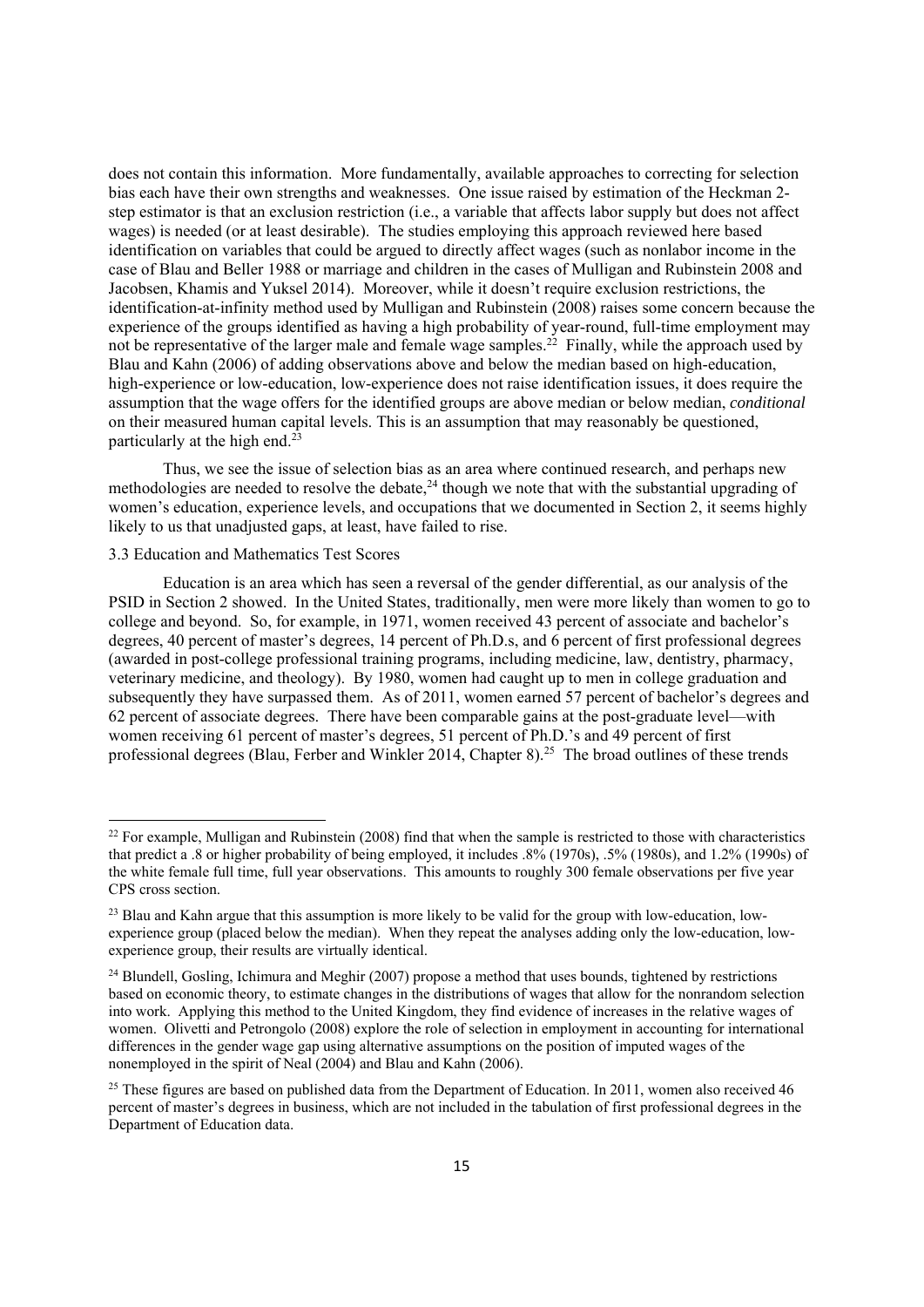does not contain this information. More fundamentally, available approaches to correcting for selection bias each have their own strengths and weaknesses. One issue raised by estimation of the Heckman 2 step estimator is that an exclusion restriction (i.e., a variable that affects labor supply but does not affect wages) is needed (or at least desirable). The studies employing this approach reviewed here based identification on variables that could be argued to directly affect wages (such as nonlabor income in the case of Blau and Beller 1988 or marriage and children in the cases of Mulligan and Rubinstein 2008 and Jacobsen, Khamis and Yuksel 2014). Moreover, while it doesn't require exclusion restrictions, the identification-at-infinity method used by Mulligan and Rubinstein (2008) raises some concern because the experience of the groups identified as having a high probability of year-round, full-time employment may not be representative of the larger male and female wage samples.<sup>22</sup> Finally, while the approach used by Blau and Kahn (2006) of adding observations above and below the median based on high-education, high-experience or low-education, low-experience does not raise identification issues, it does require the assumption that the wage offers for the identified groups are above median or below median, *conditional* on their measured human capital levels. This is an assumption that may reasonably be questioned, particularly at the high end.23

Thus, we see the issue of selection bias as an area where continued research, and perhaps new methodologies are needed to resolve the debate, $^{24}$  though we note that with the substantial upgrading of women's education, experience levels, and occupations that we documented in Section 2, it seems highly likely to us that unadjusted gaps, at least, have failed to rise.

#### 3.3 Education and Mathematics Test Scores

Education is an area which has seen a reversal of the gender differential, as our analysis of the PSID in Section 2 showed. In the United States, traditionally, men were more likely than women to go to college and beyond. So, for example, in 1971, women received 43 percent of associate and bachelor's degrees, 40 percent of master's degrees, 14 percent of Ph.D.s, and 6 percent of first professional degrees (awarded in post-college professional training programs, including medicine, law, dentistry, pharmacy, veterinary medicine, and theology). By 1980, women had caught up to men in college graduation and subsequently they have surpassed them. As of 2011, women earned 57 percent of bachelor's degrees and 62 percent of associate degrees. There have been comparable gains at the post-graduate level—with women receiving 61 percent of master's degrees, 51 percent of Ph.D.'s and 49 percent of first professional degrees (Blau, Ferber and Winkler 2014, Chapter 8).<sup>25</sup> The broad outlines of these trends

 $^{22}$  For example, Mulligan and Rubinstein (2008) find that when the sample is restricted to those with characteristics that predict a .8 or higher probability of being employed, it includes .8% (1970s), .5% (1980s), and 1.2% (1990s) of the white female full time, full year observations. This amounts to roughly 300 female observations per five year CPS cross section.

<sup>&</sup>lt;sup>23</sup> Blau and Kahn argue that this assumption is more likely to be valid for the group with low-education, lowexperience group (placed below the median). When they repeat the analyses adding only the low-education, lowexperience group, their results are virtually identical.

<sup>&</sup>lt;sup>24</sup> Blundell, Gosling, Ichimura and Meghir (2007) propose a method that uses bounds, tightened by restrictions based on economic theory, to estimate changes in the distributions of wages that allow for the nonrandom selection into work. Applying this method to the United Kingdom, they find evidence of increases in the relative wages of women. Olivetti and Petrongolo (2008) explore the role of selection in employment in accounting for international differences in the gender wage gap using alternative assumptions on the position of imputed wages of the nonemployed in the spirit of Neal (2004) and Blau and Kahn (2006).

<sup>&</sup>lt;sup>25</sup> These figures are based on published data from the Department of Education. In 2011, women also received 46 percent of master's degrees in business, which are not included in the tabulation of first professional degrees in the Department of Education data.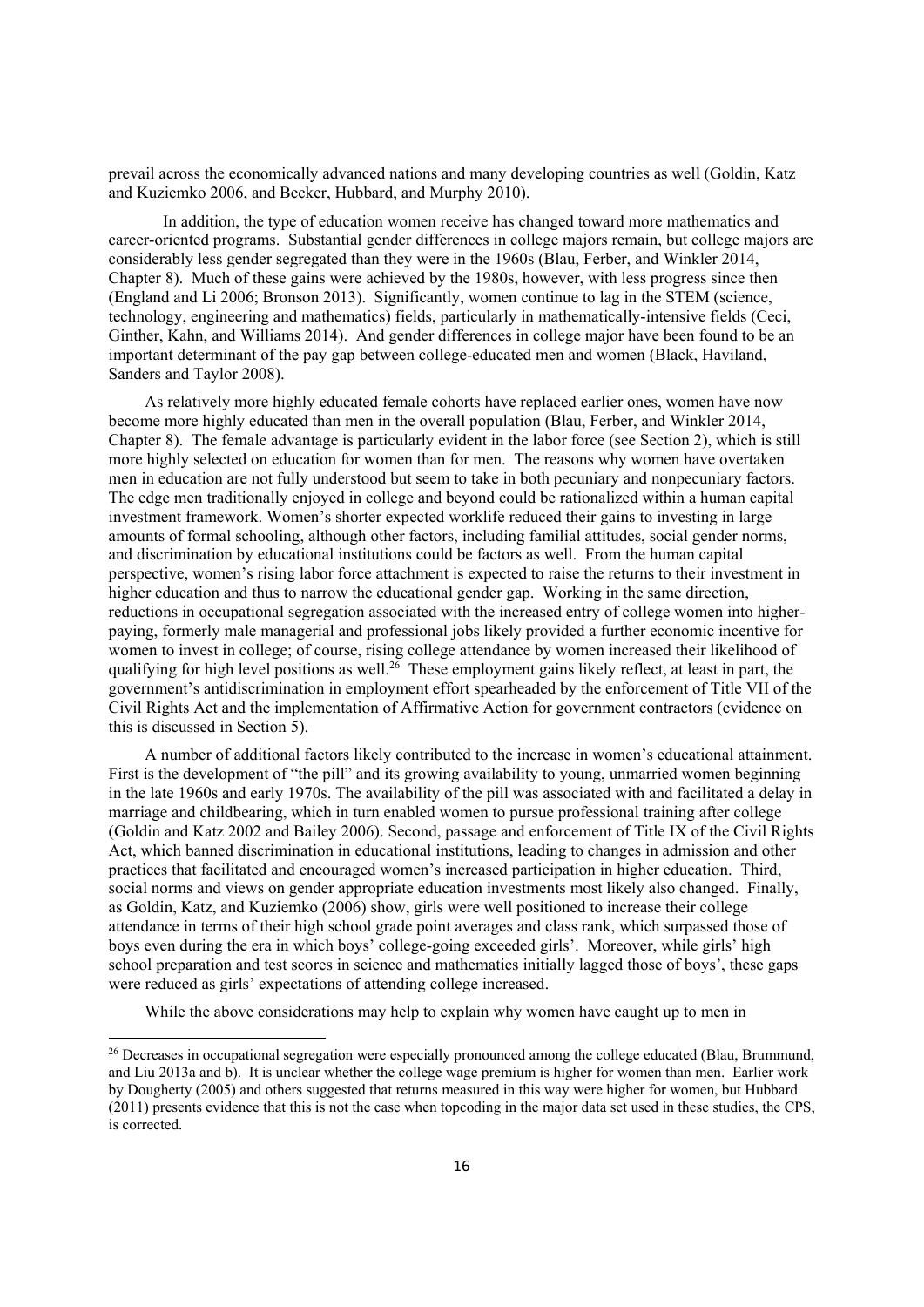prevail across the economically advanced nations and many developing countries as well (Goldin, Katz and Kuziemko 2006, and Becker, Hubbard, and Murphy 2010).

In addition, the type of education women receive has changed toward more mathematics and career-oriented programs. Substantial gender differences in college majors remain, but college majors are considerably less gender segregated than they were in the 1960s (Blau, Ferber, and Winkler 2014, Chapter 8). Much of these gains were achieved by the 1980s, however, with less progress since then (England and Li 2006; Bronson 2013). Significantly, women continue to lag in the STEM (science, technology, engineering and mathematics) fields, particularly in mathematically-intensive fields (Ceci, Ginther, Kahn, and Williams 2014). And gender differences in college major have been found to be an important determinant of the pay gap between college-educated men and women (Black, Haviland, Sanders and Taylor 2008).

As relatively more highly educated female cohorts have replaced earlier ones, women have now become more highly educated than men in the overall population (Blau, Ferber, and Winkler 2014, Chapter 8). The female advantage is particularly evident in the labor force (see Section 2), which is still more highly selected on education for women than for men. The reasons why women have overtaken men in education are not fully understood but seem to take in both pecuniary and nonpecuniary factors. The edge men traditionally enjoyed in college and beyond could be rationalized within a human capital investment framework. Women's shorter expected worklife reduced their gains to investing in large amounts of formal schooling, although other factors, including familial attitudes, social gender norms, and discrimination by educational institutions could be factors as well. From the human capital perspective, women's rising labor force attachment is expected to raise the returns to their investment in higher education and thus to narrow the educational gender gap. Working in the same direction, reductions in occupational segregation associated with the increased entry of college women into higherpaying, formerly male managerial and professional jobs likely provided a further economic incentive for women to invest in college; of course, rising college attendance by women increased their likelihood of qualifying for high level positions as well.<sup>26</sup> These employment gains likely reflect, at least in part, the government's antidiscrimination in employment effort spearheaded by the enforcement of Title VII of the Civil Rights Act and the implementation of Affirmative Action for government contractors (evidence on this is discussed in Section 5).

A number of additional factors likely contributed to the increase in women's educational attainment. First is the development of "the pill" and its growing availability to young, unmarried women beginning in the late 1960s and early 1970s. The availability of the pill was associated with and facilitated a delay in marriage and childbearing, which in turn enabled women to pursue professional training after college (Goldin and Katz 2002 and Bailey 2006). Second, passage and enforcement of Title IX of the Civil Rights Act, which banned discrimination in educational institutions, leading to changes in admission and other practices that facilitated and encouraged women's increased participation in higher education. Third, social norms and views on gender appropriate education investments most likely also changed. Finally, as Goldin, Katz, and Kuziemko (2006) show, girls were well positioned to increase their college attendance in terms of their high school grade point averages and class rank, which surpassed those of boys even during the era in which boys' college-going exceeded girls'. Moreover, while girls' high school preparation and test scores in science and mathematics initially lagged those of boys', these gaps were reduced as girls' expectations of attending college increased.

While the above considerations may help to explain why women have caught up to men in

<sup>&</sup>lt;sup>26</sup> Decreases in occupational segregation were especially pronounced among the college educated (Blau, Brummund, and Liu 2013a and b). It is unclear whether the college wage premium is higher for women than men. Earlier work by Dougherty (2005) and others suggested that returns measured in this way were higher for women, but Hubbard (2011) presents evidence that this is not the case when topcoding in the major data set used in these studies, the CPS, is corrected.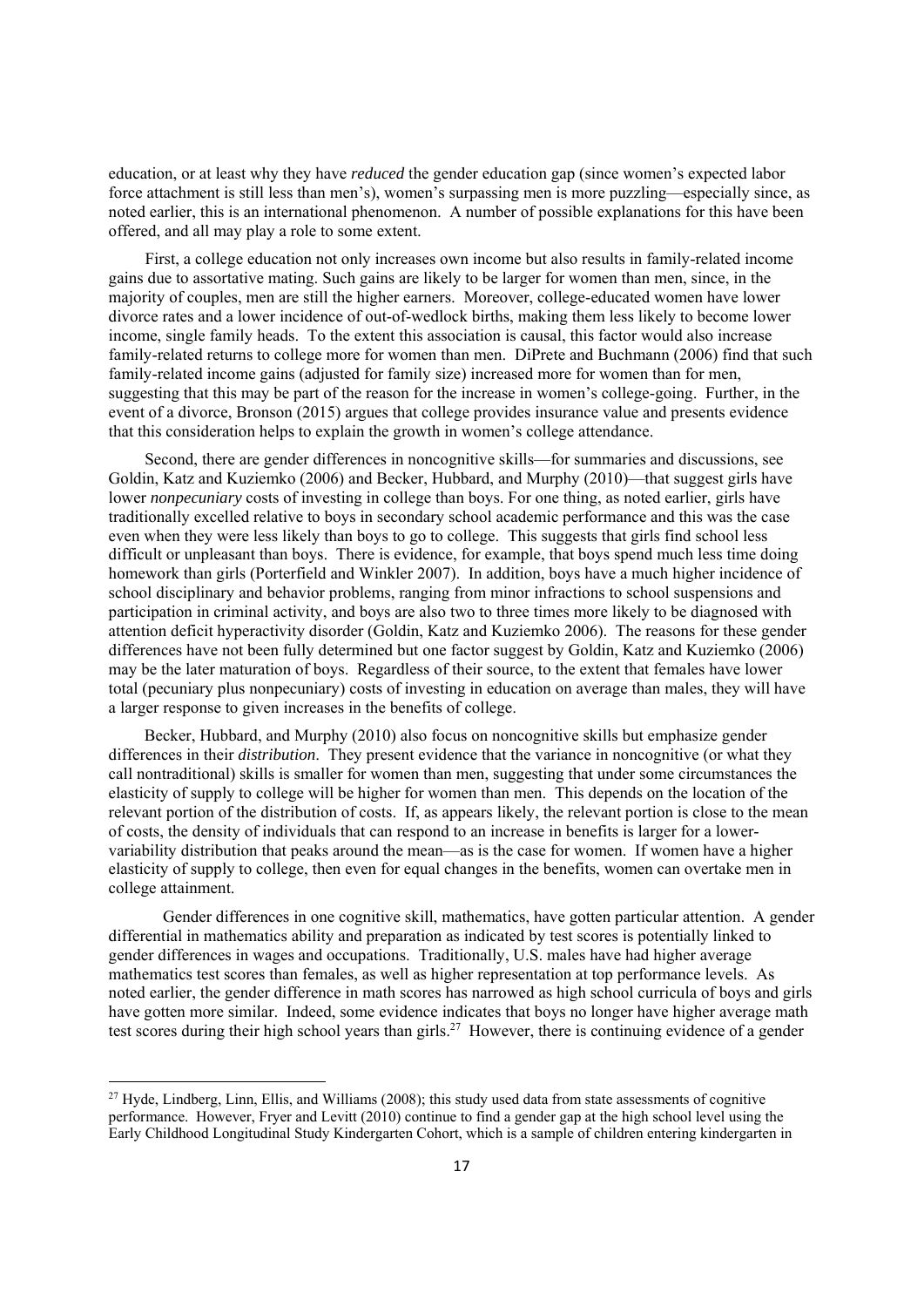education, or at least why they have *reduced* the gender education gap (since women's expected labor force attachment is still less than men's), women's surpassing men is more puzzling—especially since, as noted earlier, this is an international phenomenon. A number of possible explanations for this have been offered, and all may play a role to some extent.

First, a college education not only increases own income but also results in family-related income gains due to assortative mating. Such gains are likely to be larger for women than men, since, in the majority of couples, men are still the higher earners. Moreover, college-educated women have lower divorce rates and a lower incidence of out-of-wedlock births, making them less likely to become lower income, single family heads. To the extent this association is causal, this factor would also increase family-related returns to college more for women than men. DiPrete and Buchmann (2006) find that such family-related income gains (adjusted for family size) increased more for women than for men, suggesting that this may be part of the reason for the increase in women's college-going. Further, in the event of a divorce, Bronson (2015) argues that college provides insurance value and presents evidence that this consideration helps to explain the growth in women's college attendance.

Second, there are gender differences in noncognitive skills—for summaries and discussions, see Goldin, Katz and Kuziemko (2006) and Becker, Hubbard, and Murphy (2010)—that suggest girls have lower *nonpecuniary* costs of investing in college than boys. For one thing, as noted earlier, girls have traditionally excelled relative to boys in secondary school academic performance and this was the case even when they were less likely than boys to go to college. This suggests that girls find school less difficult or unpleasant than boys. There is evidence, for example, that boys spend much less time doing homework than girls (Porterfield and Winkler 2007). In addition, boys have a much higher incidence of school disciplinary and behavior problems, ranging from minor infractions to school suspensions and participation in criminal activity, and boys are also two to three times more likely to be diagnosed with attention deficit hyperactivity disorder (Goldin, Katz and Kuziemko 2006). The reasons for these gender differences have not been fully determined but one factor suggest by Goldin, Katz and Kuziemko (2006) may be the later maturation of boys. Regardless of their source, to the extent that females have lower total (pecuniary plus nonpecuniary) costs of investing in education on average than males, they will have a larger response to given increases in the benefits of college.

Becker, Hubbard, and Murphy (2010) also focus on noncognitive skills but emphasize gender differences in their *distribution*. They present evidence that the variance in noncognitive (or what they call nontraditional) skills is smaller for women than men, suggesting that under some circumstances the elasticity of supply to college will be higher for women than men. This depends on the location of the relevant portion of the distribution of costs. If, as appears likely, the relevant portion is close to the mean of costs, the density of individuals that can respond to an increase in benefits is larger for a lowervariability distribution that peaks around the mean—as is the case for women. If women have a higher elasticity of supply to college, then even for equal changes in the benefits, women can overtake men in college attainment.

Gender differences in one cognitive skill, mathematics, have gotten particular attention. A gender differential in mathematics ability and preparation as indicated by test scores is potentially linked to gender differences in wages and occupations. Traditionally, U.S. males have had higher average mathematics test scores than females, as well as higher representation at top performance levels. As noted earlier, the gender difference in math scores has narrowed as high school curricula of boys and girls have gotten more similar. Indeed, some evidence indicates that boys no longer have higher average math test scores during their high school years than girls.27 However, there is continuing evidence of a gender

<sup>&</sup>lt;sup>27</sup> Hyde, Lindberg, Linn, Ellis, and Williams (2008); this study used data from state assessments of cognitive performance. However, Fryer and Levitt (2010) continue to find a gender gap at the high school level using the Early Childhood Longitudinal Study Kindergarten Cohort, which is a sample of children entering kindergarten in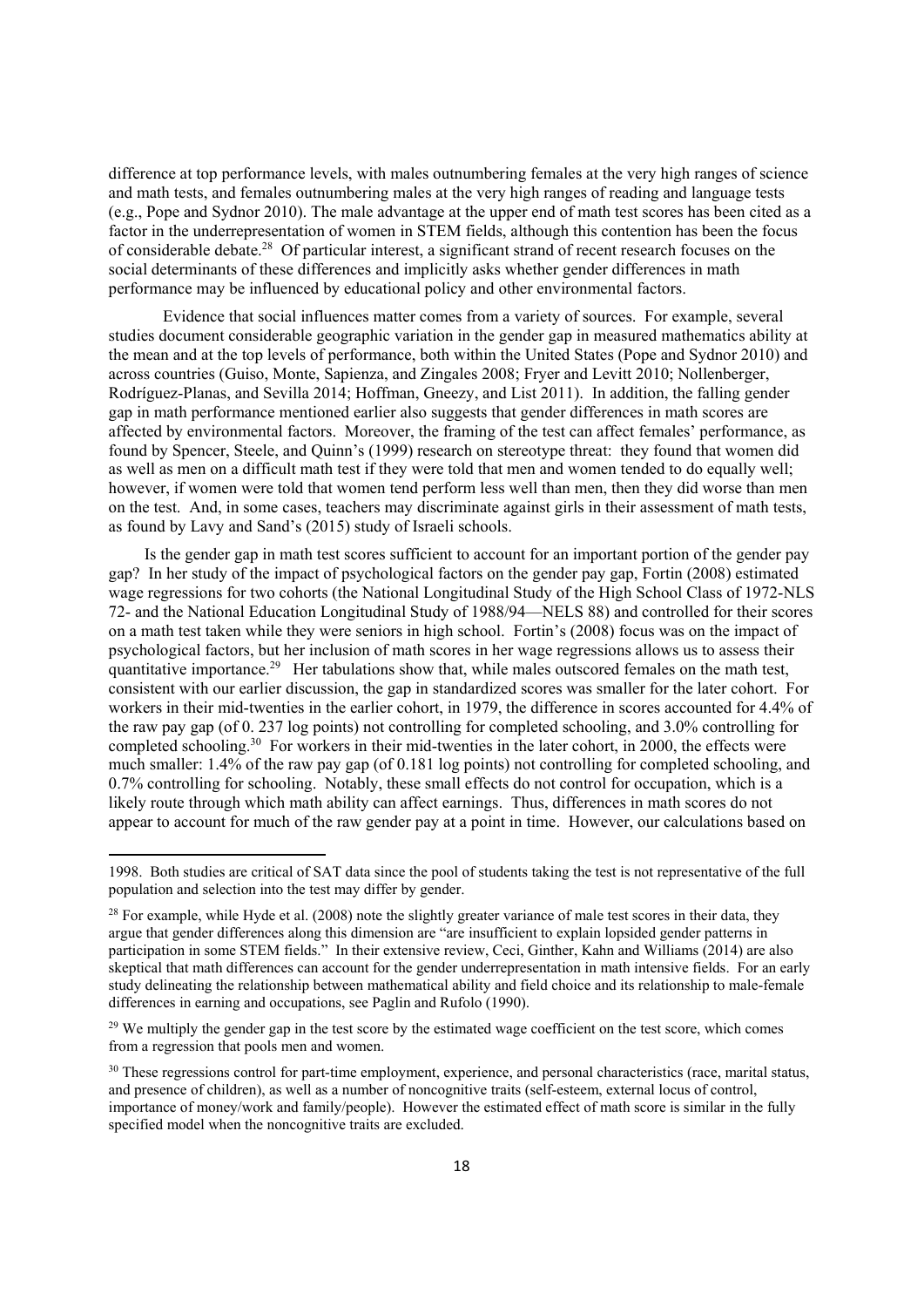difference at top performance levels, with males outnumbering females at the very high ranges of science and math tests, and females outnumbering males at the very high ranges of reading and language tests (e.g., Pope and Sydnor 2010). The male advantage at the upper end of math test scores has been cited as a factor in the underrepresentation of women in STEM fields, although this contention has been the focus of considerable debate.28 Of particular interest, a significant strand of recent research focuses on the social determinants of these differences and implicitly asks whether gender differences in math performance may be influenced by educational policy and other environmental factors.

Evidence that social influences matter comes from a variety of sources. For example, several studies document considerable geographic variation in the gender gap in measured mathematics ability at the mean and at the top levels of performance, both within the United States (Pope and Sydnor 2010) and across countries (Guiso, Monte, Sapienza, and Zingales 2008; Fryer and Levitt 2010; Nollenberger, Rodríguez-Planas, and Sevilla 2014; Hoffman, Gneezy, and List 2011). In addition, the falling gender gap in math performance mentioned earlier also suggests that gender differences in math scores are affected by environmental factors. Moreover, the framing of the test can affect females' performance, as found by Spencer, Steele, and Quinn's (1999) research on stereotype threat: they found that women did as well as men on a difficult math test if they were told that men and women tended to do equally well; however, if women were told that women tend perform less well than men, then they did worse than men on the test. And, in some cases, teachers may discriminate against girls in their assessment of math tests, as found by Lavy and Sand's (2015) study of Israeli schools.

Is the gender gap in math test scores sufficient to account for an important portion of the gender pay gap? In her study of the impact of psychological factors on the gender pay gap, Fortin (2008) estimated wage regressions for two cohorts (the National Longitudinal Study of the High School Class of 1972-NLS 72- and the National Education Longitudinal Study of 1988/94—NELS 88) and controlled for their scores on a math test taken while they were seniors in high school. Fortin's (2008) focus was on the impact of psychological factors, but her inclusion of math scores in her wage regressions allows us to assess their quantitative importance.<sup>29</sup> Her tabulations show that, while males outscored females on the math test, consistent with our earlier discussion, the gap in standardized scores was smaller for the later cohort. For workers in their mid-twenties in the earlier cohort, in 1979, the difference in scores accounted for 4.4% of the raw pay gap (of 0. 237 log points) not controlling for completed schooling, and 3.0% controlling for completed schooling.30 For workers in their mid-twenties in the later cohort, in 2000, the effects were much smaller: 1.4% of the raw pay gap (of 0.181 log points) not controlling for completed schooling, and 0.7% controlling for schooling. Notably, these small effects do not control for occupation, which is a likely route through which math ability can affect earnings. Thus, differences in math scores do not appear to account for much of the raw gender pay at a point in time. However, our calculations based on

<sup>1998.</sup> Both studies are critical of SAT data since the pool of students taking the test is not representative of the full population and selection into the test may differ by gender.

 $^{28}$  For example, while Hyde et al. (2008) note the slightly greater variance of male test scores in their data, they argue that gender differences along this dimension are "are insufficient to explain lopsided gender patterns in participation in some STEM fields." In their extensive review, Ceci, Ginther, Kahn and Williams (2014) are also skeptical that math differences can account for the gender underrepresentation in math intensive fields. For an early study delineating the relationship between mathematical ability and field choice and its relationship to male-female differences in earning and occupations, see Paglin and Rufolo (1990).

<sup>&</sup>lt;sup>29</sup> We multiply the gender gap in the test score by the estimated wage coefficient on the test score, which comes from a regression that pools men and women.

<sup>&</sup>lt;sup>30</sup> These regressions control for part-time employment, experience, and personal characteristics (race, marital status, and presence of children), as well as a number of noncognitive traits (self-esteem, external locus of control, importance of money/work and family/people). However the estimated effect of math score is similar in the fully specified model when the noncognitive traits are excluded.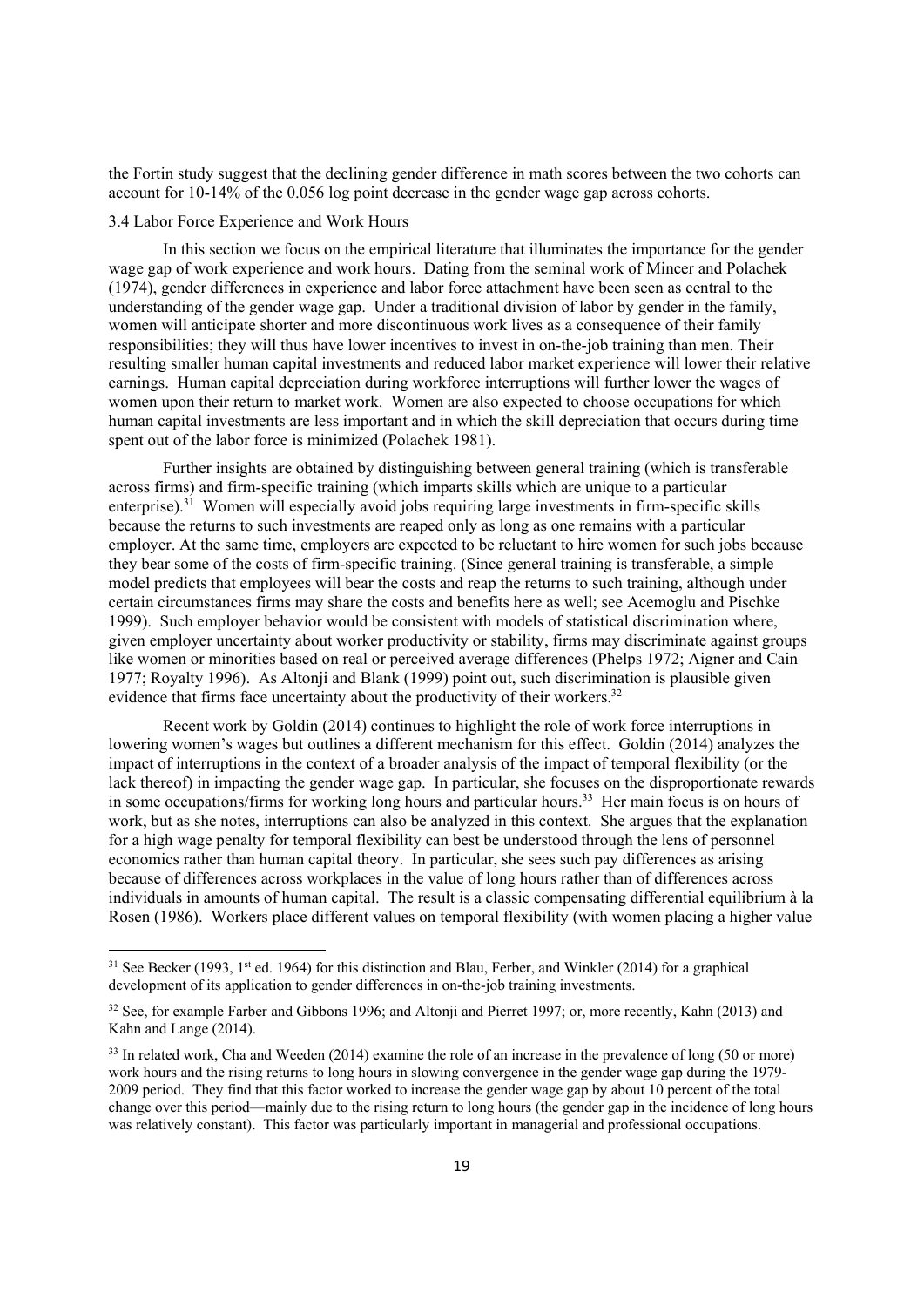the Fortin study suggest that the declining gender difference in math scores between the two cohorts can account for 10-14% of the 0.056 log point decrease in the gender wage gap across cohorts.

#### 3.4 Labor Force Experience and Work Hours

In this section we focus on the empirical literature that illuminates the importance for the gender wage gap of work experience and work hours. Dating from the seminal work of Mincer and Polachek (1974), gender differences in experience and labor force attachment have been seen as central to the understanding of the gender wage gap. Under a traditional division of labor by gender in the family, women will anticipate shorter and more discontinuous work lives as a consequence of their family responsibilities; they will thus have lower incentives to invest in on-the-job training than men. Their resulting smaller human capital investments and reduced labor market experience will lower their relative earnings. Human capital depreciation during workforce interruptions will further lower the wages of women upon their return to market work. Women are also expected to choose occupations for which human capital investments are less important and in which the skill depreciation that occurs during time spent out of the labor force is minimized (Polachek 1981).

Further insights are obtained by distinguishing between general training (which is transferable across firms) and firm-specific training (which imparts skills which are unique to a particular enterprise).<sup>31</sup> Women will especially avoid jobs requiring large investments in firm-specific skills because the returns to such investments are reaped only as long as one remains with a particular employer. At the same time, employers are expected to be reluctant to hire women for such jobs because they bear some of the costs of firm-specific training. (Since general training is transferable, a simple model predicts that employees will bear the costs and reap the returns to such training, although under certain circumstances firms may share the costs and benefits here as well; see Acemoglu and Pischke 1999). Such employer behavior would be consistent with models of statistical discrimination where, given employer uncertainty about worker productivity or stability, firms may discriminate against groups like women or minorities based on real or perceived average differences (Phelps 1972; Aigner and Cain 1977; Royalty 1996). As Altonji and Blank (1999) point out, such discrimination is plausible given evidence that firms face uncertainty about the productivity of their workers.<sup>32</sup>

Recent work by Goldin (2014) continues to highlight the role of work force interruptions in lowering women's wages but outlines a different mechanism for this effect. Goldin (2014) analyzes the impact of interruptions in the context of a broader analysis of the impact of temporal flexibility (or the lack thereof) in impacting the gender wage gap. In particular, she focuses on the disproportionate rewards in some occupations/firms for working long hours and particular hours.<sup>33</sup> Her main focus is on hours of work, but as she notes, interruptions can also be analyzed in this context. She argues that the explanation for a high wage penalty for temporal flexibility can best be understood through the lens of personnel economics rather than human capital theory. In particular, she sees such pay differences as arising because of differences across workplaces in the value of long hours rather than of differences across individuals in amounts of human capital. The result is a classic compensating differential equilibrium à la Rosen (1986). Workers place different values on temporal flexibility (with women placing a higher value

<sup>&</sup>lt;sup>31</sup> See Becker (1993, 1<sup>st</sup> ed. 1964) for this distinction and Blau, Ferber, and Winkler (2014) for a graphical development of its application to gender differences in on-the-job training investments.

<sup>&</sup>lt;sup>32</sup> See, for example Farber and Gibbons 1996; and Altonji and Pierret 1997; or, more recently, Kahn (2013) and Kahn and Lange (2014).

<sup>&</sup>lt;sup>33</sup> In related work, Cha and Weeden (2014) examine the role of an increase in the prevalence of long (50 or more) work hours and the rising returns to long hours in slowing convergence in the gender wage gap during the 1979- 2009 period. They find that this factor worked to increase the gender wage gap by about 10 percent of the total change over this period—mainly due to the rising return to long hours (the gender gap in the incidence of long hours was relatively constant). This factor was particularly important in managerial and professional occupations.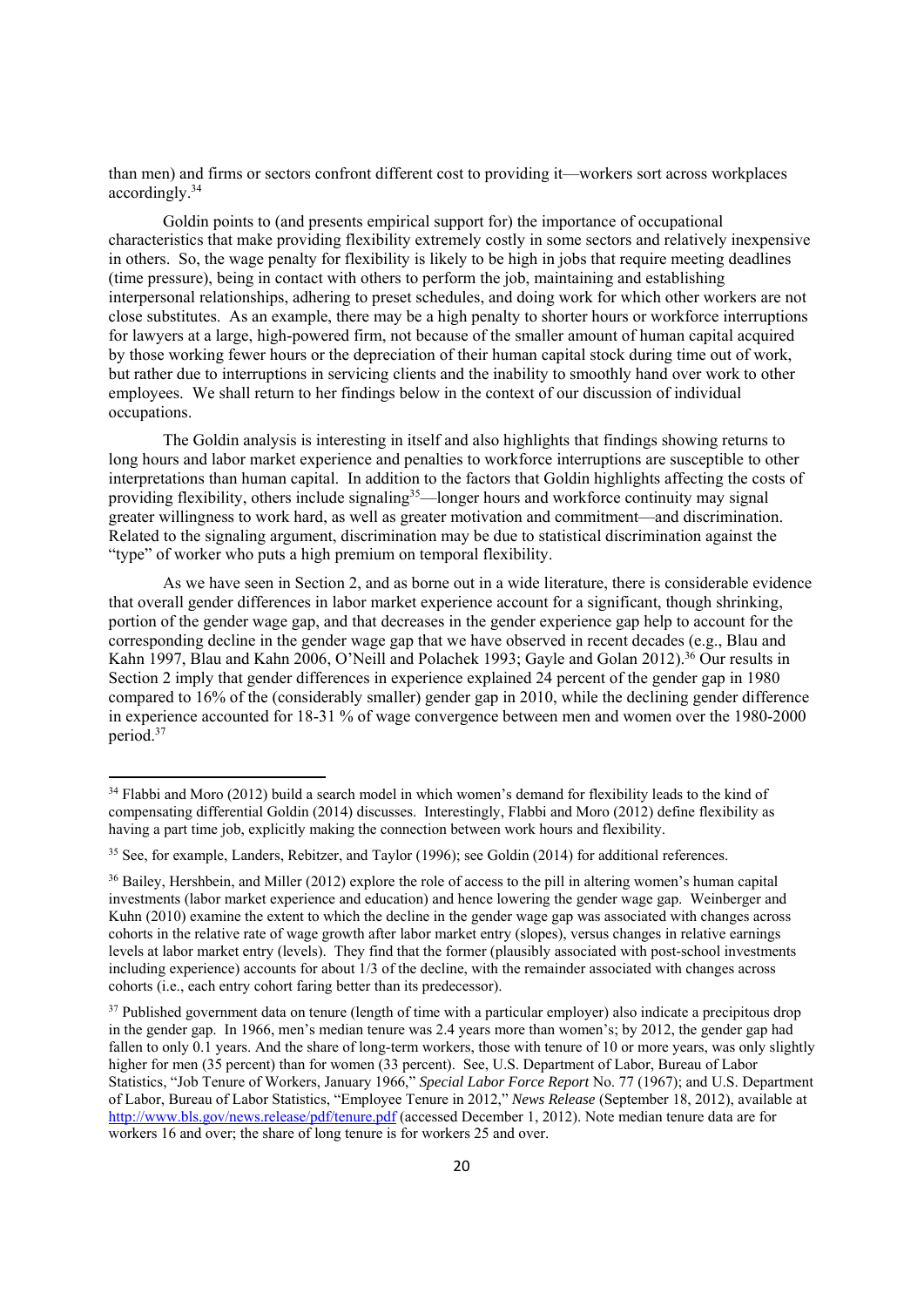than men) and firms or sectors confront different cost to providing it—workers sort across workplaces accordingly.34

Goldin points to (and presents empirical support for) the importance of occupational characteristics that make providing flexibility extremely costly in some sectors and relatively inexpensive in others. So, the wage penalty for flexibility is likely to be high in jobs that require meeting deadlines (time pressure), being in contact with others to perform the job, maintaining and establishing interpersonal relationships, adhering to preset schedules, and doing work for which other workers are not close substitutes. As an example, there may be a high penalty to shorter hours or workforce interruptions for lawyers at a large, high-powered firm, not because of the smaller amount of human capital acquired by those working fewer hours or the depreciation of their human capital stock during time out of work, but rather due to interruptions in servicing clients and the inability to smoothly hand over work to other employees. We shall return to her findings below in the context of our discussion of individual occupations.

The Goldin analysis is interesting in itself and also highlights that findings showing returns to long hours and labor market experience and penalties to workforce interruptions are susceptible to other interpretations than human capital. In addition to the factors that Goldin highlights affecting the costs of providing flexibility, others include signaling<sup>35</sup>—longer hours and workforce continuity may signal greater willingness to work hard, as well as greater motivation and commitment—and discrimination. Related to the signaling argument, discrimination may be due to statistical discrimination against the "type" of worker who puts a high premium on temporal flexibility.

As we have seen in Section 2, and as borne out in a wide literature, there is considerable evidence that overall gender differences in labor market experience account for a significant, though shrinking, portion of the gender wage gap, and that decreases in the gender experience gap help to account for the corresponding decline in the gender wage gap that we have observed in recent decades (e.g., Blau and Kahn 1997, Blau and Kahn 2006, O'Neill and Polachek 1993; Gayle and Golan 2012).<sup>36</sup> Our results in Section 2 imply that gender differences in experience explained 24 percent of the gender gap in 1980 compared to 16% of the (considerably smaller) gender gap in 2010, while the declining gender difference in experience accounted for 18-31 % of wage convergence between men and women over the 1980-2000 period.37

<sup>&</sup>lt;sup>34</sup> Flabbi and Moro (2012) build a search model in which women's demand for flexibility leads to the kind of compensating differential Goldin (2014) discusses. Interestingly, Flabbi and Moro (2012) define flexibility as having a part time job, explicitly making the connection between work hours and flexibility.

<sup>&</sup>lt;sup>35</sup> See, for example, Landers, Rebitzer, and Taylor (1996); see Goldin (2014) for additional references.

<sup>&</sup>lt;sup>36</sup> Bailey, Hershbein, and Miller (2012) explore the role of access to the pill in altering women's human capital investments (labor market experience and education) and hence lowering the gender wage gap. Weinberger and Kuhn (2010) examine the extent to which the decline in the gender wage gap was associated with changes across cohorts in the relative rate of wage growth after labor market entry (slopes), versus changes in relative earnings levels at labor market entry (levels). They find that the former (plausibly associated with post-school investments including experience) accounts for about 1/3 of the decline, with the remainder associated with changes across cohorts (i.e., each entry cohort faring better than its predecessor).

<sup>&</sup>lt;sup>37</sup> Published government data on tenure (length of time with a particular employer) also indicate a precipitous drop in the gender gap. In 1966, men's median tenure was 2.4 years more than women's; by 2012, the gender gap had fallen to only 0.1 years. And the share of long-term workers, those with tenure of 10 or more years, was only slightly higher for men (35 percent) than for women (33 percent). See, U.S. Department of Labor, Bureau of Labor Statistics, "Job Tenure of Workers, January 1966," *Special Labor Force Report* No. 77 (1967); and U.S. Department of Labor, Bureau of Labor Statistics, "Employee Tenure in 2012," *News Release* (September 18, 2012), available at http://www.bls.gov/news.release/pdf/tenure.pdf (accessed December 1, 2012). Note median tenure data are for workers 16 and over; the share of long tenure is for workers 25 and over.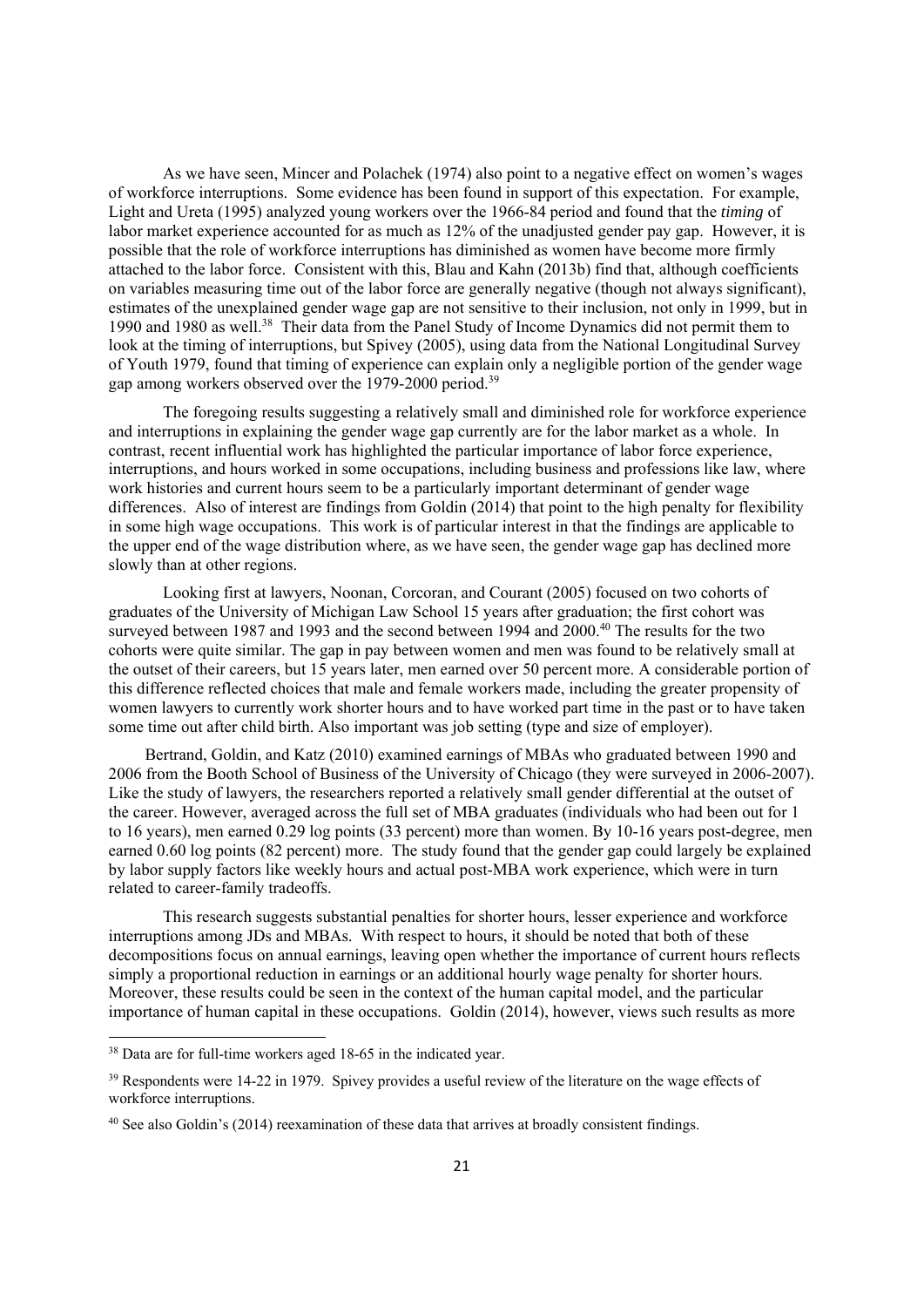As we have seen, Mincer and Polachek (1974) also point to a negative effect on women's wages of workforce interruptions. Some evidence has been found in support of this expectation. For example, Light and Ureta (1995) analyzed young workers over the 1966-84 period and found that the *timing* of labor market experience accounted for as much as 12% of the unadjusted gender pay gap. However, it is possible that the role of workforce interruptions has diminished as women have become more firmly attached to the labor force. Consistent with this, Blau and Kahn (2013b) find that, although coefficients on variables measuring time out of the labor force are generally negative (though not always significant), estimates of the unexplained gender wage gap are not sensitive to their inclusion, not only in 1999, but in 1990 and 1980 as well.<sup>38</sup> Their data from the Panel Study of Income Dynamics did not permit them to look at the timing of interruptions, but Spivey (2005), using data from the National Longitudinal Survey of Youth 1979, found that timing of experience can explain only a negligible portion of the gender wage gap among workers observed over the 1979-2000 period.<sup>39</sup>

The foregoing results suggesting a relatively small and diminished role for workforce experience and interruptions in explaining the gender wage gap currently are for the labor market as a whole. In contrast, recent influential work has highlighted the particular importance of labor force experience, interruptions, and hours worked in some occupations, including business and professions like law, where work histories and current hours seem to be a particularly important determinant of gender wage differences. Also of interest are findings from Goldin (2014) that point to the high penalty for flexibility in some high wage occupations. This work is of particular interest in that the findings are applicable to the upper end of the wage distribution where, as we have seen, the gender wage gap has declined more slowly than at other regions.

Looking first at lawyers, Noonan, Corcoran, and Courant (2005) focused on two cohorts of graduates of the University of Michigan Law School 15 years after graduation; the first cohort was surveyed between 1987 and 1993 and the second between 1994 and 2000.<sup>40</sup> The results for the two cohorts were quite similar. The gap in pay between women and men was found to be relatively small at the outset of their careers, but 15 years later, men earned over 50 percent more. A considerable portion of this difference reflected choices that male and female workers made, including the greater propensity of women lawyers to currently work shorter hours and to have worked part time in the past or to have taken some time out after child birth. Also important was job setting (type and size of employer).

Bertrand, Goldin, and Katz (2010) examined earnings of MBAs who graduated between 1990 and 2006 from the Booth School of Business of the University of Chicago (they were surveyed in 2006-2007). Like the study of lawyers, the researchers reported a relatively small gender differential at the outset of the career. However, averaged across the full set of MBA graduates (individuals who had been out for 1 to 16 years), men earned 0.29 log points (33 percent) more than women. By 10-16 years post-degree, men earned 0.60 log points (82 percent) more. The study found that the gender gap could largely be explained by labor supply factors like weekly hours and actual post-MBA work experience, which were in turn related to career-family tradeoffs.

This research suggests substantial penalties for shorter hours, lesser experience and workforce interruptions among JDs and MBAs. With respect to hours, it should be noted that both of these decompositions focus on annual earnings, leaving open whether the importance of current hours reflects simply a proportional reduction in earnings or an additional hourly wage penalty for shorter hours. Moreover, these results could be seen in the context of the human capital model, and the particular importance of human capital in these occupations. Goldin (2014), however, views such results as more

<sup>&</sup>lt;sup>38</sup> Data are for full-time workers aged 18-65 in the indicated year.

<sup>&</sup>lt;sup>39</sup> Respondents were 14-22 in 1979. Spivey provides a useful review of the literature on the wage effects of workforce interruptions.

<sup>40</sup> See also Goldin's (2014) reexamination of these data that arrives at broadly consistent findings.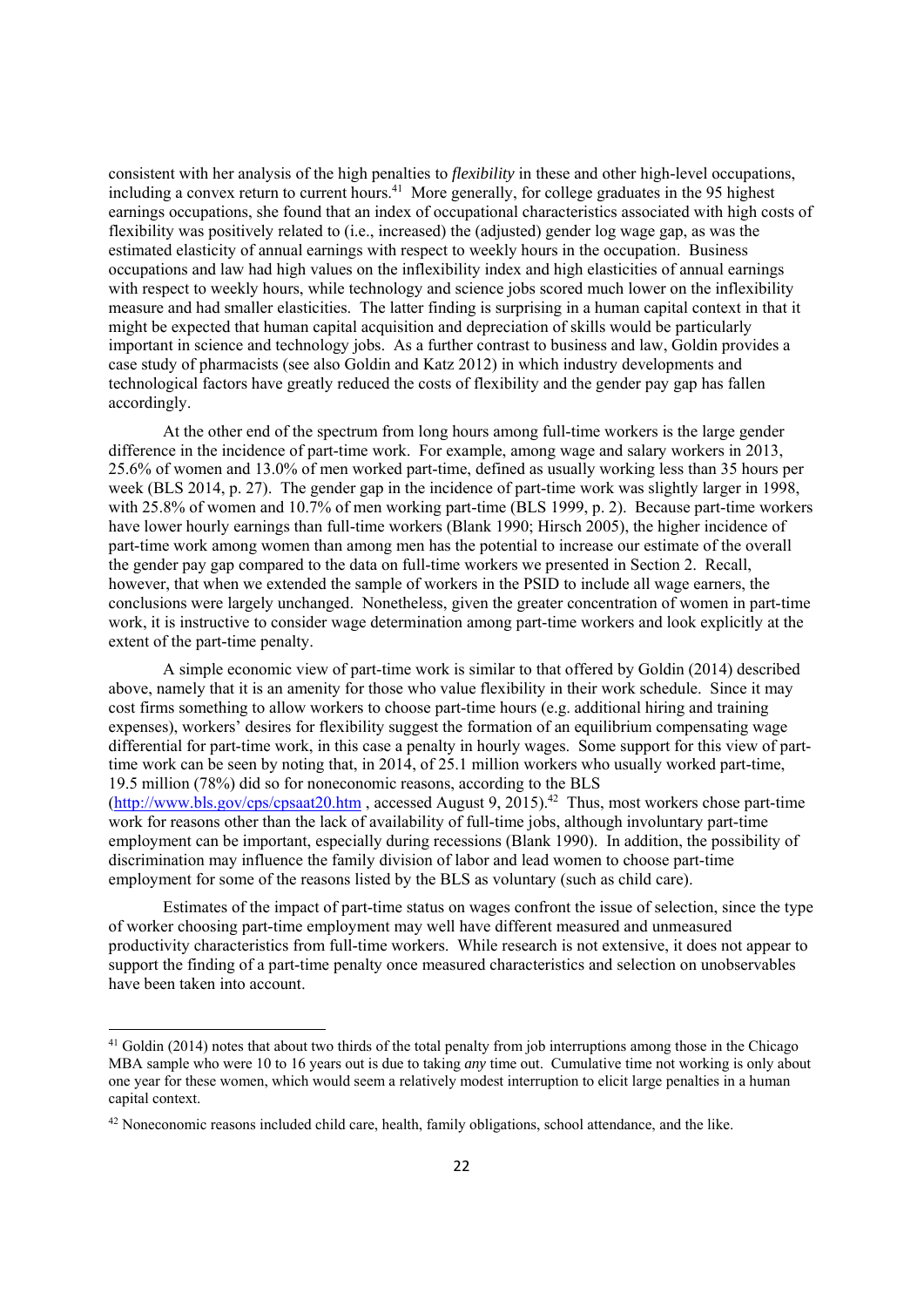consistent with her analysis of the high penalties to *flexibility* in these and other high-level occupations, including a convex return to current hours.<sup>41</sup> More generally, for college graduates in the 95 highest earnings occupations, she found that an index of occupational characteristics associated with high costs of flexibility was positively related to (i.e., increased) the (adjusted) gender log wage gap, as was the estimated elasticity of annual earnings with respect to weekly hours in the occupation. Business occupations and law had high values on the inflexibility index and high elasticities of annual earnings with respect to weekly hours, while technology and science jobs scored much lower on the inflexibility measure and had smaller elasticities. The latter finding is surprising in a human capital context in that it might be expected that human capital acquisition and depreciation of skills would be particularly important in science and technology jobs. As a further contrast to business and law, Goldin provides a case study of pharmacists (see also Goldin and Katz 2012) in which industry developments and technological factors have greatly reduced the costs of flexibility and the gender pay gap has fallen accordingly.

At the other end of the spectrum from long hours among full-time workers is the large gender difference in the incidence of part-time work. For example, among wage and salary workers in 2013, 25.6% of women and 13.0% of men worked part-time, defined as usually working less than 35 hours per week (BLS 2014, p. 27). The gender gap in the incidence of part-time work was slightly larger in 1998, with 25.8% of women and 10.7% of men working part-time (BLS 1999, p. 2). Because part-time workers have lower hourly earnings than full-time workers (Blank 1990; Hirsch 2005), the higher incidence of part-time work among women than among men has the potential to increase our estimate of the overall the gender pay gap compared to the data on full-time workers we presented in Section 2. Recall, however, that when we extended the sample of workers in the PSID to include all wage earners, the conclusions were largely unchanged. Nonetheless, given the greater concentration of women in part-time work, it is instructive to consider wage determination among part-time workers and look explicitly at the extent of the part-time penalty.

A simple economic view of part-time work is similar to that offered by Goldin (2014) described above, namely that it is an amenity for those who value flexibility in their work schedule. Since it may cost firms something to allow workers to choose part-time hours (e.g. additional hiring and training expenses), workers' desires for flexibility suggest the formation of an equilibrium compensating wage differential for part-time work, in this case a penalty in hourly wages. Some support for this view of parttime work can be seen by noting that, in 2014, of 25.1 million workers who usually worked part-time, 19.5 million (78%) did so for noneconomic reasons, according to the BLS (http://www.bls.gov/cps/cpsaat20.htm , accessed August 9, 2015).42 Thus, most workers chose part-time work for reasons other than the lack of availability of full-time jobs, although involuntary part-time employment can be important, especially during recessions (Blank 1990). In addition, the possibility of discrimination may influence the family division of labor and lead women to choose part-time employment for some of the reasons listed by the BLS as voluntary (such as child care).

Estimates of the impact of part-time status on wages confront the issue of selection, since the type of worker choosing part-time employment may well have different measured and unmeasured productivity characteristics from full-time workers. While research is not extensive, it does not appear to support the finding of a part-time penalty once measured characteristics and selection on unobservables have been taken into account.

 $41$  Goldin (2014) notes that about two thirds of the total penalty from job interruptions among those in the Chicago MBA sample who were 10 to 16 years out is due to taking *any* time out. Cumulative time not working is only about one year for these women, which would seem a relatively modest interruption to elicit large penalties in a human capital context.

<sup>42</sup> Noneconomic reasons included child care, health, family obligations, school attendance, and the like.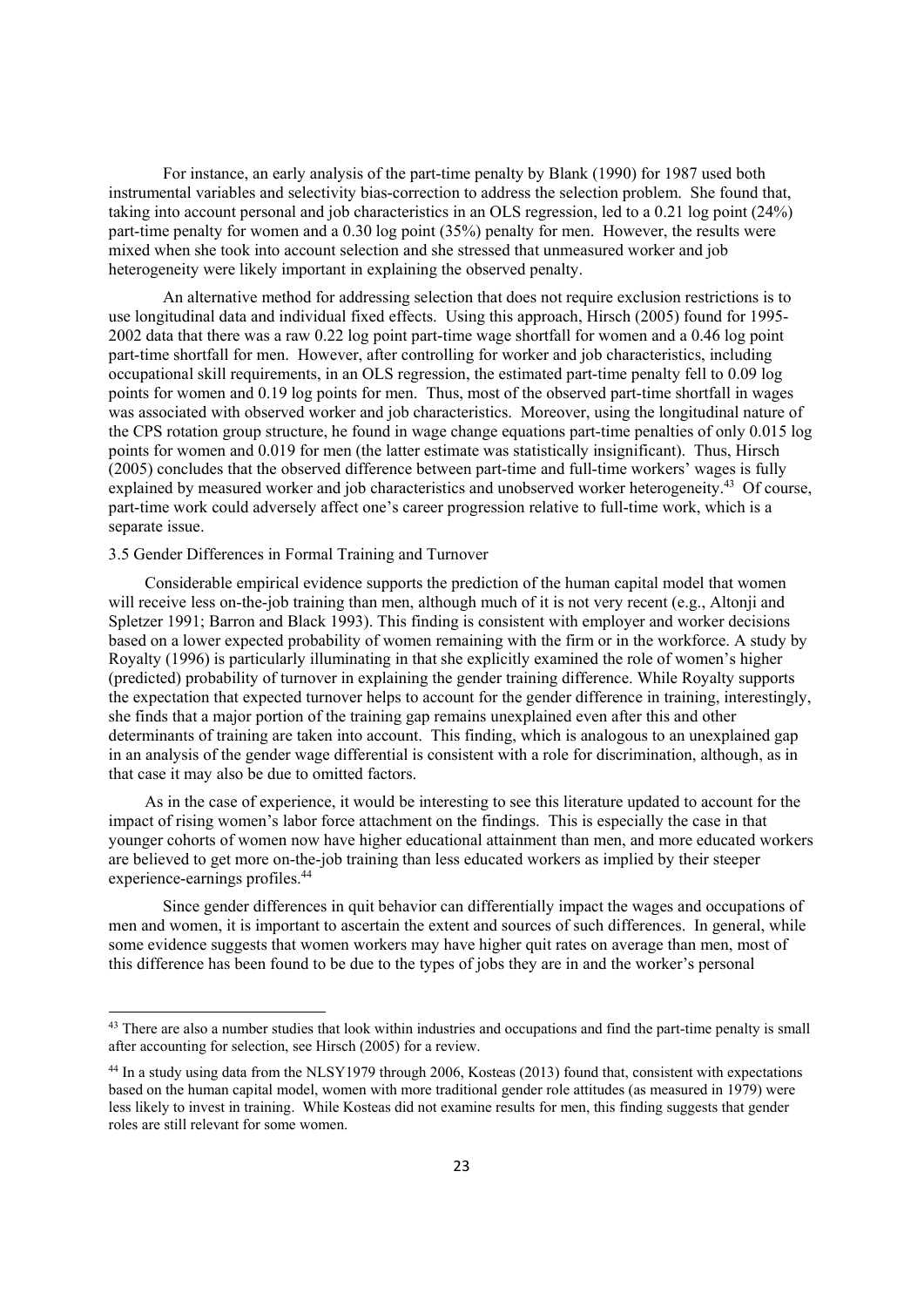For instance, an early analysis of the part-time penalty by Blank (1990) for 1987 used both instrumental variables and selectivity bias-correction to address the selection problem. She found that, taking into account personal and job characteristics in an OLS regression, led to a 0.21 log point (24%) part-time penalty for women and a 0.30 log point (35%) penalty for men. However, the results were mixed when she took into account selection and she stressed that unmeasured worker and job heterogeneity were likely important in explaining the observed penalty.

An alternative method for addressing selection that does not require exclusion restrictions is to use longitudinal data and individual fixed effects. Using this approach, Hirsch (2005) found for 1995- 2002 data that there was a raw 0.22 log point part-time wage shortfall for women and a 0.46 log point part-time shortfall for men. However, after controlling for worker and job characteristics, including occupational skill requirements, in an OLS regression, the estimated part-time penalty fell to 0.09 log points for women and 0.19 log points for men. Thus, most of the observed part-time shortfall in wages was associated with observed worker and job characteristics. Moreover, using the longitudinal nature of the CPS rotation group structure, he found in wage change equations part-time penalties of only 0.015 log points for women and 0.019 for men (the latter estimate was statistically insignificant). Thus, Hirsch (2005) concludes that the observed difference between part-time and full-time workers' wages is fully explained by measured worker and job characteristics and unobserved worker heterogeneity.<sup>43</sup> Of course, part-time work could adversely affect one's career progression relative to full-time work, which is a separate issue.

#### 3.5 Gender Differences in Formal Training and Turnover

Considerable empirical evidence supports the prediction of the human capital model that women will receive less on-the-job training than men, although much of it is not very recent (e.g., Altonji and Spletzer 1991; Barron and Black 1993). This finding is consistent with employer and worker decisions based on a lower expected probability of women remaining with the firm or in the workforce. A study by Royalty (1996) is particularly illuminating in that she explicitly examined the role of women's higher (predicted) probability of turnover in explaining the gender training difference. While Royalty supports the expectation that expected turnover helps to account for the gender difference in training, interestingly, she finds that a major portion of the training gap remains unexplained even after this and other determinants of training are taken into account. This finding, which is analogous to an unexplained gap in an analysis of the gender wage differential is consistent with a role for discrimination, although, as in that case it may also be due to omitted factors.

As in the case of experience, it would be interesting to see this literature updated to account for the impact of rising women's labor force attachment on the findings. This is especially the case in that younger cohorts of women now have higher educational attainment than men, and more educated workers are believed to get more on-the-job training than less educated workers as implied by their steeper experience-earnings profiles.<sup>44</sup>

Since gender differences in quit behavior can differentially impact the wages and occupations of men and women, it is important to ascertain the extent and sources of such differences. In general, while some evidence suggests that women workers may have higher quit rates on average than men, most of this difference has been found to be due to the types of jobs they are in and the worker's personal

 $43$  There are also a number studies that look within industries and occupations and find the part-time penalty is small after accounting for selection, see Hirsch (2005) for a review.

<sup>&</sup>lt;sup>44</sup> In a study using data from the NLSY1979 through 2006, Kosteas (2013) found that, consistent with expectations based on the human capital model, women with more traditional gender role attitudes (as measured in 1979) were less likely to invest in training. While Kosteas did not examine results for men, this finding suggests that gender roles are still relevant for some women.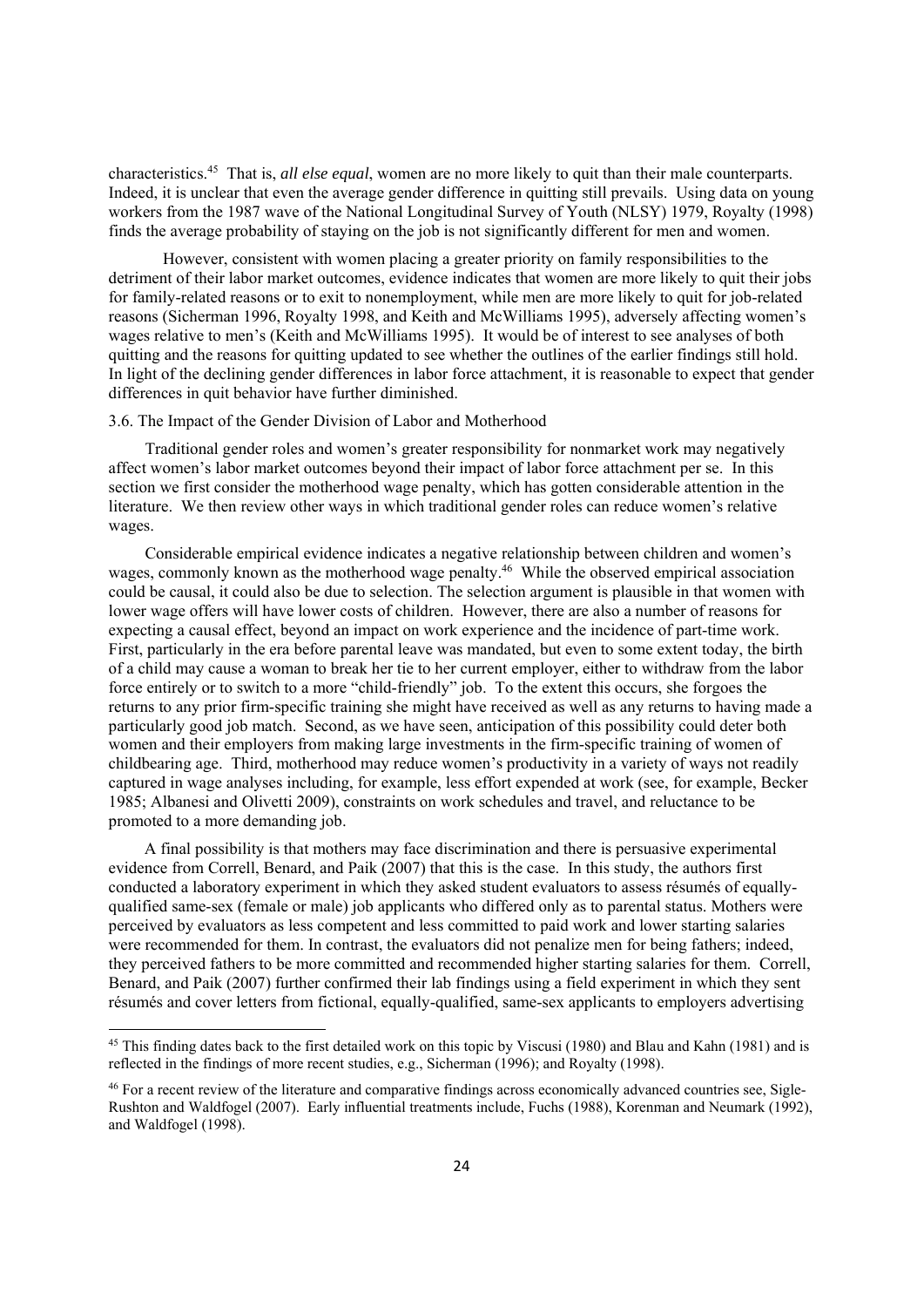characteristics.45 That is, *all else equal*, women are no more likely to quit than their male counterparts. Indeed, it is unclear that even the average gender difference in quitting still prevails. Using data on young workers from the 1987 wave of the National Longitudinal Survey of Youth (NLSY) 1979, Royalty (1998) finds the average probability of staying on the job is not significantly different for men and women.

However, consistent with women placing a greater priority on family responsibilities to the detriment of their labor market outcomes, evidence indicates that women are more likely to quit their jobs for family-related reasons or to exit to nonemployment, while men are more likely to quit for job-related reasons (Sicherman 1996, Royalty 1998, and Keith and McWilliams 1995), adversely affecting women's wages relative to men's (Keith and McWilliams 1995). It would be of interest to see analyses of both quitting and the reasons for quitting updated to see whether the outlines of the earlier findings still hold. In light of the declining gender differences in labor force attachment, it is reasonable to expect that gender differences in quit behavior have further diminished.

#### 3.6. The Impact of the Gender Division of Labor and Motherhood

Traditional gender roles and women's greater responsibility for nonmarket work may negatively affect women's labor market outcomes beyond their impact of labor force attachment per se. In this section we first consider the motherhood wage penalty, which has gotten considerable attention in the literature. We then review other ways in which traditional gender roles can reduce women's relative wages.

Considerable empirical evidence indicates a negative relationship between children and women's wages, commonly known as the motherhood wage penalty.<sup>46</sup> While the observed empirical association could be causal, it could also be due to selection. The selection argument is plausible in that women with lower wage offers will have lower costs of children. However, there are also a number of reasons for expecting a causal effect, beyond an impact on work experience and the incidence of part-time work. First, particularly in the era before parental leave was mandated, but even to some extent today, the birth of a child may cause a woman to break her tie to her current employer, either to withdraw from the labor force entirely or to switch to a more "child-friendly" job. To the extent this occurs, she forgoes the returns to any prior firm-specific training she might have received as well as any returns to having made a particularly good job match. Second, as we have seen, anticipation of this possibility could deter both women and their employers from making large investments in the firm-specific training of women of childbearing age. Third, motherhood may reduce women's productivity in a variety of ways not readily captured in wage analyses including, for example, less effort expended at work (see, for example, Becker 1985; Albanesi and Olivetti 2009), constraints on work schedules and travel, and reluctance to be promoted to a more demanding job.

A final possibility is that mothers may face discrimination and there is persuasive experimental evidence from Correll, Benard, and Paik (2007) that this is the case. In this study, the authors first conducted a laboratory experiment in which they asked student evaluators to assess résumés of equallyqualified same-sex (female or male) job applicants who differed only as to parental status. Mothers were perceived by evaluators as less competent and less committed to paid work and lower starting salaries were recommended for them. In contrast, the evaluators did not penalize men for being fathers; indeed, they perceived fathers to be more committed and recommended higher starting salaries for them. Correll, Benard, and Paik (2007) further confirmed their lab findings using a field experiment in which they sent résumés and cover letters from fictional, equally-qualified, same-sex applicants to employers advertising

<sup>&</sup>lt;sup>45</sup> This finding dates back to the first detailed work on this topic by Viscusi (1980) and Blau and Kahn (1981) and is reflected in the findings of more recent studies, e.g., Sicherman (1996); and Royalty (1998).

<sup>46</sup> For a recent review of the literature and comparative findings across economically advanced countries see, Sigle-Rushton and Waldfogel (2007). Early influential treatments include, Fuchs (1988), Korenman and Neumark (1992), and Waldfogel (1998).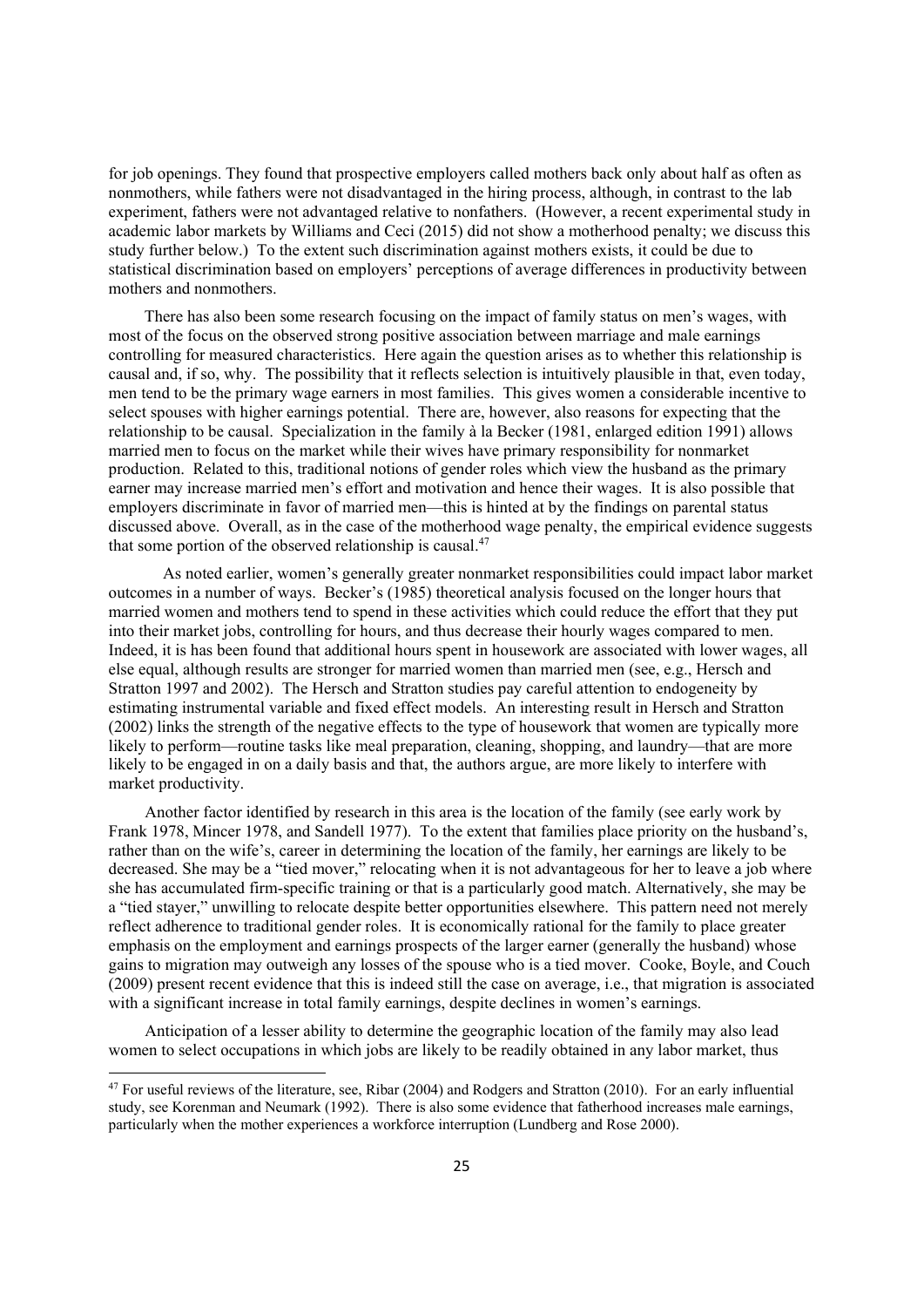for job openings. They found that prospective employers called mothers back only about half as often as nonmothers, while fathers were not disadvantaged in the hiring process, although, in contrast to the lab experiment, fathers were not advantaged relative to nonfathers. (However, a recent experimental study in academic labor markets by Williams and Ceci (2015) did not show a motherhood penalty; we discuss this study further below.) To the extent such discrimination against mothers exists, it could be due to statistical discrimination based on employers' perceptions of average differences in productivity between mothers and nonmothers.

There has also been some research focusing on the impact of family status on men's wages, with most of the focus on the observed strong positive association between marriage and male earnings controlling for measured characteristics. Here again the question arises as to whether this relationship is causal and, if so, why. The possibility that it reflects selection is intuitively plausible in that, even today, men tend to be the primary wage earners in most families. This gives women a considerable incentive to select spouses with higher earnings potential. There are, however, also reasons for expecting that the relationship to be causal. Specialization in the family à la Becker (1981, enlarged edition 1991) allows married men to focus on the market while their wives have primary responsibility for nonmarket production. Related to this, traditional notions of gender roles which view the husband as the primary earner may increase married men's effort and motivation and hence their wages. It is also possible that employers discriminate in favor of married men—this is hinted at by the findings on parental status discussed above. Overall, as in the case of the motherhood wage penalty, the empirical evidence suggests that some portion of the observed relationship is causal.<sup>47</sup>

As noted earlier, women's generally greater nonmarket responsibilities could impact labor market outcomes in a number of ways. Becker's (1985) theoretical analysis focused on the longer hours that married women and mothers tend to spend in these activities which could reduce the effort that they put into their market jobs, controlling for hours, and thus decrease their hourly wages compared to men. Indeed, it is has been found that additional hours spent in housework are associated with lower wages, all else equal, although results are stronger for married women than married men (see, e.g., Hersch and Stratton 1997 and 2002). The Hersch and Stratton studies pay careful attention to endogeneity by estimating instrumental variable and fixed effect models. An interesting result in Hersch and Stratton (2002) links the strength of the negative effects to the type of housework that women are typically more likely to perform—routine tasks like meal preparation, cleaning, shopping, and laundry—that are more likely to be engaged in on a daily basis and that, the authors argue, are more likely to interfere with market productivity.

Another factor identified by research in this area is the location of the family (see early work by Frank 1978, Mincer 1978, and Sandell 1977). To the extent that families place priority on the husband's, rather than on the wife's, career in determining the location of the family, her earnings are likely to be decreased. She may be a "tied mover," relocating when it is not advantageous for her to leave a job where she has accumulated firm-specific training or that is a particularly good match. Alternatively, she may be a "tied stayer," unwilling to relocate despite better opportunities elsewhere. This pattern need not merely reflect adherence to traditional gender roles. It is economically rational for the family to place greater emphasis on the employment and earnings prospects of the larger earner (generally the husband) whose gains to migration may outweigh any losses of the spouse who is a tied mover. Cooke, Boyle, and Couch (2009) present recent evidence that this is indeed still the case on average, i.e., that migration is associated with a significant increase in total family earnings, despite declines in women's earnings.

Anticipation of a lesser ability to determine the geographic location of the family may also lead women to select occupations in which jobs are likely to be readily obtained in any labor market, thus

 $47$  For useful reviews of the literature, see, Ribar (2004) and Rodgers and Stratton (2010). For an early influential study, see Korenman and Neumark (1992). There is also some evidence that fatherhood increases male earnings, particularly when the mother experiences a workforce interruption (Lundberg and Rose 2000).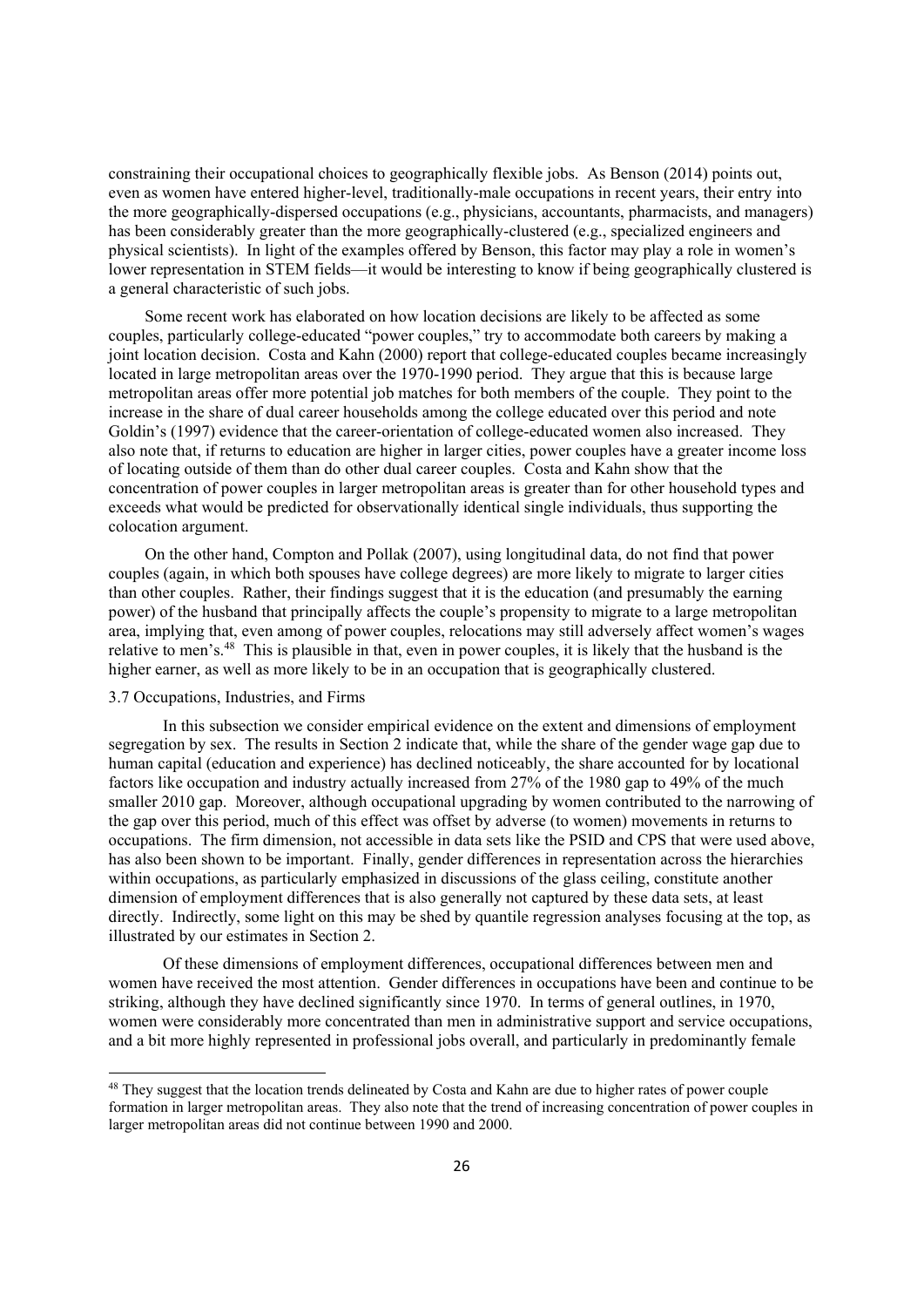constraining their occupational choices to geographically flexible jobs. As Benson (2014) points out, even as women have entered higher-level, traditionally-male occupations in recent years, their entry into the more geographically-dispersed occupations (e.g., physicians, accountants, pharmacists, and managers) has been considerably greater than the more geographically-clustered (e.g., specialized engineers and physical scientists). In light of the examples offered by Benson, this factor may play a role in women's lower representation in STEM fields—it would be interesting to know if being geographically clustered is a general characteristic of such jobs.

Some recent work has elaborated on how location decisions are likely to be affected as some couples, particularly college-educated "power couples," try to accommodate both careers by making a joint location decision. Costa and Kahn (2000) report that college-educated couples became increasingly located in large metropolitan areas over the 1970-1990 period. They argue that this is because large metropolitan areas offer more potential job matches for both members of the couple. They point to the increase in the share of dual career households among the college educated over this period and note Goldin's (1997) evidence that the career-orientation of college-educated women also increased. They also note that, if returns to education are higher in larger cities, power couples have a greater income loss of locating outside of them than do other dual career couples. Costa and Kahn show that the concentration of power couples in larger metropolitan areas is greater than for other household types and exceeds what would be predicted for observationally identical single individuals, thus supporting the colocation argument.

On the other hand, Compton and Pollak (2007), using longitudinal data, do not find that power couples (again, in which both spouses have college degrees) are more likely to migrate to larger cities than other couples. Rather, their findings suggest that it is the education (and presumably the earning power) of the husband that principally affects the couple's propensity to migrate to a large metropolitan area, implying that, even among of power couples, relocations may still adversely affect women's wages relative to men's.48 This is plausible in that, even in power couples, it is likely that the husband is the higher earner, as well as more likely to be in an occupation that is geographically clustered.

#### 3.7 Occupations, Industries, and Firms

In this subsection we consider empirical evidence on the extent and dimensions of employment segregation by sex. The results in Section 2 indicate that, while the share of the gender wage gap due to human capital (education and experience) has declined noticeably, the share accounted for by locational factors like occupation and industry actually increased from 27% of the 1980 gap to 49% of the much smaller 2010 gap. Moreover, although occupational upgrading by women contributed to the narrowing of the gap over this period, much of this effect was offset by adverse (to women) movements in returns to occupations. The firm dimension, not accessible in data sets like the PSID and CPS that were used above, has also been shown to be important. Finally, gender differences in representation across the hierarchies within occupations, as particularly emphasized in discussions of the glass ceiling, constitute another dimension of employment differences that is also generally not captured by these data sets, at least directly. Indirectly, some light on this may be shed by quantile regression analyses focusing at the top, as illustrated by our estimates in Section 2.

Of these dimensions of employment differences, occupational differences between men and women have received the most attention. Gender differences in occupations have been and continue to be striking, although they have declined significantly since 1970. In terms of general outlines, in 1970, women were considerably more concentrated than men in administrative support and service occupations, and a bit more highly represented in professional jobs overall, and particularly in predominantly female

<sup>&</sup>lt;sup>48</sup> They suggest that the location trends delineated by Costa and Kahn are due to higher rates of power couple formation in larger metropolitan areas. They also note that the trend of increasing concentration of power couples in larger metropolitan areas did not continue between 1990 and 2000.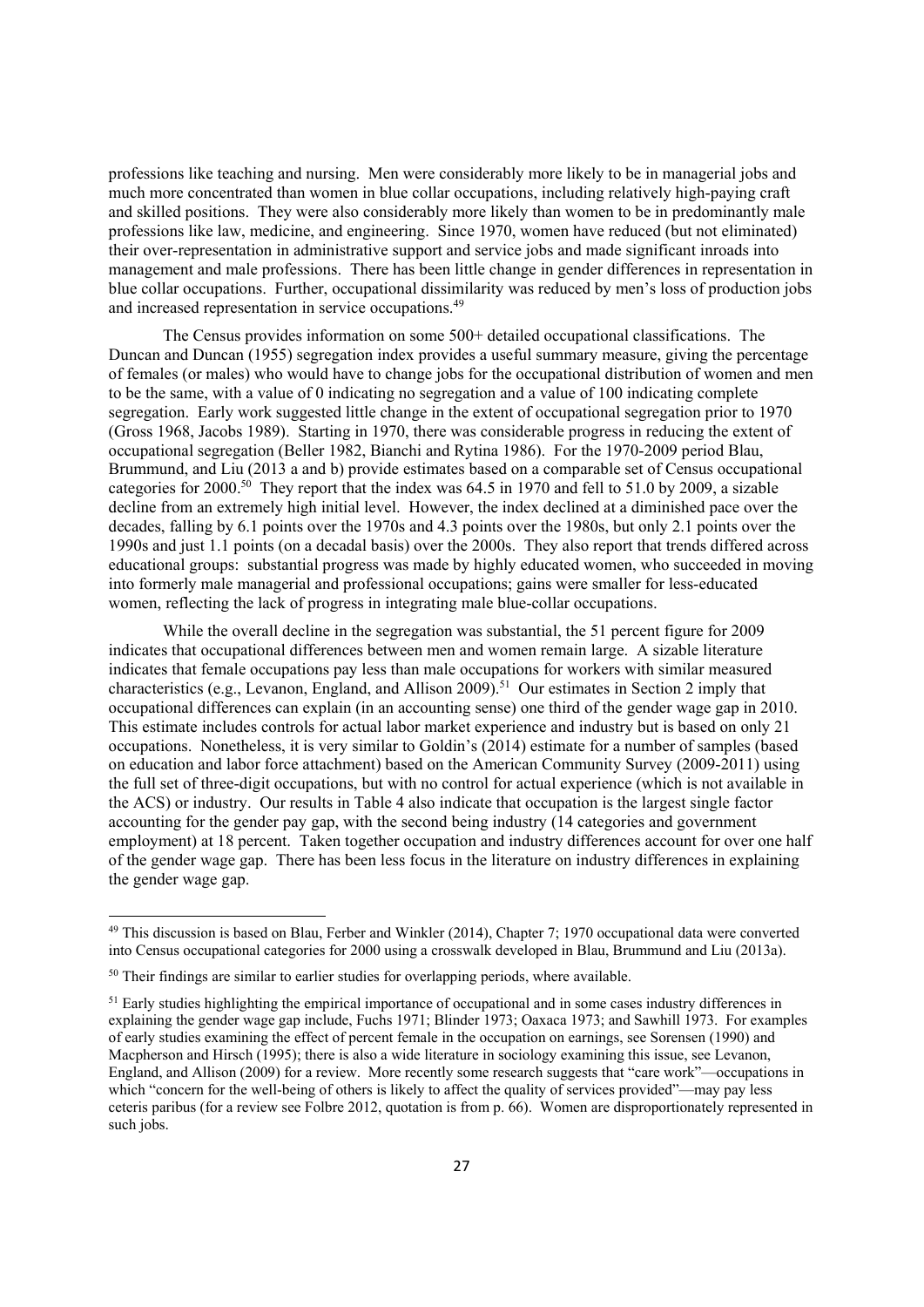professions like teaching and nursing. Men were considerably more likely to be in managerial jobs and much more concentrated than women in blue collar occupations, including relatively high-paying craft and skilled positions. They were also considerably more likely than women to be in predominantly male professions like law, medicine, and engineering. Since 1970, women have reduced (but not eliminated) their over-representation in administrative support and service jobs and made significant inroads into management and male professions. There has been little change in gender differences in representation in blue collar occupations. Further, occupational dissimilarity was reduced by men's loss of production jobs and increased representation in service occupations.49

 The Census provides information on some 500+ detailed occupational classifications. The Duncan and Duncan (1955) segregation index provides a useful summary measure, giving the percentage of females (or males) who would have to change jobs for the occupational distribution of women and men to be the same, with a value of 0 indicating no segregation and a value of 100 indicating complete segregation. Early work suggested little change in the extent of occupational segregation prior to 1970 (Gross 1968, Jacobs 1989). Starting in 1970, there was considerable progress in reducing the extent of occupational segregation (Beller 1982, Bianchi and Rytina 1986). For the 1970-2009 period Blau, Brummund, and Liu (2013 a and b) provide estimates based on a comparable set of Census occupational categories for 2000.50 They report that the index was 64.5 in 1970 and fell to 51.0 by 2009, a sizable decline from an extremely high initial level. However, the index declined at a diminished pace over the decades, falling by 6.1 points over the 1970s and 4.3 points over the 1980s, but only 2.1 points over the 1990s and just 1.1 points (on a decadal basis) over the 2000s. They also report that trends differed across educational groups: substantial progress was made by highly educated women, who succeeded in moving into formerly male managerial and professional occupations; gains were smaller for less-educated women, reflecting the lack of progress in integrating male blue-collar occupations.

 While the overall decline in the segregation was substantial, the 51 percent figure for 2009 indicates that occupational differences between men and women remain large. A sizable literature indicates that female occupations pay less than male occupations for workers with similar measured characteristics (e.g., Levanon, England, and Allison 2009).51 Our estimates in Section 2 imply that occupational differences can explain (in an accounting sense) one third of the gender wage gap in 2010. This estimate includes controls for actual labor market experience and industry but is based on only 21 occupations. Nonetheless, it is very similar to Goldin's (2014) estimate for a number of samples (based on education and labor force attachment) based on the American Community Survey (2009-2011) using the full set of three-digit occupations, but with no control for actual experience (which is not available in the ACS) or industry. Our results in Table 4 also indicate that occupation is the largest single factor accounting for the gender pay gap, with the second being industry (14 categories and government employment) at 18 percent. Taken together occupation and industry differences account for over one half of the gender wage gap. There has been less focus in the literature on industry differences in explaining the gender wage gap.

<sup>49</sup> This discussion is based on Blau, Ferber and Winkler (2014), Chapter 7; 1970 occupational data were converted into Census occupational categories for 2000 using a crosswalk developed in Blau, Brummund and Liu (2013a).

<sup>&</sup>lt;sup>50</sup> Their findings are similar to earlier studies for overlapping periods, where available.

 $51$  Early studies highlighting the empirical importance of occupational and in some cases industry differences in explaining the gender wage gap include, Fuchs 1971; Blinder 1973; Oaxaca 1973; and Sawhill 1973. For examples of early studies examining the effect of percent female in the occupation on earnings, see Sorensen (1990) and Macpherson and Hirsch (1995); there is also a wide literature in sociology examining this issue, see Levanon, England, and Allison (2009) for a review. More recently some research suggests that "care work"—occupations in which "concern for the well-being of others is likely to affect the quality of services provided"—may pay less ceteris paribus (for a review see Folbre 2012, quotation is from p. 66). Women are disproportionately represented in such jobs.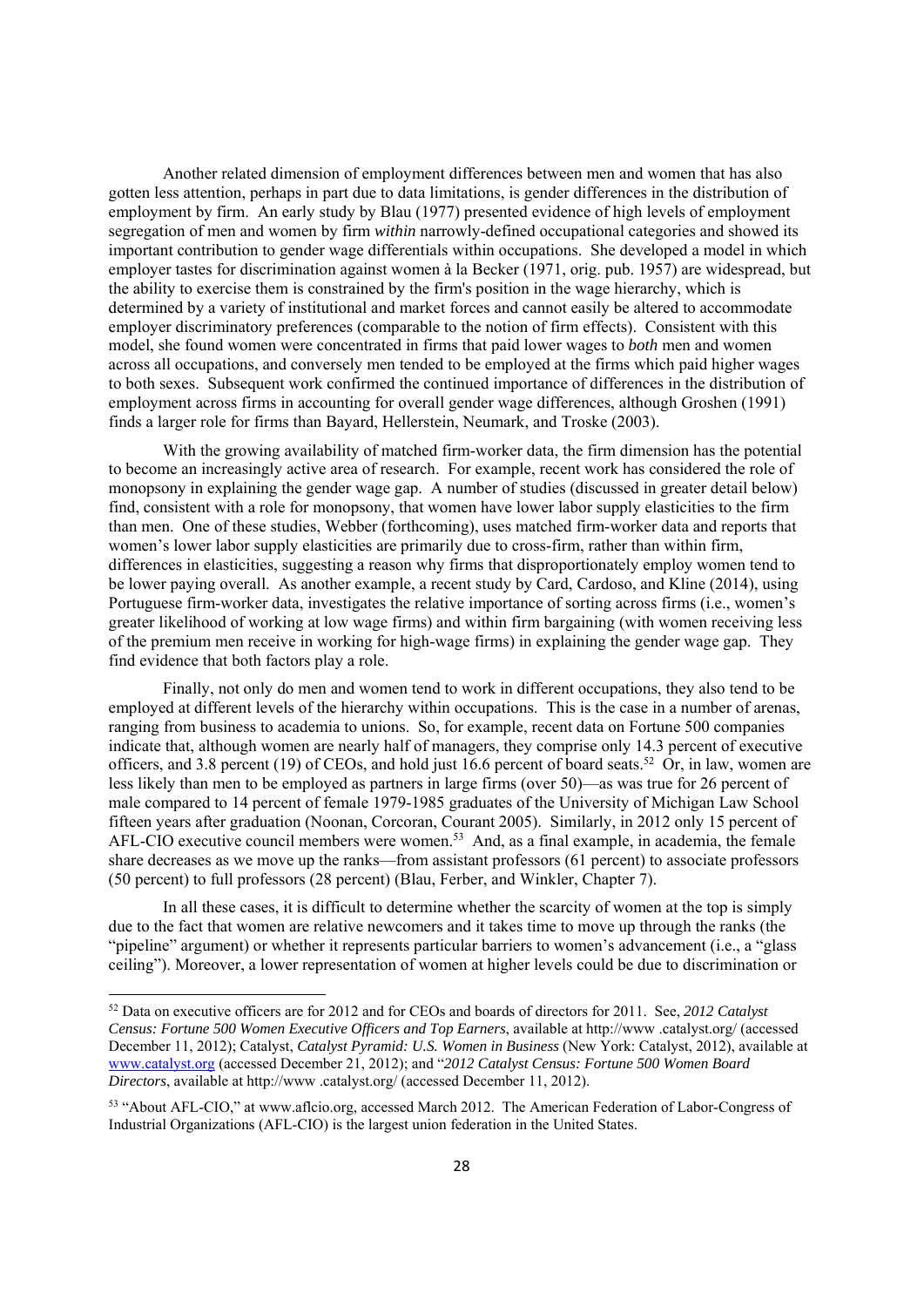Another related dimension of employment differences between men and women that has also gotten less attention, perhaps in part due to data limitations, is gender differences in the distribution of employment by firm. An early study by Blau (1977) presented evidence of high levels of employment segregation of men and women by firm *within* narrowly-defined occupational categories and showed its important contribution to gender wage differentials within occupations. She developed a model in which employer tastes for discrimination against women à la Becker (1971, orig. pub. 1957) are widespread, but the ability to exercise them is constrained by the firm's position in the wage hierarchy, which is determined by a variety of institutional and market forces and cannot easily be altered to accommodate employer discriminatory preferences (comparable to the notion of firm effects). Consistent with this model, she found women were concentrated in firms that paid lower wages to *both* men and women across all occupations, and conversely men tended to be employed at the firms which paid higher wages to both sexes. Subsequent work confirmed the continued importance of differences in the distribution of employment across firms in accounting for overall gender wage differences, although Groshen (1991) finds a larger role for firms than Bayard, Hellerstein, Neumark, and Troske (2003).

With the growing availability of matched firm-worker data, the firm dimension has the potential to become an increasingly active area of research. For example, recent work has considered the role of monopsony in explaining the gender wage gap. A number of studies (discussed in greater detail below) find, consistent with a role for monopsony, that women have lower labor supply elasticities to the firm than men. One of these studies, Webber (forthcoming), uses matched firm-worker data and reports that women's lower labor supply elasticities are primarily due to cross-firm, rather than within firm, differences in elasticities, suggesting a reason why firms that disproportionately employ women tend to be lower paying overall. As another example, a recent study by Card, Cardoso, and Kline (2014), using Portuguese firm-worker data, investigates the relative importance of sorting across firms (i.e., women's greater likelihood of working at low wage firms) and within firm bargaining (with women receiving less of the premium men receive in working for high-wage firms) in explaining the gender wage gap. They find evidence that both factors play a role.

 Finally, not only do men and women tend to work in different occupations, they also tend to be employed at different levels of the hierarchy within occupations. This is the case in a number of arenas, ranging from business to academia to unions. So, for example, recent data on Fortune 500 companies indicate that, although women are nearly half of managers, they comprise only 14.3 percent of executive officers, and 3.8 percent (19) of CEOs, and hold just 16.6 percent of board seats.<sup>52</sup> Or, in law, women are less likely than men to be employed as partners in large firms (over 50)—as was true for 26 percent of male compared to 14 percent of female 1979-1985 graduates of the University of Michigan Law School fifteen years after graduation (Noonan, Corcoran, Courant 2005). Similarly, in 2012 only 15 percent of AFL-CIO executive council members were women.53 And, as a final example, in academia, the female share decreases as we move up the ranks—from assistant professors (61 percent) to associate professors (50 percent) to full professors (28 percent) (Blau, Ferber, and Winkler, Chapter 7).

 In all these cases, it is difficult to determine whether the scarcity of women at the top is simply due to the fact that women are relative newcomers and it takes time to move up through the ranks (the "pipeline" argument) or whether it represents particular barriers to women's advancement (i.e., a "glass ceiling"). Moreover, a lower representation of women at higher levels could be due to discrimination or

<sup>52</sup> Data on executive officers are for 2012 and for CEOs and boards of directors for 2011. See, *2012 Catalyst Census: Fortune 500 Women Executive Officers and Top Earners*, available at http://www .catalyst.org/ (accessed December 11, 2012); Catalyst, *Catalyst Pyramid: U.S. Women in Business* (New York: Catalyst, 2012), available at www.catalyst.org (accessed December 21, 2012); and "*2012 Catalyst Census: Fortune 500 Women Board Directors*, available at http://www .catalyst.org/ (accessed December 11, 2012).

<sup>53 &</sup>quot;About AFL-CIO," at www.aflcio.org, accessed March 2012. The American Federation of Labor-Congress of Industrial Organizations (AFL-CIO) is the largest union federation in the United States.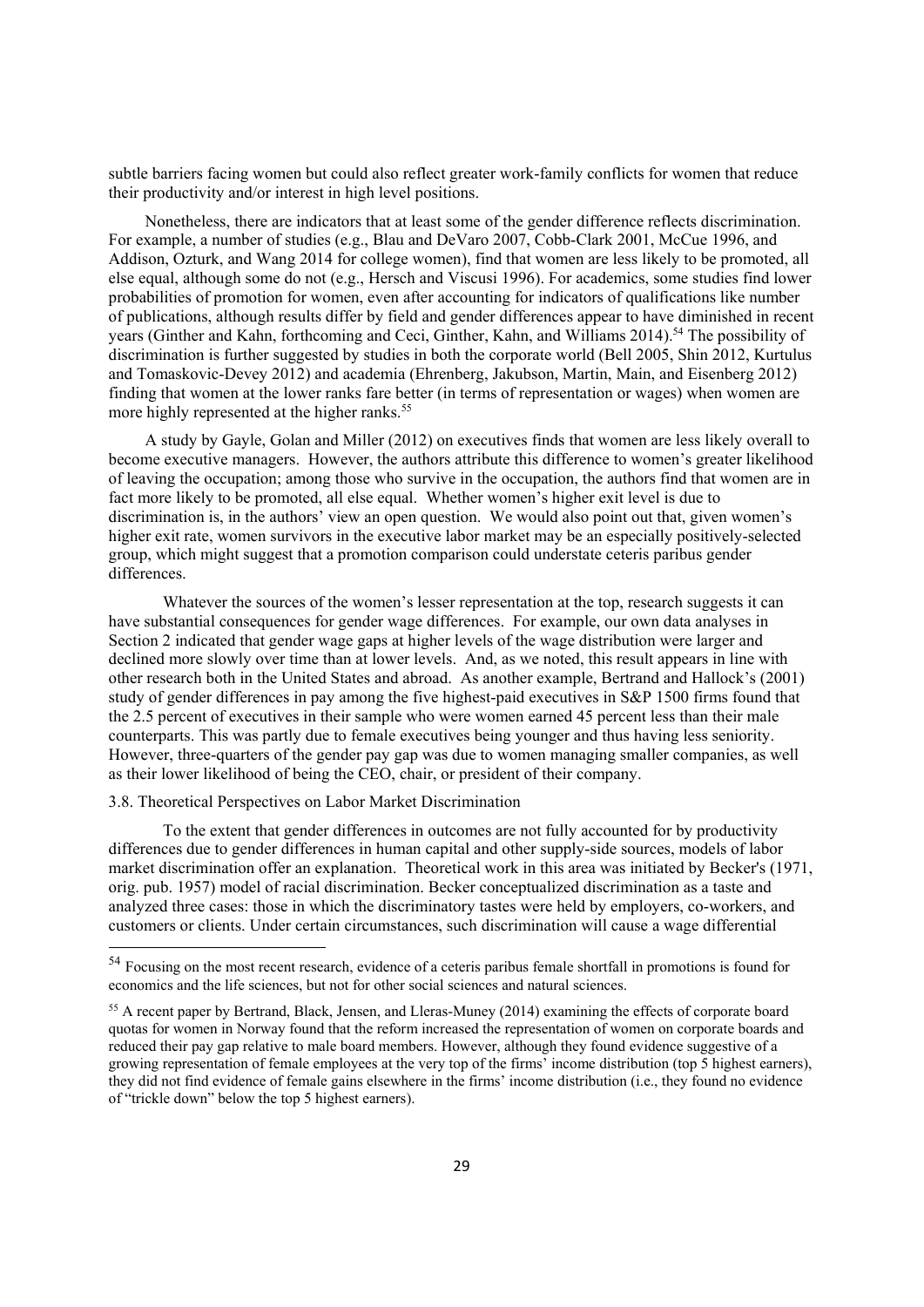subtle barriers facing women but could also reflect greater work-family conflicts for women that reduce their productivity and/or interest in high level positions.

Nonetheless, there are indicators that at least some of the gender difference reflects discrimination. For example, a number of studies (e.g., Blau and DeVaro 2007, Cobb-Clark 2001, McCue 1996, and Addison, Ozturk, and Wang 2014 for college women), find that women are less likely to be promoted, all else equal, although some do not (e.g., Hersch and Viscusi 1996). For academics, some studies find lower probabilities of promotion for women, even after accounting for indicators of qualifications like number of publications, although results differ by field and gender differences appear to have diminished in recent years (Ginther and Kahn, forthcoming and Ceci, Ginther, Kahn, and Williams 2014).54 The possibility of discrimination is further suggested by studies in both the corporate world (Bell 2005, Shin 2012, Kurtulus and Tomaskovic-Devey 2012) and academia (Ehrenberg, Jakubson, Martin, Main, and Eisenberg 2012) finding that women at the lower ranks fare better (in terms of representation or wages) when women are more highly represented at the higher ranks.<sup>55</sup>

A study by Gayle, Golan and Miller (2012) on executives finds that women are less likely overall to become executive managers. However, the authors attribute this difference to women's greater likelihood of leaving the occupation; among those who survive in the occupation, the authors find that women are in fact more likely to be promoted, all else equal. Whether women's higher exit level is due to discrimination is, in the authors' view an open question. We would also point out that, given women's higher exit rate, women survivors in the executive labor market may be an especially positively-selected group, which might suggest that a promotion comparison could understate ceteris paribus gender differences.

Whatever the sources of the women's lesser representation at the top, research suggests it can have substantial consequences for gender wage differences. For example, our own data analyses in Section 2 indicated that gender wage gaps at higher levels of the wage distribution were larger and declined more slowly over time than at lower levels. And, as we noted, this result appears in line with other research both in the United States and abroad. As another example, Bertrand and Hallock's (2001) study of gender differences in pay among the five highest-paid executives in S&P 1500 firms found that the 2.5 percent of executives in their sample who were women earned 45 percent less than their male counterparts. This was partly due to female executives being younger and thus having less seniority. However, three-quarters of the gender pay gap was due to women managing smaller companies, as well as their lower likelihood of being the CEO, chair, or president of their company.

#### 3.8. Theoretical Perspectives on Labor Market Discrimination

To the extent that gender differences in outcomes are not fully accounted for by productivity differences due to gender differences in human capital and other supply-side sources, models of labor market discrimination offer an explanation. Theoretical work in this area was initiated by Becker's (1971, orig. pub. 1957) model of racial discrimination. Becker conceptualized discrimination as a taste and analyzed three cases: those in which the discriminatory tastes were held by employers, co-workers, and customers or clients. Under certain circumstances, such discrimination will cause a wage differential

<sup>54</sup> Focusing on the most recent research, evidence of a ceteris paribus female shortfall in promotions is found for economics and the life sciences, but not for other social sciences and natural sciences.

<sup>&</sup>lt;sup>55</sup> A recent paper by Bertrand, Black, Jensen, and Lleras-Muney (2014) examining the effects of corporate board quotas for women in Norway found that the reform increased the representation of women on corporate boards and reduced their pay gap relative to male board members. However, although they found evidence suggestive of a growing representation of female employees at the very top of the firms' income distribution (top 5 highest earners), they did not find evidence of female gains elsewhere in the firms' income distribution (i.e., they found no evidence of "trickle down" below the top 5 highest earners).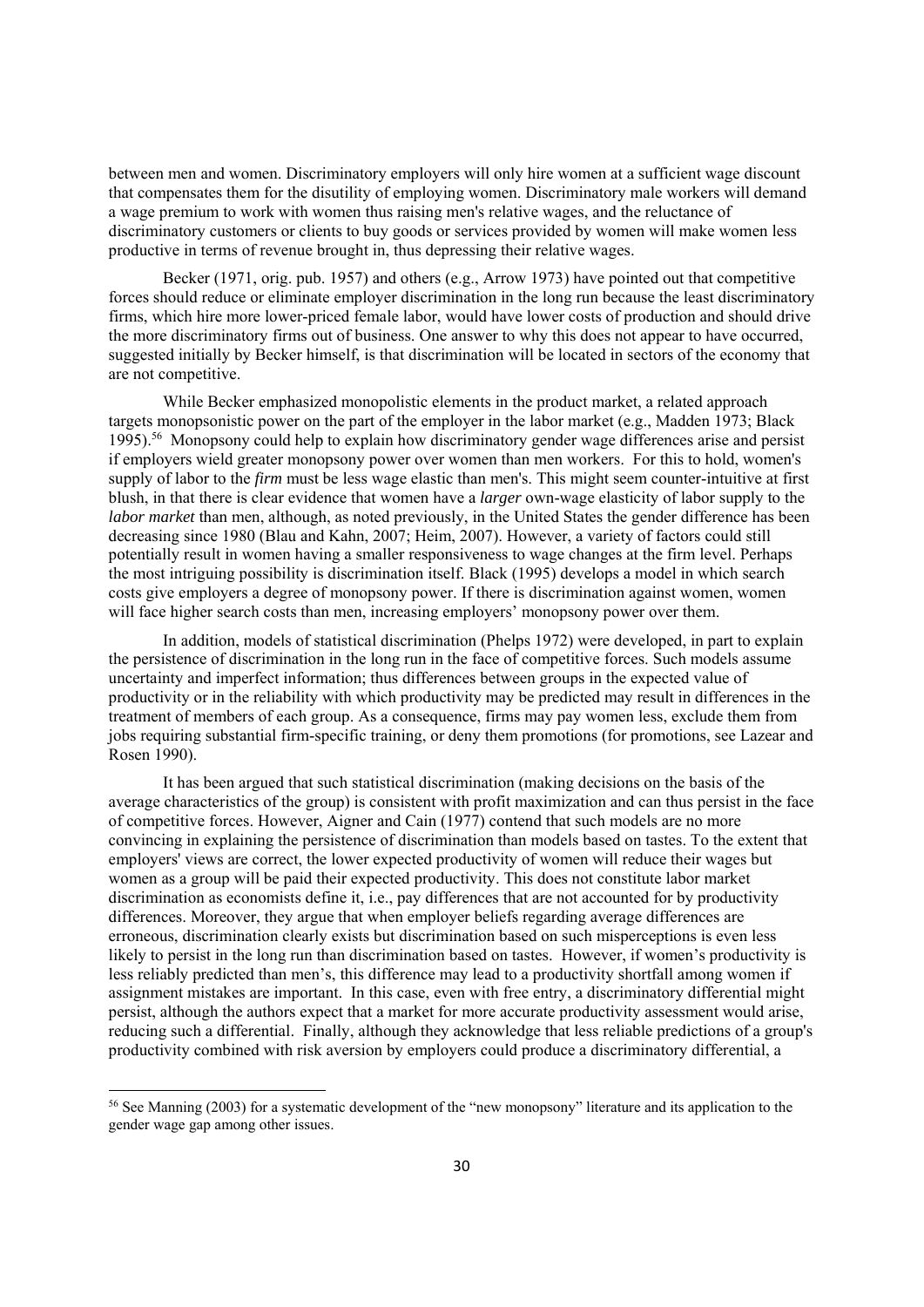between men and women. Discriminatory employers will only hire women at a sufficient wage discount that compensates them for the disutility of employing women. Discriminatory male workers will demand a wage premium to work with women thus raising men's relative wages, and the reluctance of discriminatory customers or clients to buy goods or services provided by women will make women less productive in terms of revenue brought in, thus depressing their relative wages.

Becker (1971, orig. pub. 1957) and others (e.g., Arrow 1973) have pointed out that competitive forces should reduce or eliminate employer discrimination in the long run because the least discriminatory firms, which hire more lower-priced female labor, would have lower costs of production and should drive the more discriminatory firms out of business. One answer to why this does not appear to have occurred, suggested initially by Becker himself, is that discrimination will be located in sectors of the economy that are not competitive.

While Becker emphasized monopolistic elements in the product market, a related approach targets monopsonistic power on the part of the employer in the labor market (e.g., Madden 1973; Black 1995).56 Monopsony could help to explain how discriminatory gender wage differences arise and persist if employers wield greater monopsony power over women than men workers. For this to hold, women's supply of labor to the *firm* must be less wage elastic than men's. This might seem counter-intuitive at first blush, in that there is clear evidence that women have a *larger* own-wage elasticity of labor supply to the *labor market* than men, although, as noted previously, in the United States the gender difference has been decreasing since 1980 (Blau and Kahn, 2007; Heim, 2007). However, a variety of factors could still potentially result in women having a smaller responsiveness to wage changes at the firm level. Perhaps the most intriguing possibility is discrimination itself. Black (1995) develops a model in which search costs give employers a degree of monopsony power. If there is discrimination against women, women will face higher search costs than men, increasing employers' monopsony power over them.

In addition, models of statistical discrimination (Phelps 1972) were developed, in part to explain the persistence of discrimination in the long run in the face of competitive forces. Such models assume uncertainty and imperfect information; thus differences between groups in the expected value of productivity or in the reliability with which productivity may be predicted may result in differences in the treatment of members of each group. As a consequence, firms may pay women less, exclude them from jobs requiring substantial firm-specific training, or deny them promotions (for promotions, see Lazear and Rosen 1990).

It has been argued that such statistical discrimination (making decisions on the basis of the average characteristics of the group) is consistent with profit maximization and can thus persist in the face of competitive forces. However, Aigner and Cain (1977) contend that such models are no more convincing in explaining the persistence of discrimination than models based on tastes. To the extent that employers' views are correct, the lower expected productivity of women will reduce their wages but women as a group will be paid their expected productivity. This does not constitute labor market discrimination as economists define it, i.e., pay differences that are not accounted for by productivity differences. Moreover, they argue that when employer beliefs regarding average differences are erroneous, discrimination clearly exists but discrimination based on such misperceptions is even less likely to persist in the long run than discrimination based on tastes. However, if women's productivity is less reliably predicted than men's, this difference may lead to a productivity shortfall among women if assignment mistakes are important. In this case, even with free entry, a discriminatory differential might persist, although the authors expect that a market for more accurate productivity assessment would arise, reducing such a differential. Finally, although they acknowledge that less reliable predictions of a group's productivity combined with risk aversion by employers could produce a discriminatory differential, a

<sup>56</sup> See Manning (2003) for a systematic development of the "new monopsony" literature and its application to the gender wage gap among other issues.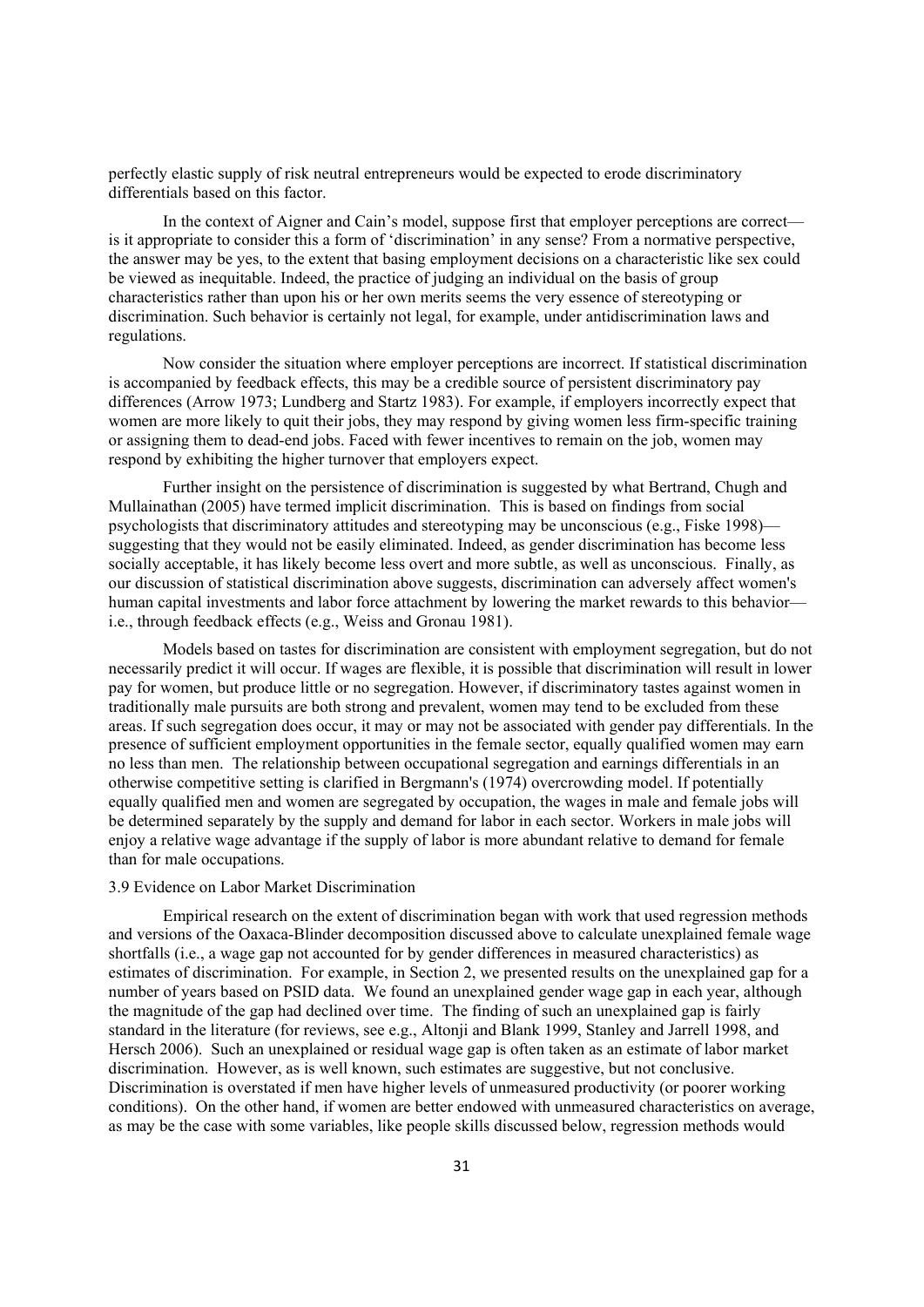perfectly elastic supply of risk neutral entrepreneurs would be expected to erode discriminatory differentials based on this factor.

In the context of Aigner and Cain's model, suppose first that employer perceptions are correct is it appropriate to consider this a form of 'discrimination' in any sense? From a normative perspective, the answer may be yes, to the extent that basing employment decisions on a characteristic like sex could be viewed as inequitable. Indeed, the practice of judging an individual on the basis of group characteristics rather than upon his or her own merits seems the very essence of stereotyping or discrimination. Such behavior is certainly not legal, for example, under antidiscrimination laws and regulations.

Now consider the situation where employer perceptions are incorrect. If statistical discrimination is accompanied by feedback effects, this may be a credible source of persistent discriminatory pay differences (Arrow 1973; Lundberg and Startz 1983). For example, if employers incorrectly expect that women are more likely to quit their jobs, they may respond by giving women less firm-specific training or assigning them to dead-end jobs. Faced with fewer incentives to remain on the job, women may respond by exhibiting the higher turnover that employers expect.

Further insight on the persistence of discrimination is suggested by what Bertrand, Chugh and Mullainathan (2005) have termed implicit discrimination. This is based on findings from social psychologists that discriminatory attitudes and stereotyping may be unconscious (e.g., Fiske 1998) suggesting that they would not be easily eliminated. Indeed, as gender discrimination has become less socially acceptable, it has likely become less overt and more subtle, as well as unconscious. Finally, as our discussion of statistical discrimination above suggests, discrimination can adversely affect women's human capital investments and labor force attachment by lowering the market rewards to this behavior i.e., through feedback effects (e.g., Weiss and Gronau 1981).

Models based on tastes for discrimination are consistent with employment segregation, but do not necessarily predict it will occur. If wages are flexible, it is possible that discrimination will result in lower pay for women, but produce little or no segregation. However, if discriminatory tastes against women in traditionally male pursuits are both strong and prevalent, women may tend to be excluded from these areas. If such segregation does occur, it may or may not be associated with gender pay differentials. In the presence of sufficient employment opportunities in the female sector, equally qualified women may earn no less than men. The relationship between occupational segregation and earnings differentials in an otherwise competitive setting is clarified in Bergmann's (1974) overcrowding model. If potentially equally qualified men and women are segregated by occupation, the wages in male and female jobs will be determined separately by the supply and demand for labor in each sector. Workers in male jobs will enjoy a relative wage advantage if the supply of labor is more abundant relative to demand for female than for male occupations.

#### 3.9 Evidence on Labor Market Discrimination

Empirical research on the extent of discrimination began with work that used regression methods and versions of the Oaxaca-Blinder decomposition discussed above to calculate unexplained female wage shortfalls (i.e., a wage gap not accounted for by gender differences in measured characteristics) as estimates of discrimination. For example, in Section 2, we presented results on the unexplained gap for a number of years based on PSID data. We found an unexplained gender wage gap in each year, although the magnitude of the gap had declined over time. The finding of such an unexplained gap is fairly standard in the literature (for reviews, see e.g., Altonji and Blank 1999, Stanley and Jarrell 1998, and Hersch 2006). Such an unexplained or residual wage gap is often taken as an estimate of labor market discrimination. However, as is well known, such estimates are suggestive, but not conclusive. Discrimination is overstated if men have higher levels of unmeasured productivity (or poorer working conditions). On the other hand, if women are better endowed with unmeasured characteristics on average, as may be the case with some variables, like people skills discussed below, regression methods would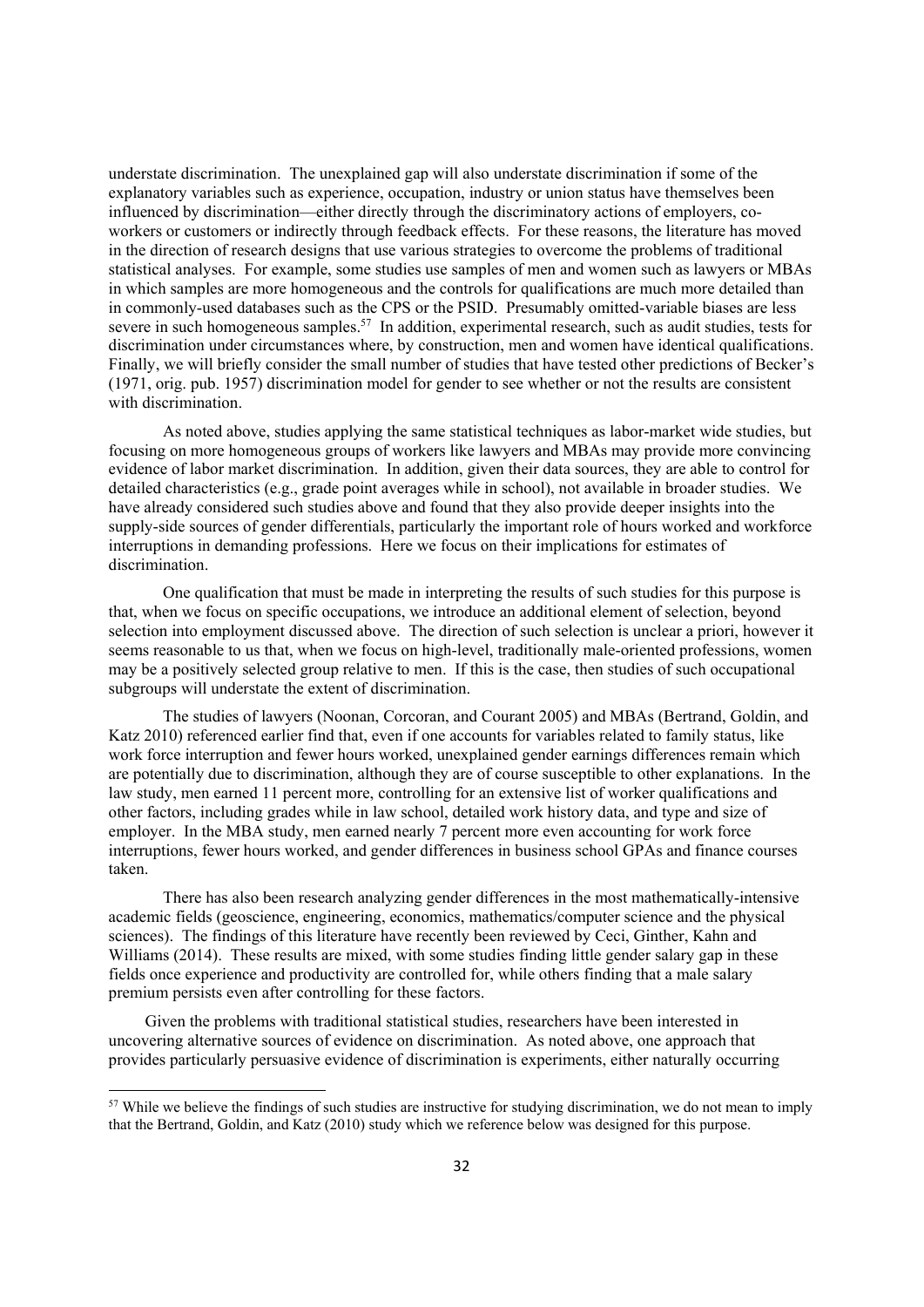understate discrimination. The unexplained gap will also understate discrimination if some of the explanatory variables such as experience, occupation, industry or union status have themselves been influenced by discrimination—either directly through the discriminatory actions of employers, coworkers or customers or indirectly through feedback effects. For these reasons, the literature has moved in the direction of research designs that use various strategies to overcome the problems of traditional statistical analyses. For example, some studies use samples of men and women such as lawyers or MBAs in which samples are more homogeneous and the controls for qualifications are much more detailed than in commonly-used databases such as the CPS or the PSID. Presumably omitted-variable biases are less severe in such homogeneous samples.<sup>57</sup> In addition, experimental research, such as audit studies, tests for discrimination under circumstances where, by construction, men and women have identical qualifications. Finally, we will briefly consider the small number of studies that have tested other predictions of Becker's (1971, orig. pub. 1957) discrimination model for gender to see whether or not the results are consistent with discrimination.

As noted above, studies applying the same statistical techniques as labor-market wide studies, but focusing on more homogeneous groups of workers like lawyers and MBAs may provide more convincing evidence of labor market discrimination. In addition, given their data sources, they are able to control for detailed characteristics (e.g., grade point averages while in school), not available in broader studies. We have already considered such studies above and found that they also provide deeper insights into the supply-side sources of gender differentials, particularly the important role of hours worked and workforce interruptions in demanding professions. Here we focus on their implications for estimates of discrimination.

One qualification that must be made in interpreting the results of such studies for this purpose is that, when we focus on specific occupations, we introduce an additional element of selection, beyond selection into employment discussed above. The direction of such selection is unclear a priori, however it seems reasonable to us that, when we focus on high-level, traditionally male-oriented professions, women may be a positively selected group relative to men. If this is the case, then studies of such occupational subgroups will understate the extent of discrimination.

The studies of lawyers (Noonan, Corcoran, and Courant 2005) and MBAs (Bertrand, Goldin, and Katz 2010) referenced earlier find that, even if one accounts for variables related to family status, like work force interruption and fewer hours worked, unexplained gender earnings differences remain which are potentially due to discrimination, although they are of course susceptible to other explanations. In the law study, men earned 11 percent more, controlling for an extensive list of worker qualifications and other factors, including grades while in law school, detailed work history data, and type and size of employer. In the MBA study, men earned nearly 7 percent more even accounting for work force interruptions, fewer hours worked, and gender differences in business school GPAs and finance courses taken.

There has also been research analyzing gender differences in the most mathematically-intensive academic fields (geoscience, engineering, economics, mathematics/computer science and the physical sciences). The findings of this literature have recently been reviewed by Ceci, Ginther, Kahn and Williams (2014). These results are mixed, with some studies finding little gender salary gap in these fields once experience and productivity are controlled for, while others finding that a male salary premium persists even after controlling for these factors.

Given the problems with traditional statistical studies, researchers have been interested in uncovering alternative sources of evidence on discrimination. As noted above, one approach that provides particularly persuasive evidence of discrimination is experiments, either naturally occurring

<sup>&</sup>lt;sup>57</sup> While we believe the findings of such studies are instructive for studying discrimination, we do not mean to imply that the Bertrand, Goldin, and Katz (2010) study which we reference below was designed for this purpose.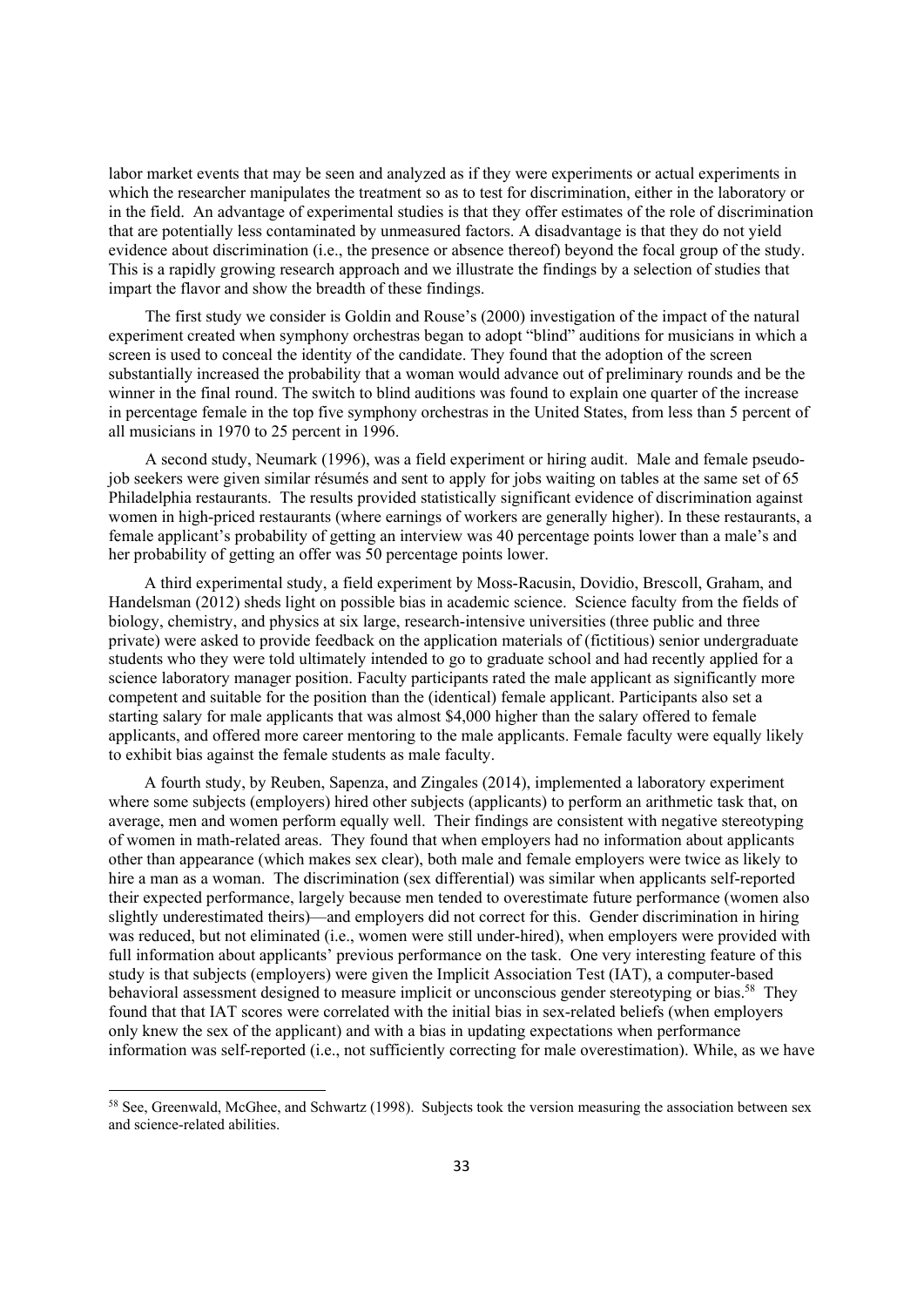labor market events that may be seen and analyzed as if they were experiments or actual experiments in which the researcher manipulates the treatment so as to test for discrimination, either in the laboratory or in the field. An advantage of experimental studies is that they offer estimates of the role of discrimination that are potentially less contaminated by unmeasured factors. A disadvantage is that they do not yield evidence about discrimination (i.e., the presence or absence thereof) beyond the focal group of the study. This is a rapidly growing research approach and we illustrate the findings by a selection of studies that impart the flavor and show the breadth of these findings.

The first study we consider is Goldin and Rouse's (2000) investigation of the impact of the natural experiment created when symphony orchestras began to adopt "blind" auditions for musicians in which a screen is used to conceal the identity of the candidate. They found that the adoption of the screen substantially increased the probability that a woman would advance out of preliminary rounds and be the winner in the final round. The switch to blind auditions was found to explain one quarter of the increase in percentage female in the top five symphony orchestras in the United States, from less than 5 percent of all musicians in 1970 to 25 percent in 1996.

A second study, Neumark (1996), was a field experiment or hiring audit. Male and female pseudojob seekers were given similar résumés and sent to apply for jobs waiting on tables at the same set of 65 Philadelphia restaurants. The results provided statistically significant evidence of discrimination against women in high-priced restaurants (where earnings of workers are generally higher). In these restaurants, a female applicant's probability of getting an interview was 40 percentage points lower than a male's and her probability of getting an offer was 50 percentage points lower.

A third experimental study, a field experiment by Moss-Racusin, Dovidio, Brescoll, Graham, and Handelsman (2012) sheds light on possible bias in academic science. Science faculty from the fields of biology, chemistry, and physics at six large, research-intensive universities (three public and three private) were asked to provide feedback on the application materials of (fictitious) senior undergraduate students who they were told ultimately intended to go to graduate school and had recently applied for a science laboratory manager position. Faculty participants rated the male applicant as significantly more competent and suitable for the position than the (identical) female applicant. Participants also set a starting salary for male applicants that was almost \$4,000 higher than the salary offered to female applicants, and offered more career mentoring to the male applicants. Female faculty were equally likely to exhibit bias against the female students as male faculty.

A fourth study, by Reuben, Sapenza, and Zingales (2014), implemented a laboratory experiment where some subjects (employers) hired other subjects (applicants) to perform an arithmetic task that, on average, men and women perform equally well. Their findings are consistent with negative stereotyping of women in math-related areas. They found that when employers had no information about applicants other than appearance (which makes sex clear), both male and female employers were twice as likely to hire a man as a woman. The discrimination (sex differential) was similar when applicants self-reported their expected performance, largely because men tended to overestimate future performance (women also slightly underestimated theirs)—and employers did not correct for this. Gender discrimination in hiring was reduced, but not eliminated (i.e., women were still under-hired), when employers were provided with full information about applicants' previous performance on the task. One very interesting feature of this study is that subjects (employers) were given the Implicit Association Test (IAT), a computer-based behavioral assessment designed to measure implicit or unconscious gender stereotyping or bias.<sup>58</sup> They found that that IAT scores were correlated with the initial bias in sex-related beliefs (when employers only knew the sex of the applicant) and with a bias in updating expectations when performance information was self-reported (i.e., not sufficiently correcting for male overestimation). While, as we have

<sup>&</sup>lt;sup>58</sup> See, Greenwald, McGhee, and Schwartz (1998). Subjects took the version measuring the association between sex and science-related abilities.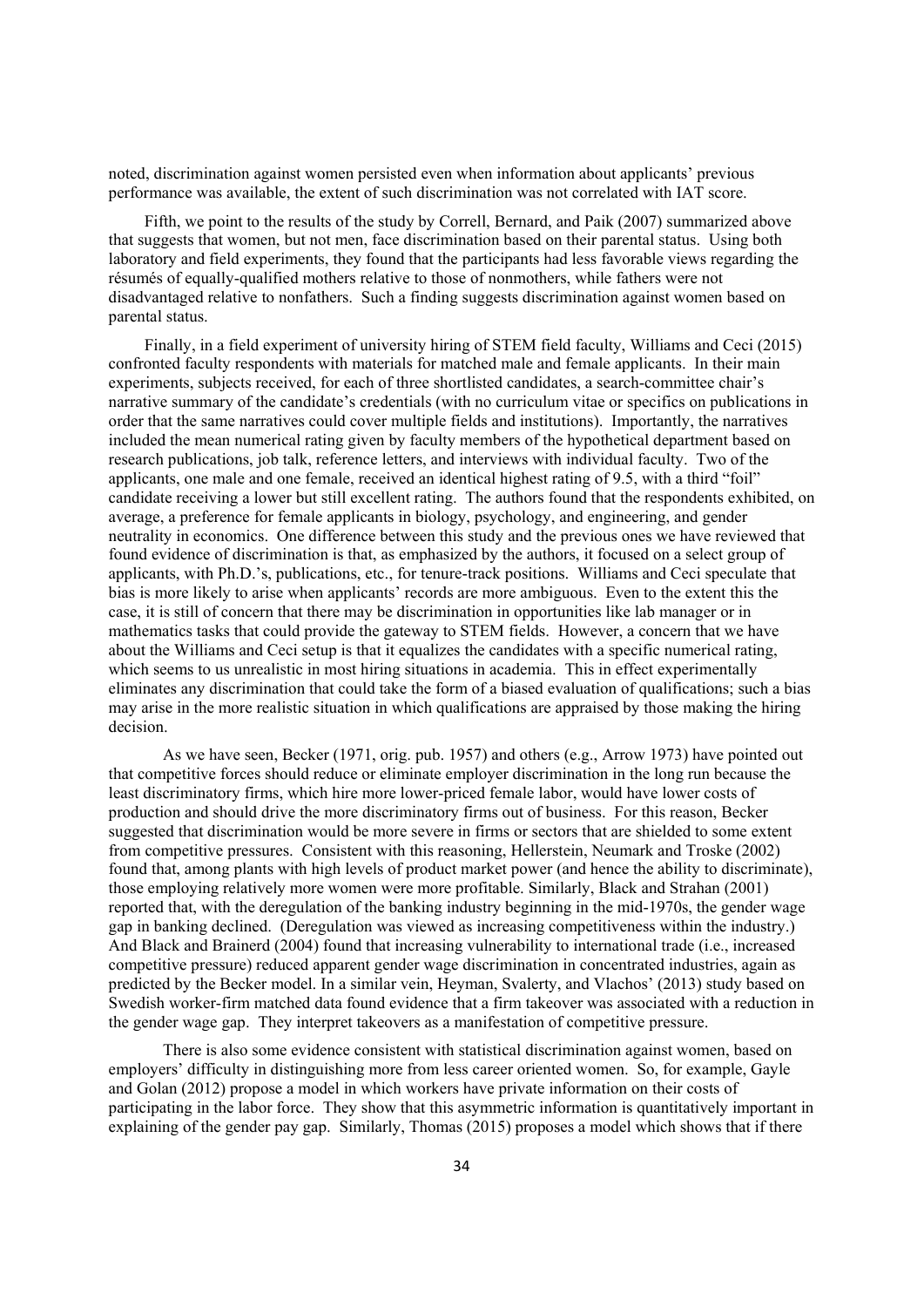noted, discrimination against women persisted even when information about applicants' previous performance was available, the extent of such discrimination was not correlated with IAT score.

Fifth, we point to the results of the study by Correll, Bernard, and Paik (2007) summarized above that suggests that women, but not men, face discrimination based on their parental status. Using both laboratory and field experiments, they found that the participants had less favorable views regarding the résumés of equally-qualified mothers relative to those of nonmothers, while fathers were not disadvantaged relative to nonfathers. Such a finding suggests discrimination against women based on parental status.

Finally, in a field experiment of university hiring of STEM field faculty, Williams and Ceci (2015) confronted faculty respondents with materials for matched male and female applicants. In their main experiments, subjects received, for each of three shortlisted candidates, a search-committee chair's narrative summary of the candidate's credentials (with no curriculum vitae or specifics on publications in order that the same narratives could cover multiple fields and institutions). Importantly, the narratives included the mean numerical rating given by faculty members of the hypothetical department based on research publications, job talk, reference letters, and interviews with individual faculty. Two of the applicants, one male and one female, received an identical highest rating of 9.5, with a third "foil" candidate receiving a lower but still excellent rating. The authors found that the respondents exhibited, on average, a preference for female applicants in biology, psychology, and engineering, and gender neutrality in economics. One difference between this study and the previous ones we have reviewed that found evidence of discrimination is that, as emphasized by the authors, it focused on a select group of applicants, with Ph.D.'s, publications, etc., for tenure-track positions. Williams and Ceci speculate that bias is more likely to arise when applicants' records are more ambiguous. Even to the extent this the case, it is still of concern that there may be discrimination in opportunities like lab manager or in mathematics tasks that could provide the gateway to STEM fields. However, a concern that we have about the Williams and Ceci setup is that it equalizes the candidates with a specific numerical rating, which seems to us unrealistic in most hiring situations in academia. This in effect experimentally eliminates any discrimination that could take the form of a biased evaluation of qualifications; such a bias may arise in the more realistic situation in which qualifications are appraised by those making the hiring decision.

As we have seen, Becker (1971, orig. pub. 1957) and others (e.g., Arrow 1973) have pointed out that competitive forces should reduce or eliminate employer discrimination in the long run because the least discriminatory firms, which hire more lower-priced female labor, would have lower costs of production and should drive the more discriminatory firms out of business. For this reason, Becker suggested that discrimination would be more severe in firms or sectors that are shielded to some extent from competitive pressures. Consistent with this reasoning, Hellerstein, Neumark and Troske (2002) found that, among plants with high levels of product market power (and hence the ability to discriminate), those employing relatively more women were more profitable. Similarly, Black and Strahan (2001) reported that, with the deregulation of the banking industry beginning in the mid-1970s, the gender wage gap in banking declined. (Deregulation was viewed as increasing competitiveness within the industry.) And Black and Brainerd (2004) found that increasing vulnerability to international trade (i.e., increased competitive pressure) reduced apparent gender wage discrimination in concentrated industries, again as predicted by the Becker model. In a similar vein, Heyman, Svalerty, and Vlachos' (2013) study based on Swedish worker-firm matched data found evidence that a firm takeover was associated with a reduction in the gender wage gap. They interpret takeovers as a manifestation of competitive pressure.

There is also some evidence consistent with statistical discrimination against women, based on employers' difficulty in distinguishing more from less career oriented women. So, for example, Gayle and Golan (2012) propose a model in which workers have private information on their costs of participating in the labor force. They show that this asymmetric information is quantitatively important in explaining of the gender pay gap. Similarly, Thomas (2015) proposes a model which shows that if there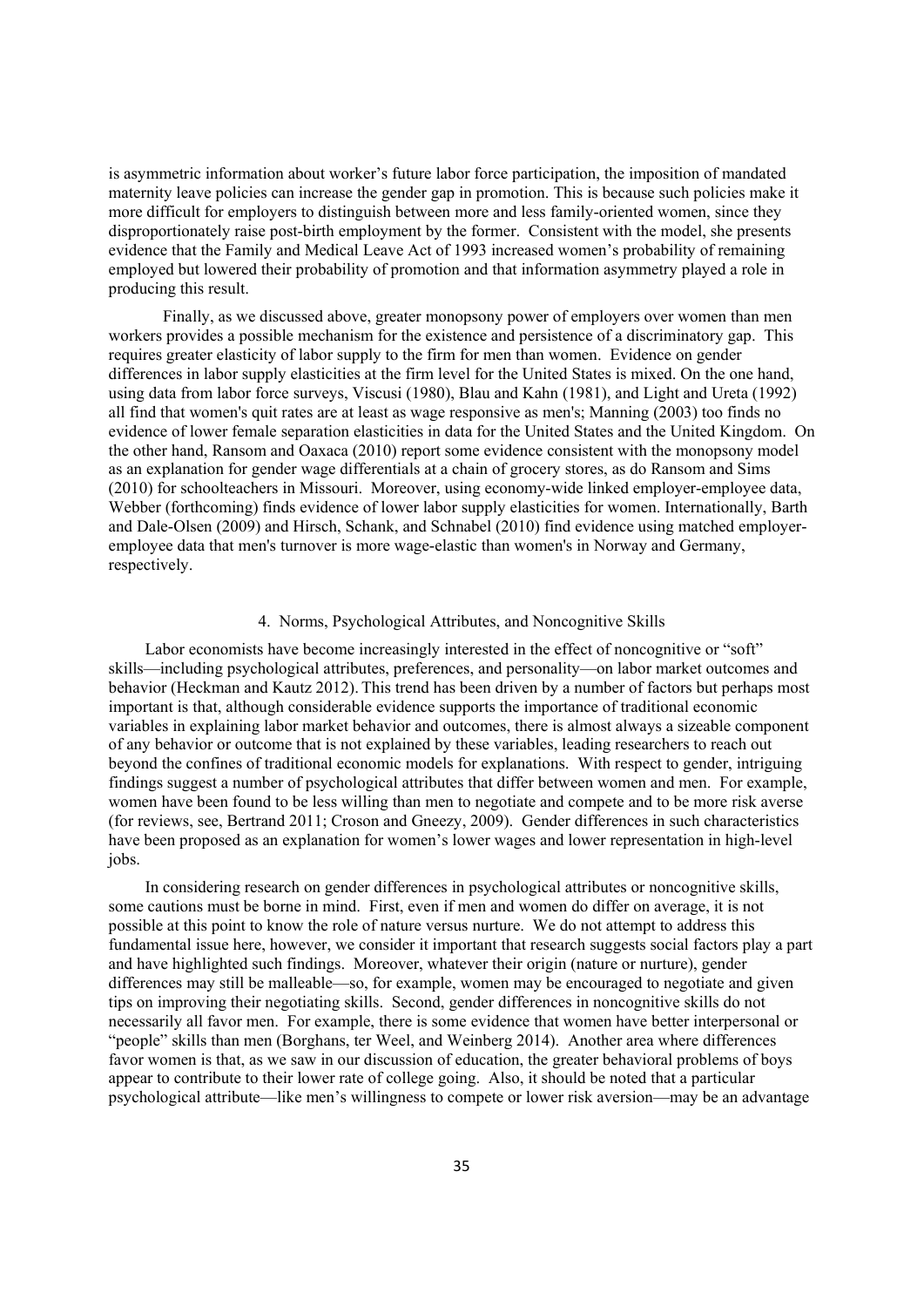is asymmetric information about worker's future labor force participation, the imposition of mandated maternity leave policies can increase the gender gap in promotion. This is because such policies make it more difficult for employers to distinguish between more and less family-oriented women, since they disproportionately raise post-birth employment by the former. Consistent with the model, she presents evidence that the Family and Medical Leave Act of 1993 increased women's probability of remaining employed but lowered their probability of promotion and that information asymmetry played a role in producing this result.

Finally, as we discussed above, greater monopsony power of employers over women than men workers provides a possible mechanism for the existence and persistence of a discriminatory gap. This requires greater elasticity of labor supply to the firm for men than women. Evidence on gender differences in labor supply elasticities at the firm level for the United States is mixed. On the one hand, using data from labor force surveys, Viscusi (1980), Blau and Kahn (1981), and Light and Ureta (1992) all find that women's quit rates are at least as wage responsive as men's; Manning (2003) too finds no evidence of lower female separation elasticities in data for the United States and the United Kingdom. On the other hand, Ransom and Oaxaca (2010) report some evidence consistent with the monopsony model as an explanation for gender wage differentials at a chain of grocery stores, as do Ransom and Sims (2010) for schoolteachers in Missouri. Moreover, using economy-wide linked employer-employee data, Webber (forthcoming) finds evidence of lower labor supply elasticities for women. Internationally, Barth and Dale-Olsen (2009) and Hirsch, Schank, and Schnabel (2010) find evidence using matched employeremployee data that men's turnover is more wage-elastic than women's in Norway and Germany, respectively.

## 4. Norms, Psychological Attributes, and Noncognitive Skills

Labor economists have become increasingly interested in the effect of noncognitive or "soft" skills—including psychological attributes, preferences, and personality—on labor market outcomes and behavior (Heckman and Kautz 2012). This trend has been driven by a number of factors but perhaps most important is that, although considerable evidence supports the importance of traditional economic variables in explaining labor market behavior and outcomes, there is almost always a sizeable component of any behavior or outcome that is not explained by these variables, leading researchers to reach out beyond the confines of traditional economic models for explanations. With respect to gender, intriguing findings suggest a number of psychological attributes that differ between women and men. For example, women have been found to be less willing than men to negotiate and compete and to be more risk averse (for reviews, see, Bertrand 2011; Croson and Gneezy, 2009). Gender differences in such characteristics have been proposed as an explanation for women's lower wages and lower representation in high-level jobs.

In considering research on gender differences in psychological attributes or noncognitive skills, some cautions must be borne in mind. First, even if men and women do differ on average, it is not possible at this point to know the role of nature versus nurture. We do not attempt to address this fundamental issue here, however, we consider it important that research suggests social factors play a part and have highlighted such findings. Moreover, whatever their origin (nature or nurture), gender differences may still be malleable—so, for example, women may be encouraged to negotiate and given tips on improving their negotiating skills. Second, gender differences in noncognitive skills do not necessarily all favor men. For example, there is some evidence that women have better interpersonal or "people" skills than men (Borghans, ter Weel, and Weinberg 2014). Another area where differences favor women is that, as we saw in our discussion of education, the greater behavioral problems of boys appear to contribute to their lower rate of college going. Also, it should be noted that a particular psychological attribute—like men's willingness to compete or lower risk aversion—may be an advantage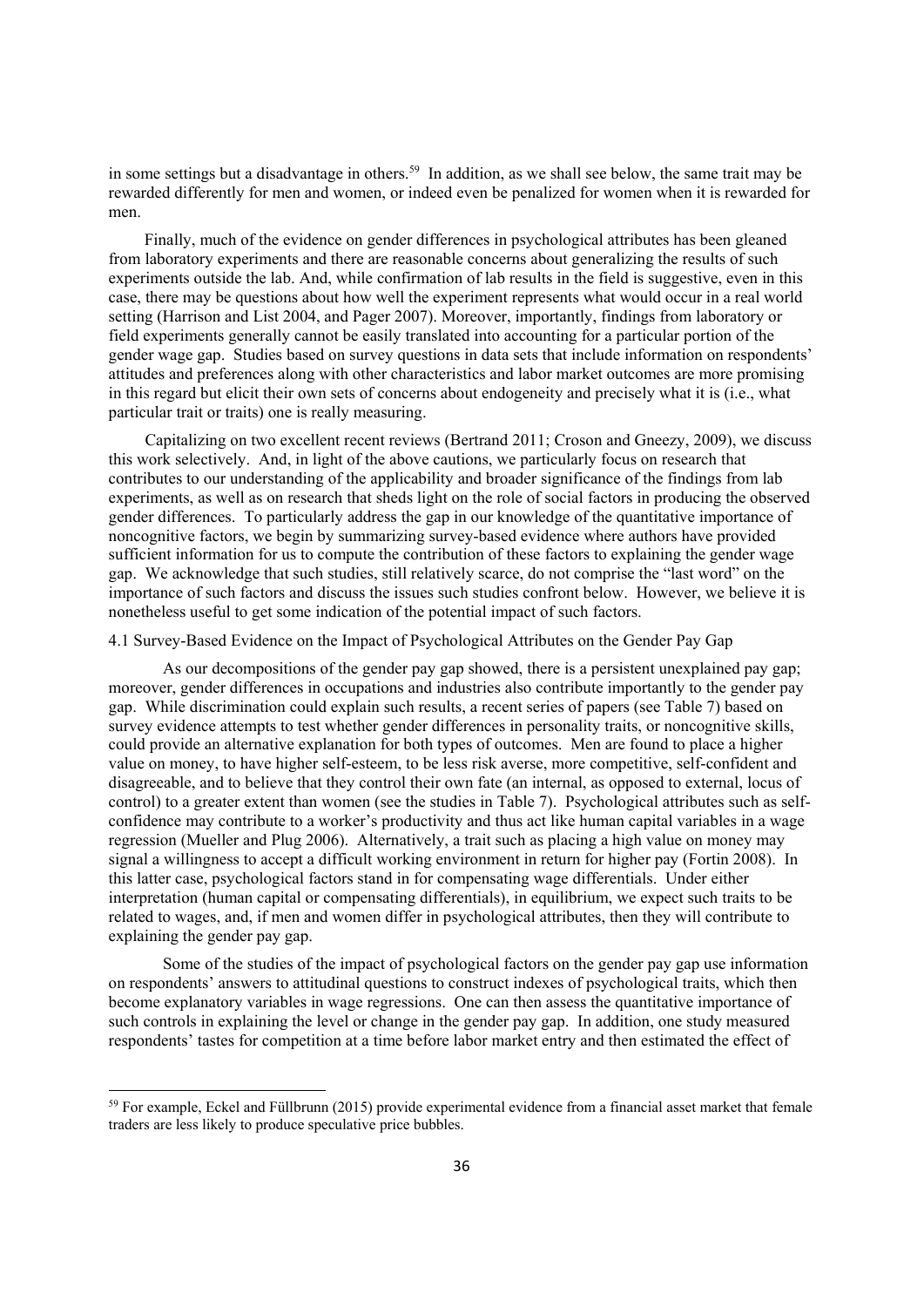in some settings but a disadvantage in others.<sup>59</sup> In addition, as we shall see below, the same trait may be rewarded differently for men and women, or indeed even be penalized for women when it is rewarded for men.

Finally, much of the evidence on gender differences in psychological attributes has been gleaned from laboratory experiments and there are reasonable concerns about generalizing the results of such experiments outside the lab. And, while confirmation of lab results in the field is suggestive, even in this case, there may be questions about how well the experiment represents what would occur in a real world setting (Harrison and List 2004, and Pager 2007). Moreover, importantly, findings from laboratory or field experiments generally cannot be easily translated into accounting for a particular portion of the gender wage gap. Studies based on survey questions in data sets that include information on respondents' attitudes and preferences along with other characteristics and labor market outcomes are more promising in this regard but elicit their own sets of concerns about endogeneity and precisely what it is (i.e., what particular trait or traits) one is really measuring.

Capitalizing on two excellent recent reviews (Bertrand 2011; Croson and Gneezy, 2009), we discuss this work selectively. And, in light of the above cautions, we particularly focus on research that contributes to our understanding of the applicability and broader significance of the findings from lab experiments, as well as on research that sheds light on the role of social factors in producing the observed gender differences. To particularly address the gap in our knowledge of the quantitative importance of noncognitive factors, we begin by summarizing survey-based evidence where authors have provided sufficient information for us to compute the contribution of these factors to explaining the gender wage gap. We acknowledge that such studies, still relatively scarce, do not comprise the "last word" on the importance of such factors and discuss the issues such studies confront below. However, we believe it is nonetheless useful to get some indication of the potential impact of such factors.

## 4.1 Survey-Based Evidence on the Impact of Psychological Attributes on the Gender Pay Gap

As our decompositions of the gender pay gap showed, there is a persistent unexplained pay gap; moreover, gender differences in occupations and industries also contribute importantly to the gender pay gap. While discrimination could explain such results, a recent series of papers (see Table 7) based on survey evidence attempts to test whether gender differences in personality traits, or noncognitive skills, could provide an alternative explanation for both types of outcomes. Men are found to place a higher value on money, to have higher self-esteem, to be less risk averse, more competitive, self-confident and disagreeable, and to believe that they control their own fate (an internal, as opposed to external, locus of control) to a greater extent than women (see the studies in Table 7). Psychological attributes such as selfconfidence may contribute to a worker's productivity and thus act like human capital variables in a wage regression (Mueller and Plug 2006). Alternatively, a trait such as placing a high value on money may signal a willingness to accept a difficult working environment in return for higher pay (Fortin 2008). In this latter case, psychological factors stand in for compensating wage differentials. Under either interpretation (human capital or compensating differentials), in equilibrium, we expect such traits to be related to wages, and, if men and women differ in psychological attributes, then they will contribute to explaining the gender pay gap.

Some of the studies of the impact of psychological factors on the gender pay gap use information on respondents' answers to attitudinal questions to construct indexes of psychological traits, which then become explanatory variables in wage regressions. One can then assess the quantitative importance of such controls in explaining the level or change in the gender pay gap. In addition, one study measured respondents' tastes for competition at a time before labor market entry and then estimated the effect of

 $59$  For example, Eckel and Füllbrunn (2015) provide experimental evidence from a financial asset market that female traders are less likely to produce speculative price bubbles.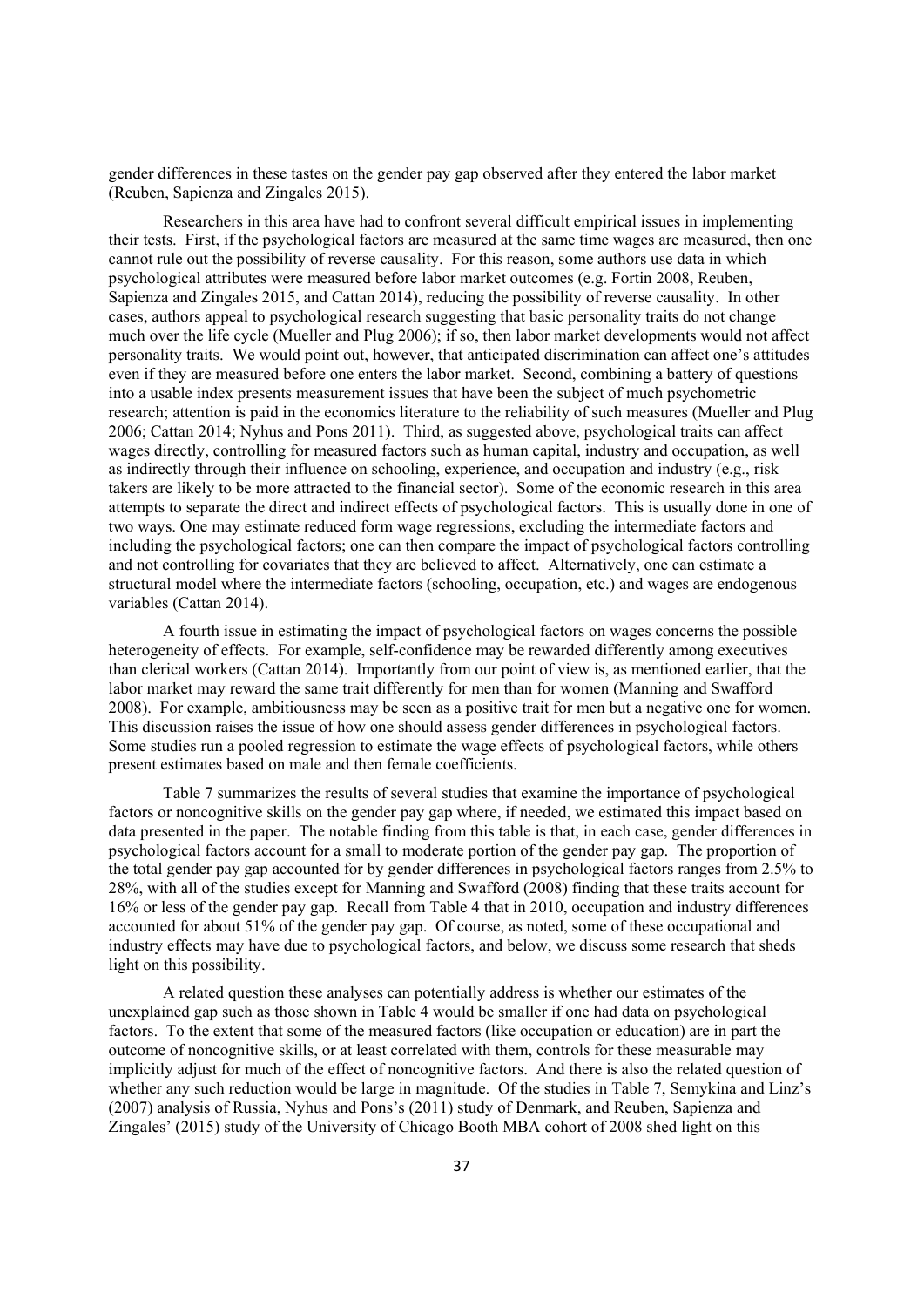gender differences in these tastes on the gender pay gap observed after they entered the labor market (Reuben, Sapienza and Zingales 2015).

Researchers in this area have had to confront several difficult empirical issues in implementing their tests. First, if the psychological factors are measured at the same time wages are measured, then one cannot rule out the possibility of reverse causality. For this reason, some authors use data in which psychological attributes were measured before labor market outcomes (e.g. Fortin 2008, Reuben, Sapienza and Zingales 2015, and Cattan 2014), reducing the possibility of reverse causality. In other cases, authors appeal to psychological research suggesting that basic personality traits do not change much over the life cycle (Mueller and Plug 2006); if so, then labor market developments would not affect personality traits. We would point out, however, that anticipated discrimination can affect one's attitudes even if they are measured before one enters the labor market. Second, combining a battery of questions into a usable index presents measurement issues that have been the subject of much psychometric research; attention is paid in the economics literature to the reliability of such measures (Mueller and Plug 2006; Cattan 2014; Nyhus and Pons 2011). Third, as suggested above, psychological traits can affect wages directly, controlling for measured factors such as human capital, industry and occupation, as well as indirectly through their influence on schooling, experience, and occupation and industry (e.g., risk takers are likely to be more attracted to the financial sector). Some of the economic research in this area attempts to separate the direct and indirect effects of psychological factors. This is usually done in one of two ways. One may estimate reduced form wage regressions, excluding the intermediate factors and including the psychological factors; one can then compare the impact of psychological factors controlling and not controlling for covariates that they are believed to affect. Alternatively, one can estimate a structural model where the intermediate factors (schooling, occupation, etc.) and wages are endogenous variables (Cattan 2014).

A fourth issue in estimating the impact of psychological factors on wages concerns the possible heterogeneity of effects. For example, self-confidence may be rewarded differently among executives than clerical workers (Cattan 2014). Importantly from our point of view is, as mentioned earlier, that the labor market may reward the same trait differently for men than for women (Manning and Swafford 2008). For example, ambitiousness may be seen as a positive trait for men but a negative one for women. This discussion raises the issue of how one should assess gender differences in psychological factors. Some studies run a pooled regression to estimate the wage effects of psychological factors, while others present estimates based on male and then female coefficients.

Table 7 summarizes the results of several studies that examine the importance of psychological factors or noncognitive skills on the gender pay gap where, if needed, we estimated this impact based on data presented in the paper. The notable finding from this table is that, in each case, gender differences in psychological factors account for a small to moderate portion of the gender pay gap. The proportion of the total gender pay gap accounted for by gender differences in psychological factors ranges from 2.5% to 28%, with all of the studies except for Manning and Swafford (2008) finding that these traits account for 16% or less of the gender pay gap. Recall from Table 4 that in 2010, occupation and industry differences accounted for about 51% of the gender pay gap. Of course, as noted, some of these occupational and industry effects may have due to psychological factors, and below, we discuss some research that sheds light on this possibility.

A related question these analyses can potentially address is whether our estimates of the unexplained gap such as those shown in Table 4 would be smaller if one had data on psychological factors. To the extent that some of the measured factors (like occupation or education) are in part the outcome of noncognitive skills, or at least correlated with them, controls for these measurable may implicitly adjust for much of the effect of noncognitive factors. And there is also the related question of whether any such reduction would be large in magnitude. Of the studies in Table 7, Semykina and Linz's (2007) analysis of Russia, Nyhus and Pons's (2011) study of Denmark, and Reuben, Sapienza and Zingales' (2015) study of the University of Chicago Booth MBA cohort of 2008 shed light on this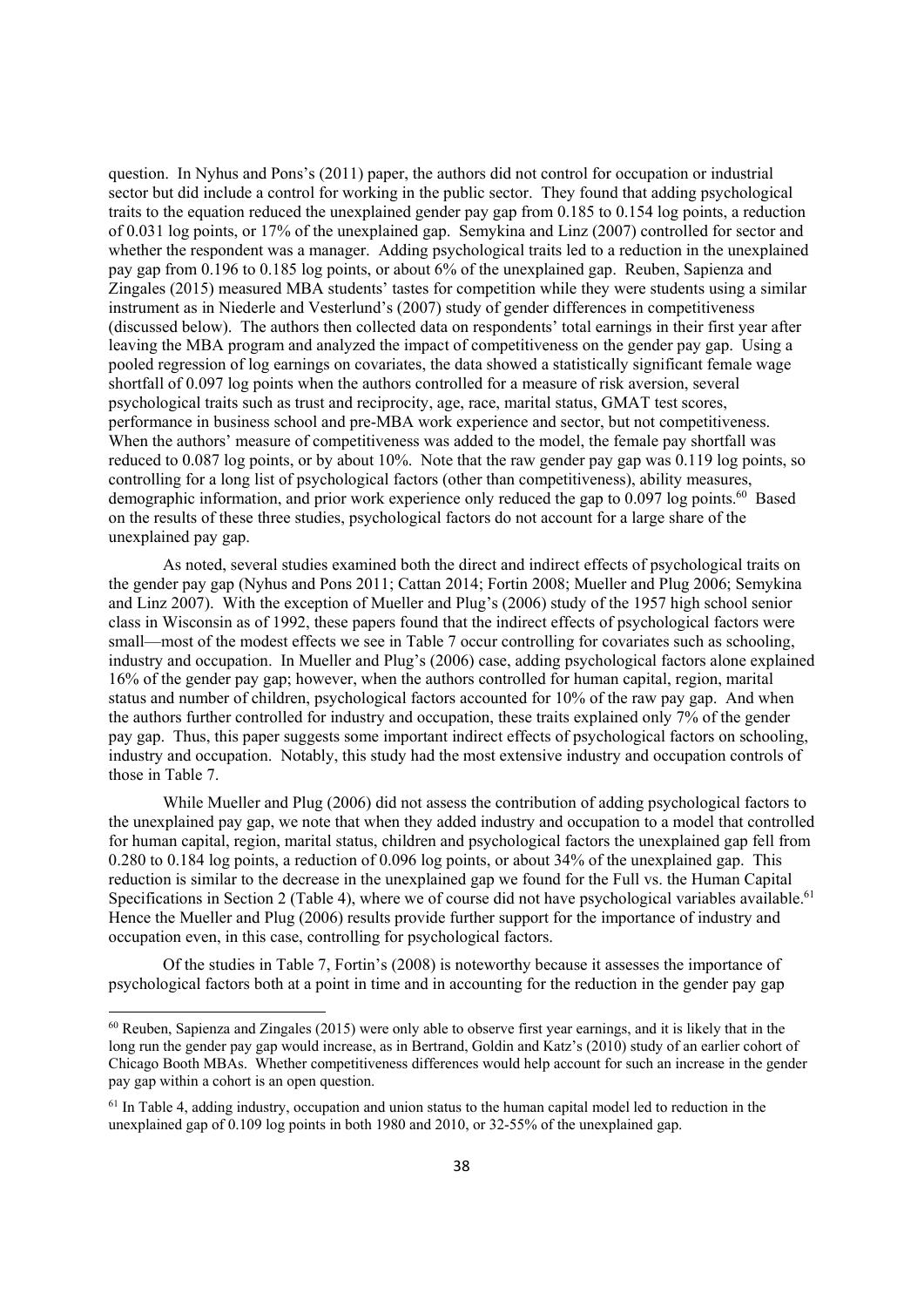question. In Nyhus and Pons's (2011) paper, the authors did not control for occupation or industrial sector but did include a control for working in the public sector. They found that adding psychological traits to the equation reduced the unexplained gender pay gap from 0.185 to 0.154 log points, a reduction of 0.031 log points, or 17% of the unexplained gap. Semykina and Linz (2007) controlled for sector and whether the respondent was a manager. Adding psychological traits led to a reduction in the unexplained pay gap from 0.196 to 0.185 log points, or about 6% of the unexplained gap. Reuben, Sapienza and Zingales (2015) measured MBA students' tastes for competition while they were students using a similar instrument as in Niederle and Vesterlund's (2007) study of gender differences in competitiveness (discussed below). The authors then collected data on respondents' total earnings in their first year after leaving the MBA program and analyzed the impact of competitiveness on the gender pay gap. Using a pooled regression of log earnings on covariates, the data showed a statistically significant female wage shortfall of 0.097 log points when the authors controlled for a measure of risk aversion, several psychological traits such as trust and reciprocity, age, race, marital status, GMAT test scores, performance in business school and pre-MBA work experience and sector, but not competitiveness. When the authors' measure of competitiveness was added to the model, the female pay shortfall was reduced to 0.087 log points, or by about 10%. Note that the raw gender pay gap was 0.119 log points, so controlling for a long list of psychological factors (other than competitiveness), ability measures, demographic information, and prior work experience only reduced the gap to 0.097 log points.<sup>60</sup> Based on the results of these three studies, psychological factors do not account for a large share of the unexplained pay gap.

As noted, several studies examined both the direct and indirect effects of psychological traits on the gender pay gap (Nyhus and Pons 2011; Cattan 2014; Fortin 2008; Mueller and Plug 2006; Semykina and Linz 2007). With the exception of Mueller and Plug's (2006) study of the 1957 high school senior class in Wisconsin as of 1992, these papers found that the indirect effects of psychological factors were small—most of the modest effects we see in Table 7 occur controlling for covariates such as schooling, industry and occupation. In Mueller and Plug's (2006) case, adding psychological factors alone explained 16% of the gender pay gap; however, when the authors controlled for human capital, region, marital status and number of children, psychological factors accounted for 10% of the raw pay gap. And when the authors further controlled for industry and occupation, these traits explained only 7% of the gender pay gap. Thus, this paper suggests some important indirect effects of psychological factors on schooling, industry and occupation. Notably, this study had the most extensive industry and occupation controls of those in Table 7.

While Mueller and Plug (2006) did not assess the contribution of adding psychological factors to the unexplained pay gap, we note that when they added industry and occupation to a model that controlled for human capital, region, marital status, children and psychological factors the unexplained gap fell from 0.280 to 0.184 log points, a reduction of 0.096 log points, or about 34% of the unexplained gap. This reduction is similar to the decrease in the unexplained gap we found for the Full vs. the Human Capital Specifications in Section 2 (Table 4), where we of course did not have psychological variables available.<sup>61</sup> Hence the Mueller and Plug (2006) results provide further support for the importance of industry and occupation even, in this case, controlling for psychological factors.

Of the studies in Table 7, Fortin's (2008) is noteworthy because it assesses the importance of psychological factors both at a point in time and in accounting for the reduction in the gender pay gap

 $60$  Reuben, Sapienza and Zingales (2015) were only able to observe first year earnings, and it is likely that in the long run the gender pay gap would increase, as in Bertrand, Goldin and Katz's (2010) study of an earlier cohort of Chicago Booth MBAs. Whether competitiveness differences would help account for such an increase in the gender pay gap within a cohort is an open question.

<sup>&</sup>lt;sup>61</sup> In Table 4, adding industry, occupation and union status to the human capital model led to reduction in the unexplained gap of 0.109 log points in both 1980 and 2010, or 32-55% of the unexplained gap.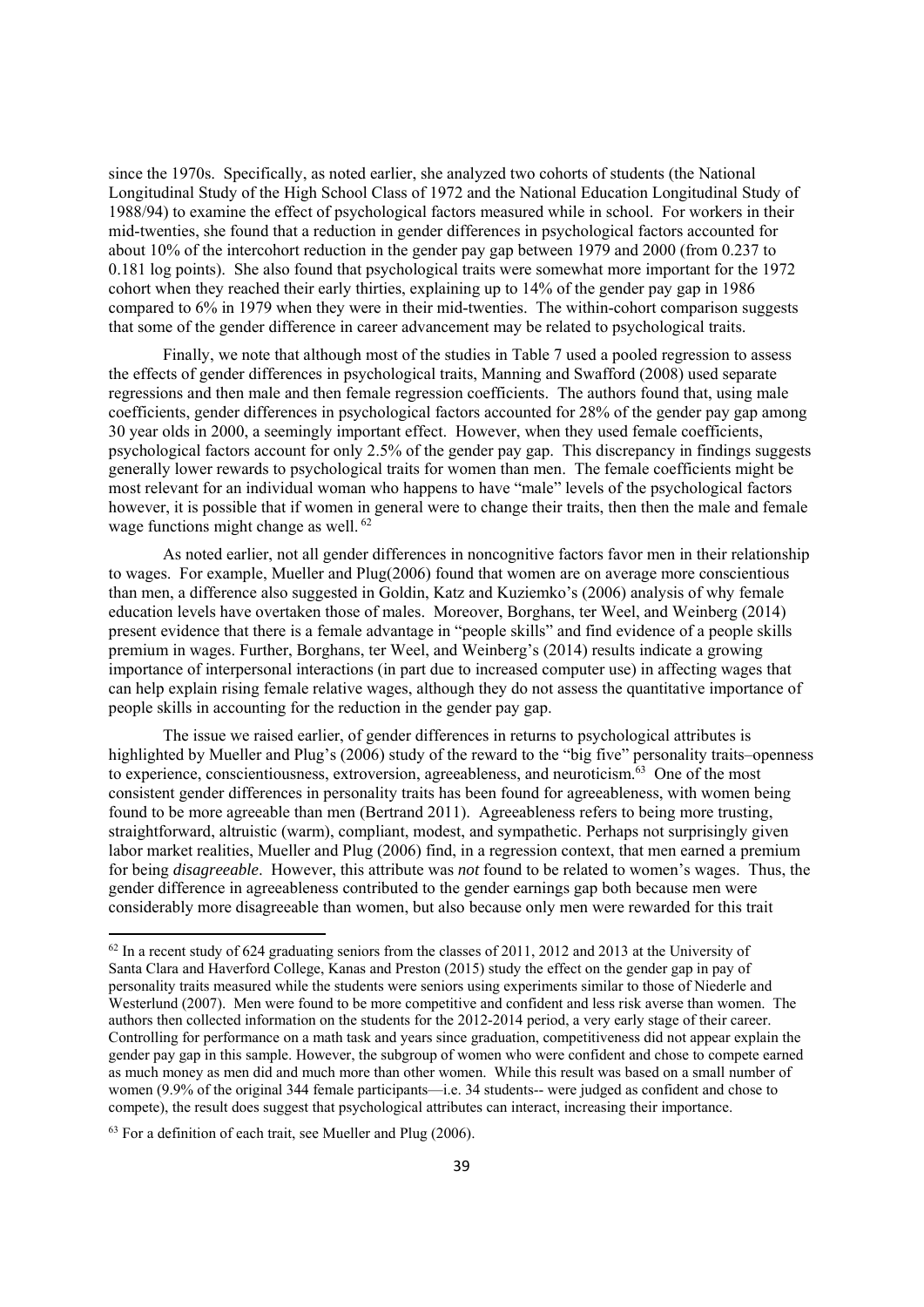since the 1970s. Specifically, as noted earlier, she analyzed two cohorts of students (the National Longitudinal Study of the High School Class of 1972 and the National Education Longitudinal Study of 1988/94) to examine the effect of psychological factors measured while in school. For workers in their mid-twenties, she found that a reduction in gender differences in psychological factors accounted for about 10% of the intercohort reduction in the gender pay gap between 1979 and 2000 (from 0.237 to 0.181 log points). She also found that psychological traits were somewhat more important for the 1972 cohort when they reached their early thirties, explaining up to 14% of the gender pay gap in 1986 compared to 6% in 1979 when they were in their mid-twenties. The within-cohort comparison suggests that some of the gender difference in career advancement may be related to psychological traits.

Finally, we note that although most of the studies in Table 7 used a pooled regression to assess the effects of gender differences in psychological traits, Manning and Swafford (2008) used separate regressions and then male and then female regression coefficients. The authors found that, using male coefficients, gender differences in psychological factors accounted for 28% of the gender pay gap among 30 year olds in 2000, a seemingly important effect. However, when they used female coefficients, psychological factors account for only 2.5% of the gender pay gap. This discrepancy in findings suggests generally lower rewards to psychological traits for women than men. The female coefficients might be most relevant for an individual woman who happens to have "male" levels of the psychological factors however, it is possible that if women in general were to change their traits, then then the male and female wage functions might change as well. <sup>62</sup>

As noted earlier, not all gender differences in noncognitive factors favor men in their relationship to wages. For example, Mueller and Plug(2006) found that women are on average more conscientious than men, a difference also suggested in Goldin, Katz and Kuziemko's (2006) analysis of why female education levels have overtaken those of males. Moreover, Borghans, ter Weel, and Weinberg (2014) present evidence that there is a female advantage in "people skills" and find evidence of a people skills premium in wages. Further, Borghans, ter Weel, and Weinberg's (2014) results indicate a growing importance of interpersonal interactions (in part due to increased computer use) in affecting wages that can help explain rising female relative wages, although they do not assess the quantitative importance of people skills in accounting for the reduction in the gender pay gap.

The issue we raised earlier, of gender differences in returns to psychological attributes is highlighted by Mueller and Plug's (2006) study of the reward to the "big five" personality traits–openness to experience, conscientiousness, extroversion, agreeableness, and neuroticism.<sup>63</sup> One of the most consistent gender differences in personality traits has been found for agreeableness, with women being found to be more agreeable than men (Bertrand 2011). Agreeableness refers to being more trusting, straightforward, altruistic (warm), compliant, modest, and sympathetic. Perhaps not surprisingly given labor market realities, Mueller and Plug (2006) find, in a regression context, that men earned a premium for being *disagreeable*. However, this attribute was *not* found to be related to women's wages. Thus, the gender difference in agreeableness contributed to the gender earnings gap both because men were considerably more disagreeable than women, but also because only men were rewarded for this trait

 $63$  For a definition of each trait, see Mueller and Plug (2006).

<sup>&</sup>lt;sup>62</sup> In a recent study of 624 graduating seniors from the classes of 2011, 2012 and 2013 at the University of Santa Clara and Haverford College, Kanas and Preston (2015) study the effect on the gender gap in pay of personality traits measured while the students were seniors using experiments similar to those of Niederle and Westerlund (2007). Men were found to be more competitive and confident and less risk averse than women. The authors then collected information on the students for the 2012-2014 period, a very early stage of their career. Controlling for performance on a math task and years since graduation, competitiveness did not appear explain the gender pay gap in this sample. However, the subgroup of women who were confident and chose to compete earned as much money as men did and much more than other women. While this result was based on a small number of women (9.9% of the original 344 female participants—i.e. 34 students-- were judged as confident and chose to compete), the result does suggest that psychological attributes can interact, increasing their importance.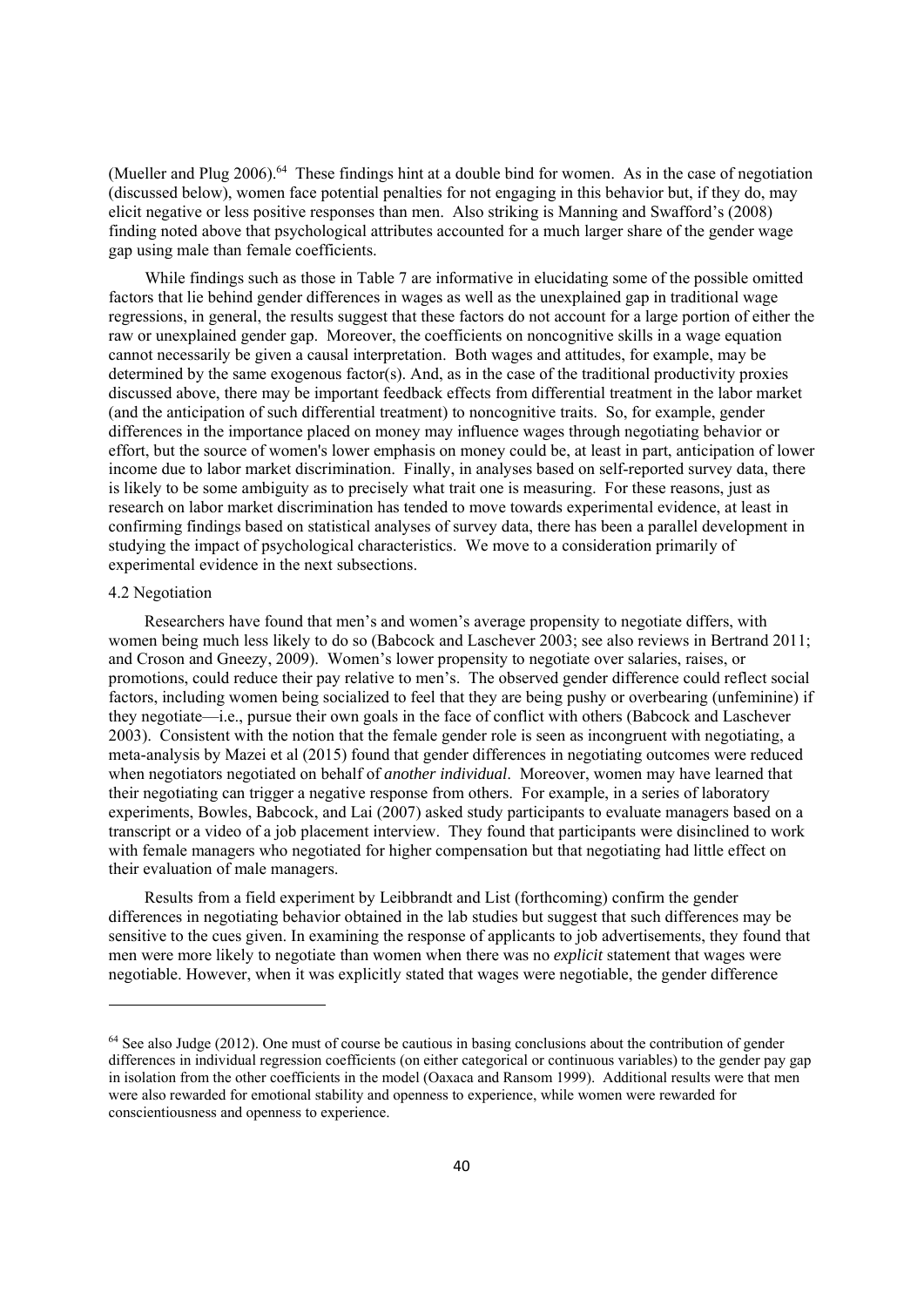(Mueller and Plug 2006).<sup>64</sup> These findings hint at a double bind for women. As in the case of negotiation (discussed below), women face potential penalties for not engaging in this behavior but, if they do, may elicit negative or less positive responses than men. Also striking is Manning and Swafford's (2008) finding noted above that psychological attributes accounted for a much larger share of the gender wage gap using male than female coefficients.

While findings such as those in Table 7 are informative in elucidating some of the possible omitted factors that lie behind gender differences in wages as well as the unexplained gap in traditional wage regressions, in general, the results suggest that these factors do not account for a large portion of either the raw or unexplained gender gap. Moreover, the coefficients on noncognitive skills in a wage equation cannot necessarily be given a causal interpretation. Both wages and attitudes, for example, may be determined by the same exogenous factor(s). And, as in the case of the traditional productivity proxies discussed above, there may be important feedback effects from differential treatment in the labor market (and the anticipation of such differential treatment) to noncognitive traits. So, for example, gender differences in the importance placed on money may influence wages through negotiating behavior or effort, but the source of women's lower emphasis on money could be, at least in part, anticipation of lower income due to labor market discrimination. Finally, in analyses based on self-reported survey data, there is likely to be some ambiguity as to precisely what trait one is measuring. For these reasons, just as research on labor market discrimination has tended to move towards experimental evidence, at least in confirming findings based on statistical analyses of survey data, there has been a parallel development in studying the impact of psychological characteristics. We move to a consideration primarily of experimental evidence in the next subsections.

#### 4.2 Negotiation

Researchers have found that men's and women's average propensity to negotiate differs, with women being much less likely to do so (Babcock and Laschever 2003; see also reviews in Bertrand 2011; and Croson and Gneezy, 2009). Women's lower propensity to negotiate over salaries, raises, or promotions, could reduce their pay relative to men's. The observed gender difference could reflect social factors, including women being socialized to feel that they are being pushy or overbearing (unfeminine) if they negotiate—i.e., pursue their own goals in the face of conflict with others (Babcock and Laschever 2003). Consistent with the notion that the female gender role is seen as incongruent with negotiating, a meta-analysis by Mazei et al (2015) found that gender differences in negotiating outcomes were reduced when negotiators negotiated on behalf of *another individual*. Moreover, women may have learned that their negotiating can trigger a negative response from others. For example, in a series of laboratory experiments, Bowles, Babcock, and Lai (2007) asked study participants to evaluate managers based on a transcript or a video of a job placement interview. They found that participants were disinclined to work with female managers who negotiated for higher compensation but that negotiating had little effect on their evaluation of male managers.

Results from a field experiment by Leibbrandt and List (forthcoming) confirm the gender differences in negotiating behavior obtained in the lab studies but suggest that such differences may be sensitive to the cues given. In examining the response of applicants to job advertisements, they found that men were more likely to negotiate than women when there was no *explicit* statement that wages were negotiable. However, when it was explicitly stated that wages were negotiable, the gender difference

<sup>&</sup>lt;sup>64</sup> See also Judge (2012). One must of course be cautious in basing conclusions about the contribution of gender differences in individual regression coefficients (on either categorical or continuous variables) to the gender pay gap in isolation from the other coefficients in the model (Oaxaca and Ransom 1999). Additional results were that men were also rewarded for emotional stability and openness to experience, while women were rewarded for conscientiousness and openness to experience.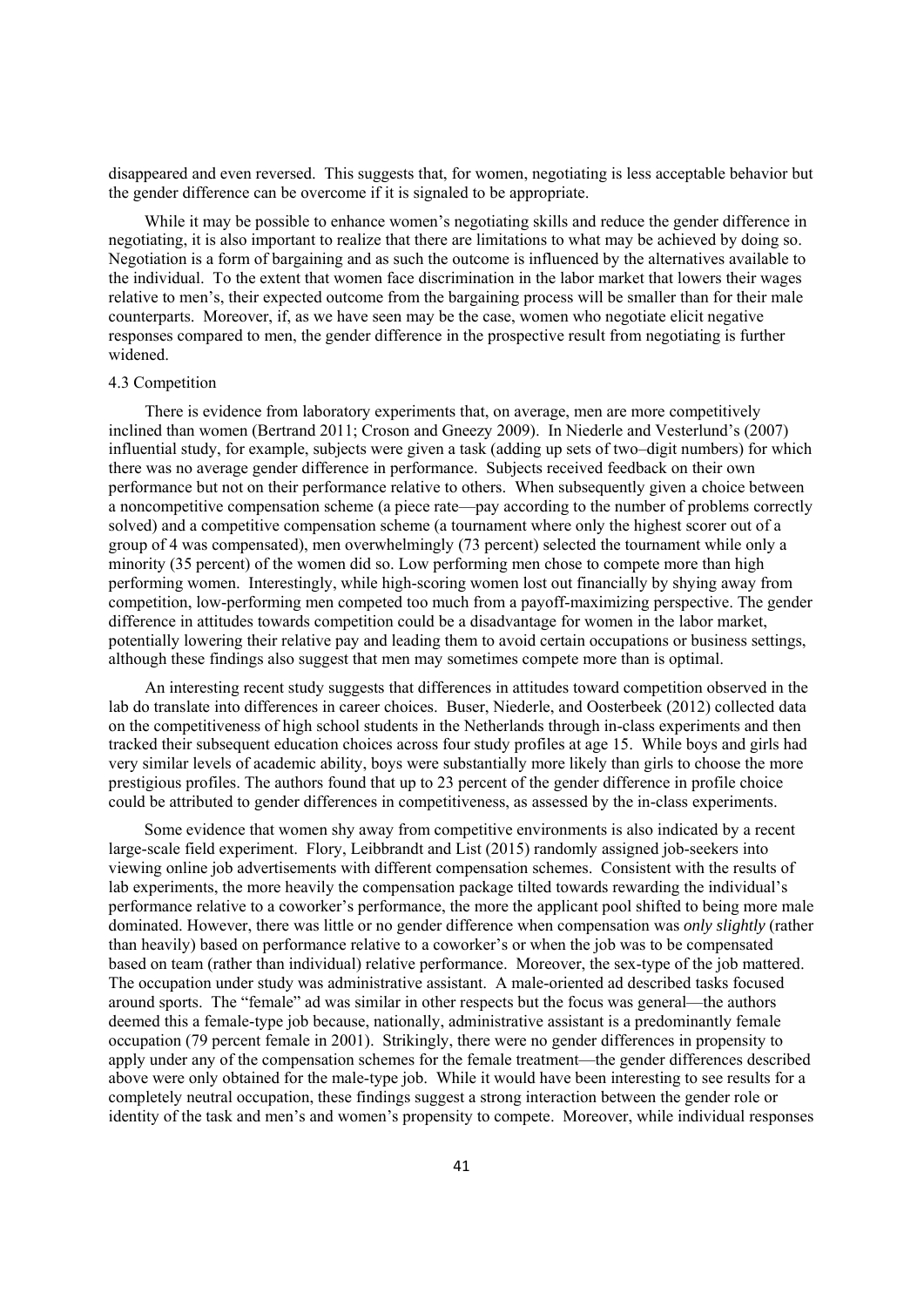disappeared and even reversed. This suggests that, for women, negotiating is less acceptable behavior but the gender difference can be overcome if it is signaled to be appropriate.

While it may be possible to enhance women's negotiating skills and reduce the gender difference in negotiating, it is also important to realize that there are limitations to what may be achieved by doing so. Negotiation is a form of bargaining and as such the outcome is influenced by the alternatives available to the individual. To the extent that women face discrimination in the labor market that lowers their wages relative to men's, their expected outcome from the bargaining process will be smaller than for their male counterparts. Moreover, if, as we have seen may be the case, women who negotiate elicit negative responses compared to men, the gender difference in the prospective result from negotiating is further widened.

#### 4.3 Competition

There is evidence from laboratory experiments that, on average, men are more competitively inclined than women (Bertrand 2011; Croson and Gneezy 2009). In Niederle and Vesterlund's (2007) influential study, for example, subjects were given a task (adding up sets of two–digit numbers) for which there was no average gender difference in performance. Subjects received feedback on their own performance but not on their performance relative to others. When subsequently given a choice between a noncompetitive compensation scheme (a piece rate—pay according to the number of problems correctly solved) and a competitive compensation scheme (a tournament where only the highest scorer out of a group of 4 was compensated), men overwhelmingly (73 percent) selected the tournament while only a minority (35 percent) of the women did so. Low performing men chose to compete more than high performing women. Interestingly, while high-scoring women lost out financially by shying away from competition, low-performing men competed too much from a payoff-maximizing perspective. The gender difference in attitudes towards competition could be a disadvantage for women in the labor market, potentially lowering their relative pay and leading them to avoid certain occupations or business settings, although these findings also suggest that men may sometimes compete more than is optimal.

An interesting recent study suggests that differences in attitudes toward competition observed in the lab do translate into differences in career choices. Buser, Niederle, and Oosterbeek (2012) collected data on the competitiveness of high school students in the Netherlands through in-class experiments and then tracked their subsequent education choices across four study profiles at age 15. While boys and girls had very similar levels of academic ability, boys were substantially more likely than girls to choose the more prestigious profiles. The authors found that up to 23 percent of the gender difference in profile choice could be attributed to gender differences in competitiveness, as assessed by the in-class experiments.

Some evidence that women shy away from competitive environments is also indicated by a recent large-scale field experiment. Flory, Leibbrandt and List (2015) randomly assigned job-seekers into viewing online job advertisements with different compensation schemes. Consistent with the results of lab experiments, the more heavily the compensation package tilted towards rewarding the individual's performance relative to a coworker's performance, the more the applicant pool shifted to being more male dominated. However, there was little or no gender difference when compensation was *only slightly* (rather than heavily) based on performance relative to a coworker's or when the job was to be compensated based on team (rather than individual) relative performance. Moreover, the sex-type of the job mattered. The occupation under study was administrative assistant. A male-oriented ad described tasks focused around sports. The "female" ad was similar in other respects but the focus was general—the authors deemed this a female-type job because, nationally, administrative assistant is a predominantly female occupation (79 percent female in 2001). Strikingly, there were no gender differences in propensity to apply under any of the compensation schemes for the female treatment—the gender differences described above were only obtained for the male-type job. While it would have been interesting to see results for a completely neutral occupation, these findings suggest a strong interaction between the gender role or identity of the task and men's and women's propensity to compete. Moreover, while individual responses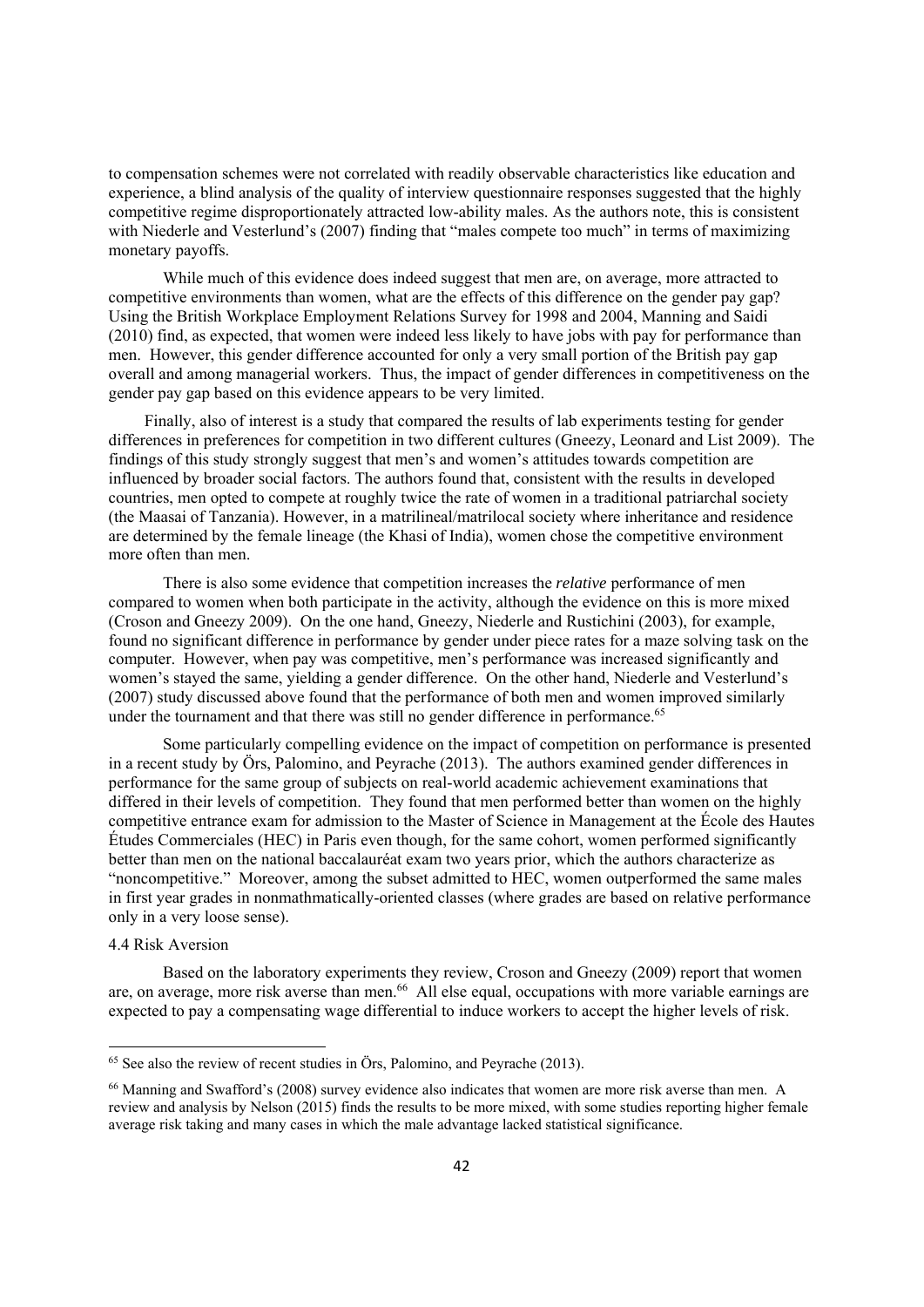to compensation schemes were not correlated with readily observable characteristics like education and experience, a blind analysis of the quality of interview questionnaire responses suggested that the highly competitive regime disproportionately attracted low-ability males. As the authors note, this is consistent with Niederle and Vesterlund's (2007) finding that "males compete too much" in terms of maximizing monetary payoffs.

While much of this evidence does indeed suggest that men are, on average, more attracted to competitive environments than women, what are the effects of this difference on the gender pay gap? Using the British Workplace Employment Relations Survey for 1998 and 2004, Manning and Saidi (2010) find, as expected, that women were indeed less likely to have jobs with pay for performance than men. However, this gender difference accounted for only a very small portion of the British pay gap overall and among managerial workers. Thus, the impact of gender differences in competitiveness on the gender pay gap based on this evidence appears to be very limited.

Finally, also of interest is a study that compared the results of lab experiments testing for gender differences in preferences for competition in two different cultures (Gneezy, Leonard and List 2009). The findings of this study strongly suggest that men's and women's attitudes towards competition are influenced by broader social factors. The authors found that, consistent with the results in developed countries, men opted to compete at roughly twice the rate of women in a traditional patriarchal society (the Maasai of Tanzania). However, in a matrilineal/matrilocal society where inheritance and residence are determined by the female lineage (the Khasi of India), women chose the competitive environment more often than men.

 There is also some evidence that competition increases the *relative* performance of men compared to women when both participate in the activity, although the evidence on this is more mixed (Croson and Gneezy 2009). On the one hand, Gneezy, Niederle and Rustichini (2003), for example, found no significant difference in performance by gender under piece rates for a maze solving task on the computer. However, when pay was competitive, men's performance was increased significantly and women's stayed the same, yielding a gender difference. On the other hand, Niederle and Vesterlund's (2007) study discussed above found that the performance of both men and women improved similarly under the tournament and that there was still no gender difference in performance.<sup>65</sup>

Some particularly compelling evidence on the impact of competition on performance is presented in a recent study by Örs, Palomino, and Peyrache (2013). The authors examined gender differences in performance for the same group of subjects on real-world academic achievement examinations that differed in their levels of competition. They found that men performed better than women on the highly competitive entrance exam for admission to the Master of Science in Management at the École des Hautes Études Commerciales (HEC) in Paris even though, for the same cohort, women performed significantly better than men on the national baccalauréat exam two years prior, which the authors characterize as "noncompetitive." Moreover, among the subset admitted to HEC, women outperformed the same males in first year grades in nonmathmatically-oriented classes (where grades are based on relative performance only in a very loose sense).

#### 4.4 Risk Aversion

Based on the laboratory experiments they review, Croson and Gneezy (2009) report that women are, on average, more risk averse than men.<sup>66</sup> All else equal, occupations with more variable earnings are expected to pay a compensating wage differential to induce workers to accept the higher levels of risk.

 $65$  See also the review of recent studies in Örs. Palomino, and Peyrache (2013).

<sup>66</sup> Manning and Swafford's (2008) survey evidence also indicates that women are more risk averse than men. A review and analysis by Nelson (2015) finds the results to be more mixed, with some studies reporting higher female average risk taking and many cases in which the male advantage lacked statistical significance.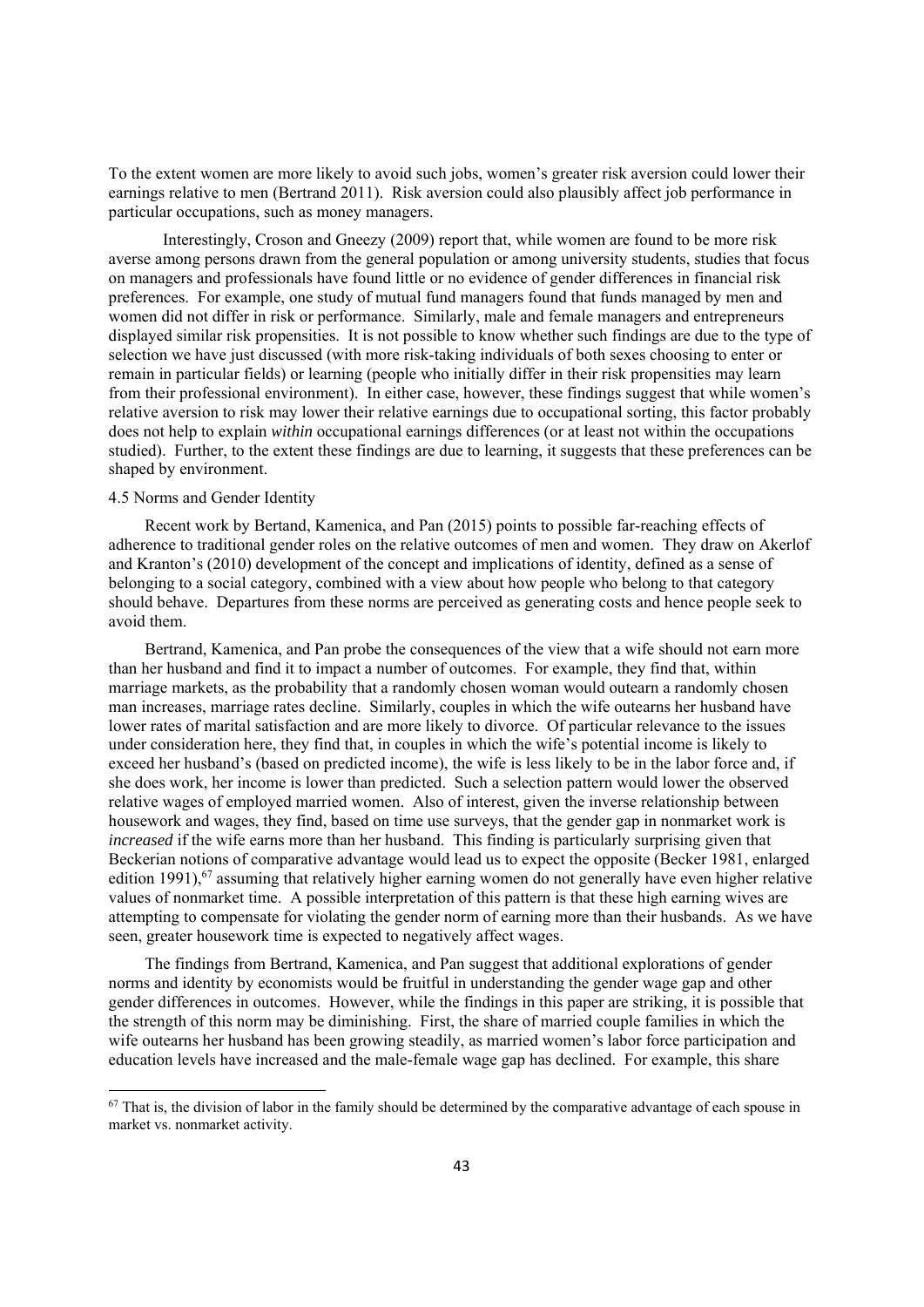To the extent women are more likely to avoid such jobs, women's greater risk aversion could lower their earnings relative to men (Bertrand 2011). Risk aversion could also plausibly affect job performance in particular occupations, such as money managers.

Interestingly, Croson and Gneezy (2009) report that, while women are found to be more risk averse among persons drawn from the general population or among university students, studies that focus on managers and professionals have found little or no evidence of gender differences in financial risk preferences. For example, one study of mutual fund managers found that funds managed by men and women did not differ in risk or performance. Similarly, male and female managers and entrepreneurs displayed similar risk propensities. It is not possible to know whether such findings are due to the type of selection we have just discussed (with more risk-taking individuals of both sexes choosing to enter or remain in particular fields) or learning (people who initially differ in their risk propensities may learn from their professional environment). In either case, however, these findings suggest that while women's relative aversion to risk may lower their relative earnings due to occupational sorting, this factor probably does not help to explain *within* occupational earnings differences (or at least not within the occupations studied). Further, to the extent these findings are due to learning, it suggests that these preferences can be shaped by environment.

#### 4.5 Norms and Gender Identity

Recent work by Bertand, Kamenica, and Pan (2015) points to possible far-reaching effects of adherence to traditional gender roles on the relative outcomes of men and women. They draw on Akerlof and Kranton's (2010) development of the concept and implications of identity, defined as a sense of belonging to a social category, combined with a view about how people who belong to that category should behave. Departures from these norms are perceived as generating costs and hence people seek to avoid them.

Bertrand, Kamenica, and Pan probe the consequences of the view that a wife should not earn more than her husband and find it to impact a number of outcomes. For example, they find that, within marriage markets, as the probability that a randomly chosen woman would outearn a randomly chosen man increases, marriage rates decline. Similarly, couples in which the wife outearns her husband have lower rates of marital satisfaction and are more likely to divorce. Of particular relevance to the issues under consideration here, they find that, in couples in which the wife's potential income is likely to exceed her husband's (based on predicted income), the wife is less likely to be in the labor force and, if she does work, her income is lower than predicted. Such a selection pattern would lower the observed relative wages of employed married women. Also of interest, given the inverse relationship between housework and wages, they find, based on time use surveys, that the gender gap in nonmarket work is *increased* if the wife earns more than her husband. This finding is particularly surprising given that Beckerian notions of comparative advantage would lead us to expect the opposite (Becker 1981, enlarged edition 1991),<sup>67</sup> assuming that relatively higher earning women do not generally have even higher relative values of nonmarket time. A possible interpretation of this pattern is that these high earning wives are attempting to compensate for violating the gender norm of earning more than their husbands. As we have seen, greater housework time is expected to negatively affect wages.

The findings from Bertrand, Kamenica, and Pan suggest that additional explorations of gender norms and identity by economists would be fruitful in understanding the gender wage gap and other gender differences in outcomes. However, while the findings in this paper are striking, it is possible that the strength of this norm may be diminishing. First, the share of married couple families in which the wife outearns her husband has been growing steadily, as married women's labor force participation and education levels have increased and the male-female wage gap has declined. For example, this share

 $67$  That is, the division of labor in the family should be determined by the comparative advantage of each spouse in market vs. nonmarket activity.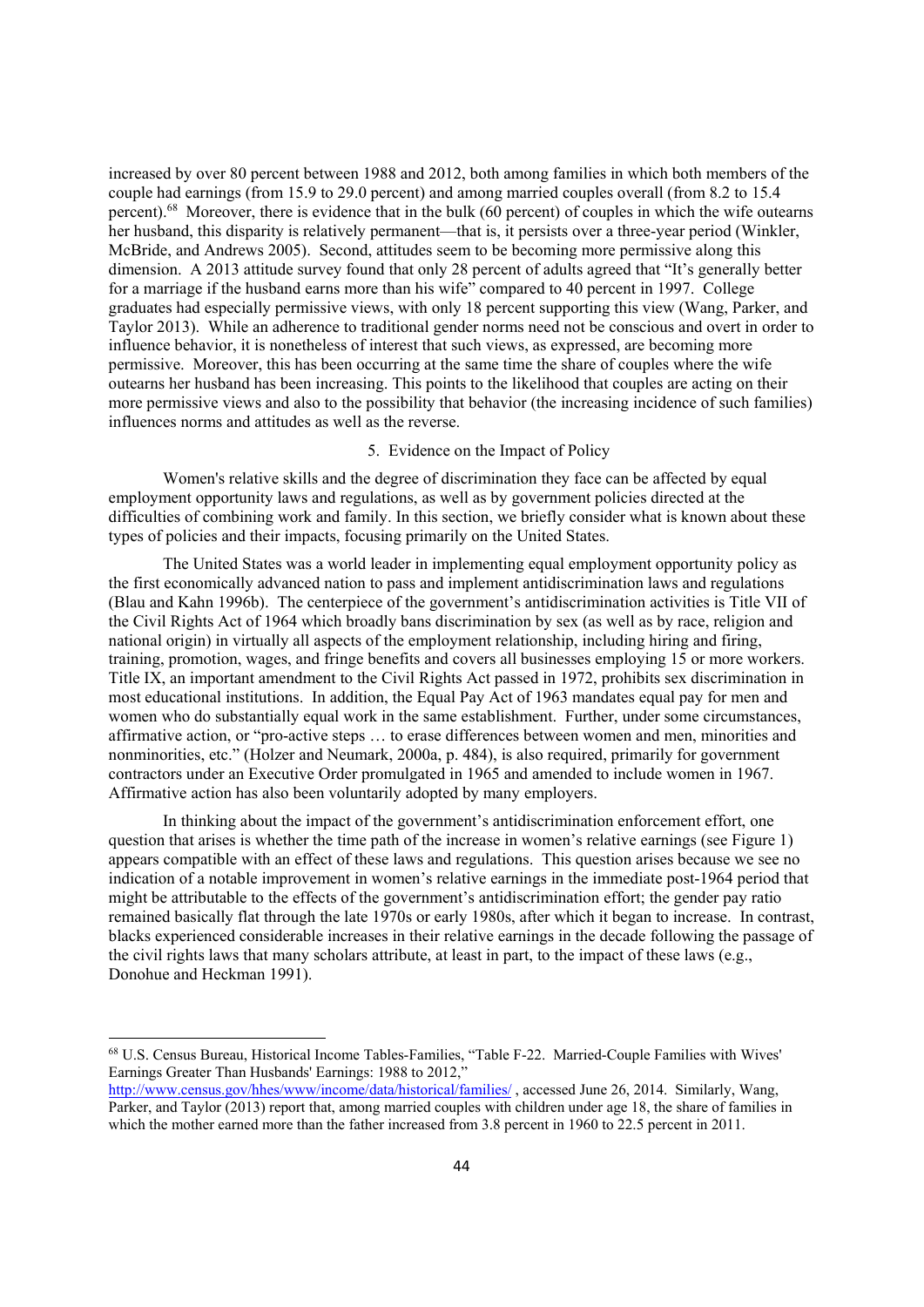increased by over 80 percent between 1988 and 2012, both among families in which both members of the couple had earnings (from 15.9 to 29.0 percent) and among married couples overall (from 8.2 to 15.4 percent).68 Moreover, there is evidence that in the bulk (60 percent) of couples in which the wife outearns her husband, this disparity is relatively permanent—that is, it persists over a three-year period (Winkler, McBride, and Andrews 2005). Second, attitudes seem to be becoming more permissive along this dimension. A 2013 attitude survey found that only 28 percent of adults agreed that "It's generally better for a marriage if the husband earns more than his wife" compared to 40 percent in 1997. College graduates had especially permissive views, with only 18 percent supporting this view (Wang, Parker, and Taylor 2013). While an adherence to traditional gender norms need not be conscious and overt in order to influence behavior, it is nonetheless of interest that such views, as expressed, are becoming more permissive. Moreover, this has been occurring at the same time the share of couples where the wife outearns her husband has been increasing. This points to the likelihood that couples are acting on their more permissive views and also to the possibility that behavior (the increasing incidence of such families) influences norms and attitudes as well as the reverse.

# 5. Evidence on the Impact of Policy

Women's relative skills and the degree of discrimination they face can be affected by equal employment opportunity laws and regulations, as well as by government policies directed at the difficulties of combining work and family. In this section, we briefly consider what is known about these types of policies and their impacts, focusing primarily on the United States.

The United States was a world leader in implementing equal employment opportunity policy as the first economically advanced nation to pass and implement antidiscrimination laws and regulations (Blau and Kahn 1996b). The centerpiece of the government's antidiscrimination activities is Title VII of the Civil Rights Act of 1964 which broadly bans discrimination by sex (as well as by race, religion and national origin) in virtually all aspects of the employment relationship, including hiring and firing, training, promotion, wages, and fringe benefits and covers all businesses employing 15 or more workers. Title IX, an important amendment to the Civil Rights Act passed in 1972, prohibits sex discrimination in most educational institutions. In addition, the Equal Pay Act of 1963 mandates equal pay for men and women who do substantially equal work in the same establishment. Further, under some circumstances, affirmative action, or "pro-active steps … to erase differences between women and men, minorities and nonminorities, etc." (Holzer and Neumark, 2000a, p. 484), is also required, primarily for government contractors under an Executive Order promulgated in 1965 and amended to include women in 1967. Affirmative action has also been voluntarily adopted by many employers.

In thinking about the impact of the government's antidiscrimination enforcement effort, one question that arises is whether the time path of the increase in women's relative earnings (see Figure 1) appears compatible with an effect of these laws and regulations. This question arises because we see no indication of a notable improvement in women's relative earnings in the immediate post-1964 period that might be attributable to the effects of the government's antidiscrimination effort; the gender pay ratio remained basically flat through the late 1970s or early 1980s, after which it began to increase. In contrast, blacks experienced considerable increases in their relative earnings in the decade following the passage of the civil rights laws that many scholars attribute, at least in part, to the impact of these laws (e.g., Donohue and Heckman 1991).

<sup>68</sup> U.S. Census Bureau, Historical Income Tables-Families, "Table F-22. Married-Couple Families with Wives' Earnings Greater Than Husbands' Earnings: 1988 to 2012,"

http://www.census.gov/hhes/www/income/data/historical/families/, accessed June 26, 2014. Similarly, Wang, Parker, and Taylor (2013) report that, among married couples with children under age 18, the share of families in which the mother earned more than the father increased from 3.8 percent in 1960 to 22.5 percent in 2011.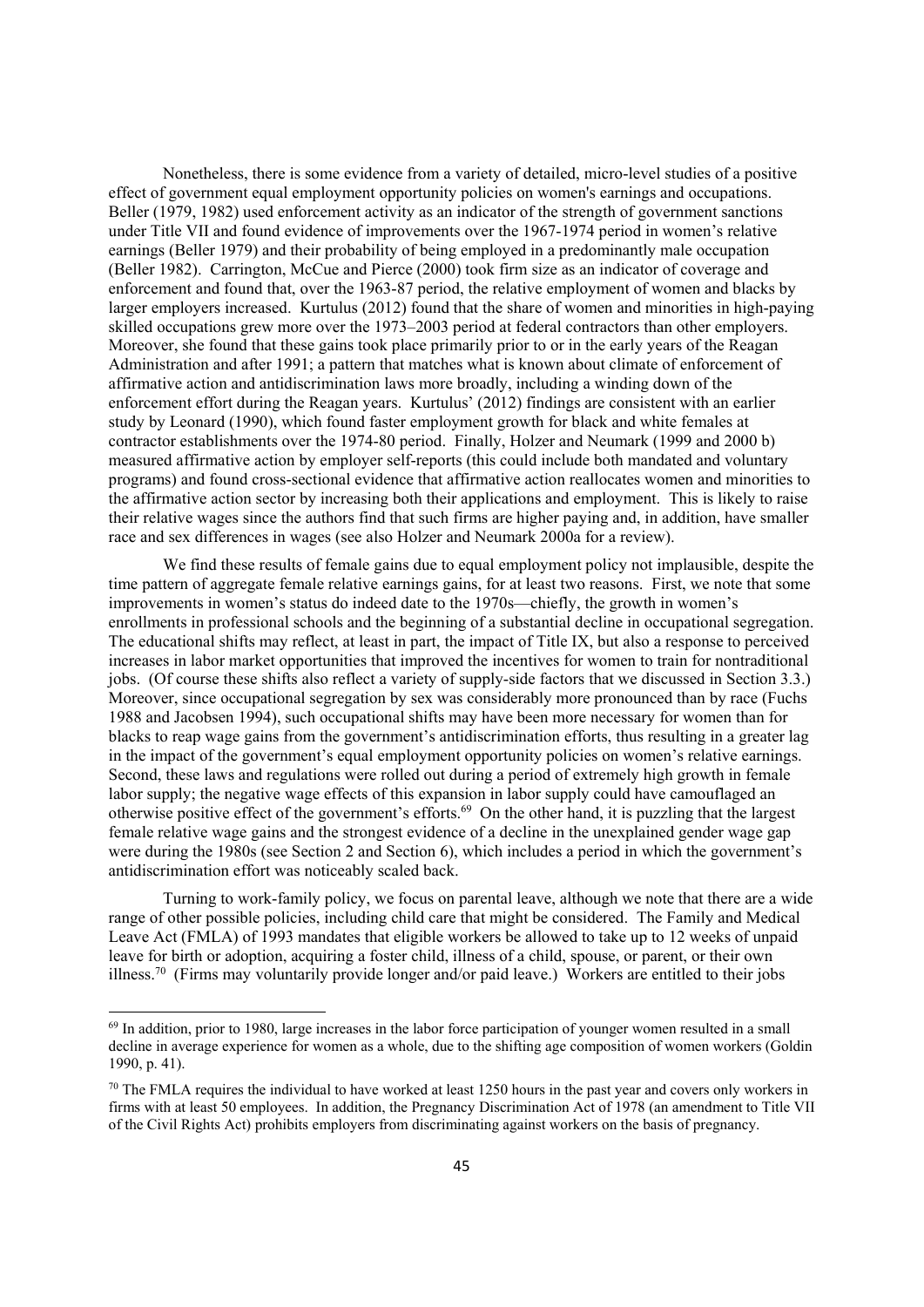Nonetheless, there is some evidence from a variety of detailed, micro-level studies of a positive effect of government equal employment opportunity policies on women's earnings and occupations. Beller (1979, 1982) used enforcement activity as an indicator of the strength of government sanctions under Title VII and found evidence of improvements over the 1967-1974 period in women's relative earnings (Beller 1979) and their probability of being employed in a predominantly male occupation (Beller 1982). Carrington, McCue and Pierce (2000) took firm size as an indicator of coverage and enforcement and found that, over the 1963-87 period, the relative employment of women and blacks by larger employers increased. Kurtulus (2012) found that the share of women and minorities in high-paying skilled occupations grew more over the 1973–2003 period at federal contractors than other employers. Moreover, she found that these gains took place primarily prior to or in the early years of the Reagan Administration and after 1991; a pattern that matches what is known about climate of enforcement of affirmative action and antidiscrimination laws more broadly, including a winding down of the enforcement effort during the Reagan years. Kurtulus' (2012) findings are consistent with an earlier study by Leonard (1990), which found faster employment growth for black and white females at contractor establishments over the 1974-80 period. Finally, Holzer and Neumark (1999 and 2000 b) measured affirmative action by employer self-reports (this could include both mandated and voluntary programs) and found cross-sectional evidence that affirmative action reallocates women and minorities to the affirmative action sector by increasing both their applications and employment. This is likely to raise their relative wages since the authors find that such firms are higher paying and, in addition, have smaller race and sex differences in wages (see also Holzer and Neumark 2000a for a review).

We find these results of female gains due to equal employment policy not implausible, despite the time pattern of aggregate female relative earnings gains, for at least two reasons. First, we note that some improvements in women's status do indeed date to the 1970s—chiefly, the growth in women's enrollments in professional schools and the beginning of a substantial decline in occupational segregation. The educational shifts may reflect, at least in part, the impact of Title IX, but also a response to perceived increases in labor market opportunities that improved the incentives for women to train for nontraditional jobs. (Of course these shifts also reflect a variety of supply-side factors that we discussed in Section 3.3.) Moreover, since occupational segregation by sex was considerably more pronounced than by race (Fuchs 1988 and Jacobsen 1994), such occupational shifts may have been more necessary for women than for blacks to reap wage gains from the government's antidiscrimination efforts, thus resulting in a greater lag in the impact of the government's equal employment opportunity policies on women's relative earnings. Second, these laws and regulations were rolled out during a period of extremely high growth in female labor supply; the negative wage effects of this expansion in labor supply could have camouflaged an otherwise positive effect of the government's efforts.69 On the other hand, it is puzzling that the largest female relative wage gains and the strongest evidence of a decline in the unexplained gender wage gap were during the 1980s (see Section 2 and Section 6), which includes a period in which the government's antidiscrimination effort was noticeably scaled back.

Turning to work-family policy, we focus on parental leave, although we note that there are a wide range of other possible policies, including child care that might be considered. The Family and Medical Leave Act (FMLA) of 1993 mandates that eligible workers be allowed to take up to 12 weeks of unpaid leave for birth or adoption, acquiring a foster child, illness of a child, spouse, or parent, or their own illness.70 (Firms may voluntarily provide longer and/or paid leave.) Workers are entitled to their jobs

 $<sup>69</sup>$  In addition, prior to 1980, large increases in the labor force participation of younger women resulted in a small</sup> decline in average experience for women as a whole, due to the shifting age composition of women workers (Goldin 1990, p. 41).

 $70$  The FMLA requires the individual to have worked at least 1250 hours in the past year and covers only workers in firms with at least 50 employees. In addition, the Pregnancy Discrimination Act of 1978 (an amendment to Title VII of the Civil Rights Act) prohibits employers from discriminating against workers on the basis of pregnancy.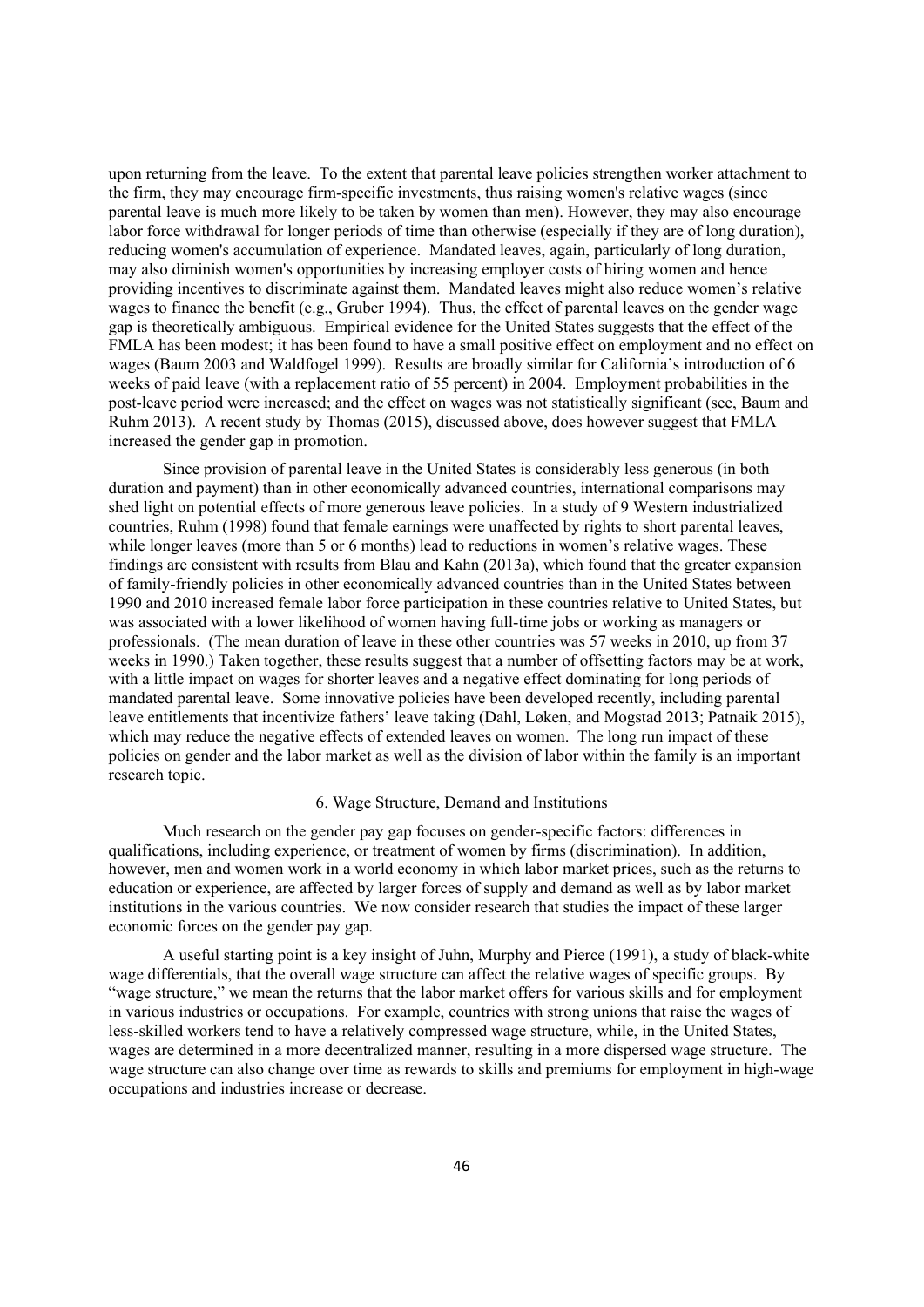upon returning from the leave. To the extent that parental leave policies strengthen worker attachment to the firm, they may encourage firm-specific investments, thus raising women's relative wages (since parental leave is much more likely to be taken by women than men). However, they may also encourage labor force withdrawal for longer periods of time than otherwise (especially if they are of long duration), reducing women's accumulation of experience. Mandated leaves, again, particularly of long duration, may also diminish women's opportunities by increasing employer costs of hiring women and hence providing incentives to discriminate against them. Mandated leaves might also reduce women's relative wages to finance the benefit (e.g., Gruber 1994). Thus, the effect of parental leaves on the gender wage gap is theoretically ambiguous. Empirical evidence for the United States suggests that the effect of the FMLA has been modest; it has been found to have a small positive effect on employment and no effect on wages (Baum 2003 and Waldfogel 1999). Results are broadly similar for California's introduction of 6 weeks of paid leave (with a replacement ratio of 55 percent) in 2004. Employment probabilities in the post-leave period were increased; and the effect on wages was not statistically significant (see, Baum and Ruhm 2013). A recent study by Thomas (2015), discussed above, does however suggest that FMLA increased the gender gap in promotion.

Since provision of parental leave in the United States is considerably less generous (in both duration and payment) than in other economically advanced countries, international comparisons may shed light on potential effects of more generous leave policies. In a study of 9 Western industrialized countries, Ruhm (1998) found that female earnings were unaffected by rights to short parental leaves, while longer leaves (more than 5 or 6 months) lead to reductions in women's relative wages. These findings are consistent with results from Blau and Kahn (2013a), which found that the greater expansion of family-friendly policies in other economically advanced countries than in the United States between 1990 and 2010 increased female labor force participation in these countries relative to United States, but was associated with a lower likelihood of women having full-time jobs or working as managers or professionals. (The mean duration of leave in these other countries was 57 weeks in 2010, up from 37 weeks in 1990.) Taken together, these results suggest that a number of offsetting factors may be at work, with a little impact on wages for shorter leaves and a negative effect dominating for long periods of mandated parental leave. Some innovative policies have been developed recently, including parental leave entitlements that incentivize fathers' leave taking (Dahl, Løken, and Mogstad 2013; Patnaik 2015), which may reduce the negative effects of extended leaves on women. The long run impact of these policies on gender and the labor market as well as the division of labor within the family is an important research topic.

## 6. Wage Structure, Demand and Institutions

Much research on the gender pay gap focuses on gender-specific factors: differences in qualifications, including experience, or treatment of women by firms (discrimination). In addition, however, men and women work in a world economy in which labor market prices, such as the returns to education or experience, are affected by larger forces of supply and demand as well as by labor market institutions in the various countries. We now consider research that studies the impact of these larger economic forces on the gender pay gap.

A useful starting point is a key insight of Juhn, Murphy and Pierce (1991), a study of black-white wage differentials, that the overall wage structure can affect the relative wages of specific groups. By "wage structure," we mean the returns that the labor market offers for various skills and for employment in various industries or occupations. For example, countries with strong unions that raise the wages of less-skilled workers tend to have a relatively compressed wage structure, while, in the United States, wages are determined in a more decentralized manner, resulting in a more dispersed wage structure. The wage structure can also change over time as rewards to skills and premiums for employment in high-wage occupations and industries increase or decrease.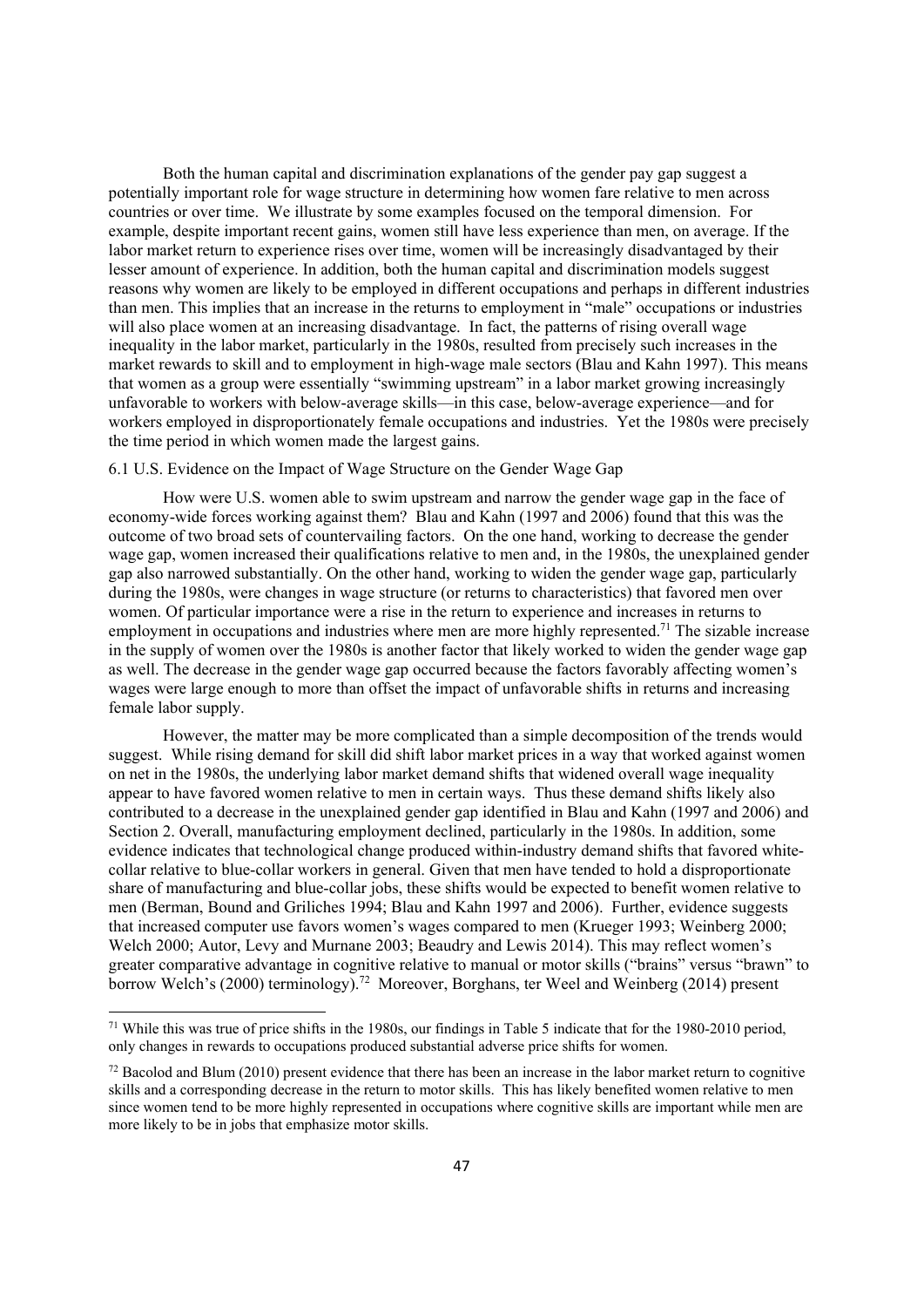Both the human capital and discrimination explanations of the gender pay gap suggest a potentially important role for wage structure in determining how women fare relative to men across countries or over time. We illustrate by some examples focused on the temporal dimension. For example, despite important recent gains, women still have less experience than men, on average. If the labor market return to experience rises over time, women will be increasingly disadvantaged by their lesser amount of experience. In addition, both the human capital and discrimination models suggest reasons why women are likely to be employed in different occupations and perhaps in different industries than men. This implies that an increase in the returns to employment in "male" occupations or industries will also place women at an increasing disadvantage. In fact, the patterns of rising overall wage inequality in the labor market, particularly in the 1980s, resulted from precisely such increases in the market rewards to skill and to employment in high-wage male sectors (Blau and Kahn 1997). This means that women as a group were essentially "swimming upstream" in a labor market growing increasingly unfavorable to workers with below-average skills—in this case, below-average experience—and for workers employed in disproportionately female occupations and industries. Yet the 1980s were precisely the time period in which women made the largest gains.

# 6.1 U.S. Evidence on the Impact of Wage Structure on the Gender Wage Gap

How were U.S. women able to swim upstream and narrow the gender wage gap in the face of economy-wide forces working against them? Blau and Kahn (1997 and 2006) found that this was the outcome of two broad sets of countervailing factors. On the one hand, working to decrease the gender wage gap, women increased their qualifications relative to men and, in the 1980s, the unexplained gender gap also narrowed substantially. On the other hand, working to widen the gender wage gap, particularly during the 1980s, were changes in wage structure (or returns to characteristics) that favored men over women. Of particular importance were a rise in the return to experience and increases in returns to employment in occupations and industries where men are more highly represented.<sup>71</sup> The sizable increase in the supply of women over the 1980s is another factor that likely worked to widen the gender wage gap as well. The decrease in the gender wage gap occurred because the factors favorably affecting women's wages were large enough to more than offset the impact of unfavorable shifts in returns and increasing female labor supply.

However, the matter may be more complicated than a simple decomposition of the trends would suggest. While rising demand for skill did shift labor market prices in a way that worked against women on net in the 1980s, the underlying labor market demand shifts that widened overall wage inequality appear to have favored women relative to men in certain ways. Thus these demand shifts likely also contributed to a decrease in the unexplained gender gap identified in Blau and Kahn (1997 and 2006) and Section 2. Overall, manufacturing employment declined, particularly in the 1980s. In addition, some evidence indicates that technological change produced within-industry demand shifts that favored whitecollar relative to blue-collar workers in general. Given that men have tended to hold a disproportionate share of manufacturing and blue-collar jobs, these shifts would be expected to benefit women relative to men (Berman, Bound and Griliches 1994; Blau and Kahn 1997 and 2006). Further, evidence suggests that increased computer use favors women's wages compared to men (Krueger 1993; Weinberg 2000; Welch 2000; Autor, Levy and Murnane 2003; Beaudry and Lewis 2014). This may reflect women's greater comparative advantage in cognitive relative to manual or motor skills ("brains" versus "brawn" to borrow Welch's (2000) terminology).<sup>72</sup> Moreover, Borghans, ter Weel and Weinberg (2014) present

<sup>71</sup> While this was true of price shifts in the 1980s, our findings in Table 5 indicate that for the 1980-2010 period, only changes in rewards to occupations produced substantial adverse price shifts for women.

 $72$  Bacolod and Blum (2010) present evidence that there has been an increase in the labor market return to cognitive skills and a corresponding decrease in the return to motor skills. This has likely benefited women relative to men since women tend to be more highly represented in occupations where cognitive skills are important while men are more likely to be in jobs that emphasize motor skills.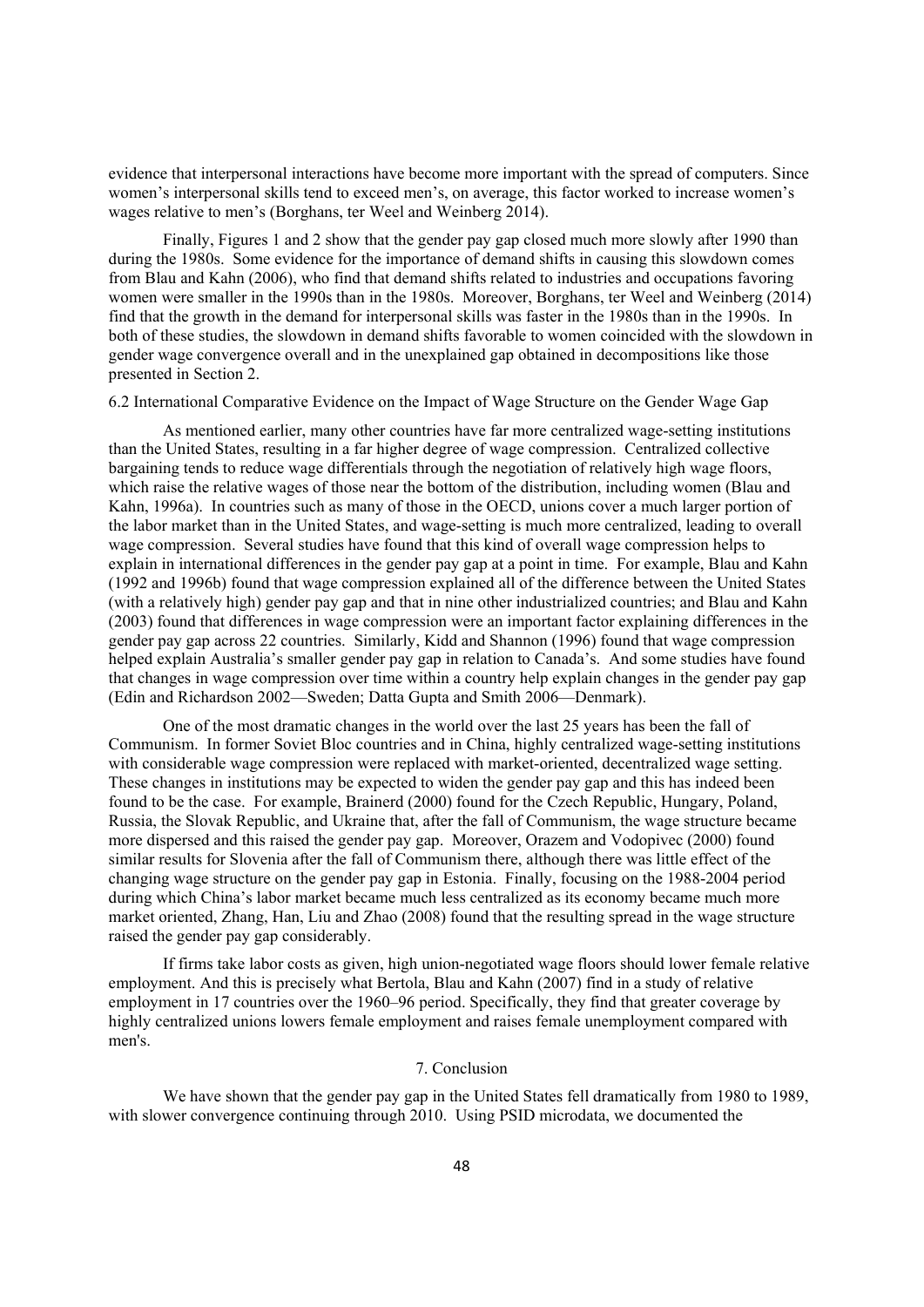evidence that interpersonal interactions have become more important with the spread of computers. Since women's interpersonal skills tend to exceed men's, on average, this factor worked to increase women's wages relative to men's (Borghans, ter Weel and Weinberg 2014).

Finally, Figures 1 and 2 show that the gender pay gap closed much more slowly after 1990 than during the 1980s. Some evidence for the importance of demand shifts in causing this slowdown comes from Blau and Kahn (2006), who find that demand shifts related to industries and occupations favoring women were smaller in the 1990s than in the 1980s. Moreover, Borghans, ter Weel and Weinberg (2014) find that the growth in the demand for interpersonal skills was faster in the 1980s than in the 1990s. In both of these studies, the slowdown in demand shifts favorable to women coincided with the slowdown in gender wage convergence overall and in the unexplained gap obtained in decompositions like those presented in Section 2.

6.2 International Comparative Evidence on the Impact of Wage Structure on the Gender Wage Gap

As mentioned earlier, many other countries have far more centralized wage-setting institutions than the United States, resulting in a far higher degree of wage compression. Centralized collective bargaining tends to reduce wage differentials through the negotiation of relatively high wage floors, which raise the relative wages of those near the bottom of the distribution, including women (Blau and Kahn, 1996a). In countries such as many of those in the OECD, unions cover a much larger portion of the labor market than in the United States, and wage-setting is much more centralized, leading to overall wage compression. Several studies have found that this kind of overall wage compression helps to explain in international differences in the gender pay gap at a point in time. For example, Blau and Kahn (1992 and 1996b) found that wage compression explained all of the difference between the United States (with a relatively high) gender pay gap and that in nine other industrialized countries; and Blau and Kahn (2003) found that differences in wage compression were an important factor explaining differences in the gender pay gap across 22 countries. Similarly, Kidd and Shannon (1996) found that wage compression helped explain Australia's smaller gender pay gap in relation to Canada's. And some studies have found that changes in wage compression over time within a country help explain changes in the gender pay gap (Edin and Richardson 2002—Sweden; Datta Gupta and Smith 2006—Denmark).

One of the most dramatic changes in the world over the last 25 years has been the fall of Communism. In former Soviet Bloc countries and in China, highly centralized wage-setting institutions with considerable wage compression were replaced with market-oriented, decentralized wage setting. These changes in institutions may be expected to widen the gender pay gap and this has indeed been found to be the case. For example, Brainerd (2000) found for the Czech Republic, Hungary, Poland, Russia, the Slovak Republic, and Ukraine that, after the fall of Communism, the wage structure became more dispersed and this raised the gender pay gap. Moreover, Orazem and Vodopivec (2000) found similar results for Slovenia after the fall of Communism there, although there was little effect of the changing wage structure on the gender pay gap in Estonia. Finally, focusing on the 1988-2004 period during which China's labor market became much less centralized as its economy became much more market oriented, Zhang, Han, Liu and Zhao (2008) found that the resulting spread in the wage structure raised the gender pay gap considerably.

If firms take labor costs as given, high union-negotiated wage floors should lower female relative employment. And this is precisely what Bertola, Blau and Kahn (2007) find in a study of relative employment in 17 countries over the 1960–96 period. Specifically, they find that greater coverage by highly centralized unions lowers female employment and raises female unemployment compared with men's.

## 7. Conclusion

We have shown that the gender pay gap in the United States fell dramatically from 1980 to 1989, with slower convergence continuing through 2010. Using PSID microdata, we documented the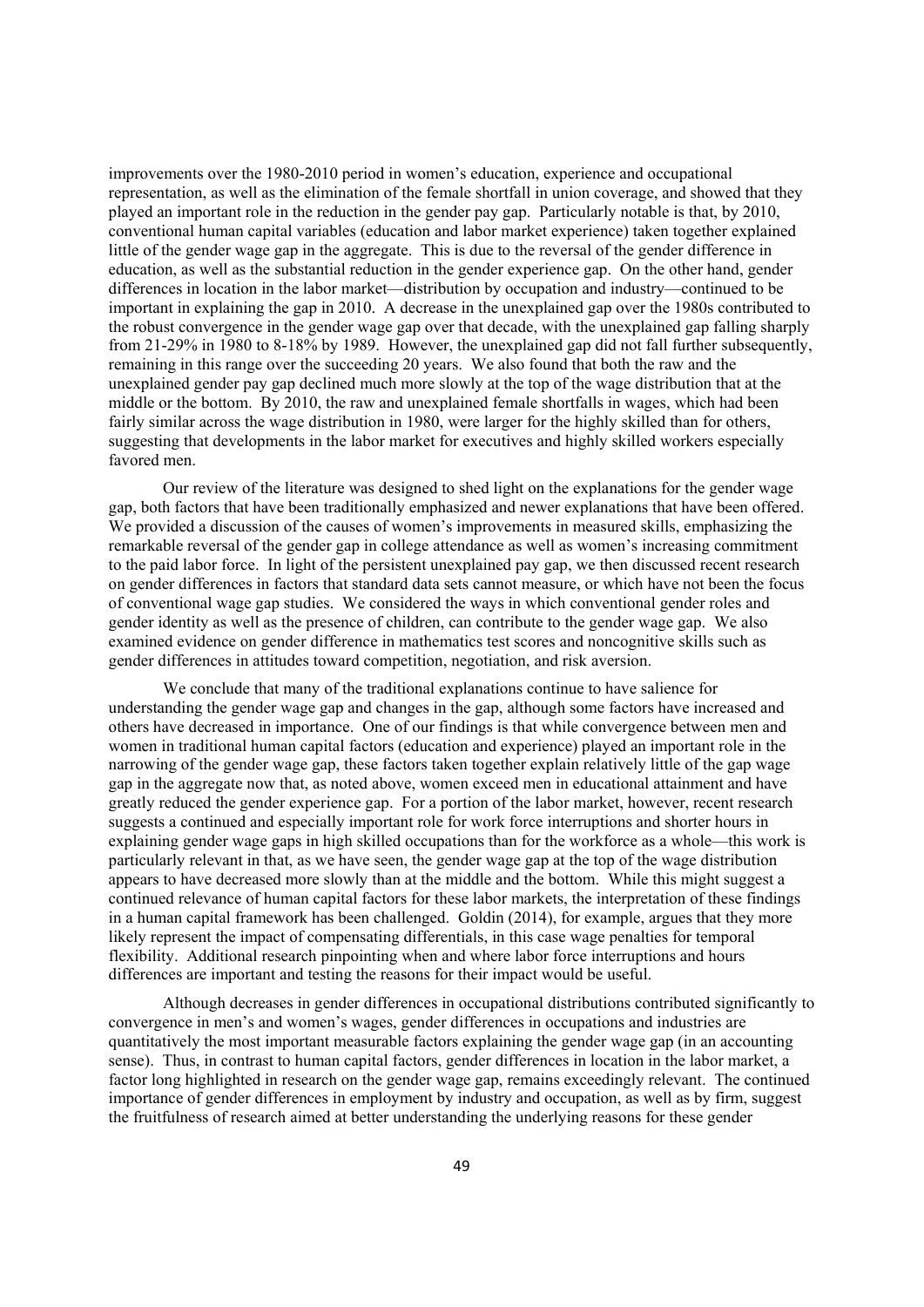improvements over the 1980-2010 period in women's education, experience and occupational representation, as well as the elimination of the female shortfall in union coverage, and showed that they played an important role in the reduction in the gender pay gap. Particularly notable is that, by 2010, conventional human capital variables (education and labor market experience) taken together explained little of the gender wage gap in the aggregate. This is due to the reversal of the gender difference in education, as well as the substantial reduction in the gender experience gap. On the other hand, gender differences in location in the labor market—distribution by occupation and industry—continued to be important in explaining the gap in 2010. A decrease in the unexplained gap over the 1980s contributed to the robust convergence in the gender wage gap over that decade, with the unexplained gap falling sharply from 21-29% in 1980 to 8-18% by 1989. However, the unexplained gap did not fall further subsequently, remaining in this range over the succeeding 20 years. We also found that both the raw and the unexplained gender pay gap declined much more slowly at the top of the wage distribution that at the middle or the bottom. By 2010, the raw and unexplained female shortfalls in wages, which had been fairly similar across the wage distribution in 1980, were larger for the highly skilled than for others, suggesting that developments in the labor market for executives and highly skilled workers especially favored men.

Our review of the literature was designed to shed light on the explanations for the gender wage gap, both factors that have been traditionally emphasized and newer explanations that have been offered. We provided a discussion of the causes of women's improvements in measured skills, emphasizing the remarkable reversal of the gender gap in college attendance as well as women's increasing commitment to the paid labor force. In light of the persistent unexplained pay gap, we then discussed recent research on gender differences in factors that standard data sets cannot measure, or which have not been the focus of conventional wage gap studies. We considered the ways in which conventional gender roles and gender identity as well as the presence of children, can contribute to the gender wage gap. We also examined evidence on gender difference in mathematics test scores and noncognitive skills such as gender differences in attitudes toward competition, negotiation, and risk aversion.

We conclude that many of the traditional explanations continue to have salience for understanding the gender wage gap and changes in the gap, although some factors have increased and others have decreased in importance. One of our findings is that while convergence between men and women in traditional human capital factors (education and experience) played an important role in the narrowing of the gender wage gap, these factors taken together explain relatively little of the gap wage gap in the aggregate now that, as noted above, women exceed men in educational attainment and have greatly reduced the gender experience gap. For a portion of the labor market, however, recent research suggests a continued and especially important role for work force interruptions and shorter hours in explaining gender wage gaps in high skilled occupations than for the workforce as a whole—this work is particularly relevant in that, as we have seen, the gender wage gap at the top of the wage distribution appears to have decreased more slowly than at the middle and the bottom. While this might suggest a continued relevance of human capital factors for these labor markets, the interpretation of these findings in a human capital framework has been challenged. Goldin (2014), for example, argues that they more likely represent the impact of compensating differentials, in this case wage penalties for temporal flexibility. Additional research pinpointing when and where labor force interruptions and hours differences are important and testing the reasons for their impact would be useful.

Although decreases in gender differences in occupational distributions contributed significantly to convergence in men's and women's wages, gender differences in occupations and industries are quantitatively the most important measurable factors explaining the gender wage gap (in an accounting sense). Thus, in contrast to human capital factors, gender differences in location in the labor market, a factor long highlighted in research on the gender wage gap, remains exceedingly relevant. The continued importance of gender differences in employment by industry and occupation, as well as by firm, suggest the fruitfulness of research aimed at better understanding the underlying reasons for these gender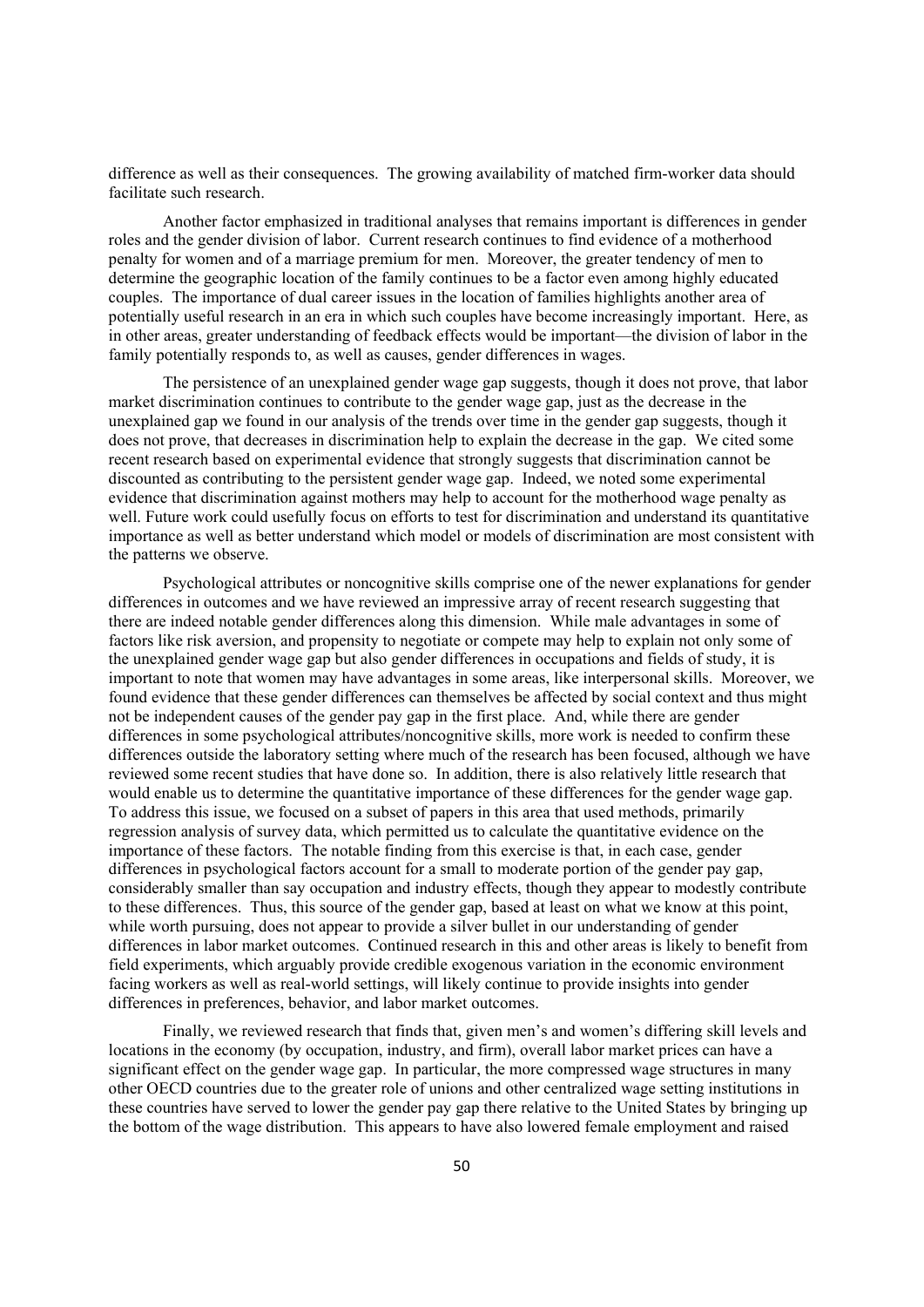difference as well as their consequences. The growing availability of matched firm-worker data should facilitate such research.

Another factor emphasized in traditional analyses that remains important is differences in gender roles and the gender division of labor. Current research continues to find evidence of a motherhood penalty for women and of a marriage premium for men. Moreover, the greater tendency of men to determine the geographic location of the family continues to be a factor even among highly educated couples. The importance of dual career issues in the location of families highlights another area of potentially useful research in an era in which such couples have become increasingly important. Here, as in other areas, greater understanding of feedback effects would be important—the division of labor in the family potentially responds to, as well as causes, gender differences in wages.

The persistence of an unexplained gender wage gap suggests, though it does not prove, that labor market discrimination continues to contribute to the gender wage gap, just as the decrease in the unexplained gap we found in our analysis of the trends over time in the gender gap suggests, though it does not prove, that decreases in discrimination help to explain the decrease in the gap. We cited some recent research based on experimental evidence that strongly suggests that discrimination cannot be discounted as contributing to the persistent gender wage gap. Indeed, we noted some experimental evidence that discrimination against mothers may help to account for the motherhood wage penalty as well. Future work could usefully focus on efforts to test for discrimination and understand its quantitative importance as well as better understand which model or models of discrimination are most consistent with the patterns we observe.

Psychological attributes or noncognitive skills comprise one of the newer explanations for gender differences in outcomes and we have reviewed an impressive array of recent research suggesting that there are indeed notable gender differences along this dimension. While male advantages in some of factors like risk aversion, and propensity to negotiate or compete may help to explain not only some of the unexplained gender wage gap but also gender differences in occupations and fields of study, it is important to note that women may have advantages in some areas, like interpersonal skills. Moreover, we found evidence that these gender differences can themselves be affected by social context and thus might not be independent causes of the gender pay gap in the first place. And, while there are gender differences in some psychological attributes/noncognitive skills, more work is needed to confirm these differences outside the laboratory setting where much of the research has been focused, although we have reviewed some recent studies that have done so. In addition, there is also relatively little research that would enable us to determine the quantitative importance of these differences for the gender wage gap. To address this issue, we focused on a subset of papers in this area that used methods, primarily regression analysis of survey data, which permitted us to calculate the quantitative evidence on the importance of these factors. The notable finding from this exercise is that, in each case, gender differences in psychological factors account for a small to moderate portion of the gender pay gap, considerably smaller than say occupation and industry effects, though they appear to modestly contribute to these differences. Thus, this source of the gender gap, based at least on what we know at this point, while worth pursuing, does not appear to provide a silver bullet in our understanding of gender differences in labor market outcomes. Continued research in this and other areas is likely to benefit from field experiments, which arguably provide credible exogenous variation in the economic environment facing workers as well as real-world settings, will likely continue to provide insights into gender differences in preferences, behavior, and labor market outcomes.

Finally, we reviewed research that finds that, given men's and women's differing skill levels and locations in the economy (by occupation, industry, and firm), overall labor market prices can have a significant effect on the gender wage gap. In particular, the more compressed wage structures in many other OECD countries due to the greater role of unions and other centralized wage setting institutions in these countries have served to lower the gender pay gap there relative to the United States by bringing up the bottom of the wage distribution. This appears to have also lowered female employment and raised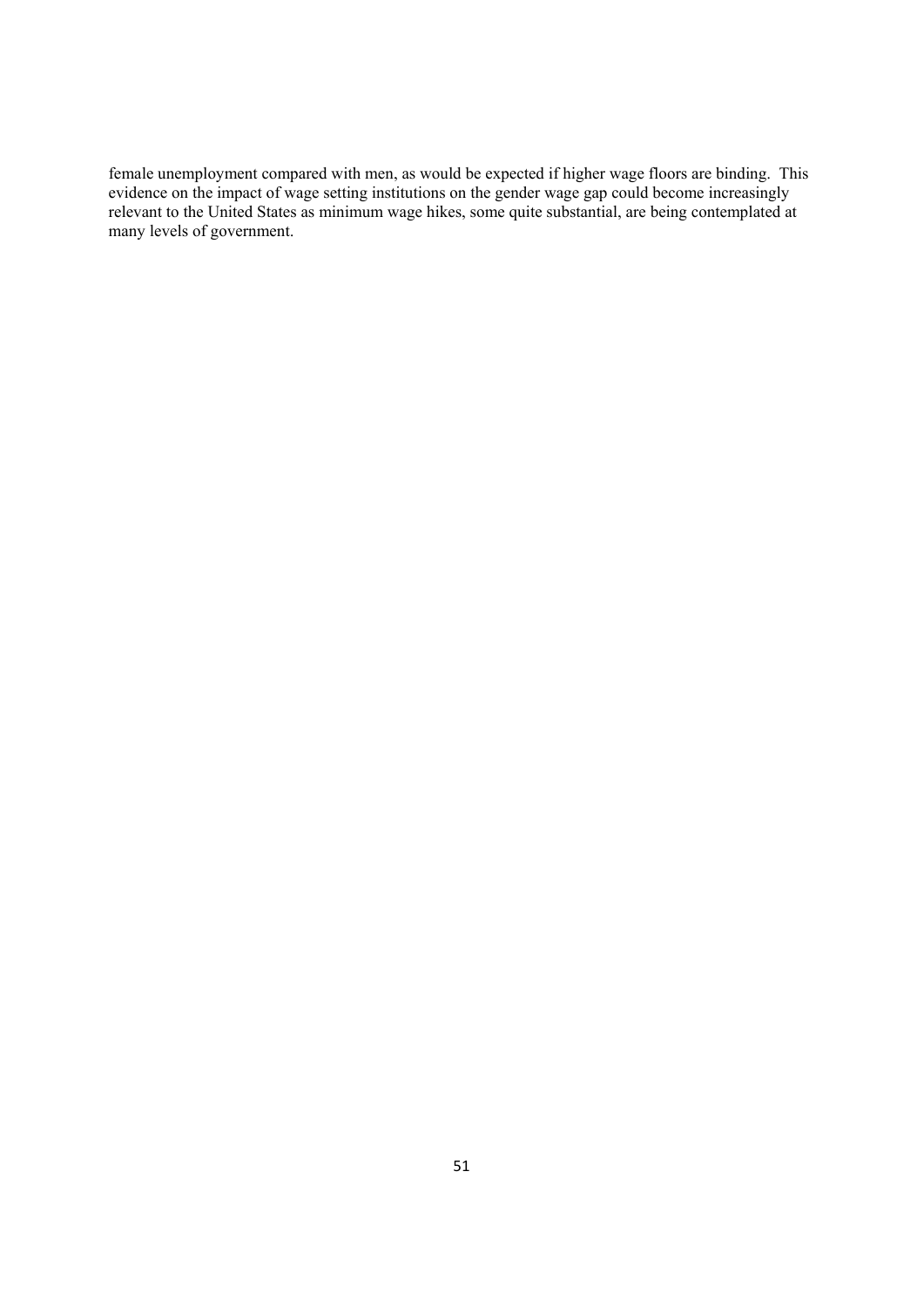female unemployment compared with men, as would be expected if higher wage floors are binding. This evidence on the impact of wage setting institutions on the gender wage gap could become increasingly relevant to the United States as minimum wage hikes, some quite substantial, are being contemplated at many levels of government.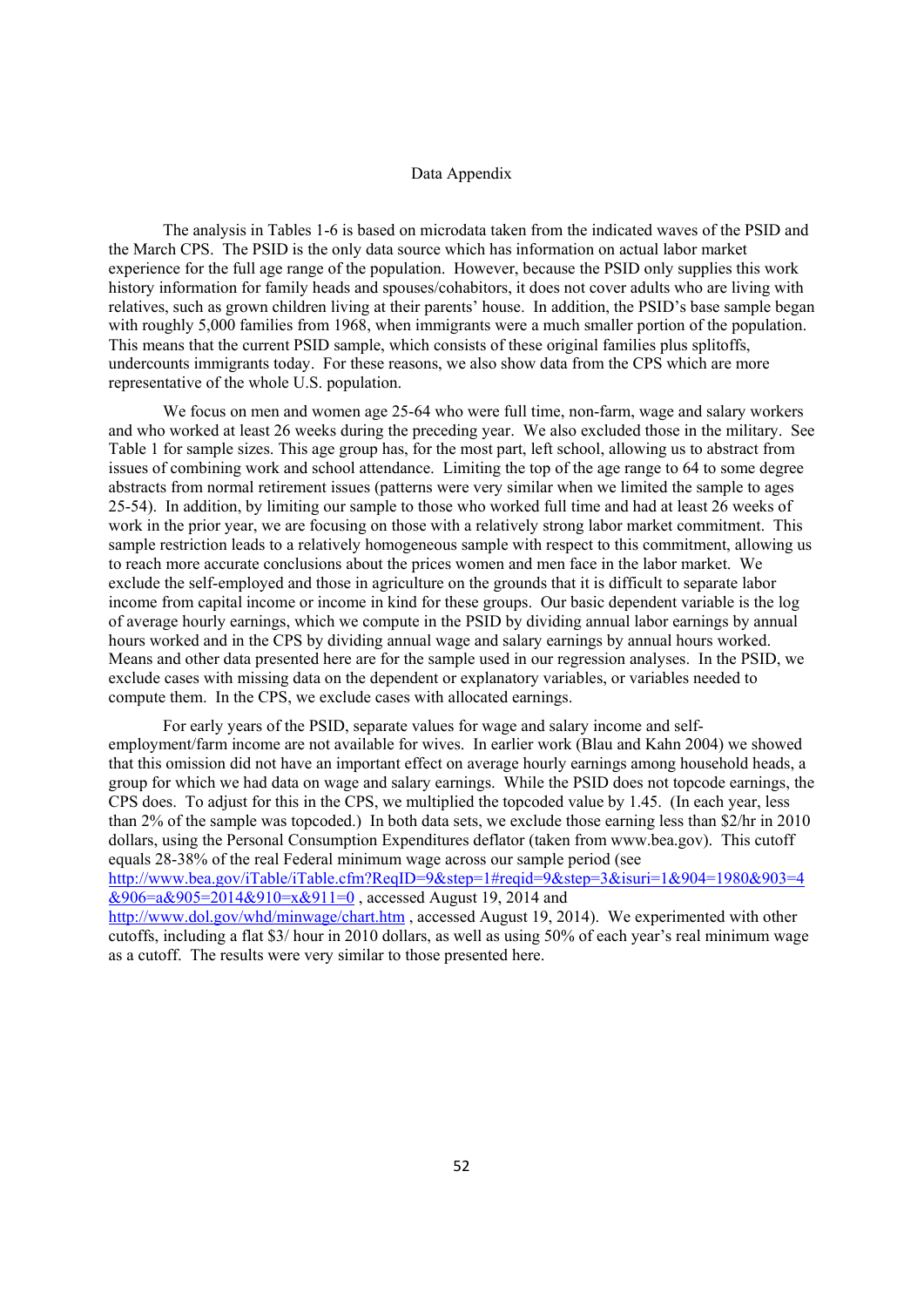#### Data Appendix

The analysis in Tables 1-6 is based on microdata taken from the indicated waves of the PSID and the March CPS. The PSID is the only data source which has information on actual labor market experience for the full age range of the population. However, because the PSID only supplies this work history information for family heads and spouses/cohabitors, it does not cover adults who are living with relatives, such as grown children living at their parents' house. In addition, the PSID's base sample began with roughly 5,000 families from 1968, when immigrants were a much smaller portion of the population. This means that the current PSID sample, which consists of these original families plus splitoffs, undercounts immigrants today. For these reasons, we also show data from the CPS which are more representative of the whole U.S. population.

We focus on men and women age 25-64 who were full time, non-farm, wage and salary workers and who worked at least 26 weeks during the preceding year. We also excluded those in the military. See Table 1 for sample sizes. This age group has, for the most part, left school, allowing us to abstract from issues of combining work and school attendance. Limiting the top of the age range to 64 to some degree abstracts from normal retirement issues (patterns were very similar when we limited the sample to ages 25-54). In addition, by limiting our sample to those who worked full time and had at least 26 weeks of work in the prior year, we are focusing on those with a relatively strong labor market commitment. This sample restriction leads to a relatively homogeneous sample with respect to this commitment, allowing us to reach more accurate conclusions about the prices women and men face in the labor market. We exclude the self-employed and those in agriculture on the grounds that it is difficult to separate labor income from capital income or income in kind for these groups. Our basic dependent variable is the log of average hourly earnings, which we compute in the PSID by dividing annual labor earnings by annual hours worked and in the CPS by dividing annual wage and salary earnings by annual hours worked. Means and other data presented here are for the sample used in our regression analyses. In the PSID, we exclude cases with missing data on the dependent or explanatory variables, or variables needed to compute them. In the CPS, we exclude cases with allocated earnings.

For early years of the PSID, separate values for wage and salary income and selfemployment/farm income are not available for wives. In earlier work (Blau and Kahn 2004) we showed that this omission did not have an important effect on average hourly earnings among household heads, a group for which we had data on wage and salary earnings. While the PSID does not topcode earnings, the CPS does. To adjust for this in the CPS, we multiplied the topcoded value by 1.45. (In each year, less than 2% of the sample was topcoded.) In both data sets, we exclude those earning less than \$2/hr in 2010 dollars, using the Personal Consumption Expenditures deflator (taken from www.bea.gov). This cutoff equals 28-38% of the real Federal minimum wage across our sample period (see http://www.bea.gov/iTable/iTable.cfm?ReqID=9&step=1#reqid=9&step=3&isuri=1&904=1980&903=4  $\frac{\&906}{=a\&905=2014\&910=x\&911=0}$ , accessed August 19, 2014 and http://www.dol.gov/whd/minwage/chart.htm , accessed August 19, 2014). We experimented with other cutoffs, including a flat \$3/ hour in 2010 dollars, as well as using 50% of each year's real minimum wage as a cutoff. The results were very similar to those presented here.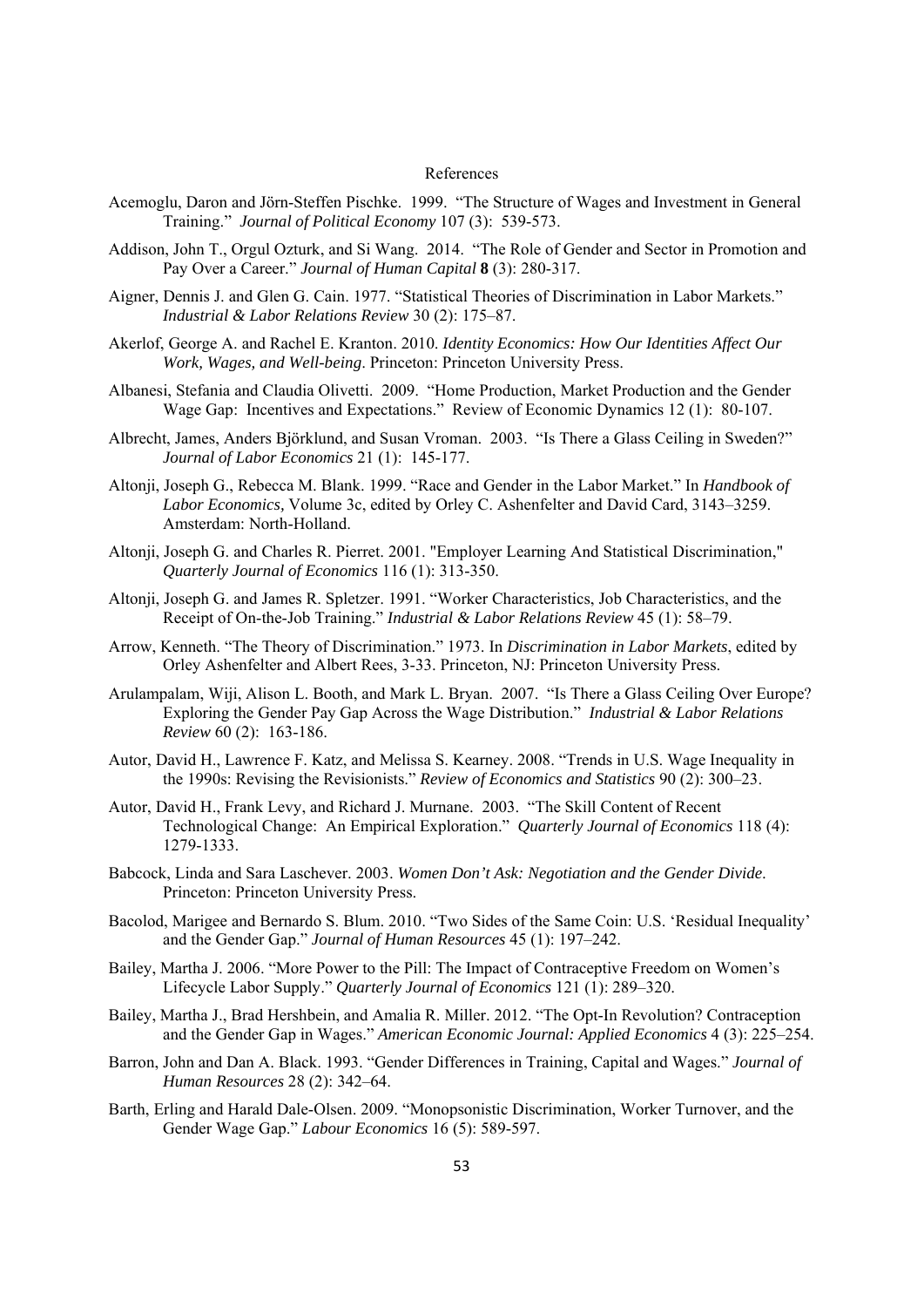#### References

- Acemoglu, Daron and Jörn-Steffen Pischke. 1999. "The Structure of Wages and Investment in General Training." *Journal of Political Economy* 107 (3): 539-573.
- Addison, John T., Orgul Ozturk, and Si Wang. 2014. "The Role of Gender and Sector in Promotion and Pay Over a Career." *Journal of Human Capital* **8** (3): 280-317.
- Aigner, Dennis J. and Glen G. Cain. 1977. "Statistical Theories of Discrimination in Labor Markets." *Industrial & Labor Relations Review* 30 (2): 175–87.
- Akerlof, George A. and Rachel E. Kranton. 2010. *Identity Economics: How Our Identities Affect Our Work, Wages, and Well-being*. Princeton: Princeton University Press.
- Albanesi, Stefania and Claudia Olivetti. 2009. "Home Production, Market Production and the Gender Wage Gap: Incentives and Expectations." Review of Economic Dynamics 12 (1): 80-107.
- Albrecht, James, Anders Björklund, and Susan Vroman. 2003. "Is There a Glass Ceiling in Sweden?" *Journal of Labor Economics* 21 (1): 145-177.
- Altonji, Joseph G., Rebecca M. Blank. 1999. "Race and Gender in the Labor Market." In *Handbook of Labor Economics,* Volume 3c, edited by Orley C. Ashenfelter and David Card, 3143–3259. Amsterdam: North-Holland.
- Altonji, Joseph G. and Charles R. Pierret. 2001. "Employer Learning And Statistical Discrimination," *Quarterly Journal of Economics* 116 (1): 313-350.
- Altonji, Joseph G. and James R. Spletzer. 1991. "Worker Characteristics, Job Characteristics, and the Receipt of On-the-Job Training." *Industrial & Labor Relations Review* 45 (1): 58–79.
- Arrow, Kenneth. "The Theory of Discrimination." 1973. In *Discrimination in Labor Markets*, edited by Orley Ashenfelter and Albert Rees, 3-33. Princeton, NJ: Princeton University Press.
- Arulampalam, Wiji, Alison L. Booth, and Mark L. Bryan. 2007. "Is There a Glass Ceiling Over Europe? Exploring the Gender Pay Gap Across the Wage Distribution." *Industrial & Labor Relations Review* 60 (2): 163-186.
- Autor, David H., Lawrence F. Katz, and Melissa S. Kearney. 2008. "Trends in U.S. Wage Inequality in the 1990s: Revising the Revisionists." *Review of Economics and Statistics* 90 (2): 300–23.
- Autor, David H., Frank Levy, and Richard J. Murnane. 2003. "The Skill Content of Recent Technological Change: An Empirical Exploration." *Quarterly Journal of Economics* 118 (4): 1279-1333.
- Babcock, Linda and Sara Laschever. 2003. *Women Don't Ask: Negotiation and the Gender Divide*. Princeton: Princeton University Press.
- Bacolod, Marigee and Bernardo S. Blum. 2010. "Two Sides of the Same Coin: U.S. 'Residual Inequality' and the Gender Gap." *Journal of Human Resources* 45 (1): 197–242.
- Bailey, Martha J. 2006. "More Power to the Pill: The Impact of Contraceptive Freedom on Women's Lifecycle Labor Supply." *Quarterly Journal of Economics* 121 (1): 289–320.
- Bailey, Martha J., Brad Hershbein, and Amalia R. Miller. 2012. "The Opt-In Revolution? Contraception and the Gender Gap in Wages." *American Economic Journal: Applied Economics* 4 (3): 225–254.
- Barron, John and Dan A. Black. 1993. "Gender Differences in Training, Capital and Wages." *Journal of Human Resources* 28 (2): 342–64.
- Barth, Erling and Harald Dale-Olsen. 2009. "Monopsonistic Discrimination, Worker Turnover, and the Gender Wage Gap." *Labour Economics* 16 (5): 589-597.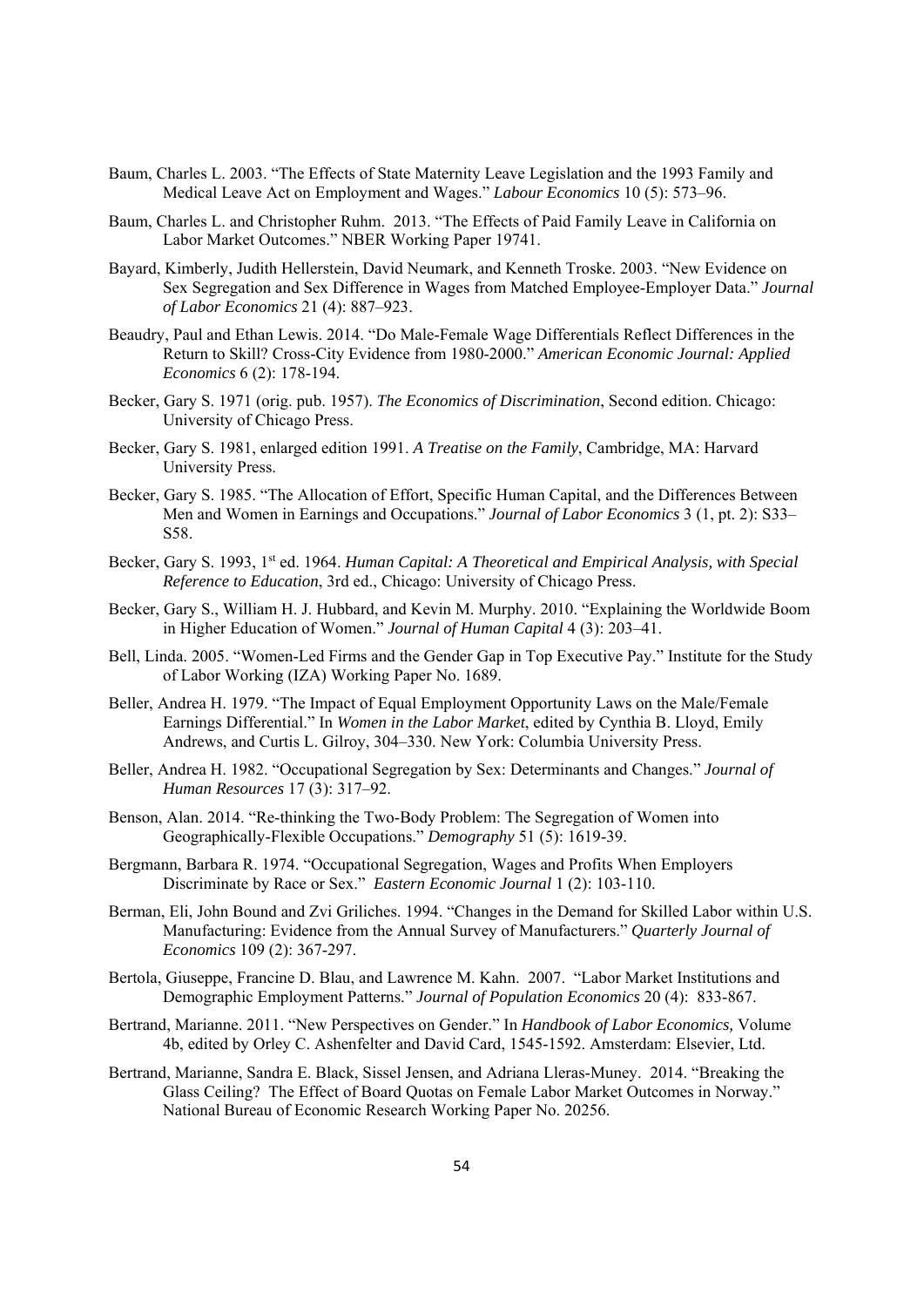- Baum, Charles L. 2003. "The Effects of State Maternity Leave Legislation and the 1993 Family and Medical Leave Act on Employment and Wages." *Labour Economics* 10 (5): 573–96.
- Baum, Charles L. and Christopher Ruhm. 2013. "The Effects of Paid Family Leave in California on Labor Market Outcomes." NBER Working Paper 19741.
- Bayard, Kimberly, Judith Hellerstein, David Neumark, and Kenneth Troske. 2003. "New Evidence on Sex Segregation and Sex Difference in Wages from Matched Employee-Employer Data." *Journal of Labor Economics* 21 (4): 887–923.
- Beaudry, Paul and Ethan Lewis. 2014. "Do Male-Female Wage Differentials Reflect Differences in the Return to Skill? Cross-City Evidence from 1980-2000." *American Economic Journal: Applied Economics* 6 (2): 178-194.
- Becker, Gary S. 1971 (orig. pub. 1957). *The Economics of Discrimination*, Second edition. Chicago: University of Chicago Press.
- Becker, Gary S. 1981, enlarged edition 1991. *A Treatise on the Family*, Cambridge, MA: Harvard University Press.
- Becker, Gary S. 1985. "The Allocation of Effort, Specific Human Capital, and the Differences Between Men and Women in Earnings and Occupations." *Journal of Labor Economics* 3 (1, pt. 2): S33– S58.
- Becker, Gary S. 1993, 1<sup>st</sup> ed. 1964. *Human Capital: A Theoretical and Empirical Analysis, with Special Reference to Education*, 3rd ed., Chicago: University of Chicago Press.
- Becker, Gary S., William H. J. Hubbard, and Kevin M. Murphy. 2010. "Explaining the Worldwide Boom in Higher Education of Women." *Journal of Human Capital* 4 (3): 203–41.
- Bell, Linda. 2005. "Women-Led Firms and the Gender Gap in Top Executive Pay." Institute for the Study of Labor Working (IZA) Working Paper No. 1689.
- Beller, Andrea H. 1979. "The Impact of Equal Employment Opportunity Laws on the Male/Female Earnings Differential." In *Women in the Labor Market*, edited by Cynthia B. Lloyd, Emily Andrews, and Curtis L. Gilroy, 304–330. New York: Columbia University Press.
- Beller, Andrea H. 1982. "Occupational Segregation by Sex: Determinants and Changes." *Journal of Human Resources* 17 (3): 317–92.
- Benson, Alan. 2014. "Re-thinking the Two-Body Problem: The Segregation of Women into Geographically-Flexible Occupations." *Demography* 51 (5): 1619-39.
- Bergmann, Barbara R. 1974. "Occupational Segregation, Wages and Profits When Employers Discriminate by Race or Sex." *Eastern Economic Journal* 1 (2): 103-110.
- Berman, Eli, John Bound and Zvi Griliches. 1994. "Changes in the Demand for Skilled Labor within U.S. Manufacturing: Evidence from the Annual Survey of Manufacturers." *Quarterly Journal of Economics* 109 (2): 367-297.
- Bertola, Giuseppe, Francine D. Blau, and Lawrence M. Kahn. 2007. "Labor Market Institutions and Demographic Employment Patterns." *Journal of Population Economics* 20 (4): 833-867.
- Bertrand, Marianne. 2011. "New Perspectives on Gender." In *Handbook of Labor Economics,* Volume 4b, edited by Orley C. Ashenfelter and David Card, 1545-1592. Amsterdam: Elsevier, Ltd.
- Bertrand, Marianne, Sandra E. Black, Sissel Jensen, and Adriana Lleras-Muney. 2014. "Breaking the Glass Ceiling? The Effect of Board Quotas on Female Labor Market Outcomes in Norway." National Bureau of Economic Research Working Paper No. 20256.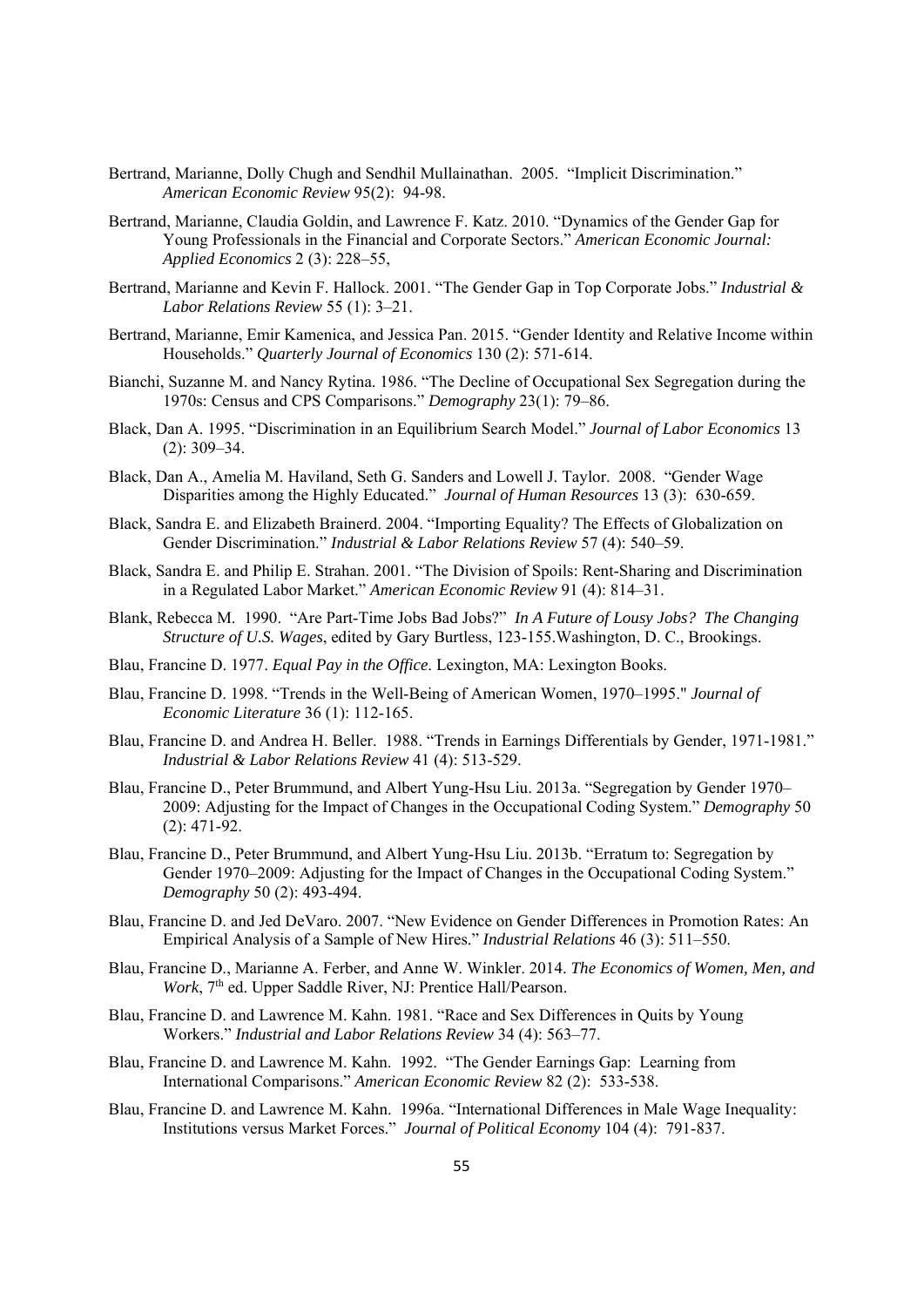- Bertrand, Marianne, Dolly Chugh and Sendhil Mullainathan. 2005. "Implicit Discrimination." *American Economic Review* 95(2): 94-98.
- Bertrand, Marianne, Claudia Goldin, and Lawrence F. Katz. 2010. "Dynamics of the Gender Gap for Young Professionals in the Financial and Corporate Sectors." *American Economic Journal: Applied Economics* 2 (3): 228–55,
- Bertrand, Marianne and Kevin F. Hallock. 2001. "The Gender Gap in Top Corporate Jobs." *Industrial & Labor Relations Review* 55 (1): 3–21.
- Bertrand, Marianne, Emir Kamenica, and Jessica Pan. 2015. "Gender Identity and Relative Income within Households." *Quarterly Journal of Economics* 130 (2): 571-614.
- Bianchi, Suzanne M. and Nancy Rytina. 1986. "The Decline of Occupational Sex Segregation during the 1970s: Census and CPS Comparisons." *Demography* 23(1): 79–86.
- Black, Dan A. 1995. "Discrimination in an Equilibrium Search Model." *Journal of Labor Economics* 13 (2): 309–34.
- Black, Dan A., Amelia M. Haviland, Seth G. Sanders and Lowell J. Taylor. 2008. "Gender Wage Disparities among the Highly Educated." *Journal of Human Resources* 13 (3): 630-659.
- Black, Sandra E. and Elizabeth Brainerd. 2004. "Importing Equality? The Effects of Globalization on Gender Discrimination." *Industrial & Labor Relations Review* 57 (4): 540–59.
- Black, Sandra E. and Philip E. Strahan. 2001. "The Division of Spoils: Rent-Sharing and Discrimination in a Regulated Labor Market." *American Economic Review* 91 (4): 814–31.
- Blank, Rebecca M. 1990. "Are Part-Time Jobs Bad Jobs?" *In A Future of Lousy Jobs? The Changing Structure of U.S. Wages*, edited by Gary Burtless, 123-155.Washington, D. C., Brookings.
- Blau, Francine D. 1977. *Equal Pay in the Office*. Lexington, MA: Lexington Books.
- Blau, Francine D. 1998. "Trends in the Well-Being of American Women, 1970–1995." *Journal of Economic Literature* 36 (1): 112-165.
- Blau, Francine D. and Andrea H. Beller. 1988. "Trends in Earnings Differentials by Gender, 1971-1981." *Industrial & Labor Relations Review* 41 (4): 513-529.
- Blau, Francine D., Peter Brummund, and Albert Yung-Hsu Liu. 2013a. "Segregation by Gender 1970– 2009: Adjusting for the Impact of Changes in the Occupational Coding System." *Demography* 50 (2): 471-92.
- Blau, Francine D., Peter Brummund, and Albert Yung-Hsu Liu. 2013b. "Erratum to: Segregation by Gender 1970–2009: Adjusting for the Impact of Changes in the Occupational Coding System." *Demography* 50 (2): 493-494.
- Blau, Francine D. and Jed DeVaro. 2007. "New Evidence on Gender Differences in Promotion Rates: An Empirical Analysis of a Sample of New Hires." *Industrial Relations* 46 (3): 511–550.
- Blau, Francine D., Marianne A. Ferber, and Anne W. Winkler. 2014. *The Economics of Women, Men, and Work*, 7<sup>th</sup> ed. Upper Saddle River, NJ: Prentice Hall/Pearson.
- Blau, Francine D. and Lawrence M. Kahn. 1981. "Race and Sex Differences in Quits by Young Workers." *Industrial and Labor Relations Review* 34 (4): 563–77.
- Blau, Francine D. and Lawrence M. Kahn. 1992. "The Gender Earnings Gap: Learning from International Comparisons." *American Economic Review* 82 (2): 533-538.
- Blau, Francine D. and Lawrence M. Kahn. 1996a. "International Differences in Male Wage Inequality: Institutions versus Market Forces." *Journal of Political Economy* 104 (4): 791-837.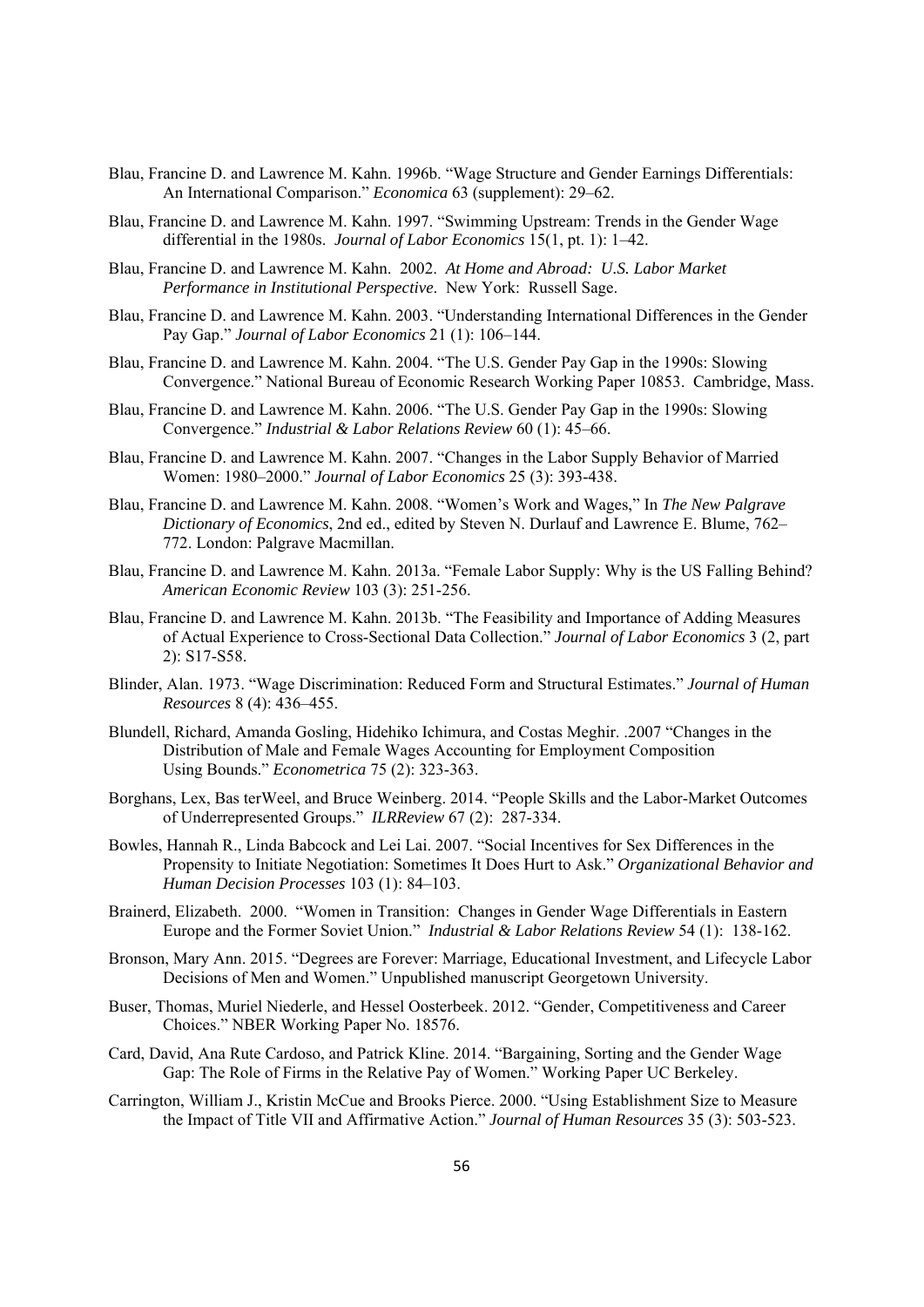- Blau, Francine D. and Lawrence M. Kahn. 1996b. "Wage Structure and Gender Earnings Differentials: An International Comparison." *Economica* 63 (supplement): 29–62.
- Blau, Francine D. and Lawrence M. Kahn. 1997. "Swimming Upstream: Trends in the Gender Wage differential in the 1980s. *Journal of Labor Economics* 15(1, pt. 1): 1–42.
- Blau, Francine D. and Lawrence M. Kahn. 2002. *At Home and Abroad: U.S. Labor Market Performance in Institutional Perspective*. New York: Russell Sage.
- Blau, Francine D. and Lawrence M. Kahn. 2003. "Understanding International Differences in the Gender Pay Gap." *Journal of Labor Economics* 21 (1): 106–144.
- Blau, Francine D. and Lawrence M. Kahn. 2004. "The U.S. Gender Pay Gap in the 1990s: Slowing Convergence." National Bureau of Economic Research Working Paper 10853. Cambridge, Mass.
- Blau, Francine D. and Lawrence M. Kahn. 2006. "The U.S. Gender Pay Gap in the 1990s: Slowing Convergence." *Industrial & Labor Relations Review* 60 (1): 45–66.
- Blau, Francine D. and Lawrence M. Kahn. 2007. "Changes in the Labor Supply Behavior of Married Women: 1980–2000." *Journal of Labor Economics* 25 (3): 393-438.
- Blau, Francine D. and Lawrence M. Kahn. 2008. "Women's Work and Wages," In *The New Palgrave Dictionary of Economics*, 2nd ed., edited by Steven N. Durlauf and Lawrence E. Blume, 762– 772. London: Palgrave Macmillan.
- Blau, Francine D. and Lawrence M. Kahn. 2013a. "Female Labor Supply: Why is the US Falling Behind? *American Economic Review* 103 (3): 251-256.
- Blau, Francine D. and Lawrence M. Kahn. 2013b. "The Feasibility and Importance of Adding Measures of Actual Experience to Cross-Sectional Data Collection." *Journal of Labor Economics* 3 (2, part 2): S17-S58.
- Blinder, Alan. 1973. "Wage Discrimination: Reduced Form and Structural Estimates." *Journal of Human Resources* 8 (4): 436–455.
- Blundell, Richard, Amanda Gosling, Hidehiko Ichimura, and Costas Meghir. .2007 "Changes in the Distribution of Male and Female Wages Accounting for Employment Composition Using Bounds." *Econometrica* 75 (2): 323-363.
- Borghans, Lex, Bas terWeel, and Bruce Weinberg. 2014. "People Skills and the Labor-Market Outcomes of Underrepresented Groups." *ILRReview* 67 (2): 287-334.
- Bowles, Hannah R., Linda Babcock and Lei Lai. 2007. "Social Incentives for Sex Differences in the Propensity to Initiate Negotiation: Sometimes It Does Hurt to Ask." *Organizational Behavior and Human Decision Processes* 103 (1): 84–103.
- Brainerd, Elizabeth. 2000. "Women in Transition: Changes in Gender Wage Differentials in Eastern Europe and the Former Soviet Union." *Industrial & Labor Relations Review* 54 (1): 138-162.
- Bronson, Mary Ann. 2015. "Degrees are Forever: Marriage, Educational Investment, and Lifecycle Labor Decisions of Men and Women." Unpublished manuscript Georgetown University.
- Buser, Thomas, Muriel Niederle, and Hessel Oosterbeek. 2012. "Gender, Competitiveness and Career Choices." NBER Working Paper No. 18576.
- Card, David, Ana Rute Cardoso, and Patrick Kline. 2014. "Bargaining, Sorting and the Gender Wage Gap: The Role of Firms in the Relative Pay of Women." Working Paper UC Berkeley.
- Carrington, William J., Kristin McCue and Brooks Pierce. 2000. "Using Establishment Size to Measure the Impact of Title VII and Affirmative Action." *Journal of Human Resources* 35 (3): 503-523.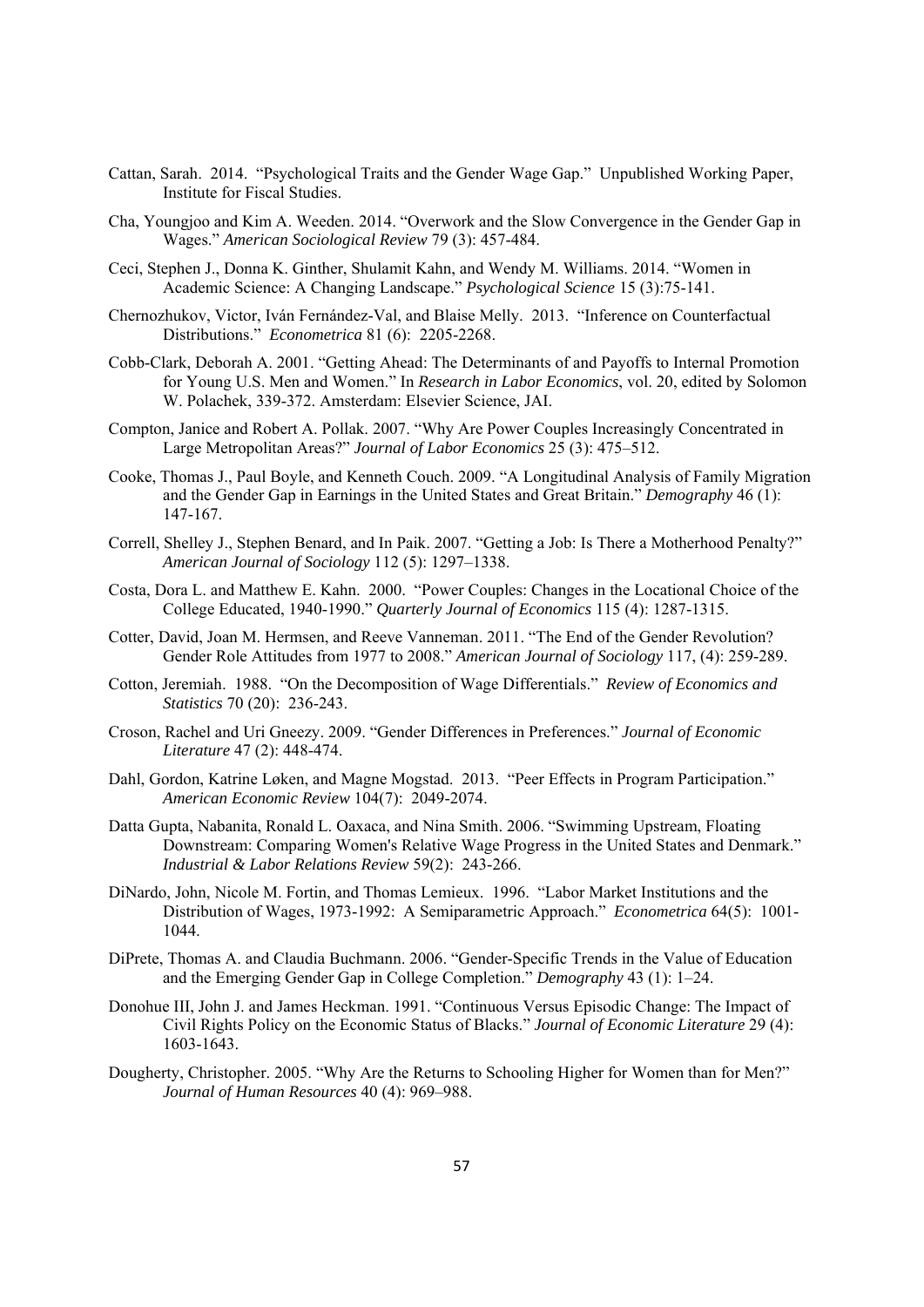- Cattan, Sarah. 2014. "Psychological Traits and the Gender Wage Gap." Unpublished Working Paper, Institute for Fiscal Studies.
- Cha, Youngjoo and Kim A. Weeden. 2014. "Overwork and the Slow Convergence in the Gender Gap in Wages." *American Sociological Review* 79 (3): 457-484.
- Ceci, Stephen J., Donna K. Ginther, Shulamit Kahn, and Wendy M. Williams. 2014. "Women in Academic Science: A Changing Landscape." *Psychological Science* 15 (3):75-141.
- Chernozhukov, Victor, Iván Fernández-Val, and Blaise Melly. 2013. "Inference on Counterfactual Distributions." *Econometrica* 81 (6): 2205-2268.
- Cobb-Clark, Deborah A. 2001. "Getting Ahead: The Determinants of and Payoffs to Internal Promotion for Young U.S. Men and Women." In *Research in Labor Economics*, vol. 20, edited by Solomon W. Polachek, 339-372. Amsterdam: Elsevier Science, JAI.
- Compton, Janice and Robert A. Pollak. 2007. "Why Are Power Couples Increasingly Concentrated in Large Metropolitan Areas?" *Journal of Labor Economics* 25 (3): 475–512.
- Cooke, Thomas J., Paul Boyle, and Kenneth Couch. 2009. "A Longitudinal Analysis of Family Migration and the Gender Gap in Earnings in the United States and Great Britain." *Demography* 46 (1): 147-167.
- Correll, Shelley J., Stephen Benard, and In Paik. 2007. "Getting a Job: Is There a Motherhood Penalty?" *American Journal of Sociology* 112 (5): 1297–1338.
- Costa, Dora L. and Matthew E. Kahn. 2000. "Power Couples: Changes in the Locational Choice of the College Educated, 1940-1990." *Quarterly Journal of Economics* 115 (4): 1287-1315.
- Cotter, David, Joan M. Hermsen, and Reeve Vanneman. 2011. "The End of the Gender Revolution? Gender Role Attitudes from 1977 to 2008." *American Journal of Sociology* 117, (4): 259-289.
- Cotton, Jeremiah. 1988. "On the Decomposition of Wage Differentials." *Review of Economics and Statistics* 70 (20): 236-243.
- Croson, Rachel and Uri Gneezy. 2009. "Gender Differences in Preferences." *Journal of Economic Literature* 47 (2): 448-474.
- Dahl, Gordon, Katrine Løken, and Magne Mogstad. 2013. "Peer Effects in Program Participation." *American Economic Review* 104(7): 2049-2074.
- Datta Gupta, Nabanita, Ronald L. Oaxaca, and Nina Smith. 2006. "Swimming Upstream, Floating Downstream: Comparing Women's Relative Wage Progress in the United States and Denmark." *Industrial & Labor Relations Review* 59(2): 243-266.
- DiNardo, John, Nicole M. Fortin, and Thomas Lemieux. 1996. "Labor Market Institutions and the Distribution of Wages, 1973-1992: A Semiparametric Approach." *Econometrica* 64(5): 1001- 1044.
- DiPrete, Thomas A. and Claudia Buchmann. 2006. "Gender-Specific Trends in the Value of Education and the Emerging Gender Gap in College Completion." *Demography* 43 (1): 1–24.
- Donohue III, John J. and James Heckman. 1991. "Continuous Versus Episodic Change: The Impact of Civil Rights Policy on the Economic Status of Blacks." *Journal of Economic Literature* 29 (4): 1603-1643.
- Dougherty, Christopher. 2005. "Why Are the Returns to Schooling Higher for Women than for Men?" *Journal of Human Resources* 40 (4): 969–988.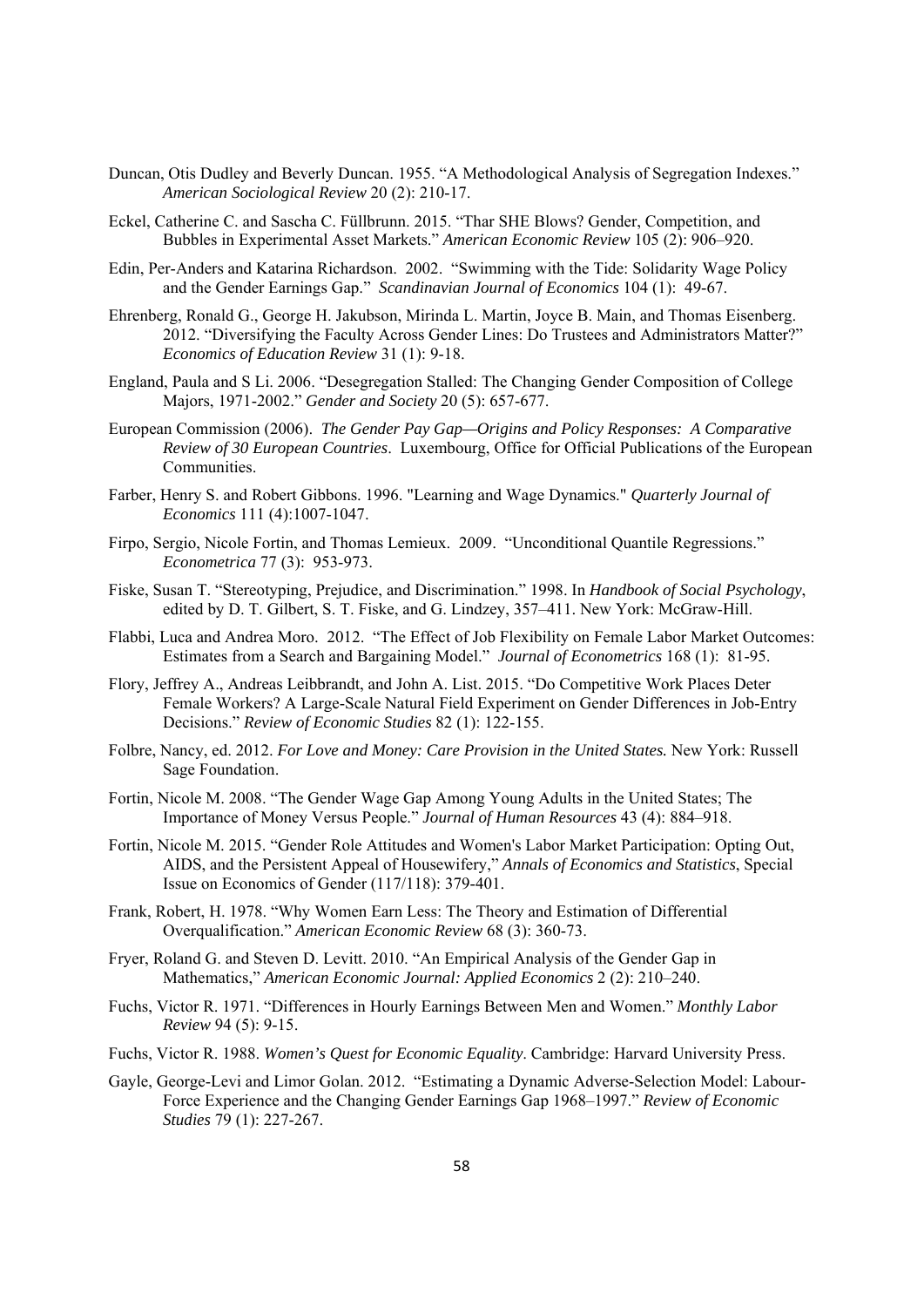- Duncan, Otis Dudley and Beverly Duncan. 1955. "A Methodological Analysis of Segregation Indexes." *American Sociological Review* 20 (2): 210-17.
- Eckel, Catherine C. and Sascha C. Füllbrunn. 2015. "Thar SHE Blows? Gender, Competition, and Bubbles in Experimental Asset Markets." *American Economic Review* 105 (2): 906–920.
- Edin, Per-Anders and Katarina Richardson. 2002. "Swimming with the Tide: Solidarity Wage Policy and the Gender Earnings Gap." *Scandinavian Journal of Economics* 104 (1): 49-67.
- Ehrenberg, Ronald G., George H. Jakubson, Mirinda L. Martin, Joyce B. Main, and Thomas Eisenberg. 2012. "Diversifying the Faculty Across Gender Lines: Do Trustees and Administrators Matter?" *Economics of Education Review* 31 (1): 9-18.
- England, Paula and S Li. 2006. "Desegregation Stalled: The Changing Gender Composition of College Majors, 1971-2002." *Gender and Society* 20 (5): 657-677.
- European Commission (2006). *The Gender Pay Gap—Origins and Policy Responses: A Comparative Review of 30 European Countries*. Luxembourg, Office for Official Publications of the European **Communities**
- Farber, Henry S. and Robert Gibbons. 1996. "Learning and Wage Dynamics." *Quarterly Journal of Economics* 111 (4):1007-1047.
- Firpo, Sergio, Nicole Fortin, and Thomas Lemieux. 2009. "Unconditional Quantile Regressions." *Econometrica* 77 (3): 953-973.
- Fiske, Susan T. "Stereotyping, Prejudice, and Discrimination." 1998. In *Handbook of Social Psychology*, edited by D. T. Gilbert, S. T. Fiske, and G. Lindzey, 357–411. New York: McGraw-Hill.
- Flabbi, Luca and Andrea Moro. 2012. "The Effect of Job Flexibility on Female Labor Market Outcomes: Estimates from a Search and Bargaining Model." *Journal of Econometrics* 168 (1): 81-95.
- Flory, Jeffrey A., Andreas Leibbrandt, and John A. List. 2015. "Do Competitive Work Places Deter Female Workers? A Large-Scale Natural Field Experiment on Gender Differences in Job-Entry Decisions." *Review of Economic Studies* 82 (1): 122-155.
- Folbre, Nancy, ed. 2012. *For Love and Money: Care Provision in the United States.* New York: Russell Sage Foundation.
- Fortin, Nicole M. 2008. "The Gender Wage Gap Among Young Adults in the United States; The Importance of Money Versus People." *Journal of Human Resources* 43 (4): 884–918.
- Fortin, Nicole M. 2015. "Gender Role Attitudes and Women's Labor Market Participation: Opting Out, AIDS, and the Persistent Appeal of Housewifery," *Annals of Economics and Statistics*, Special Issue on Economics of Gender (117/118): 379-401.
- Frank, Robert, H. 1978. "Why Women Earn Less: The Theory and Estimation of Differential Overqualification." *American Economic Review* 68 (3): 360-73.
- Fryer, Roland G. and Steven D. Levitt. 2010. "An Empirical Analysis of the Gender Gap in Mathematics," *American Economic Journal: Applied Economics* 2 (2): 210–240.
- Fuchs, Victor R. 1971. "Differences in Hourly Earnings Between Men and Women." *Monthly Labor Review* 94 (5): 9-15.
- Fuchs, Victor R. 1988. *Women's Quest for Economic Equality*. Cambridge: Harvard University Press.
- Gayle, George-Levi and Limor Golan. 2012. "Estimating a Dynamic Adverse-Selection Model: Labour-Force Experience and the Changing Gender Earnings Gap 1968–1997." *Review of Economic Studies* 79 (1): 227-267.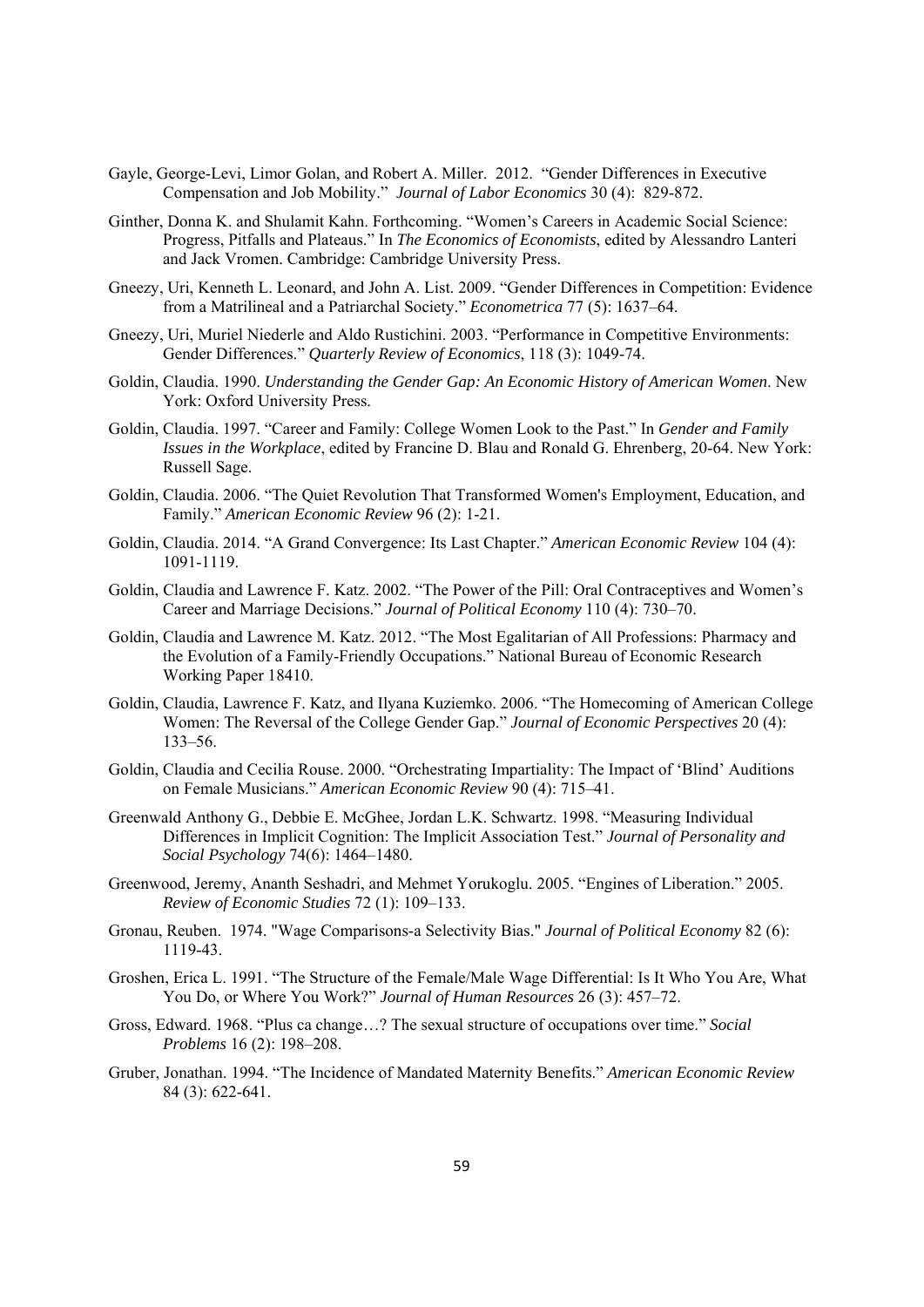- Gayle, George-Levi, Limor Golan, and Robert A. Miller. 2012. "Gender Differences in Executive Compensation and Job Mobility." *Journal of Labor Economics* 30 (4): 829-872.
- Ginther, Donna K. and Shulamit Kahn. Forthcoming. "Women's Careers in Academic Social Science: Progress, Pitfalls and Plateaus." In *The Economics of Economists*, edited by Alessandro Lanteri and Jack Vromen. Cambridge: Cambridge University Press.
- Gneezy, Uri, Kenneth L. Leonard, and John A. List. 2009. "Gender Differences in Competition: Evidence from a Matrilineal and a Patriarchal Society." *Econometrica* 77 (5): 1637–64.
- Gneezy, Uri, Muriel Niederle and Aldo Rustichini. 2003. "Performance in Competitive Environments: Gender Differences." *Quarterly Review of Economics*, 118 (3): 1049-74.
- Goldin, Claudia. 1990. *Understanding the Gender Gap: An Economic History of American Women*. New York: Oxford University Press.
- Goldin, Claudia. 1997. "Career and Family: College Women Look to the Past." In *Gender and Family Issues in the Workplace*, edited by Francine D. Blau and Ronald G. Ehrenberg, 20-64. New York: Russell Sage.
- Goldin, Claudia. 2006. "The Quiet Revolution That Transformed Women's Employment, Education, and Family." *American Economic Review* 96 (2): 1-21.
- Goldin, Claudia. 2014. "A Grand Convergence: Its Last Chapter." *American Economic Review* 104 (4): 1091-1119.
- Goldin, Claudia and Lawrence F. Katz. 2002. "The Power of the Pill: Oral Contraceptives and Women's Career and Marriage Decisions." *Journal of Political Economy* 110 (4): 730–70.
- Goldin, Claudia and Lawrence M. Katz. 2012. "The Most Egalitarian of All Professions: Pharmacy and the Evolution of a Family-Friendly Occupations." National Bureau of Economic Research Working Paper 18410.
- Goldin, Claudia, Lawrence F. Katz, and Ilyana Kuziemko. 2006. "The Homecoming of American College Women: The Reversal of the College Gender Gap." *Journal of Economic Perspectives* 20 (4): 133–56.
- Goldin, Claudia and Cecilia Rouse. 2000. "Orchestrating Impartiality: The Impact of 'Blind' Auditions on Female Musicians." *American Economic Review* 90 (4): 715–41.
- Greenwald Anthony G., Debbie E. McGhee, Jordan L.K. Schwartz. 1998. "Measuring Individual Differences in Implicit Cognition: The Implicit Association Test." *Journal of Personality and Social Psychology* 74(6): 1464–1480.
- Greenwood, Jeremy, Ananth Seshadri, and Mehmet Yorukoglu. 2005. "Engines of Liberation." 2005. *Review of Economic Studies* 72 (1): 109–133.
- Gronau, Reuben. 1974. "Wage Comparisons-a Selectivity Bias." *Journal of Political Economy* 82 (6): 1119-43.
- Groshen, Erica L. 1991. "The Structure of the Female/Male Wage Differential: Is It Who You Are, What You Do, or Where You Work?" *Journal of Human Resources* 26 (3): 457–72.
- Gross, Edward. 1968. "Plus ca change…? The sexual structure of occupations over time." *Social Problems* 16 (2): 198–208.
- Gruber, Jonathan. 1994. "The Incidence of Mandated Maternity Benefits." *American Economic Review*  84 (3): 622-641.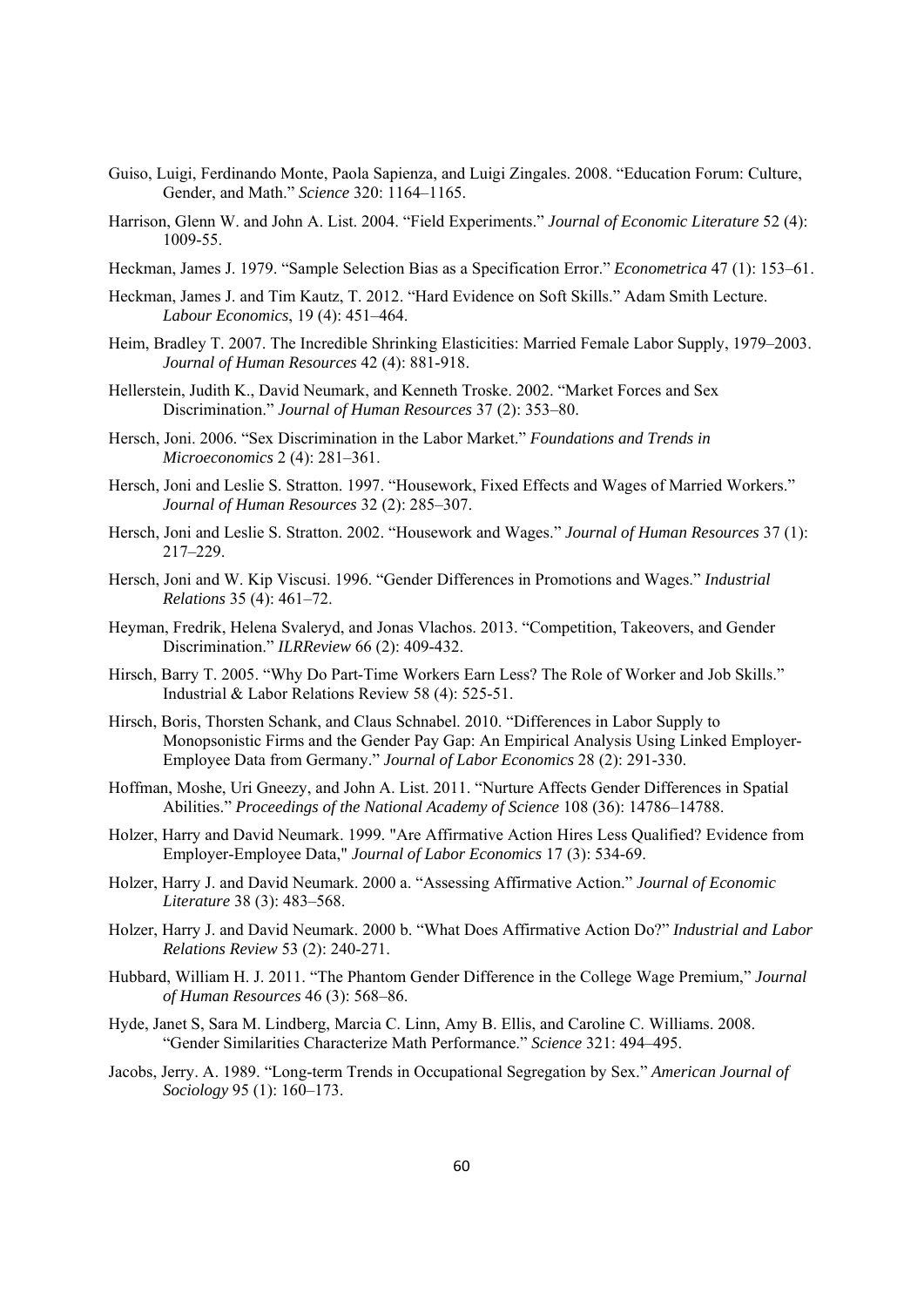- Guiso, Luigi, Ferdinando Monte, Paola Sapienza, and Luigi Zingales. 2008. "Education Forum: Culture, Gender, and Math." *Science* 320: 1164–1165.
- Harrison, Glenn W. and John A. List. 2004. "Field Experiments." *Journal of Economic Literature* 52 (4): 1009-55.
- Heckman, James J. 1979. "Sample Selection Bias as a Specification Error." *Econometrica* 47 (1): 153–61.
- Heckman, James J. and Tim Kautz, T. 2012. "Hard Evidence on Soft Skills." Adam Smith Lecture. *Labour Economics*, 19 (4): 451–464.
- Heim, Bradley T. 2007. The Incredible Shrinking Elasticities: Married Female Labor Supply, 1979–2003. *Journal of Human Resources* 42 (4): 881-918.
- Hellerstein, Judith K., David Neumark, and Kenneth Troske. 2002. "Market Forces and Sex Discrimination." *Journal of Human Resources* 37 (2): 353–80.
- Hersch, Joni. 2006. "Sex Discrimination in the Labor Market." *Foundations and Trends in Microeconomics* 2 (4): 281–361.
- Hersch, Joni and Leslie S. Stratton. 1997. "Housework, Fixed Effects and Wages of Married Workers." *Journal of Human Resources* 32 (2): 285–307.
- Hersch, Joni and Leslie S. Stratton. 2002. "Housework and Wages." *Journal of Human Resources* 37 (1): 217–229.
- Hersch, Joni and W. Kip Viscusi. 1996. "Gender Differences in Promotions and Wages." *Industrial Relations* 35 (4): 461–72.
- Heyman, Fredrik, Helena Svaleryd, and Jonas Vlachos. 2013. "Competition, Takeovers, and Gender Discrimination." *ILRReview* 66 (2): 409-432.
- Hirsch, Barry T. 2005. "Why Do Part-Time Workers Earn Less? The Role of Worker and Job Skills." Industrial & Labor Relations Review 58 (4): 525-51.
- Hirsch, Boris, Thorsten Schank, and Claus Schnabel. 2010. "Differences in Labor Supply to Monopsonistic Firms and the Gender Pay Gap: An Empirical Analysis Using Linked Employer-Employee Data from Germany." *Journal of Labor Economics* 28 (2): 291-330.
- Hoffman, Moshe, Uri Gneezy, and John A. List. 2011. "Nurture Affects Gender Differences in Spatial Abilities." *Proceedings of the National Academy of Science* 108 (36): 14786–14788.
- Holzer, Harry and David Neumark. 1999. "Are Affirmative Action Hires Less Qualified? Evidence from Employer-Employee Data," *Journal of Labor Economics* 17 (3): 534-69.
- Holzer, Harry J. and David Neumark. 2000 a. "Assessing Affirmative Action." *Journal of Economic Literature* 38 (3): 483–568.
- Holzer, Harry J. and David Neumark. 2000 b. "What Does Affirmative Action Do?" *Industrial and Labor Relations Review* 53 (2): 240-271.
- Hubbard, William H. J. 2011. "The Phantom Gender Difference in the College Wage Premium," *Journal of Human Resources* 46 (3): 568–86.
- Hyde, Janet S, Sara M. Lindberg, Marcia C. Linn, Amy B. Ellis, and Caroline C. Williams. 2008. "Gender Similarities Characterize Math Performance." *Science* 321: 494–495.
- Jacobs, Jerry. A. 1989. "Long-term Trends in Occupational Segregation by Sex." *American Journal of Sociology* 95 (1): 160–173.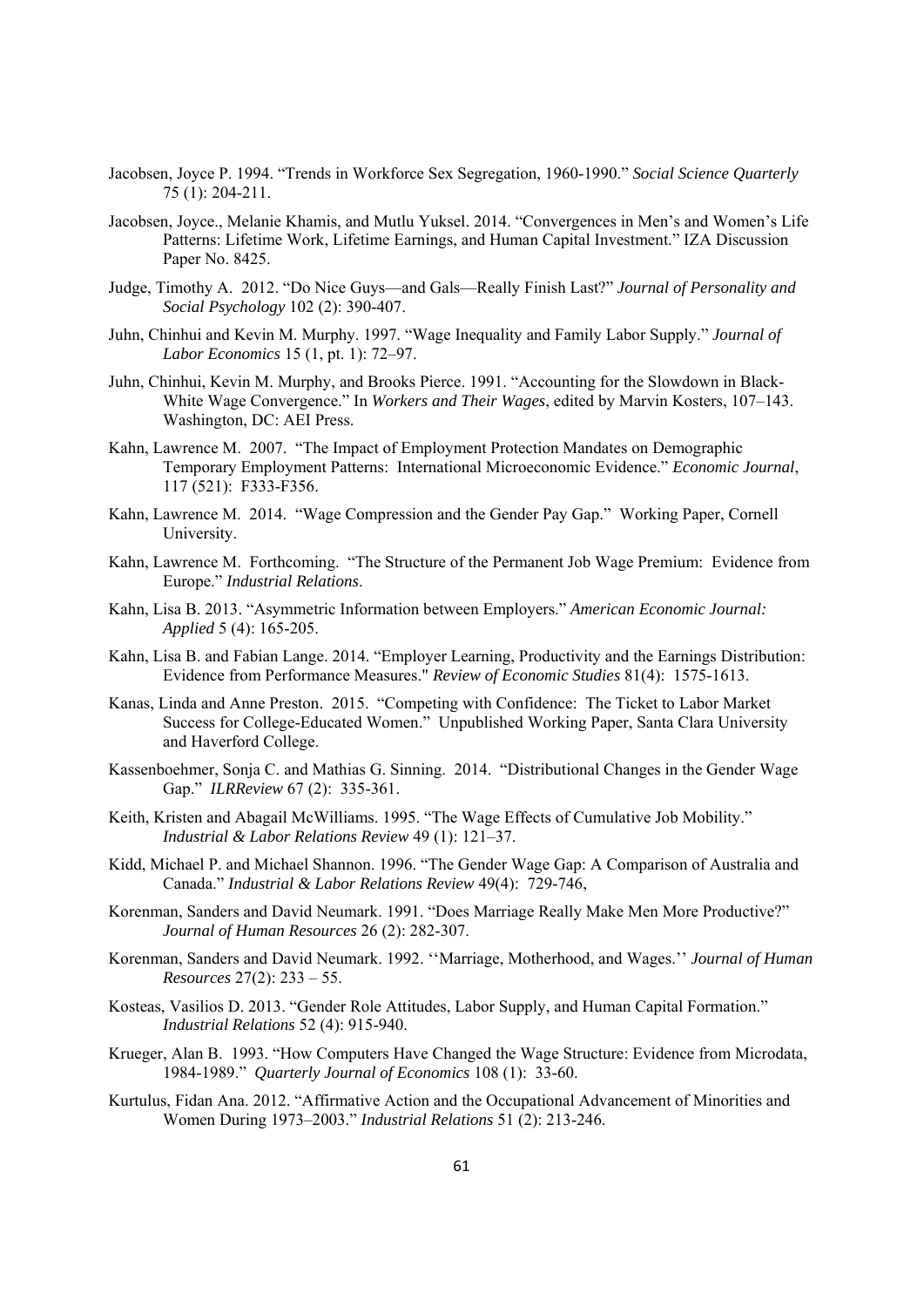- Jacobsen, Joyce P. 1994. "Trends in Workforce Sex Segregation, 1960-1990." *Social Science Quarterly* 75 (1): 204-211.
- Jacobsen, Joyce., Melanie Khamis, and Mutlu Yuksel. 2014. "Convergences in Men's and Women's Life Patterns: Lifetime Work, Lifetime Earnings, and Human Capital Investment." IZA Discussion Paper No. 8425.
- Judge, Timothy A. 2012. "Do Nice Guys—and Gals—Really Finish Last?" *Journal of Personality and Social Psychology* 102 (2): 390-407.
- Juhn, Chinhui and Kevin M. Murphy. 1997. "Wage Inequality and Family Labor Supply." *Journal of Labor Economics* 15 (1, pt. 1): 72–97.
- Juhn, Chinhui, Kevin M. Murphy, and Brooks Pierce. 1991. "Accounting for the Slowdown in Black-White Wage Convergence." In *Workers and Their Wages*, edited by Marvin Kosters, 107–143. Washington, DC: AEI Press.
- Kahn, Lawrence M. 2007. "The Impact of Employment Protection Mandates on Demographic Temporary Employment Patterns: International Microeconomic Evidence." *Economic Journal*, 117 (521): F333-F356.
- Kahn, Lawrence M. 2014. "Wage Compression and the Gender Pay Gap." Working Paper, Cornell University.
- Kahn, Lawrence M. Forthcoming. "The Structure of the Permanent Job Wage Premium: Evidence from Europe." *Industrial Relations*.
- Kahn, Lisa B. 2013. "Asymmetric Information between Employers." *American Economic Journal: Applied* 5 (4): 165-205.
- Kahn, Lisa B. and Fabian Lange. 2014. "Employer Learning, Productivity and the Earnings Distribution: Evidence from Performance Measures." *Review of Economic Studies* 81(4): 1575-1613.
- Kanas, Linda and Anne Preston. 2015. "Competing with Confidence: The Ticket to Labor Market Success for College-Educated Women." Unpublished Working Paper, Santa Clara University and Haverford College.
- Kassenboehmer, Sonja C. and Mathias G. Sinning. 2014. "Distributional Changes in the Gender Wage Gap." *ILRReview* 67 (2): 335-361.
- Keith, Kristen and Abagail McWilliams. 1995. "The Wage Effects of Cumulative Job Mobility." *Industrial & Labor Relations Review* 49 (1): 121–37.
- Kidd, Michael P. and Michael Shannon. 1996. "The Gender Wage Gap: A Comparison of Australia and Canada." *Industrial & Labor Relations Review* 49(4): 729-746,
- Korenman, Sanders and David Neumark. 1991. "Does Marriage Really Make Men More Productive?" *Journal of Human Resources* 26 (2): 282-307.
- Korenman, Sanders and David Neumark. 1992. ''Marriage, Motherhood, and Wages.'' *Journal of Human Resources* 27(2): 233 – 55.
- Kosteas, Vasilios D. 2013. "Gender Role Attitudes, Labor Supply, and Human Capital Formation." *Industrial Relations* 52 (4): 915-940.
- Krueger, Alan B. 1993. "How Computers Have Changed the Wage Structure: Evidence from Microdata, 1984-1989." *Quarterly Journal of Economics* 108 (1): 33-60.
- Kurtulus, Fidan Ana. 2012. "Affirmative Action and the Occupational Advancement of Minorities and Women During 1973–2003." *Industrial Relations* 51 (2): 213-246.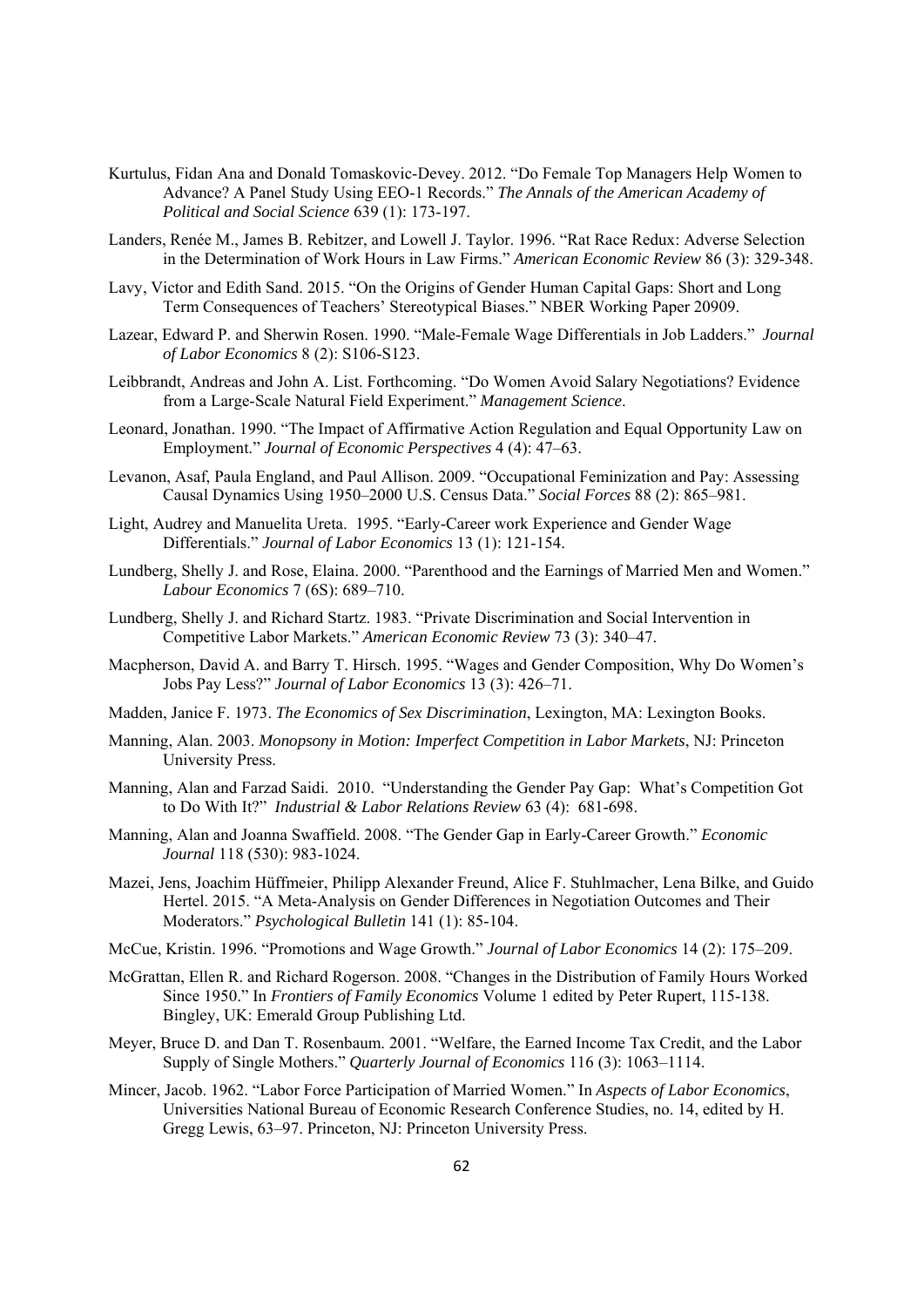- Kurtulus, Fidan Ana and Donald Tomaskovic-Devey. 2012. "Do Female Top Managers Help Women to Advance? A Panel Study Using EEO-1 Records." *The Annals of the American Academy of Political and Social Science* 639 (1): 173-197.
- Landers, Renée M., James B. Rebitzer, and Lowell J. Taylor. 1996. "Rat Race Redux: Adverse Selection in the Determination of Work Hours in Law Firms." *American Economic Review* 86 (3): 329-348.
- Lavy, Victor and Edith Sand. 2015. "On the Origins of Gender Human Capital Gaps: Short and Long Term Consequences of Teachers' Stereotypical Biases." NBER Working Paper 20909.
- Lazear, Edward P. and Sherwin Rosen. 1990. "Male-Female Wage Differentials in Job Ladders." *Journal of Labor Economics* 8 (2): S106-S123.
- Leibbrandt, Andreas and John A. List. Forthcoming. "Do Women Avoid Salary Negotiations? Evidence from a Large-Scale Natural Field Experiment." *Management Science*.
- Leonard, Jonathan. 1990. "The Impact of Affirmative Action Regulation and Equal Opportunity Law on Employment." *Journal of Economic Perspectives* 4 (4): 47–63.
- Levanon, Asaf, Paula England, and Paul Allison. 2009. "Occupational Feminization and Pay: Assessing Causal Dynamics Using 1950–2000 U.S. Census Data." *Social Forces* 88 (2): 865–981.
- Light, Audrey and Manuelita Ureta. 1995. "Early-Career work Experience and Gender Wage Differentials." *Journal of Labor Economics* 13 (1): 121-154.
- Lundberg, Shelly J. and Rose, Elaina. 2000. "Parenthood and the Earnings of Married Men and Women." *Labour Economics* 7 (6S): 689–710.
- Lundberg, Shelly J. and Richard Startz. 1983. "Private Discrimination and Social Intervention in Competitive Labor Markets." *American Economic Review* 73 (3): 340–47.
- Macpherson, David A. and Barry T. Hirsch. 1995. "Wages and Gender Composition, Why Do Women's Jobs Pay Less?" *Journal of Labor Economics* 13 (3): 426–71.
- Madden, Janice F. 1973. *The Economics of Sex Discrimination*, Lexington, MA: Lexington Books.
- Manning, Alan. 2003. *Monopsony in Motion: Imperfect Competition in Labor Markets*, NJ: Princeton University Press.
- Manning, Alan and Farzad Saidi. 2010. "Understanding the Gender Pay Gap: What's Competition Got to Do With It?" *Industrial & Labor Relations Review* 63 (4): 681-698.
- Manning, Alan and Joanna Swaffield. 2008. "The Gender Gap in Early-Career Growth." *Economic Journal* 118 (530): 983-1024.
- Mazei, Jens, Joachim Hüffmeier, Philipp Alexander Freund, Alice F. Stuhlmacher, Lena Bilke, and Guido Hertel. 2015. "A Meta-Analysis on Gender Differences in Negotiation Outcomes and Their Moderators." *Psychological Bulletin* 141 (1): 85-104.
- McCue, Kristin. 1996. "Promotions and Wage Growth." *Journal of Labor Economics* 14 (2): 175–209.
- McGrattan, Ellen R. and Richard Rogerson. 2008. "Changes in the Distribution of Family Hours Worked Since 1950." In *Frontiers of Family Economics* Volume 1 edited by Peter Rupert, 115-138. Bingley, UK: Emerald Group Publishing Ltd.
- Meyer, Bruce D. and Dan T. Rosenbaum. 2001. "Welfare, the Earned Income Tax Credit, and the Labor Supply of Single Mothers." *Quarterly Journal of Economics* 116 (3): 1063–1114.
- Mincer, Jacob. 1962. "Labor Force Participation of Married Women." In *Aspects of Labor Economics*, Universities National Bureau of Economic Research Conference Studies, no. 14, edited by H. Gregg Lewis, 63–97. Princeton, NJ: Princeton University Press.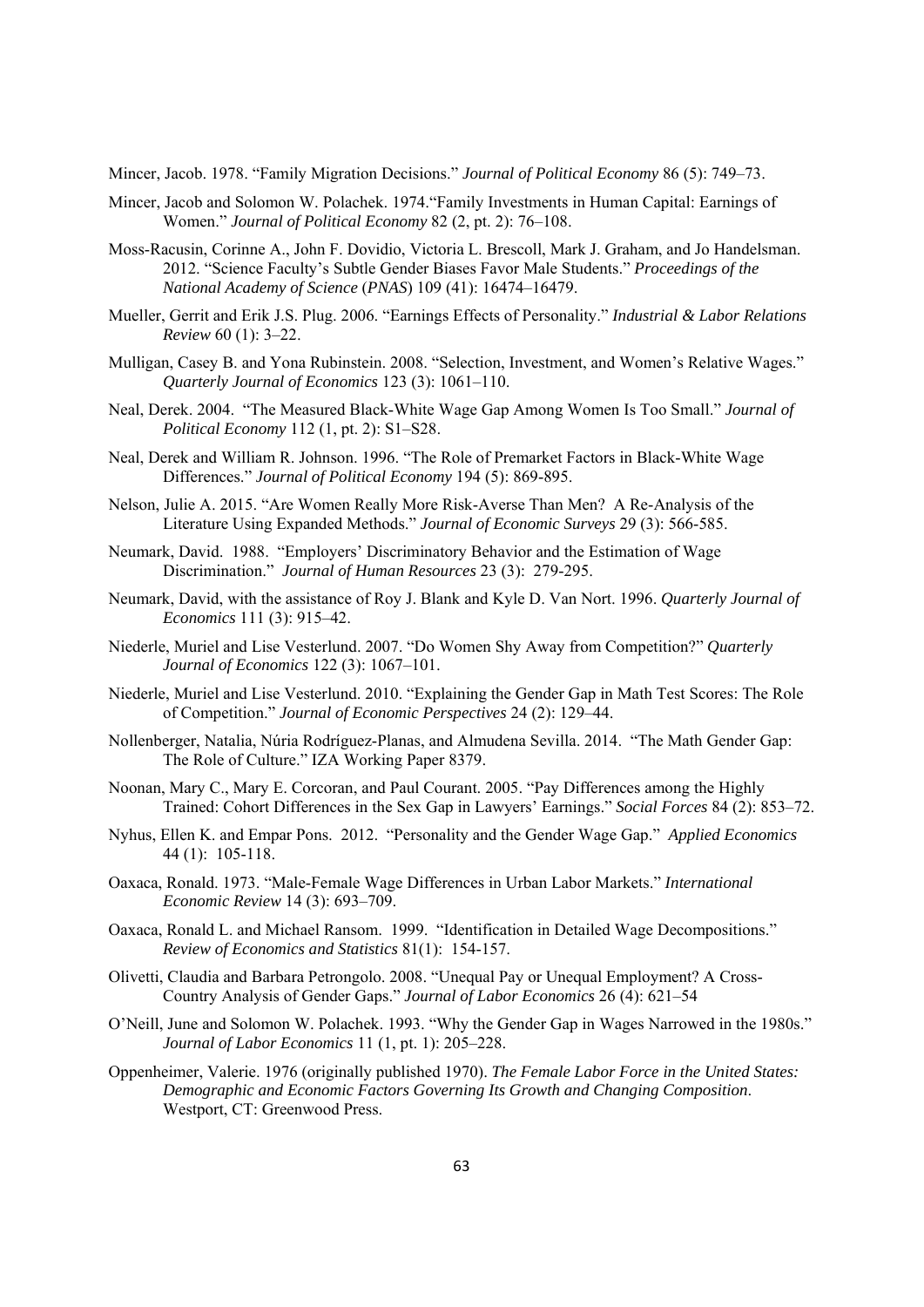Mincer, Jacob. 1978. "Family Migration Decisions." *Journal of Political Economy* 86 (5): 749–73.

- Mincer, Jacob and Solomon W. Polachek. 1974."Family Investments in Human Capital: Earnings of Women." *Journal of Political Economy* 82 (2, pt. 2): 76–108.
- Moss-Racusin, Corinne A., John F. Dovidio, Victoria L. Brescoll, Mark J. Graham, and Jo Handelsman. 2012. "Science Faculty's Subtle Gender Biases Favor Male Students." *Proceedings of the National Academy of Science* (*PNAS*) 109 (41): 16474–16479.
- Mueller, Gerrit and Erik J.S. Plug. 2006. "Earnings Effects of Personality." *Industrial & Labor Relations Review* 60 (1): 3–22.
- Mulligan, Casey B. and Yona Rubinstein. 2008. "Selection, Investment, and Women's Relative Wages." *Quarterly Journal of Economics* 123 (3): 1061–110.
- Neal, Derek. 2004. "The Measured Black-White Wage Gap Among Women Is Too Small." *Journal of Political Economy* 112 (1, pt. 2): S1–S28.
- Neal, Derek and William R. Johnson. 1996. "The Role of Premarket Factors in Black-White Wage Differences." *Journal of Political Economy* 194 (5): 869-895.
- Nelson, Julie A. 2015. "Are Women Really More Risk-Averse Than Men? A Re-Analysis of the Literature Using Expanded Methods." *Journal of Economic Surveys* 29 (3): 566-585.
- Neumark, David. 1988. "Employers' Discriminatory Behavior and the Estimation of Wage Discrimination." *Journal of Human Resources* 23 (3): 279-295.
- Neumark, David, with the assistance of Roy J. Blank and Kyle D. Van Nort. 1996. *Quarterly Journal of Economics* 111 (3): 915–42.
- Niederle, Muriel and Lise Vesterlund. 2007. "Do Women Shy Away from Competition?" *Quarterly Journal of Economics* 122 (3): 1067–101.
- Niederle, Muriel and Lise Vesterlund. 2010. "Explaining the Gender Gap in Math Test Scores: The Role of Competition." *Journal of Economic Perspectives* 24 (2): 129–44.
- Nollenberger, Natalia, Núria Rodríguez-Planas, and Almudena Sevilla. 2014. "The Math Gender Gap: The Role of Culture." IZA Working Paper 8379.
- Noonan, Mary C., Mary E. Corcoran, and Paul Courant. 2005. "Pay Differences among the Highly Trained: Cohort Differences in the Sex Gap in Lawyers' Earnings." *Social Forces* 84 (2): 853–72.
- Nyhus, Ellen K. and Empar Pons. 2012. "Personality and the Gender Wage Gap." *Applied Economics* 44 (1): 105-118.
- Oaxaca, Ronald. 1973. "Male-Female Wage Differences in Urban Labor Markets." *International Economic Review* 14 (3): 693–709.
- Oaxaca, Ronald L. and Michael Ransom. 1999. "Identification in Detailed Wage Decompositions." *Review of Economics and Statistics* 81(1): 154-157.
- Olivetti, Claudia and Barbara Petrongolo. 2008. "Unequal Pay or Unequal Employment? A Cross-Country Analysis of Gender Gaps." *Journal of Labor Economics* 26 (4): 621–54
- O'Neill, June and Solomon W. Polachek. 1993. "Why the Gender Gap in Wages Narrowed in the 1980s." *Journal of Labor Economics* 11 (1, pt. 1): 205–228.
- Oppenheimer, Valerie. 1976 (originally published 1970). *The Female Labor Force in the United States: Demographic and Economic Factors Governing Its Growth and Changing Composition*. Westport, CT: Greenwood Press.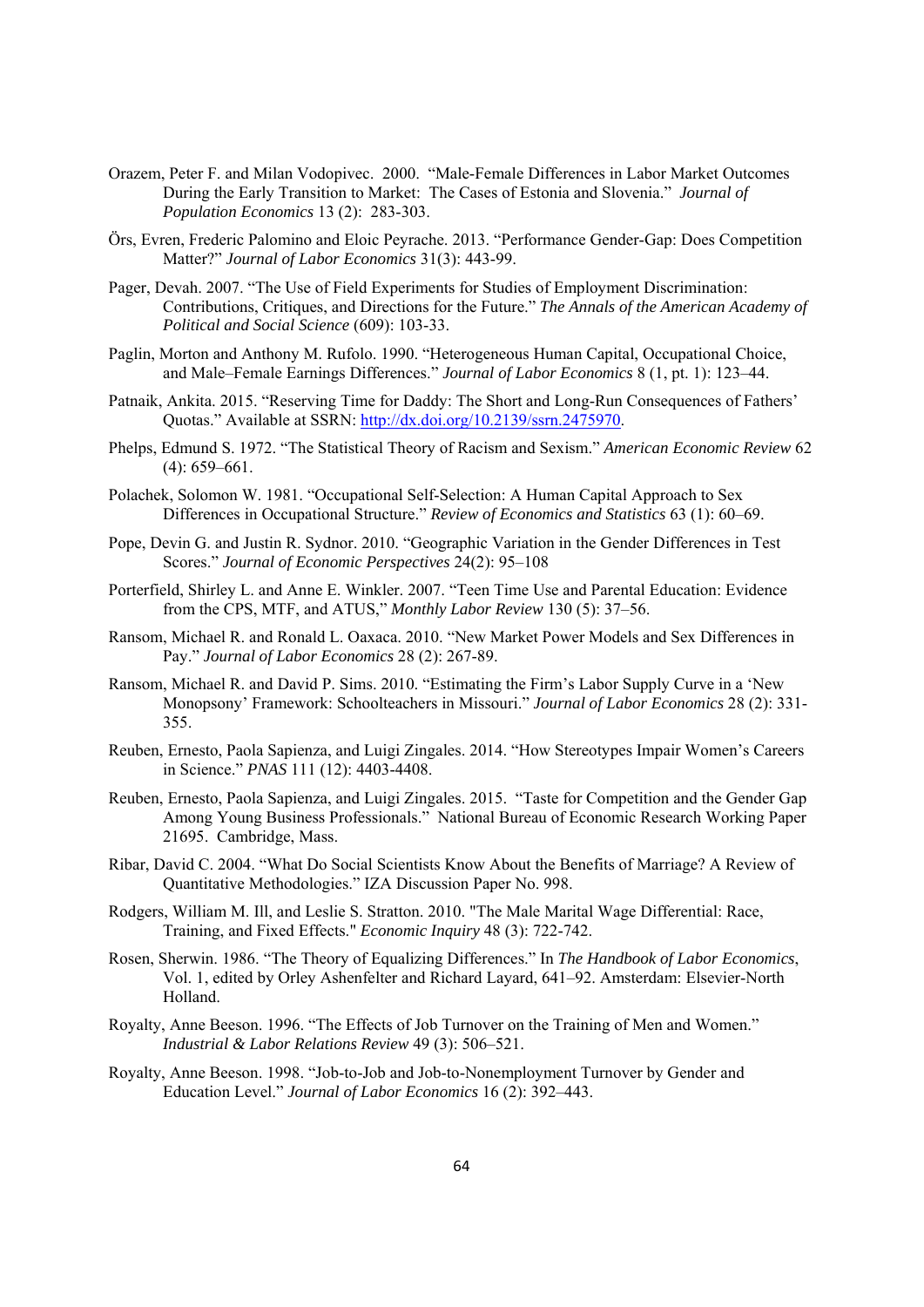- Orazem, Peter F. and Milan Vodopivec. 2000. "Male-Female Differences in Labor Market Outcomes During the Early Transition to Market: The Cases of Estonia and Slovenia." *Journal of Population Economics* 13 (2): 283-303.
- Örs, Evren, Frederic Palomino and Eloic Peyrache. 2013. "Performance Gender-Gap: Does Competition Matter?" *Journal of Labor Economics* 31(3): 443-99.
- Pager, Devah. 2007. "The Use of Field Experiments for Studies of Employment Discrimination: Contributions, Critiques, and Directions for the Future." *The Annals of the American Academy of Political and Social Science* (609): 103-33.
- Paglin, Morton and Anthony M. Rufolo. 1990. "Heterogeneous Human Capital, Occupational Choice, and Male–Female Earnings Differences." *Journal of Labor Economics* 8 (1, pt. 1): 123–44.
- Patnaik, Ankita. 2015. "Reserving Time for Daddy: The Short and Long-Run Consequences of Fathers' Quotas." Available at SSRN: http://dx.doi.org/10.2139/ssrn.2475970.
- Phelps, Edmund S. 1972. "The Statistical Theory of Racism and Sexism." *American Economic Review* 62 (4): 659–661.
- Polachek, Solomon W. 1981. "Occupational Self-Selection: A Human Capital Approach to Sex Differences in Occupational Structure." *Review of Economics and Statistics* 63 (1): 60–69.
- Pope, Devin G. and Justin R. Sydnor. 2010. "Geographic Variation in the Gender Differences in Test Scores." *Journal of Economic Perspectives* 24(2): 95–108
- Porterfield, Shirley L. and Anne E. Winkler. 2007. "Teen Time Use and Parental Education: Evidence from the CPS, MTF, and ATUS," *Monthly Labor Review* 130 (5): 37–56.
- Ransom, Michael R. and Ronald L. Oaxaca. 2010. "New Market Power Models and Sex Differences in Pay." *Journal of Labor Economics* 28 (2): 267-89.
- Ransom, Michael R. and David P. Sims. 2010. "Estimating the Firm's Labor Supply Curve in a 'New Monopsony' Framework: Schoolteachers in Missouri." *Journal of Labor Economics* 28 (2): 331- 355.
- Reuben, Ernesto, Paola Sapienza, and Luigi Zingales. 2014. "How Stereotypes Impair Women's Careers in Science." *PNAS* 111 (12): 4403-4408.
- Reuben, Ernesto, Paola Sapienza, and Luigi Zingales. 2015. "Taste for Competition and the Gender Gap Among Young Business Professionals." National Bureau of Economic Research Working Paper 21695. Cambridge, Mass.
- Ribar, David C. 2004. "What Do Social Scientists Know About the Benefits of Marriage? A Review of Quantitative Methodologies." IZA Discussion Paper No. 998.
- Rodgers, William M. Ill, and Leslie S. Stratton. 2010. "The Male Marital Wage Differential: Race, Training, and Fixed Effects." *Economic Inquiry* 48 (3): 722-742.
- Rosen, Sherwin. 1986. "The Theory of Equalizing Differences." In *The Handbook of Labor Economics*, Vol. 1, edited by Orley Ashenfelter and Richard Layard, 641–92. Amsterdam: Elsevier-North Holland.
- Royalty, Anne Beeson. 1996. "The Effects of Job Turnover on the Training of Men and Women." *Industrial & Labor Relations Review* 49 (3): 506–521.
- Royalty, Anne Beeson. 1998. "Job-to-Job and Job-to-Nonemployment Turnover by Gender and Education Level." *Journal of Labor Economics* 16 (2): 392–443.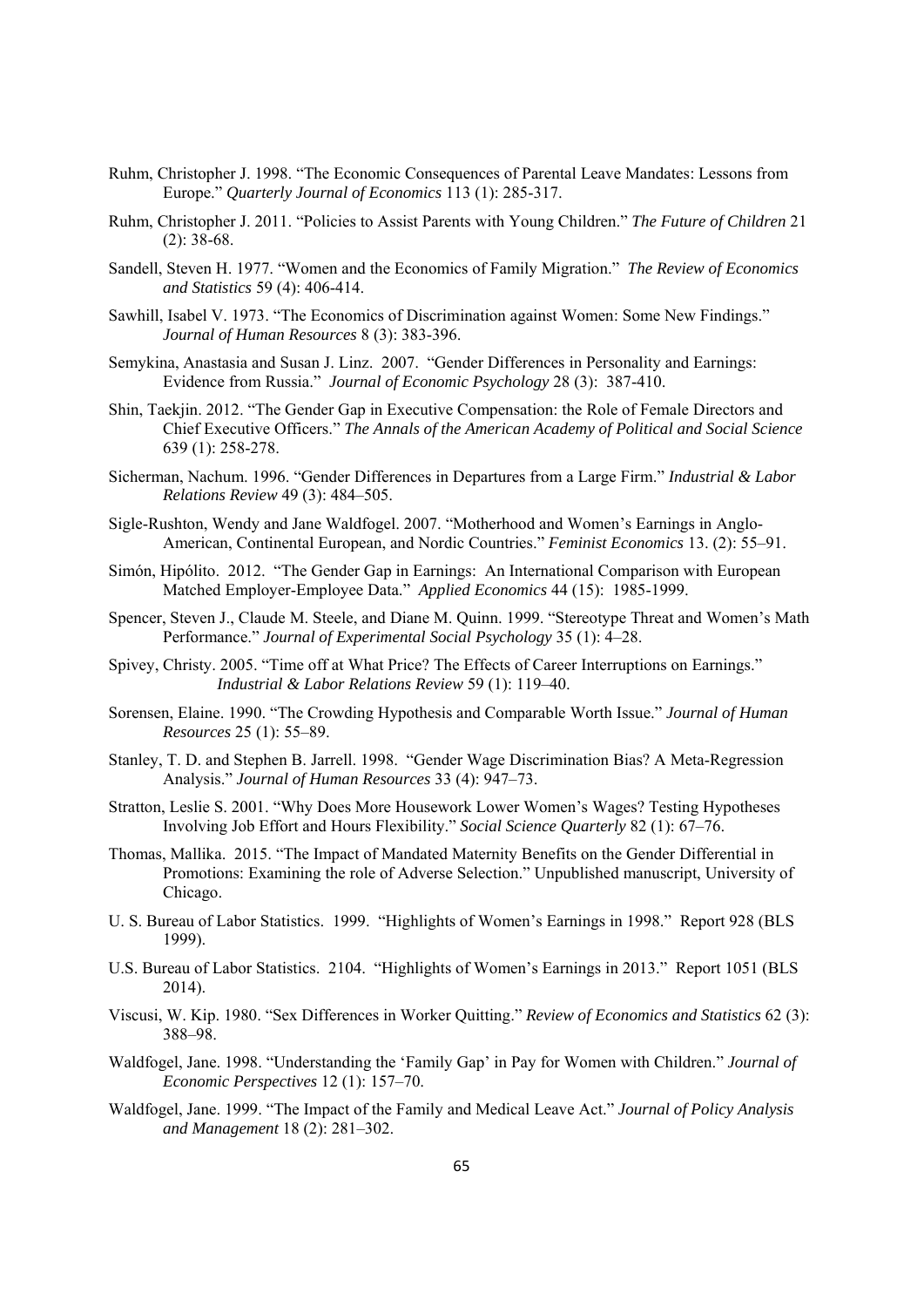- Ruhm, Christopher J. 1998. "The Economic Consequences of Parental Leave Mandates: Lessons from Europe." *Quarterly Journal of Economics* 113 (1): 285-317.
- Ruhm, Christopher J. 2011. "Policies to Assist Parents with Young Children." *The Future of Children* 21 (2): 38-68.
- Sandell, Steven H. 1977. "Women and the Economics of Family Migration." *The Review of Economics and Statistics* 59 (4): 406-414.
- Sawhill, Isabel V. 1973. "The Economics of Discrimination against Women: Some New Findings." *Journal of Human Resources* 8 (3): 383-396.
- Semykina, Anastasia and Susan J. Linz. 2007. "Gender Differences in Personality and Earnings: Evidence from Russia." *Journal of Economic Psychology* 28 (3): 387-410.
- Shin, Taekjin. 2012. "The Gender Gap in Executive Compensation: the Role of Female Directors and Chief Executive Officers." *The Annals of the American Academy of Political and Social Science*  639 (1): 258-278.
- Sicherman, Nachum. 1996. "Gender Differences in Departures from a Large Firm." *Industrial & Labor Relations Review* 49 (3): 484–505.
- Sigle-Rushton, Wendy and Jane Waldfogel. 2007. "Motherhood and Women's Earnings in Anglo-American, Continental European, and Nordic Countries." *Feminist Economics* 13. (2): 55–91.
- Simón, Hipólito. 2012. "The Gender Gap in Earnings: An International Comparison with European Matched Employer-Employee Data." *Applied Economics* 44 (15): 1985-1999.
- Spencer, Steven J., Claude M. Steele, and Diane M. Quinn. 1999. "Stereotype Threat and Women's Math Performance." *Journal of Experimental Social Psychology* 35 (1): 4–28.
- Spivey, Christy. 2005. "Time off at What Price? The Effects of Career Interruptions on Earnings." *Industrial & Labor Relations Review* 59 (1): 119–40.
- Sorensen, Elaine. 1990. "The Crowding Hypothesis and Comparable Worth Issue." *Journal of Human Resources* 25 (1): 55–89.
- Stanley, T. D. and Stephen B. Jarrell. 1998. "Gender Wage Discrimination Bias? A Meta-Regression Analysis." *Journal of Human Resources* 33 (4): 947–73.
- Stratton, Leslie S. 2001. "Why Does More Housework Lower Women's Wages? Testing Hypotheses Involving Job Effort and Hours Flexibility." *Social Science Quarterly* 82 (1): 67–76.
- Thomas, Mallika. 2015. "The Impact of Mandated Maternity Benefits on the Gender Differential in Promotions: Examining the role of Adverse Selection." Unpublished manuscript, University of Chicago.
- U. S. Bureau of Labor Statistics. 1999. "Highlights of Women's Earnings in 1998." Report 928 (BLS 1999).
- U.S. Bureau of Labor Statistics. 2104. "Highlights of Women's Earnings in 2013." Report 1051 (BLS 2014).
- Viscusi, W. Kip. 1980. "Sex Differences in Worker Quitting." *Review of Economics and Statistics* 62 (3): 388–98.
- Waldfogel, Jane. 1998. "Understanding the 'Family Gap' in Pay for Women with Children." *Journal of Economic Perspectives* 12 (1): 157–70.
- Waldfogel, Jane. 1999. "The Impact of the Family and Medical Leave Act." *Journal of Policy Analysis and Management* 18 (2): 281–302.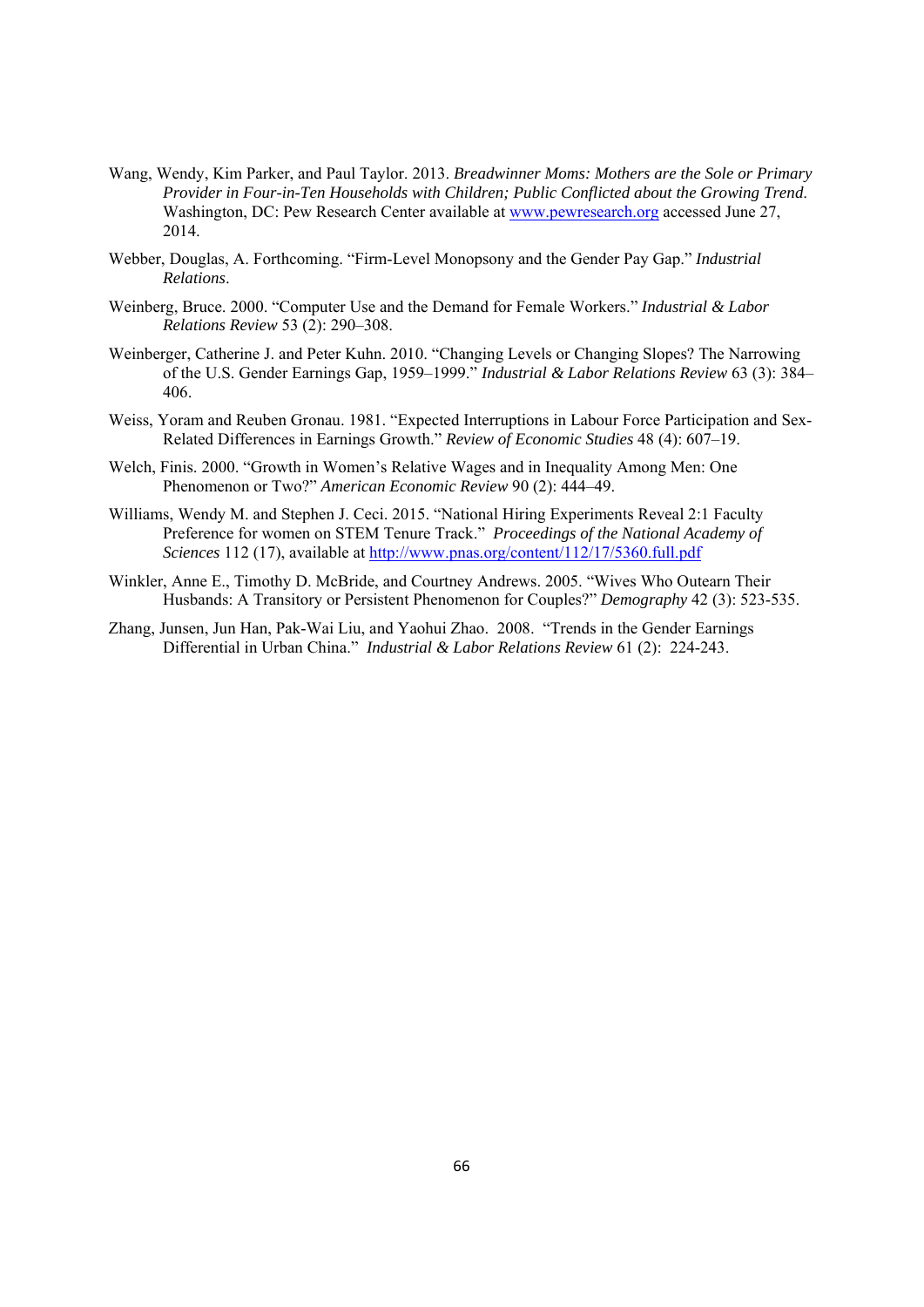- Wang, Wendy, Kim Parker, and Paul Taylor. 2013. *Breadwinner Moms: Mothers are the Sole or Primary Provider in Four-in-Ten Households with Children; Public Conflicted about the Growing Trend*. Washington, DC: Pew Research Center available at www.pewresearch.org accessed June 27, 2014.
- Webber, Douglas, A. Forthcoming. "Firm-Level Monopsony and the Gender Pay Gap." *Industrial Relations*.
- Weinberg, Bruce. 2000. "Computer Use and the Demand for Female Workers." *Industrial & Labor Relations Review* 53 (2): 290–308.
- Weinberger, Catherine J. and Peter Kuhn. 2010. "Changing Levels or Changing Slopes? The Narrowing of the U.S. Gender Earnings Gap, 1959–1999." *Industrial & Labor Relations Review* 63 (3): 384– 406.
- Weiss, Yoram and Reuben Gronau. 1981. "Expected Interruptions in Labour Force Participation and Sex-Related Differences in Earnings Growth." *Review of Economic Studies* 48 (4): 607–19.
- Welch, Finis. 2000. "Growth in Women's Relative Wages and in Inequality Among Men: One Phenomenon or Two?" *American Economic Review* 90 (2): 444–49.
- Williams, Wendy M. and Stephen J. Ceci. 2015. "National Hiring Experiments Reveal 2:1 Faculty Preference for women on STEM Tenure Track." *Proceedings of the National Academy of Sciences* 112 (17), available at http://www.pnas.org/content/112/17/5360.full.pdf
- Winkler, Anne E., Timothy D. McBride, and Courtney Andrews. 2005. "Wives Who Outearn Their Husbands: A Transitory or Persistent Phenomenon for Couples?" *Demography* 42 (3): 523-535.
- Zhang, Junsen, Jun Han, Pak-Wai Liu, and Yaohui Zhao. 2008. "Trends in the Gender Earnings Differential in Urban China." *Industrial & Labor Relations Review* 61 (2): 224-243.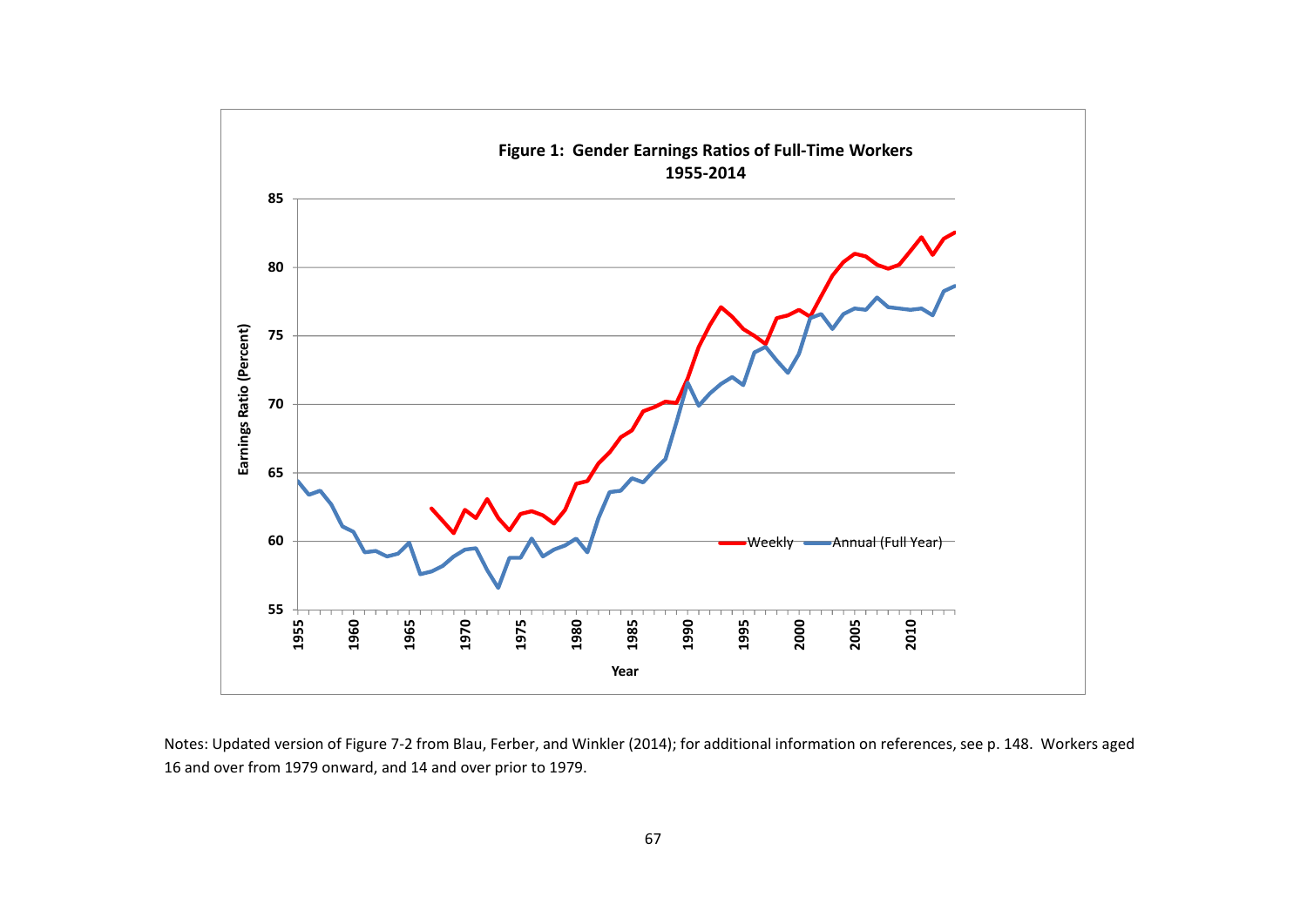

Notes: Updated version of Figure 7‐2 from Blau, Ferber, and Winkler (2014); for additional information on references, see p. 148. Workers aged and over from 1979 onward, and 14 and over prior to 1979.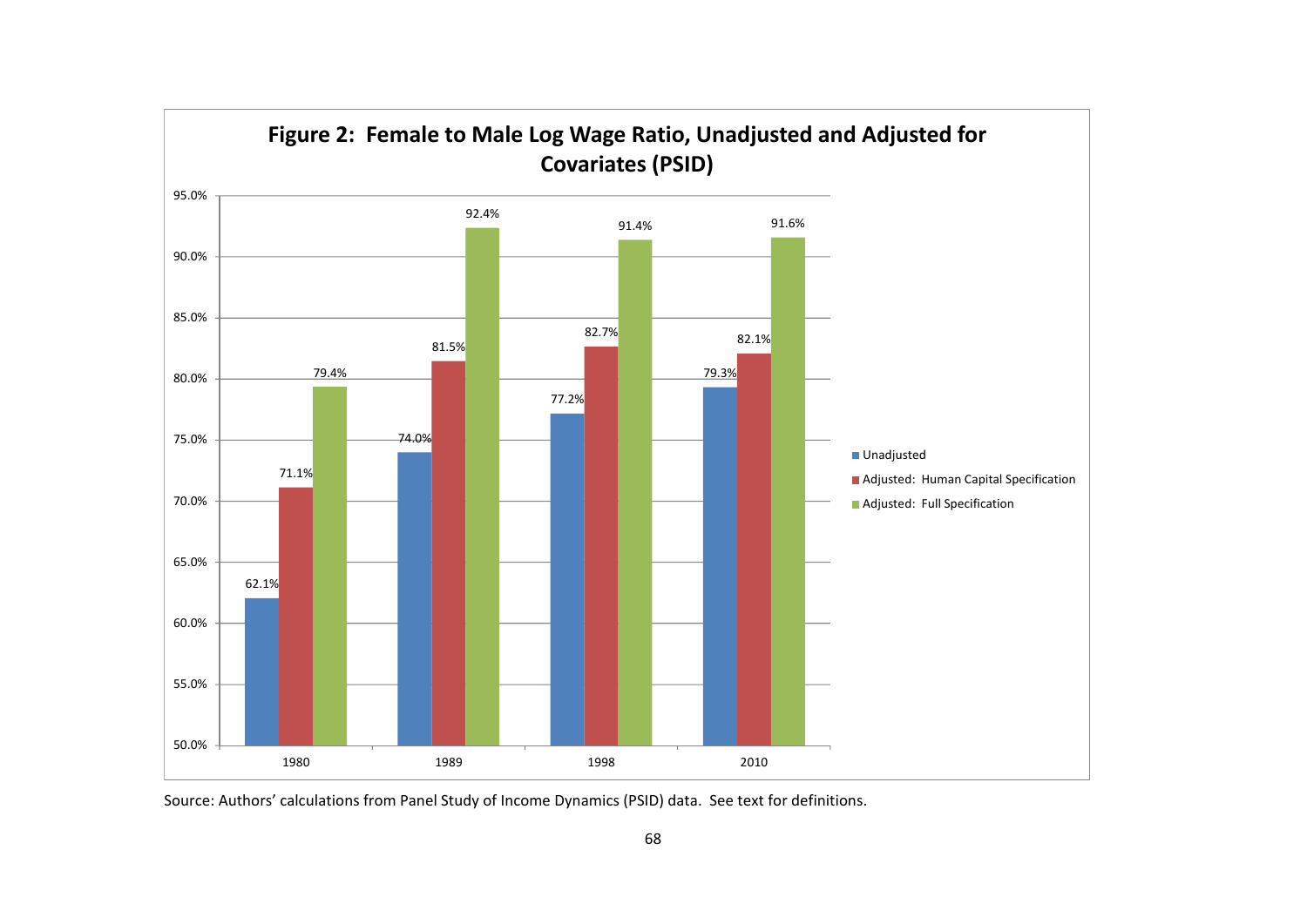

Source: Authors' calculations from Panel Study of Income Dynamics (PSID) data. See text for definitions.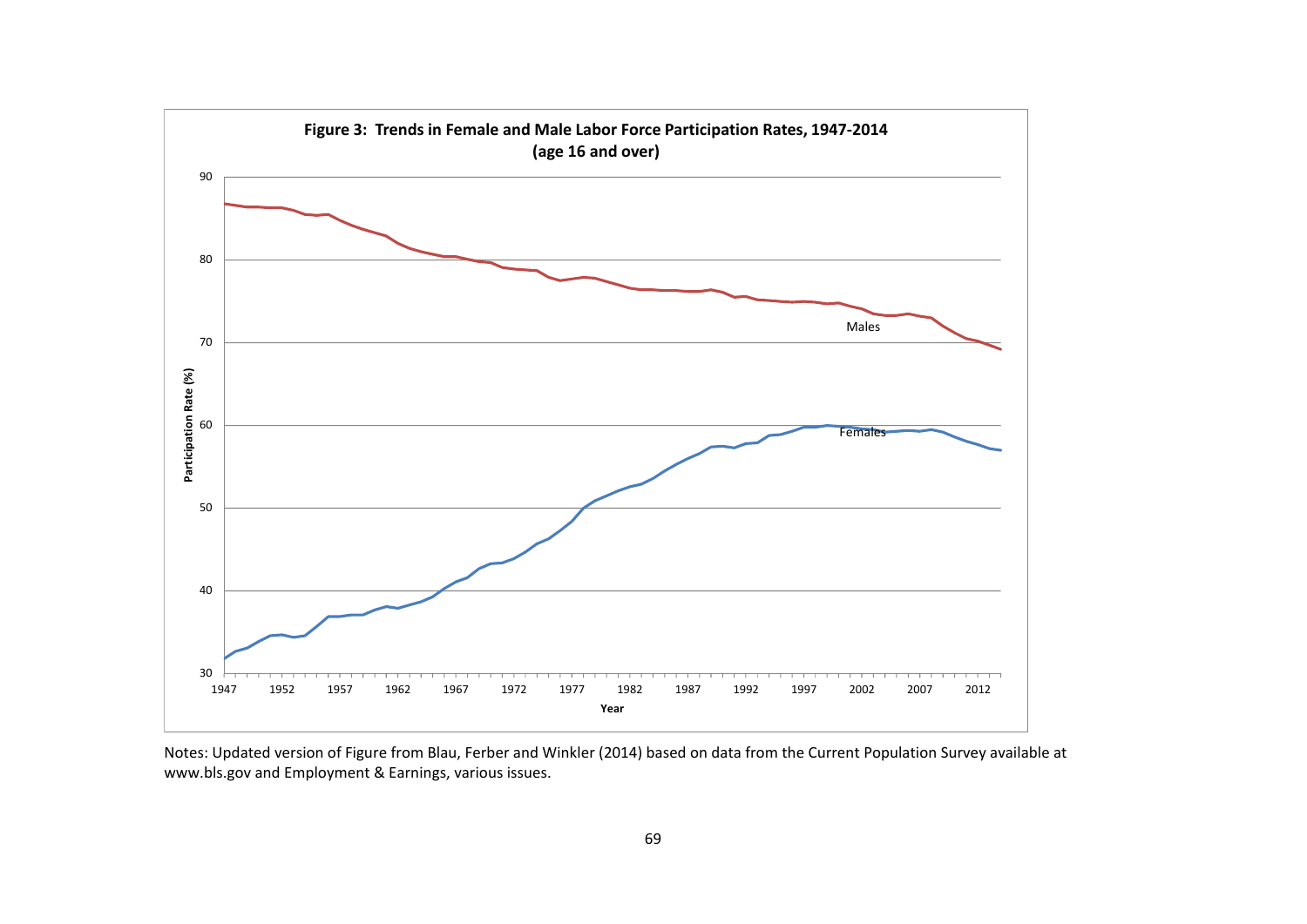

Notes: Updated version of Figure from Blau, Ferber and Winkler (2014) based on data from the Current Population Survey available at www.bls.gov and Employment & Earnings, various issues.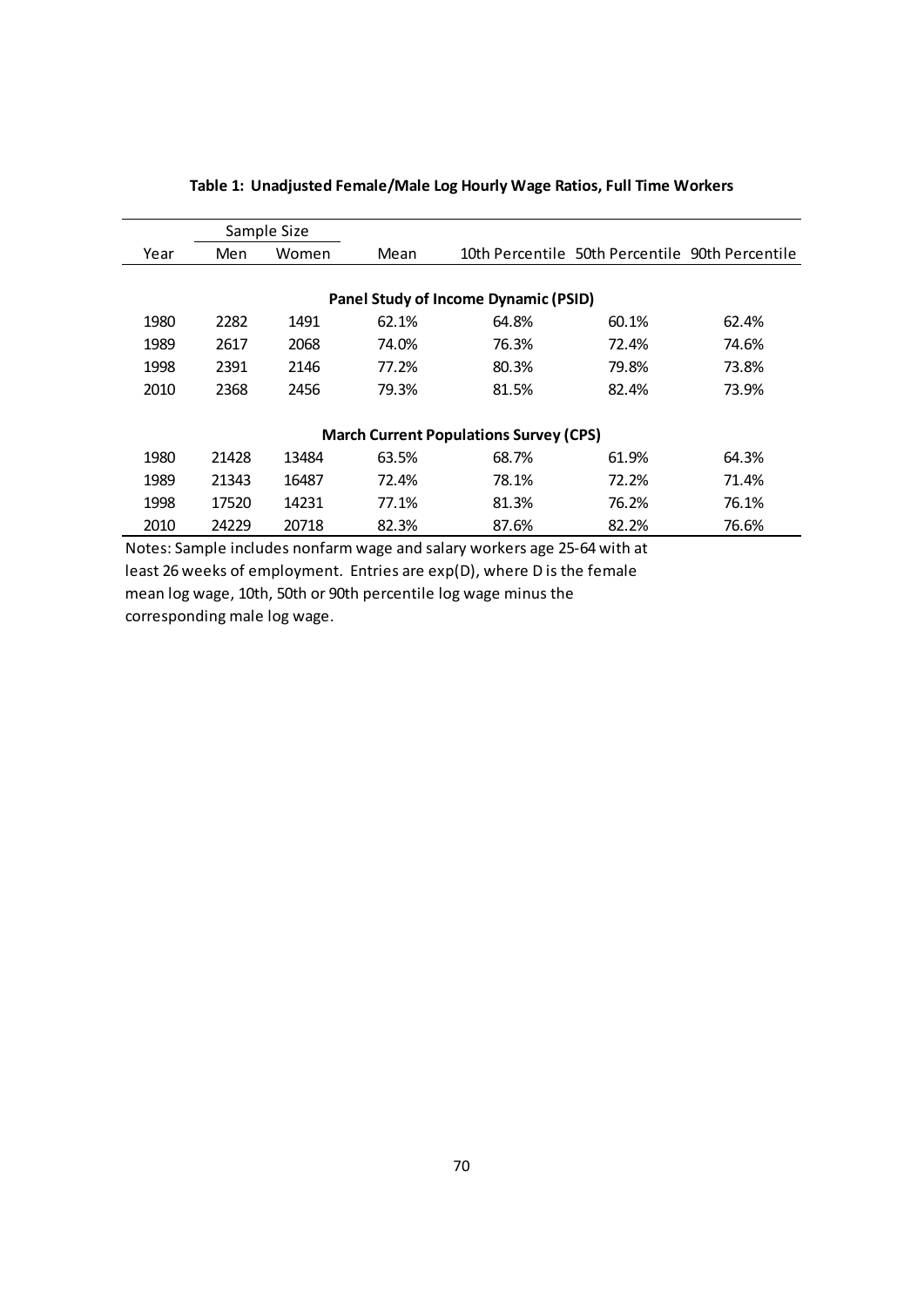| Sample Size                                   |       |       |       |       |                                                 |       |  |
|-----------------------------------------------|-------|-------|-------|-------|-------------------------------------------------|-------|--|
| Year                                          | Men   | Women | Mean  |       | 10th Percentile 50th Percentile 90th Percentile |       |  |
|                                               |       |       |       |       |                                                 |       |  |
| <b>Panel Study of Income Dynamic (PSID)</b>   |       |       |       |       |                                                 |       |  |
| 1980                                          | 2282  | 1491  | 62.1% | 64.8% | 60.1%                                           | 62.4% |  |
| 1989                                          | 2617  | 2068  | 74.0% | 76.3% | 72.4%                                           | 74.6% |  |
| 1998                                          | 2391  | 2146  | 77.2% | 80.3% | 79.8%                                           | 73.8% |  |
| 2010                                          | 2368  | 2456  | 79.3% | 81.5% | 82.4%                                           | 73.9% |  |
|                                               |       |       |       |       |                                                 |       |  |
| <b>March Current Populations Survey (CPS)</b> |       |       |       |       |                                                 |       |  |
| 1980                                          | 21428 | 13484 | 63.5% | 68.7% | 61.9%                                           | 64.3% |  |
| 1989                                          | 21343 | 16487 | 72.4% | 78.1% | 72.2%                                           | 71.4% |  |
| 1998                                          | 17520 | 14231 | 77.1% | 81.3% | 76.2%                                           | 76.1% |  |
| 2010                                          | 24229 | 20718 | 82.3% | 87.6% | 82.2%                                           | 76.6% |  |

## **Table 1: Unadjusted Female/Male Log Hourly Wage Ratios, Full Time Workers**

Notes: Sample includes nonfarm wage and salary workers age 25‐64 with at least 26 weeks of employment. Entries are exp(D), where D is the female mean log wage, 10th, 50th or 90th percentile log wage minus the corresponding male log wage.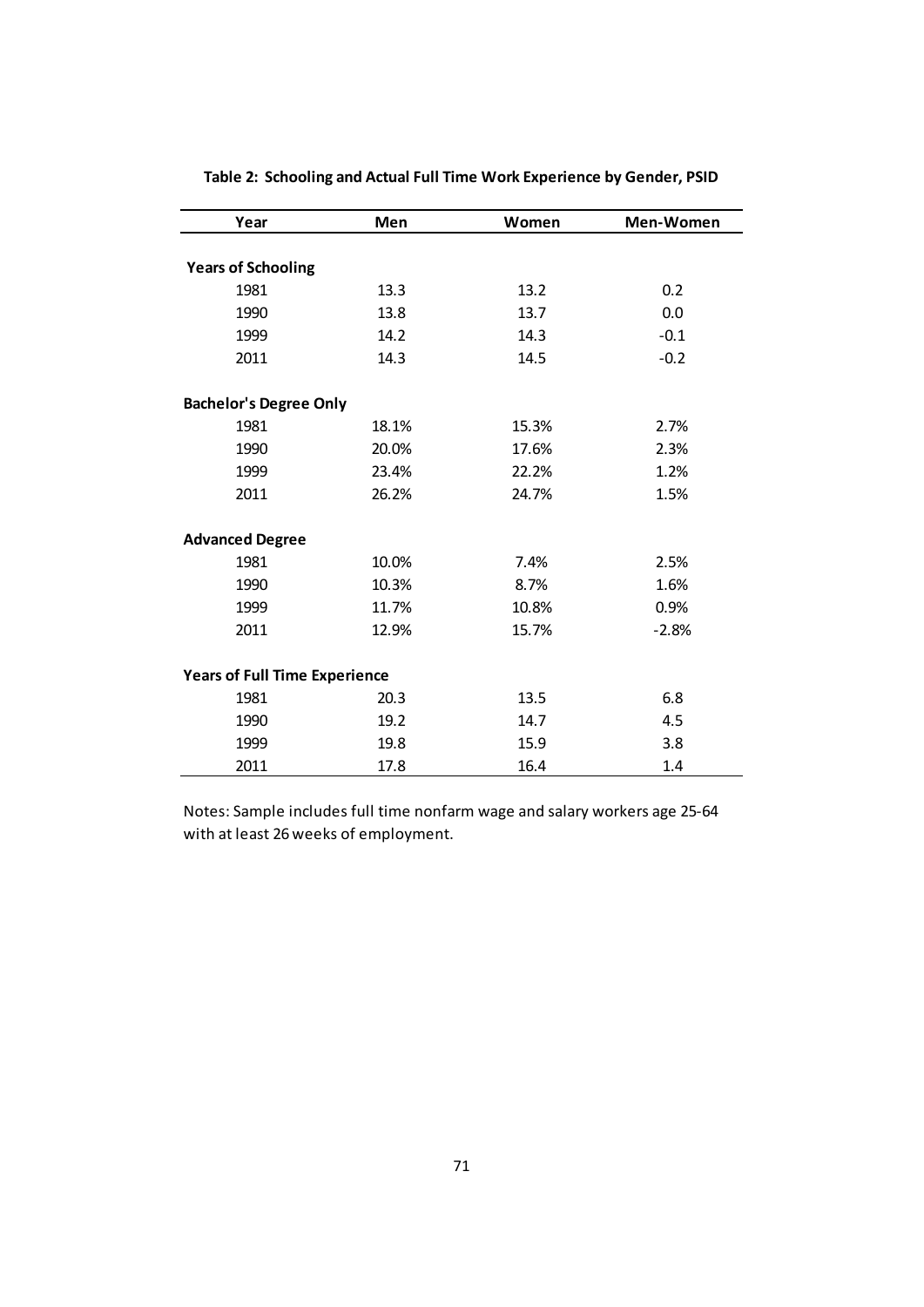| Year                                 | Men   | Women | Men-Women |  |  |
|--------------------------------------|-------|-------|-----------|--|--|
|                                      |       |       |           |  |  |
| <b>Years of Schooling</b>            |       |       |           |  |  |
| 1981                                 | 13.3  | 13.2  | 0.2       |  |  |
| 1990                                 | 13.8  | 13.7  | 0.0       |  |  |
| 1999                                 | 14.2  | 14.3  | $-0.1$    |  |  |
| 2011                                 | 14.3  | 14.5  | $-0.2$    |  |  |
| <b>Bachelor's Degree Only</b>        |       |       |           |  |  |
| 1981                                 | 18.1% | 15.3% | 2.7%      |  |  |
| 1990                                 | 20.0% | 17.6% | 2.3%      |  |  |
| 1999                                 | 23.4% | 22.2% | 1.2%      |  |  |
| 2011                                 | 26.2% | 24.7% | 1.5%      |  |  |
| <b>Advanced Degree</b>               |       |       |           |  |  |
| 1981                                 | 10.0% | 7.4%  | 2.5%      |  |  |
| 1990                                 | 10.3% | 8.7%  | 1.6%      |  |  |
| 1999                                 | 11.7% | 10.8% | 0.9%      |  |  |
| 2011                                 | 12.9% | 15.7% | $-2.8%$   |  |  |
| <b>Years of Full Time Experience</b> |       |       |           |  |  |
| 1981                                 | 20.3  | 13.5  | 6.8       |  |  |
| 1990                                 | 19.2  | 14.7  | 4.5       |  |  |
| 1999                                 | 19.8  | 15.9  | 3.8       |  |  |
| 2011                                 | 17.8  | 16.4  | 1.4       |  |  |

**Table 2: Schooling and Actual Full Time Work Experience by Gender, PSID**

Notes: Sample includes full time nonfarm wage and salary workers age 25‐64 with at least 26 weeks of employment.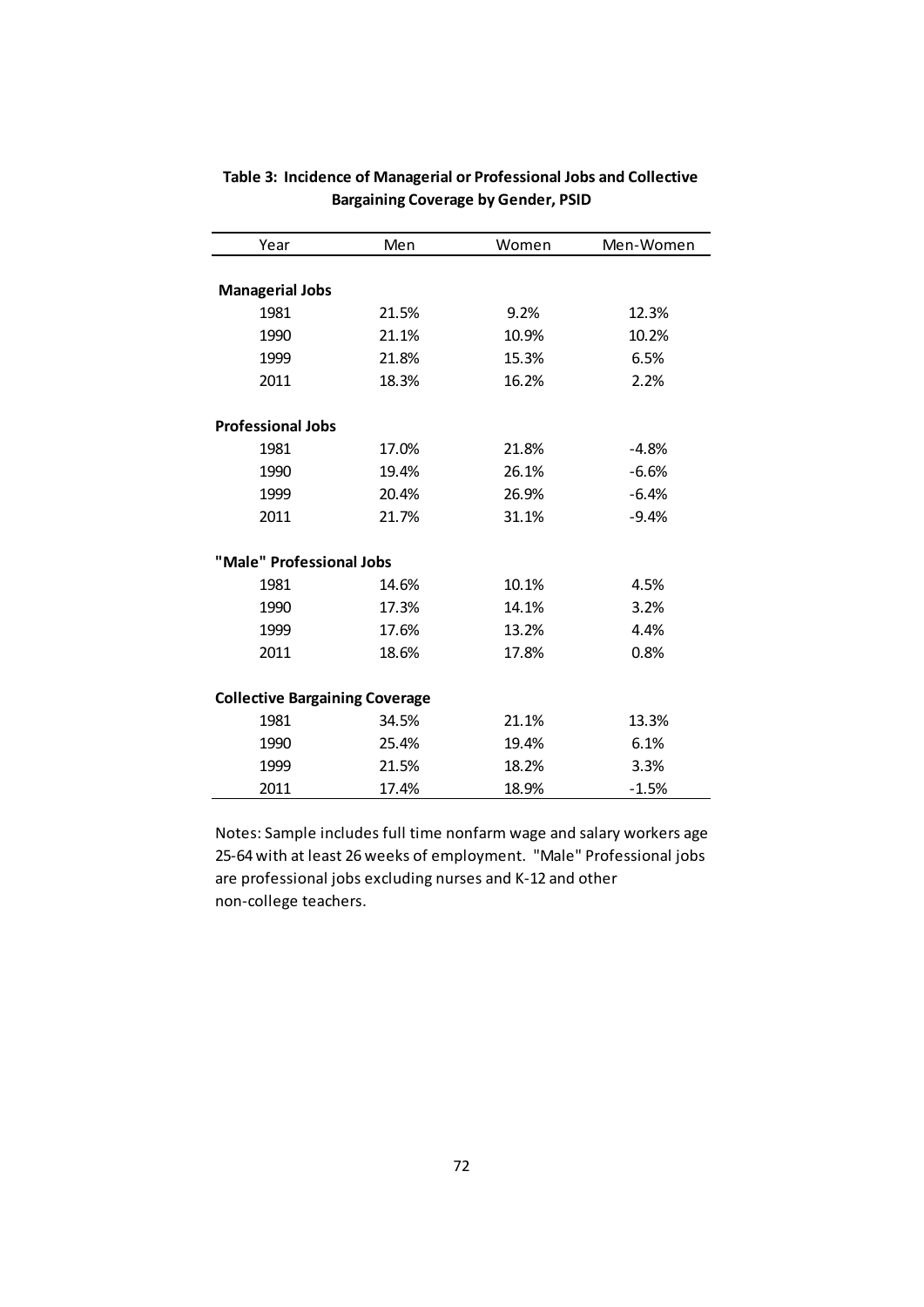| Year                                  | Men   | Women | Men-Women |
|---------------------------------------|-------|-------|-----------|
|                                       |       |       |           |
| <b>Managerial Jobs</b>                |       |       |           |
| 1981                                  | 21.5% | 9.2%  | 12.3%     |
| 1990                                  | 21.1% | 10.9% | 10.2%     |
| 1999                                  | 21.8% | 15.3% | 6.5%      |
| 2011                                  | 18.3% | 16.2% | 2.2%      |
|                                       |       |       |           |
| <b>Professional Jobs</b>              |       |       |           |
| 1981                                  | 17.0% | 21.8% | $-4.8%$   |
| 1990                                  | 19.4% | 26.1% | $-6.6%$   |
| 1999                                  | 20.4% | 26.9% | $-6.4%$   |
| 2011                                  | 21.7% | 31.1% | $-9.4%$   |
|                                       |       |       |           |
| "Male" Professional Jobs              |       |       |           |
| 1981                                  | 14.6% | 10.1% | 4.5%      |
| 1990                                  | 17.3% | 14.1% | 3.2%      |
| 1999                                  | 17.6% | 13.2% | 4.4%      |
| 2011                                  | 18.6% | 17.8% | 0.8%      |
|                                       |       |       |           |
| <b>Collective Bargaining Coverage</b> |       |       |           |
| 1981                                  | 34.5% | 21.1% | 13.3%     |
| 1990                                  | 25.4% | 19.4% | 6.1%      |
| 1999                                  | 21.5% | 18.2% | 3.3%      |
| 2011                                  | 17.4% | 18.9% | $-1.5%$   |

## **Table 3: Incidence of Managerial or Professional Jobs and Collective Bargaining Coverage by Gender, PSID**

Notes: Sample includes full time nonfarm wage and salary workers age 25‐64 with at least 26 weeks of employment. "Male" Professional jobs are professional jobs excluding nurses and K‐12 and other non‐college teachers.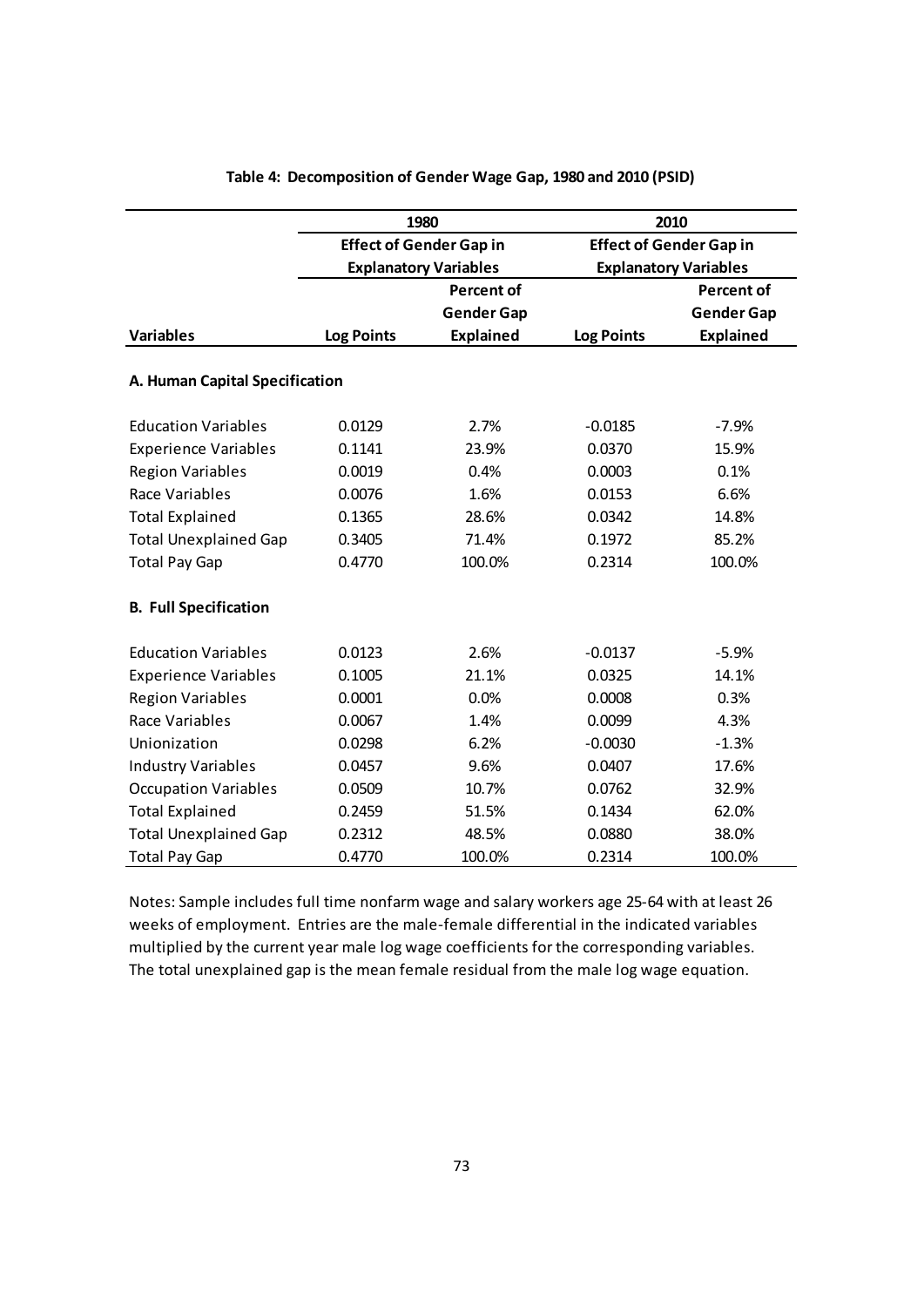|                                |                   | 1980                           | 2010                                                           |                   |  |
|--------------------------------|-------------------|--------------------------------|----------------------------------------------------------------|-------------------|--|
|                                |                   | <b>Effect of Gender Gap in</b> | <b>Effect of Gender Gap in</b><br><b>Explanatory Variables</b> |                   |  |
|                                |                   | <b>Explanatory Variables</b>   |                                                                |                   |  |
|                                |                   | <b>Percent of</b>              |                                                                | <b>Percent of</b> |  |
|                                |                   | <b>Gender Gap</b>              |                                                                | <b>Gender Gap</b> |  |
| <b>Variables</b>               | <b>Log Points</b> | <b>Explained</b>               | <b>Log Points</b>                                              | <b>Explained</b>  |  |
| A. Human Capital Specification |                   |                                |                                                                |                   |  |
| <b>Education Variables</b>     | 0.0129            | 2.7%                           | $-0.0185$                                                      | $-7.9%$           |  |
| <b>Experience Variables</b>    | 0.1141            | 23.9%                          | 0.0370                                                         | 15.9%             |  |
| <b>Region Variables</b>        | 0.0019            | 0.4%                           | 0.0003                                                         | 0.1%              |  |
| Race Variables                 | 0.0076            | 1.6%                           | 0.0153                                                         | 6.6%              |  |
| <b>Total Explained</b>         | 0.1365            | 28.6%                          | 0.0342                                                         | 14.8%             |  |
| <b>Total Unexplained Gap</b>   | 0.3405            | 71.4%                          | 0.1972                                                         | 85.2%             |  |
| <b>Total Pay Gap</b>           | 0.4770            | 100.0%                         | 0.2314                                                         |                   |  |
| <b>B. Full Specification</b>   |                   |                                |                                                                |                   |  |
| <b>Education Variables</b>     | 0.0123            | 2.6%                           | $-0.0137$                                                      | $-5.9%$           |  |
| <b>Experience Variables</b>    | 0.1005            | 21.1%                          | 0.0325                                                         | 14.1%             |  |
| <b>Region Variables</b>        | 0.0001            | 0.0%<br>0.0008                 |                                                                | 0.3%              |  |
| Race Variables                 | 0.0067            | 1.4%                           | 0.0099                                                         | 4.3%              |  |
| Unionization                   | 0.0298            | 6.2%                           | $-0.0030$                                                      | $-1.3%$           |  |
| <b>Industry Variables</b>      | 0.0457            | 9.6%                           | 0.0407                                                         | 17.6%             |  |
| <b>Occupation Variables</b>    | 0.0509            | 10.7%                          | 0.0762                                                         | 32.9%             |  |
| <b>Total Explained</b>         | 0.2459            | 51.5%                          | 0.1434                                                         | 62.0%             |  |
| <b>Total Unexplained Gap</b>   | 0.2312            | 48.5%                          | 0.0880                                                         | 38.0%             |  |
| <b>Total Pay Gap</b>           | 0.4770            | 100.0%                         | 0.2314                                                         | 100.0%            |  |

## **Table 4: Decomposition of Gender Wage Gap, 1980 and 2010 (PSID)**

Notes: Sample includes full time nonfarm wage and salary workers age 25‐64 with at least 26 weeks of employment. Entries are the male‐female differential in the indicated variables multiplied by the current year male log wage coefficients for the corresponding variables. The total unexplained gap is the mean female residual from the male log wage equation.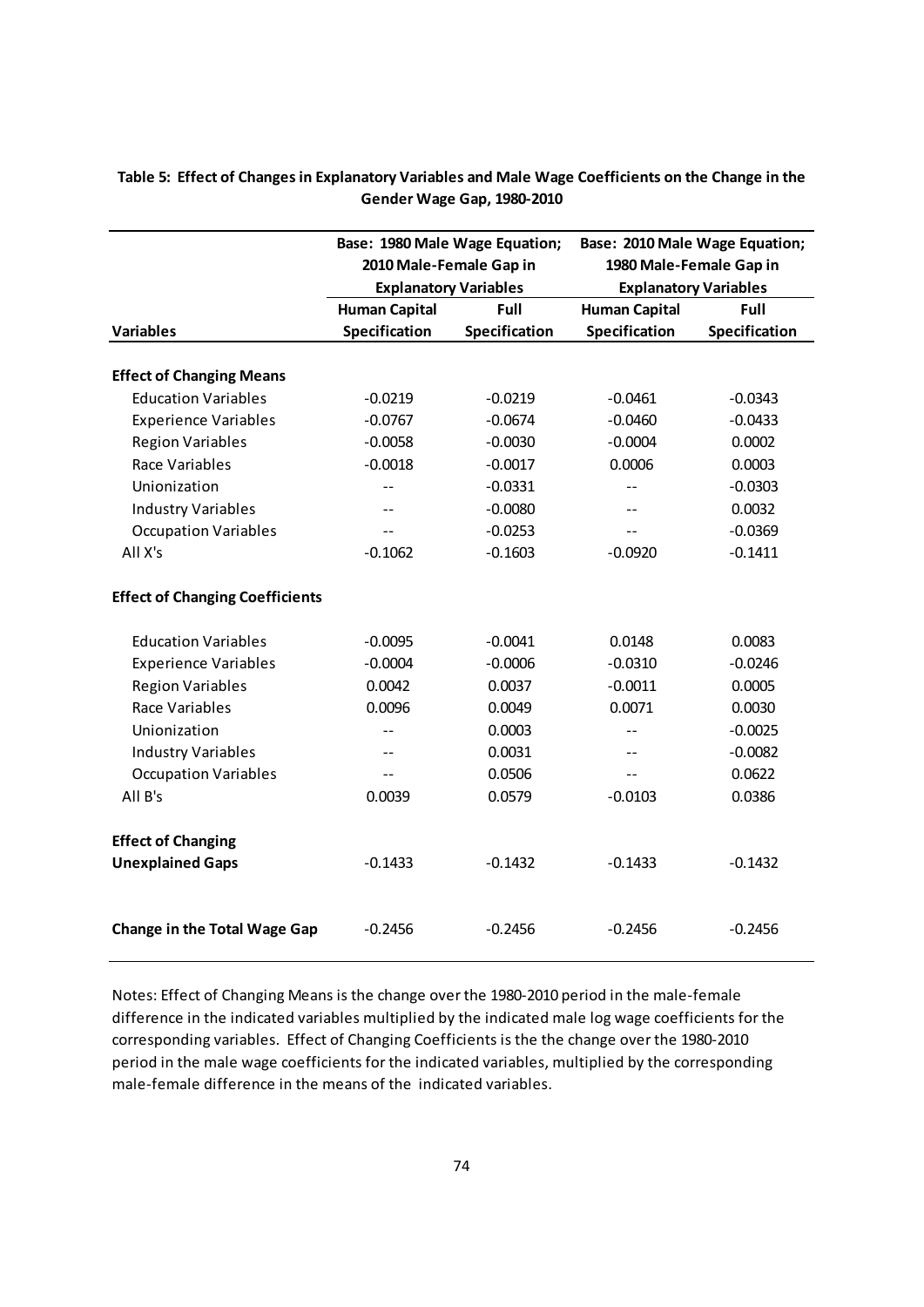|                                                      | Base: 1980 Male Wage Equation;<br>2010 Male-Female Gap in<br><b>Explanatory Variables</b> |                        | Base: 2010 Male Wage Equation;<br>1980 Male-Female Gap in<br><b>Explanatory Variables</b> |               |  |
|------------------------------------------------------|-------------------------------------------------------------------------------------------|------------------------|-------------------------------------------------------------------------------------------|---------------|--|
|                                                      | <b>Human Capital</b>                                                                      | Full                   | <b>Human Capital</b>                                                                      | <b>Full</b>   |  |
| <b>Variables</b>                                     | Specification                                                                             | Specification          | Specification                                                                             | Specification |  |
| <b>Effect of Changing Means</b>                      |                                                                                           |                        |                                                                                           |               |  |
| <b>Education Variables</b>                           | $-0.0219$                                                                                 | $-0.0219$              | $-0.0461$                                                                                 | $-0.0343$     |  |
| <b>Experience Variables</b>                          | $-0.0767$                                                                                 | $-0.0674$<br>$-0.0460$ |                                                                                           | $-0.0433$     |  |
| <b>Region Variables</b>                              | $-0.0058$                                                                                 | $-0.0030$              | $-0.0004$                                                                                 | 0.0002        |  |
| Race Variables                                       | $-0.0018$                                                                                 | $-0.0017$              | 0.0006                                                                                    | 0.0003        |  |
| Unionization                                         | $\overline{a}$                                                                            | $-0.0331$              | $-$                                                                                       | $-0.0303$     |  |
| <b>Industry Variables</b>                            | $=$                                                                                       | $-0.0080$              | $- -$                                                                                     | 0.0032        |  |
| <b>Occupation Variables</b>                          |                                                                                           | $-0.0253$              | $-1$                                                                                      | $-0.0369$     |  |
| All X's                                              | $-0.1062$                                                                                 | $-0.1603$              | $-0.0920$                                                                                 | $-0.1411$     |  |
| <b>Effect of Changing Coefficients</b>               |                                                                                           |                        |                                                                                           |               |  |
| <b>Education Variables</b>                           | $-0.0095$                                                                                 | $-0.0041$              | 0.0148                                                                                    | 0.0083        |  |
| <b>Experience Variables</b>                          | $-0.0004$                                                                                 | $-0.0006$              | $-0.0310$                                                                                 | $-0.0246$     |  |
| <b>Region Variables</b>                              | 0.0042                                                                                    | 0.0037                 | $-0.0011$                                                                                 | 0.0005        |  |
| Race Variables                                       | 0.0096                                                                                    | 0.0049                 | 0.0071                                                                                    | 0.0030        |  |
| Unionization                                         |                                                                                           | 0.0003                 | ΞĒ,                                                                                       | $-0.0025$     |  |
| <b>Industry Variables</b>                            |                                                                                           | 0.0031                 | $-$                                                                                       | $-0.0082$     |  |
| <b>Occupation Variables</b>                          |                                                                                           | 0.0506                 | $-$                                                                                       | 0.0622        |  |
| All B's                                              | 0.0039                                                                                    | 0.0579                 | $-0.0103$                                                                                 | 0.0386        |  |
| <b>Effect of Changing</b><br><b>Unexplained Gaps</b> | $-0.1433$                                                                                 | $-0.1432$              | $-0.1433$                                                                                 | $-0.1432$     |  |
| <b>Change in the Total Wage Gap</b>                  | $-0.2456$                                                                                 | $-0.2456$              | $-0.2456$                                                                                 | $-0.2456$     |  |

Table 5: Effect of Changes in Explanatory Variables and Male Wage Coefficients on the Change in the **Gender Wage Gap, 1980‐2010**

Notes: Effect of Changing Means is the change over the 1980‐2010 period in the male‐female difference in the indicated variables multiplied by the indicated male log wage coefficients for the corresponding variables. Effect of Changing Coefficients is the the change over the 1980‐2010 period in the male wage coefficients for the indicated variables, multiplied by the corresponding male‐female difference in the means of the indicated variables.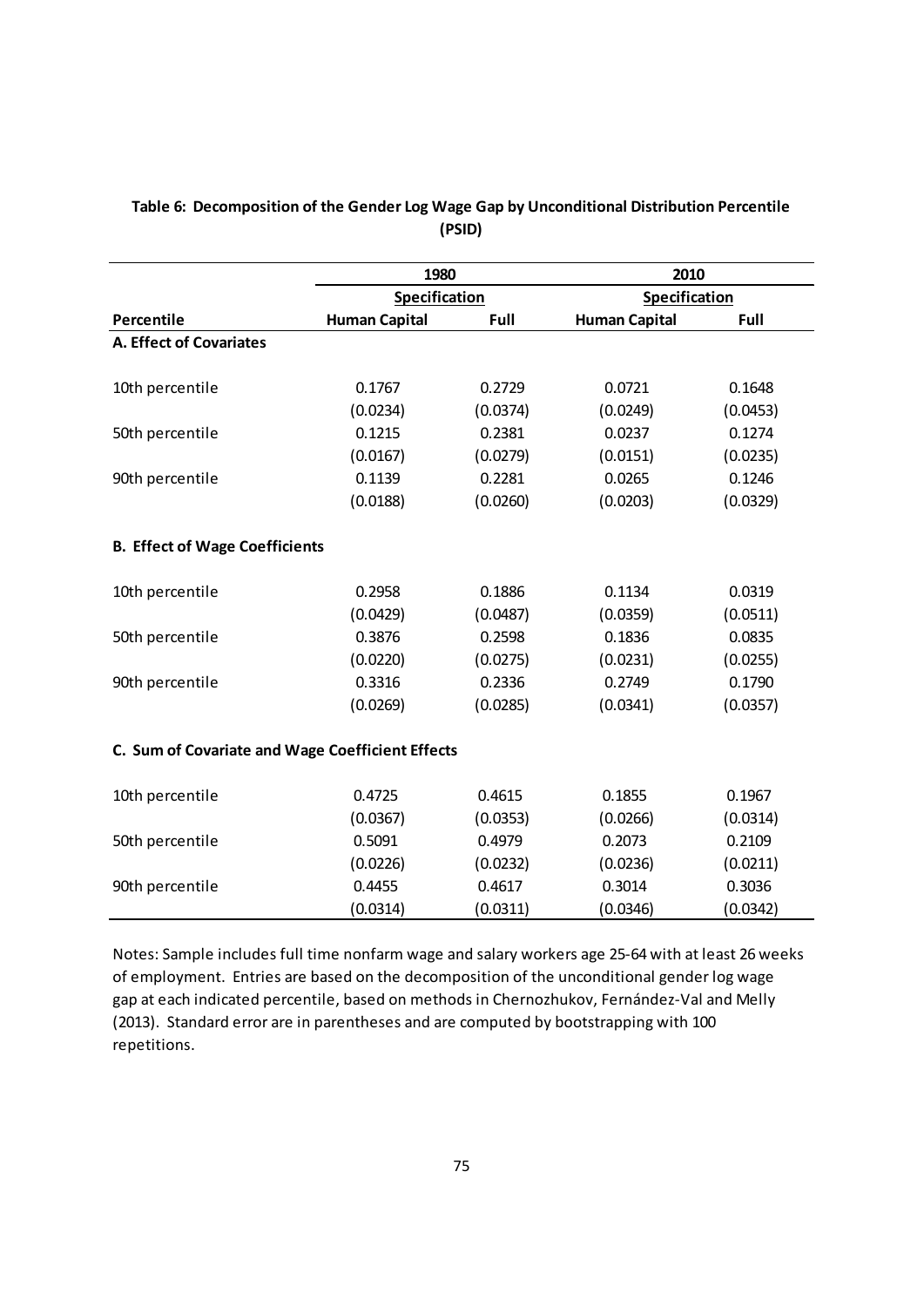|                                                  | 1980                 |                  | 2010                 |          |  |
|--------------------------------------------------|----------------------|------------------|----------------------|----------|--|
|                                                  | Specification        |                  | Specification        |          |  |
| Percentile                                       | <b>Human Capital</b> | Full             | <b>Human Capital</b> | Full     |  |
| <b>A. Effect of Covariates</b>                   |                      |                  |                      |          |  |
| 10th percentile                                  | 0.1767               | 0.2729           | 0.0721               | 0.1648   |  |
|                                                  | (0.0234)             | (0.0374)         | (0.0249)             | (0.0453) |  |
| 50th percentile                                  | 0.1215               | 0.2381           | 0.0237               | 0.1274   |  |
|                                                  | (0.0167)             | (0.0279)         | (0.0151)             | (0.0235) |  |
| 90th percentile                                  | 0.1139               | 0.2281           | 0.0265               | 0.1246   |  |
|                                                  | (0.0188)             | (0.0260)         | (0.0203)             | (0.0329) |  |
| <b>B. Effect of Wage Coefficients</b>            |                      |                  |                      |          |  |
| 10th percentile                                  | 0.2958               | 0.1886           | 0.1134               | 0.0319   |  |
|                                                  | (0.0429)             | (0.0487)         | (0.0359)             | (0.0511) |  |
| 50th percentile                                  | 0.3876               | 0.2598           | 0.1836               | 0.0835   |  |
|                                                  | (0.0220)             | (0.0275)         | (0.0231)             | (0.0255) |  |
| 90th percentile                                  | 0.3316               | 0.2336           | 0.2749               | 0.1790   |  |
|                                                  | (0.0269)             | (0.0285)         | (0.0341)             | (0.0357) |  |
| C. Sum of Covariate and Wage Coefficient Effects |                      |                  |                      |          |  |
| 10th percentile                                  | 0.4725               | 0.4615           | 0.1855               | 0.1967   |  |
|                                                  | (0.0367)             | (0.0353)         | (0.0266)             | (0.0314) |  |
| 50th percentile                                  | 0.5091               | 0.4979           | 0.2073               | 0.2109   |  |
|                                                  | (0.0226)             | (0.0232)         | (0.0236)             | (0.0211) |  |
| 90th percentile                                  | 0.4455               | 0.4617<br>0.3014 |                      | 0.3036   |  |
|                                                  | (0.0314)             | (0.0311)         | (0.0346)             | (0.0342) |  |

## **Table 6: Decomposition of the Gender Log Wage Gap by Unconditional Distribution Percentile (PSID)**

Notes: Sample includes full time nonfarm wage and salary workers age 25‐64 with at least 26 weeks of employment. Entries are based on the decomposition of the unconditional gender log wage gap at each indicated percentile, based on methods in Chernozhukov, Fernández‐Val and Melly (2013). Standard error are in parentheses and are computed by bootstrapping with 100 repetitions.